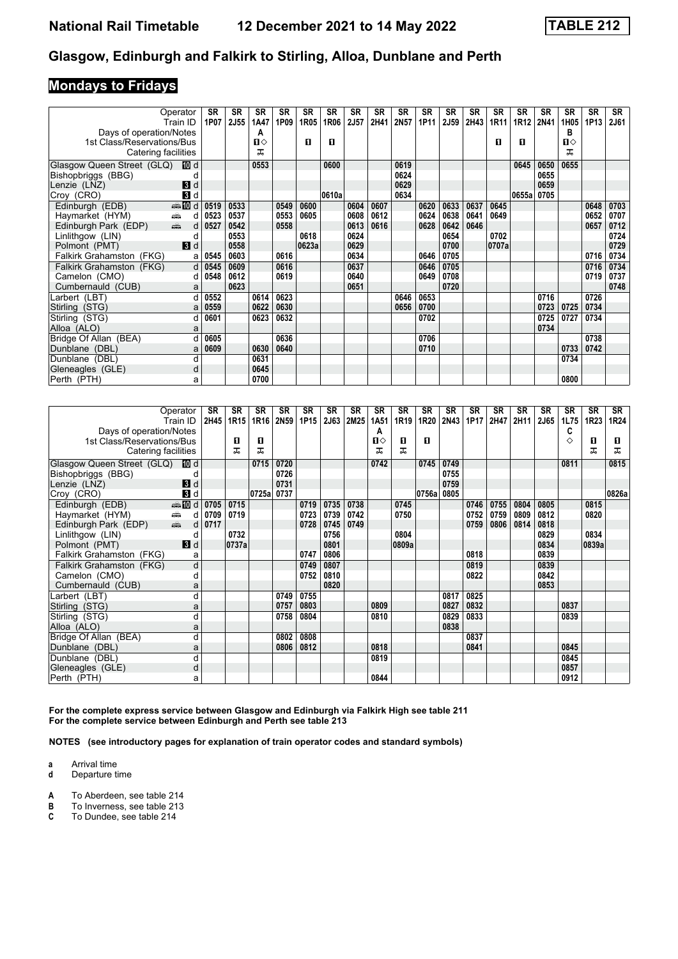### **Mondays to Fridays**

| Operator<br>Train ID                                               | <b>SR</b><br>1P07 | <b>SR</b><br>2J55 | SR<br>1A47   | <b>SR</b><br>1P09 | <b>SR</b><br>1R05 | <b>SR</b><br>1R06 | <b>SR</b><br>2J57 | <b>SR</b><br>2H41 | <b>SR</b><br>2N57 | <b>SR</b><br>1P11 | <b>SR</b><br><b>2J59</b> | <b>SR</b><br>2H43 | <b>SR</b><br>1R11 | <b>SR</b><br>1R12 | <b>SR</b><br>2N41 | <b>SR</b><br>1H05 | <b>SR</b><br>1P13 | SR<br><b>2J61</b> |
|--------------------------------------------------------------------|-------------------|-------------------|--------------|-------------------|-------------------|-------------------|-------------------|-------------------|-------------------|-------------------|--------------------------|-------------------|-------------------|-------------------|-------------------|-------------------|-------------------|-------------------|
| Days of operation/Notes                                            |                   |                   | А            |                   |                   |                   |                   |                   |                   |                   |                          |                   |                   |                   |                   | в                 |                   |                   |
| 1st Class/Reservations/Bus                                         |                   |                   | $\mathbf{u}$ |                   | п                 | п                 |                   |                   |                   |                   |                          |                   | П                 | п                 |                   | $\mathbf{u}$      |                   |                   |
| Catering facilities                                                |                   |                   | ᅚ            |                   |                   |                   |                   |                   |                   |                   |                          |                   |                   |                   |                   | ᅚ                 |                   |                   |
| III d<br>Glasgow Queen Street (GLQ)                                |                   |                   | 0553         |                   |                   | 0600              |                   |                   | 0619              |                   |                          |                   |                   | 0645              | 0650              | 0655              |                   |                   |
| Bishopbriggs (BBG)                                                 |                   |                   |              |                   |                   |                   |                   |                   | 0624              |                   |                          |                   |                   |                   | 0655              |                   |                   |                   |
| 3d<br>Lenzie (LNZ)                                                 |                   |                   |              |                   |                   |                   |                   |                   | 0629              |                   |                          |                   |                   |                   | 0659              |                   |                   |                   |
| $\mathbf{3}$ d<br>Croy (CRO)                                       |                   |                   |              |                   |                   | 0610a             |                   |                   | 0634              |                   |                          |                   |                   | 0655a             | 0705              |                   |                   |                   |
| $\bigoplus d$<br>Edinburgh (EDB)                                   | 0519              | 0533              |              | 0549              | 0600              |                   | 0604              | 0607              |                   | 0620              | 0633                     | 0637              | 0645              |                   |                   |                   | 0648              | 0703              |
| Haymarket (HYM)<br>æ.                                              | 0523<br>d         | 0537              |              | 0553              | 0605              |                   | 0608              | 0612              |                   | 0624              | 0638                     | 0641              | 0649              |                   |                   |                   | 0652              | 0707              |
| $\frac{1}{\left( \frac{1}{2}\right) _{1}}$<br>Edinburgh Park (EDP) | 0527<br>d         | 0542              |              | 0558              |                   |                   | 0613              | 0616              |                   | 0628              | 0642                     | 0646              |                   |                   |                   |                   | 0657              | 0712              |
| Linlithgow (LIN)                                                   | d                 | 0553              |              |                   | 0618              |                   | 0624              |                   |                   |                   | 0654                     |                   | 0702              |                   |                   |                   |                   | 0724              |
| 3d<br>Polmont (PMT)                                                |                   | 0558              |              |                   | 0623a             |                   | 0629              |                   |                   |                   | 0700                     |                   | 0707a             |                   |                   |                   |                   | 0729              |
| Falkirk Grahamston (FKG)                                           | 0545<br>a         | 0603              |              | 0616              |                   |                   | 0634              |                   |                   | 0646              | 0705                     |                   |                   |                   |                   |                   | 0716              | 0734              |
| Falkirk Grahamston (FKG)                                           | d<br>0545         | 0609              |              | 0616              |                   |                   | 0637              |                   |                   | 0646              | 0705                     |                   |                   |                   |                   |                   | 0716              | 0734              |
| Camelon (CMO)                                                      | 0548<br>d         | 0612              |              | 0619              |                   |                   | 0640              |                   |                   | 0649              | 0708                     |                   |                   |                   |                   |                   | 0719              | 0737              |
| Cumbernauld (CUB)                                                  | a                 | 0623              |              |                   |                   |                   | 0651              |                   |                   |                   | 0720                     |                   |                   |                   |                   |                   |                   | 0748              |
| Larbert (LBT)                                                      | 0552              |                   | 0614         | 0623              |                   |                   |                   |                   | 0646              | 0653              |                          |                   |                   |                   | 0716              |                   | 0726              |                   |
| Stirling (STG)                                                     | 0559<br>a         |                   | 0622         | 0630              |                   |                   |                   |                   | 0656              | 0700              |                          |                   |                   |                   | 0723              | 0725              | 0734              |                   |
| Stirling (STG)                                                     | 0601<br>d         |                   | 0623         | 0632              |                   |                   |                   |                   |                   | 0702              |                          |                   |                   |                   | 0725              | 0727              | 0734              |                   |
| Alloa (ALO)                                                        | a                 |                   |              |                   |                   |                   |                   |                   |                   |                   |                          |                   |                   |                   | 0734              |                   |                   |                   |
| Bridge Of Allan (BEA)                                              | 0605              |                   |              | 0636              |                   |                   |                   |                   |                   | 0706              |                          |                   |                   |                   |                   |                   | 0738              |                   |
| Dunblane (DBL)                                                     | 0609<br>a         |                   | 0630         | 0640              |                   |                   |                   |                   |                   | 0710              |                          |                   |                   |                   |                   | 0733              | 0742              |                   |
| Dunblane (DBL)                                                     | d                 |                   | 0631         |                   |                   |                   |                   |                   |                   |                   |                          |                   |                   |                   |                   | 0734              |                   |                   |
| Gleneagles (GLE)                                                   | d                 |                   | 0645         |                   |                   |                   |                   |                   |                   |                   |                          |                   |                   |                   |                   |                   |                   |                   |
| Perth (PTH)                                                        | a                 |                   | 0700         |                   |                   |                   |                   |                   |                   |                   |                          |                   |                   |                   |                   | 0800              |                   |                   |

|                            | Operator<br>Train ID      | <b>SR</b><br>2H45 | <b>SR</b><br>1R15 | SR<br>1R16 | <b>SR</b><br>2N59 | <b>SR</b><br>1P15 | <b>SR</b><br>2J63 | SR<br>2M25 | <b>SR</b><br>1A51 | <b>SR</b><br>1R19 | <b>SR</b><br>1R20 | <b>SR</b><br>2N43 | <b>SR</b><br>1P17 | <b>SR</b><br>2H47 | <b>SR</b><br>2H11 | <b>SR</b><br>2J65 | <b>SR</b><br>1L75 | <b>SR</b><br>1R23 | <b>SR</b><br>1R24 |
|----------------------------|---------------------------|-------------------|-------------------|------------|-------------------|-------------------|-------------------|------------|-------------------|-------------------|-------------------|-------------------|-------------------|-------------------|-------------------|-------------------|-------------------|-------------------|-------------------|
| Days of operation/Notes    |                           |                   |                   |            |                   |                   |                   |            | A                 |                   |                   |                   |                   |                   |                   |                   | C                 |                   |                   |
| 1st Class/Reservations/Bus |                           |                   | п                 | п          |                   |                   |                   |            | $\mathbf{u}$      | п                 | п                 |                   |                   |                   |                   |                   | ♦                 | O                 | п                 |
| Catering facilities        |                           |                   | ᠼ                 | ᠼ          |                   |                   |                   |            | ᠼ                 | ᇁ                 |                   |                   |                   |                   |                   |                   |                   | ᅚ                 | ᅚ                 |
| Glasgow Queen Street (GLQ) | [10] d                    |                   |                   | 0715       | 0720              |                   |                   |            | 0742              |                   | 0745              | 0749              |                   |                   |                   |                   | 0811              |                   | 0815              |
| Bishopbriggs (BBG)         |                           |                   |                   |            | 0726              |                   |                   |            |                   |                   |                   | 0755              |                   |                   |                   |                   |                   |                   |                   |
| Lenzie (LNZ)               | 3d                        |                   |                   |            | 0731              |                   |                   |            |                   |                   |                   | 0759              |                   |                   |                   |                   |                   |                   |                   |
| Croy (CRO)                 | <b>B</b> d                |                   |                   | 0725a      | 0737              |                   |                   |            |                   |                   | 0756a             | 0805              |                   |                   |                   |                   |                   |                   | 0826a             |
| Edinburgh (EDB)            | <b>ente</b> die d         | 0705              | 0715              |            |                   | 0719              | 0735              | 0738       |                   | 0745              |                   |                   | 0746              | 0755              | 0804              | 0805              |                   | 0815              |                   |
| Haymarket (HYM)            | æ<br>d                    | 0709              | 0719              |            |                   | 0723              | 0739              | 0742       |                   | 0750              |                   |                   | 0752              | 0759              | 0809              | 0812              |                   | 0820              |                   |
| Edinburgh Park (EDP)       | $\frac{1}{\sqrt{2}}$<br>d | 0717              |                   |            |                   | 0728              | 0745              | 0749       |                   |                   |                   |                   | 0759              | 0806              | 0814              | 0818              |                   |                   |                   |
| Linlithgow (LIN)           | d                         |                   | 0732              |            |                   |                   | 0756              |            |                   | 0804              |                   |                   |                   |                   |                   | 0829              |                   | 0834              |                   |
| Polmont (PMT)              | $\blacksquare$            |                   | 0737a             |            |                   |                   | 0801              |            |                   | 0809a             |                   |                   |                   |                   |                   | 0834              |                   | 0839a             |                   |
| Falkirk Grahamston (FKG)   | a                         |                   |                   |            |                   | 0747              | 0806              |            |                   |                   |                   |                   | 0818              |                   |                   | 0839              |                   |                   |                   |
| Falkirk Grahamston (FKG)   | $\mathsf{d}$              |                   |                   |            |                   | 0749              | 0807              |            |                   |                   |                   |                   | 0819              |                   |                   | 0839              |                   |                   |                   |
| Camelon (CMO)              | d                         |                   |                   |            |                   | 0752              | 0810              |            |                   |                   |                   |                   | 0822              |                   |                   | 0842              |                   |                   |                   |
| Cumbernauld (CUB)          | a                         |                   |                   |            |                   |                   | 0820              |            |                   |                   |                   |                   |                   |                   |                   | 0853              |                   |                   |                   |
| Larbert (LBT)              | d                         |                   |                   |            | 0749              | 0755              |                   |            |                   |                   |                   | 0817              | 0825              |                   |                   |                   |                   |                   |                   |
| Stirling (STG)             | a                         |                   |                   |            | 0757              | 0803              |                   |            | 0809              |                   |                   | 0827              | 0832              |                   |                   |                   | 0837              |                   |                   |
| Stirling (STG)             | d                         |                   |                   |            | 0758              | 0804              |                   |            | 0810              |                   |                   | 0829              | 0833              |                   |                   |                   | 0839              |                   |                   |
| Alloa (ALO)                | a                         |                   |                   |            |                   |                   |                   |            |                   |                   |                   | 0838              |                   |                   |                   |                   |                   |                   |                   |
| Bridge Of Allan (BEA)      | d                         |                   |                   |            | 0802              | 0808              |                   |            |                   |                   |                   |                   | 0837              |                   |                   |                   |                   |                   |                   |
| Dunblane (DBL)             | a                         |                   |                   |            | 0806              | 0812              |                   |            | 0818              |                   |                   |                   | 0841              |                   |                   |                   | 0845              |                   |                   |
| Dunblane (DBL)             | d                         |                   |                   |            |                   |                   |                   |            | 0819              |                   |                   |                   |                   |                   |                   |                   | 0845              |                   |                   |
| Gleneagles (GLE)           | d                         |                   |                   |            |                   |                   |                   |            |                   |                   |                   |                   |                   |                   |                   |                   | 0857              |                   |                   |
| Perth (PTH)                | a                         |                   |                   |            |                   |                   |                   |            | 0844              |                   |                   |                   |                   |                   |                   |                   | 0912              |                   |                   |

For the complete express service between Glasgow and Edinburgh via Falkirk High see table 211 **For the complete service between Edinburgh and Perth see table 213** 

**NOTES (see introductory pages for explanation of train operator codes and standard symbols)**

**a** Arrival time<br>**d** Departure t

- **d** Departure time
- **A** To Aberdeen, see table 214<br>**B** To Inverness, see table 213
- **B** To Inverness, see table 213
- **C** To Dundee, see table 21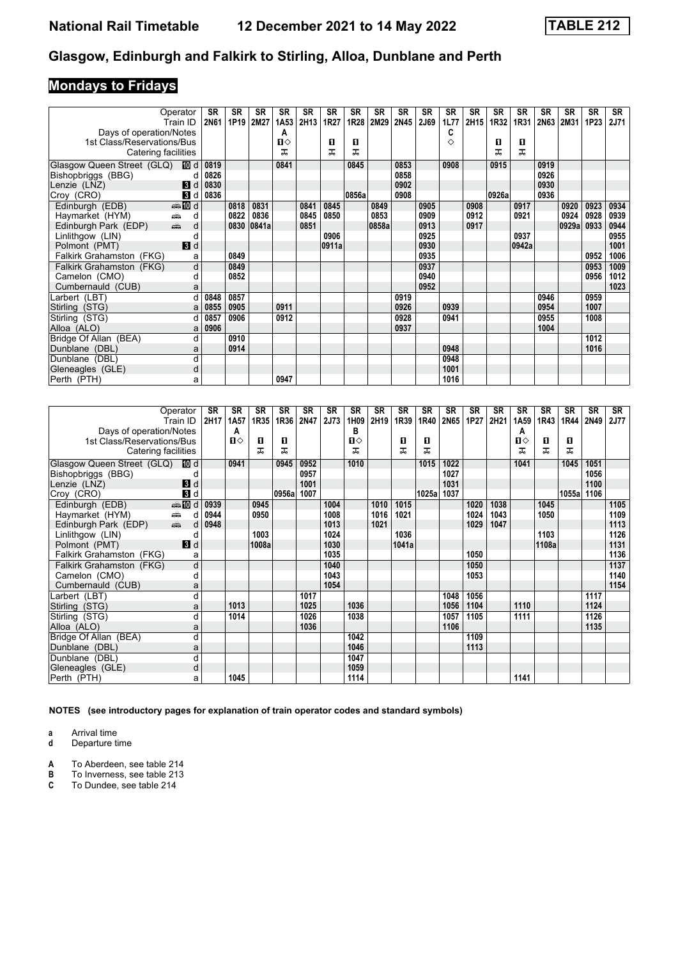# **Mondays to Fridays**

|                                              | Operator       | <b>SR</b>   | SR   | SR    | <b>SR</b> | <b>SR</b> | <b>SR</b> | <b>SR</b> | <b>SR</b> | <b>SR</b> | <b>SR</b> | <b>SR</b> | <b>SR</b> | <b>SR</b> | <b>SR</b> | <b>SR</b> | <b>SR</b> | <b>SR</b> | <b>SR</b> |
|----------------------------------------------|----------------|-------------|------|-------|-----------|-----------|-----------|-----------|-----------|-----------|-----------|-----------|-----------|-----------|-----------|-----------|-----------|-----------|-----------|
|                                              | Train ID       | <b>2N61</b> | 1P19 | 2M27  | 1A53      | 2H13      | 1R27      | 1R28      | 2M29      | 2N45      | 2J69      | 1L77      | 2H15      | 1R32      | 1R31      | 2N63      | 2M31      | 1P23      | 2J71      |
| Days of operation/Notes                      |                |             |      |       | A         |           |           |           |           |           |           | C         |           |           |           |           |           |           |           |
| 1st Class/Reservations/Bus                   |                |             |      |       | Ⅱ♦        |           | О         | п         |           |           |           | ♦         |           | 0         | O         |           |           |           |           |
| Catering facilities                          |                |             |      |       | ᅚ         |           | ᠼ         | ᅚ         |           |           |           |           |           | ᠼ         | ᅚ         |           |           |           |           |
| Glasgow Queen Street (GLQ)                   | III d          | 0819        |      |       | 0841      |           |           | 0845      |           | 0853      |           | 0908      |           | 0915      |           | 0919      |           |           |           |
| Bishopbriggs (BBG)                           | d              | 0826        |      |       |           |           |           |           |           | 0858      |           |           |           |           |           | 0926      |           |           |           |
| Lenzie (LNZ)                                 | $\blacksquare$ | 0830        |      |       |           |           |           |           |           | 0902      |           |           |           |           |           | 0930      |           |           |           |
| Croy (CRO)                                   | $\mathbf{3}$ d | 0836        |      |       |           |           |           | 0856a     |           | 0908      |           |           |           | 0926a     |           | 0936      |           |           |           |
| Edinburgh (EDB)                              | <b>ation</b> d |             | 0818 | 0831  |           | 0841      | 0845      |           | 0849      |           | 0905      |           | 0908      |           | 0917      |           | 0920      | 0923      | 0934      |
| é.<br>Haymarket (HYM)                        | d              |             | 0822 | 0836  |           | 0845      | 0850      |           | 0853      |           | 0909      |           | 0912      |           | 0921      |           | 0924      | 0928      | 0939      |
| $\frac{1}{\sqrt{2}}$<br>Edinburgh Park (EDP) | d              |             | 0830 | 0841a |           | 0851      |           |           | 0858a     |           | 0913      |           | 0917      |           |           |           | 0929a     | 0933      | 0944      |
| Linlithgow (LIN)                             |                |             |      |       |           |           | 0906      |           |           |           | 0925      |           |           |           | 0937      |           |           |           | 0955      |
| Polmont (PMT)                                | $\blacksquare$ |             |      |       |           |           | 0911a     |           |           |           | 0930      |           |           |           | 0942a     |           |           |           | 1001      |
| Falkirk Grahamston (FKG)                     | a              |             | 0849 |       |           |           |           |           |           |           | 0935      |           |           |           |           |           |           | 0952      | 1006      |
| Falkirk Grahamston (FKG)                     | d              |             | 0849 |       |           |           |           |           |           |           | 0937      |           |           |           |           |           |           | 0953      | 1009      |
| Camelon (CMO)                                | d              |             | 0852 |       |           |           |           |           |           |           | 0940      |           |           |           |           |           |           | 0956      | 1012      |
| Cumbernauld (CUB)                            | a              |             |      |       |           |           |           |           |           |           | 0952      |           |           |           |           |           |           |           | 1023      |
| Larbert (LBT)                                | d              | 0848        | 0857 |       |           |           |           |           |           | 0919      |           |           |           |           |           | 0946      |           | 0959      |           |
| Stirling (STG)                               | a              | 0855        | 0905 |       | 0911      |           |           |           |           | 0926      |           | 0939      |           |           |           | 0954      |           | 1007      |           |
| Stirling (STG)                               |                | 0857        | 0906 |       | 0912      |           |           |           |           | 0928      |           | 0941      |           |           |           | 0955      |           | 1008      |           |
| Alloa (ALO)                                  | a              | 0906        |      |       |           |           |           |           |           | 0937      |           |           |           |           |           | 1004      |           |           |           |
| Bridge Of Allan (BEA)                        | d              |             | 0910 |       |           |           |           |           |           |           |           |           |           |           |           |           |           | 1012      |           |
| Dunblane (DBL)                               | a              |             | 0914 |       |           |           |           |           |           |           |           | 0948      |           |           |           |           |           | 1016      |           |
| Dunblane (DBL)                               | d              |             |      |       |           |           |           |           |           |           |           | 0948      |           |           |           |           |           |           |           |
| Gleneagles (GLE)                             | d              |             |      |       |           |           |           |           |           |           |           | 1001      |           |           |           |           |           |           |           |
| Perth (PTH)                                  | a              |             |      |       | 0947      |           |           |           |           |           |           | 1016      |           |           |           |           |           |           |           |

|                            | Operator<br>Train ID                            | <b>SR</b><br>2H17 | <b>SR</b><br>1A <sub>5</sub> 7 | <b>SR</b><br>1R35 | <b>SR</b><br>1R36 | <b>SR</b><br>2N47 | <b>SR</b><br>2J73 | <b>SR</b><br>1H09 | <b>SR</b><br>2H19 | <b>SR</b><br>1R39 | <b>SR</b><br>1R40 | <b>SR</b><br>2N65 | <b>SR</b><br>1P27 | <b>SR</b><br>2H21 | <b>SR</b><br>1A <sub>59</sub> | <b>SR</b><br>1R43 | <b>SR</b><br>1R44 | <b>SR</b><br>2N49 | <b>SR</b><br>2J77 |
|----------------------------|-------------------------------------------------|-------------------|--------------------------------|-------------------|-------------------|-------------------|-------------------|-------------------|-------------------|-------------------|-------------------|-------------------|-------------------|-------------------|-------------------------------|-------------------|-------------------|-------------------|-------------------|
| Days of operation/Notes    |                                                 |                   | Α                              |                   |                   |                   |                   | в                 |                   |                   |                   |                   |                   |                   | А                             |                   |                   |                   |                   |
| 1st Class/Reservations/Bus |                                                 |                   | $\mathbf{n}$                   | п                 | п                 |                   |                   | $\mathbf{u}$      |                   | п                 | п                 |                   |                   |                   | $\Pi$                         | O                 | п                 |                   |                   |
| Catering facilities        |                                                 |                   |                                | ᠼ                 | ᠼ                 |                   |                   | ᠼ                 |                   | ᅚ                 | ᅚ                 |                   |                   |                   | ᠼ                             | ᅚ                 | ᅚ                 |                   |                   |
| Glasgow Queen Street (GLQ) | III d                                           |                   | 0941                           |                   | 0945              | 0952              |                   | 1010              |                   |                   | 1015              | 1022              |                   |                   | 1041                          |                   | 1045              | 1051              |                   |
| Bishopbriggs (BBG)         |                                                 |                   |                                |                   |                   | 0957              |                   |                   |                   |                   |                   | 1027              |                   |                   |                               |                   |                   | 1056              |                   |
| Lenzie (LNZ)               | $\blacksquare$                                  |                   |                                |                   |                   | 1001              |                   |                   |                   |                   |                   | 1031              |                   |                   |                               |                   |                   | 1100              |                   |
| Croy (CRO)                 | $\overline{B}$ d                                |                   |                                |                   | 0956a             | 1007              |                   |                   |                   |                   | 1025a             | 1037              |                   |                   |                               |                   | 1055a             | 1106              |                   |
| Edinburgh (EDB)            | $\bigoplus$ III d                               | 0939              |                                | 0945              |                   |                   | 1004              |                   | 1010              | 1015              |                   |                   | 1020              | 1038              |                               | 1045              |                   |                   | 1105              |
| Haymarket (HYM)            | æ<br>d                                          | 0944              |                                | 0950              |                   |                   | 1008              |                   | 1016              | 1021              |                   |                   | 1024              | 1043              |                               | 1050              |                   |                   | 1109              |
| Edinburgh Park (EDP)       | $\frac{1}{\left( \frac{1}{2}\right) _{1}}$<br>d | 0948              |                                |                   |                   |                   | 1013              |                   | 1021              |                   |                   |                   | 1029              | 1047              |                               |                   |                   |                   | 1113              |
| Linlithgow (LIN)           | d                                               |                   |                                | 1003              |                   |                   | 1024              |                   |                   | 1036              |                   |                   |                   |                   |                               | 1103              |                   |                   | 1126              |
| Polmont (PMT)              | $\blacksquare$                                  |                   |                                | 1008a             |                   |                   | 1030              |                   |                   | 1041a             |                   |                   |                   |                   |                               | 1108a             |                   |                   | 1131              |
| Falkirk Grahamston (FKG)   | a                                               |                   |                                |                   |                   |                   | 1035              |                   |                   |                   |                   |                   | 1050              |                   |                               |                   |                   |                   | 1136              |
| Falkirk Grahamston (FKG)   | d                                               |                   |                                |                   |                   |                   | 1040              |                   |                   |                   |                   |                   | 1050              |                   |                               |                   |                   |                   | 1137              |
| Camelon (CMO)              | d                                               |                   |                                |                   |                   |                   | 1043              |                   |                   |                   |                   |                   | 1053              |                   |                               |                   |                   |                   | 1140              |
| Cumbernauld (CUB)          | a                                               |                   |                                |                   |                   |                   | 1054              |                   |                   |                   |                   |                   |                   |                   |                               |                   |                   |                   | 1154              |
| Larbert (LBT)              | d                                               |                   |                                |                   |                   | 1017              |                   |                   |                   |                   |                   | 1048              | 1056              |                   |                               |                   |                   | 1117              |                   |
| Stirling (STG)             | a                                               |                   | 1013                           |                   |                   | 1025              |                   | 1036              |                   |                   |                   | 1056              | 1104              |                   | 1110                          |                   |                   | 1124              |                   |
| Stirling (STG)             | d                                               |                   | 1014                           |                   |                   | 1026              |                   | 1038              |                   |                   |                   | 1057              | 1105              |                   | 1111                          |                   |                   | 1126              |                   |
| Alloa (ALO)                | a                                               |                   |                                |                   |                   | 1036              |                   |                   |                   |                   |                   | 1106              |                   |                   |                               |                   |                   | 1135              |                   |
| Bridge Of Allan (BEA)      | d                                               |                   |                                |                   |                   |                   |                   | 1042              |                   |                   |                   |                   | 1109              |                   |                               |                   |                   |                   |                   |
| Dunblane (DBL)             | a                                               |                   |                                |                   |                   |                   |                   | 1046              |                   |                   |                   |                   | 1113              |                   |                               |                   |                   |                   |                   |
| Dunblane (DBL)             | d                                               |                   |                                |                   |                   |                   |                   | 1047              |                   |                   |                   |                   |                   |                   |                               |                   |                   |                   |                   |
| Gleneagles (GLE)           | d                                               |                   |                                |                   |                   |                   |                   | 1059              |                   |                   |                   |                   |                   |                   |                               |                   |                   |                   |                   |
| Perth (PTH)                | a                                               |                   | 1045                           |                   |                   |                   |                   | 1114              |                   |                   |                   |                   |                   |                   | 1141                          |                   |                   |                   |                   |

**NOTES (see introductory pages for explanation of train operator codes and standard symbols)**

**a** Arrival time<br>**d** Departure time

Departure time

**A** To Aberdeen, see table 214<br>**B** To Inverness, see table 213<br>**C** To Dundee, see table 214

**B** To Inverness, see table 213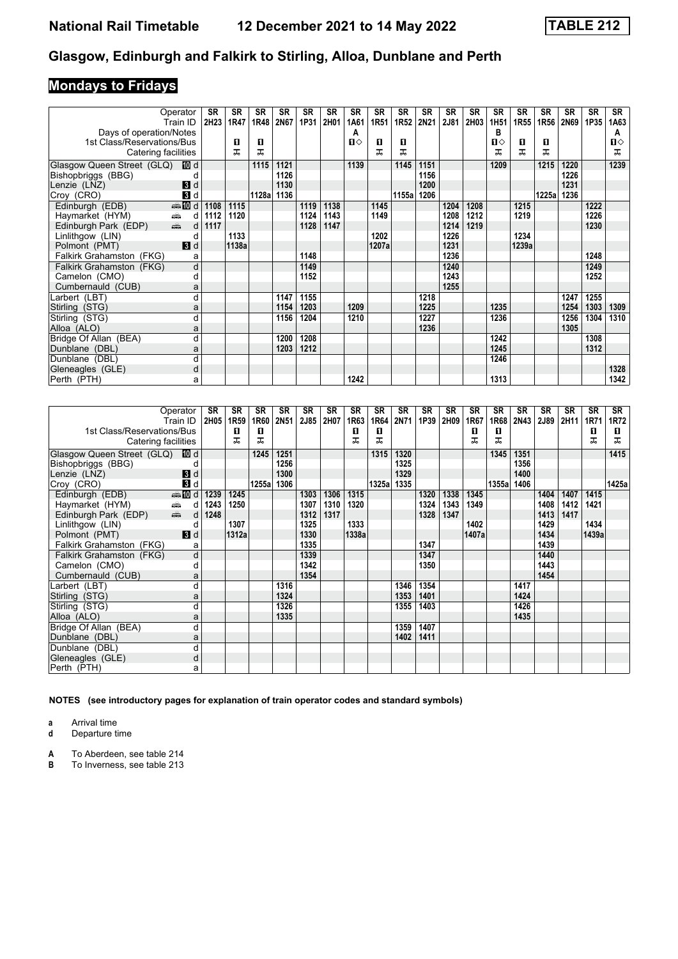# **Mondays to Fridays**

|                                                                    | Operator           | <b>SR</b> | SR    | <b>SR</b> | <b>SR</b> | <b>SR</b> | SR   | <b>SR</b>    | <b>SR</b> | <b>SR</b> | <b>SR</b> | <b>SR</b> | <b>SR</b> | <b>SR</b>             | <b>SR</b>        | SR    | SR          | <b>SR</b> | <b>SR</b> |
|--------------------------------------------------------------------|--------------------|-----------|-------|-----------|-----------|-----------|------|--------------|-----------|-----------|-----------|-----------|-----------|-----------------------|------------------|-------|-------------|-----------|-----------|
|                                                                    | Train ID           | 2H23      | 1R47  | 1R48      | 2N67      | 1P31      | 2H01 | 1A61<br>Α    | 1R51      | 1R52      | 2N21      | 2J81      | 2H03      | 1H <sub>51</sub><br>в | 1R <sub>55</sub> | 1R56  | <b>2N69</b> | 1P35      | 1A63      |
| Days of operation/Notes<br>1st Class/Reservations/Bus              |                    |           | O     | О         |           |           |      | $\mathbf{u}$ | п         | O         |           |           |           | Ⅱ♦                    | O                | 0     |             |           | A<br>п⇔   |
| Catering facilities                                                |                    |           | ᠼ     | ᅚ         |           |           |      |              | ᅚ         | ᅚ         |           |           |           | ᅚ                     | ᅚ                | ᠼ     |             |           | ᠼ         |
|                                                                    |                    |           |       |           |           |           |      |              |           |           |           |           |           |                       |                  |       |             |           |           |
| Glasgow Queen Street (GLQ)                                         | 100 d              |           |       | 1115      | 1121      |           |      | 1139         |           | 1145      | 1151      |           |           | 1209                  |                  | 1215  | 1220        |           | 1239      |
| Bishopbriggs (BBG)                                                 |                    |           |       |           | 1126      |           |      |              |           |           | 1156      |           |           |                       |                  |       | 1226        |           |           |
| Lenzie (LNZ)                                                       | $\mathbf{B}$ d     |           |       |           | 1130      |           |      |              |           |           | 1200      |           |           |                       |                  |       | 1231        |           |           |
| Croy (CRO)                                                         | 3d                 |           |       | 1128a     | 1136      |           |      |              |           | 1155a     | 1206      |           |           |                       |                  | 1225a | 1236        |           |           |
| Edinburgh (EDB)                                                    | $\frac{1}{2}$ 10 d | 1108      | 1115  |           |           | 1119      | 1138 |              | 1145      |           |           | 1204      | 1208      |                       | 1215             |       |             | 1222      |           |
| $\frac{1}{\sqrt{2}}$<br>Haymarket (HYM)                            | d                  | 1112      | 1120  |           |           | 1124      | 1143 |              | 1149      |           |           | 1208      | 1212      |                       | 1219             |       |             | 1226      |           |
| $\frac{1}{\left( \frac{1}{2}\right) _{1}}$<br>Edinburgh Park (EDP) | d                  | 1117      |       |           |           | 1128      | 1147 |              |           |           |           | 1214      | 1219      |                       |                  |       |             | 1230      |           |
| Linlithgow (LIN)                                                   | d                  |           | 1133  |           |           |           |      |              | 1202      |           |           | 1226      |           |                       | 1234             |       |             |           |           |
| Polmont (PMT)                                                      | $\blacksquare$     |           | 1138a |           |           |           |      |              | 1207a     |           |           | 1231      |           |                       | 1239a            |       |             |           |           |
| Falkirk Grahamston (FKG)                                           | a                  |           |       |           |           | 1148      |      |              |           |           |           | 1236      |           |                       |                  |       |             | 1248      |           |
| Falkirk Grahamston (FKG)                                           | d                  |           |       |           |           | 1149      |      |              |           |           |           | 1240      |           |                       |                  |       |             | 1249      |           |
| Camelon (CMO)                                                      | d                  |           |       |           |           | 1152      |      |              |           |           |           | 1243      |           |                       |                  |       |             | 1252      |           |
| Cumbernauld (CUB)                                                  | a                  |           |       |           |           |           |      |              |           |           |           | 1255      |           |                       |                  |       |             |           |           |
| Larbert (LBT)                                                      |                    |           |       |           | 1147      | 1155      |      |              |           |           | 1218      |           |           |                       |                  |       | 1247        | 1255      |           |
| Stirling (STG)                                                     | a                  |           |       |           | 1154      | 1203      |      | 1209         |           |           | 1225      |           |           | 1235                  |                  |       | 1254        | 1303      | 1309      |
| Stirling (STG)                                                     | d                  |           |       |           | 1156      | 1204      |      | 1210         |           |           | 1227      |           |           | 1236                  |                  |       | 1256        | 1304      | 1310      |
| Alloa (ALO)                                                        | a                  |           |       |           |           |           |      |              |           |           | 1236      |           |           |                       |                  |       | 1305        |           |           |
| Bridge Of Allan (BEA)                                              | d                  |           |       |           | 1200      | 1208      |      |              |           |           |           |           |           | 1242                  |                  |       |             | 1308      |           |
| Dunblane (DBL)                                                     | a                  |           |       |           | 1203      | 1212      |      |              |           |           |           |           |           | 1245                  |                  |       |             | 1312      |           |
| Dunblane (DBL)                                                     | d                  |           |       |           |           |           |      |              |           |           |           |           |           | 1246                  |                  |       |             |           |           |
| Gleneagles (GLE)                                                   | d                  |           |       |           |           |           |      |              |           |           |           |           |           |                       |                  |       |             |           | 1328      |
| Perth (PTH)                                                        | а                  |           |       |           |           |           |      | 1242         |           |           |           |           |           | 1313                  |                  |       |             |           | 1342      |

|                                  | Operator                                                                                                                                                                                                                            | SR   | SR               | SR    | SR          | SR   | SR   | SR    | SR     | SR   | <b>SR</b> | SR   | <b>SR</b> | SR    | SR   | SR   | SR   | SR    | SR    |
|----------------------------------|-------------------------------------------------------------------------------------------------------------------------------------------------------------------------------------------------------------------------------------|------|------------------|-------|-------------|------|------|-------|--------|------|-----------|------|-----------|-------|------|------|------|-------|-------|
|                                  | Train ID                                                                                                                                                                                                                            | 2H05 | 1R <sub>59</sub> | 1R60  | <b>2N51</b> | 2J85 | 2H07 | 1R63  | 1R64   | 2N71 | 1P39      | 2H09 | 1R67      | 1R68  | 2N43 | 2J89 | 2H11 | 1R71  | 1R72  |
| 1st Class/Reservations/Bus       |                                                                                                                                                                                                                                     |      | п                | п     |             |      |      | п     | п      |      |           |      | п         | п     |      |      |      | 0     | п     |
| Catering facilities              |                                                                                                                                                                                                                                     |      | ᠼ                | ᠼ     |             |      |      | ᇁ     | ᅚ      |      |           |      | ᅚ         | ᅚ     |      |      |      | ᠼ     | ᠼ     |
| Glasgow Queen Street (GLQ) III d |                                                                                                                                                                                                                                     |      |                  | 1245  | 1251        |      |      |       | 1315   | 1320 |           |      |           | 1345  | 1351 |      |      |       | 1415  |
| Bishopbriggs (BBG)               |                                                                                                                                                                                                                                     |      |                  |       | 1256        |      |      |       |        | 1325 |           |      |           |       | 1356 |      |      |       |       |
| Lenzie (LNZ)                     | 3d                                                                                                                                                                                                                                  |      |                  |       | 1300        |      |      |       |        | 1329 |           |      |           |       | 1400 |      |      |       |       |
| Croy (CRO)                       | $\blacksquare$                                                                                                                                                                                                                      |      |                  | 1255a | 1306        |      |      |       | 1325al | 1335 |           |      |           | 1355a | 1406 |      |      |       | 1425a |
| Edinburgh (EDB)                  | $\bigoplus$ III d                                                                                                                                                                                                                   | 1239 | 1245             |       |             | 1303 | 1306 | 1315  |        |      | 1320      | 1338 | 1345      |       |      | 1404 | 1407 | 1415  |       |
| Haymarket (HYM)                  | din 1<br>d                                                                                                                                                                                                                          | 1243 | 1250             |       |             | 1307 | 1310 | 1320  |        |      | 1324      | 1343 | 1349      |       |      | 1408 | 1412 | 1421  |       |
| Edinburgh Park (EDP)             | and and the second set of the set of the set of the set of the set of the set of the set of the set of the set of the set of the set of the set of the set of the set of the set of the set of the set of the set of the set o<br>d | 1248 |                  |       |             | 1312 | 1317 |       |        |      | 1328      | 1347 |           |       |      | 1413 | 1417 |       |       |
| Linlithgow (LIN)                 | d                                                                                                                                                                                                                                   |      | 1307             |       |             | 1325 |      | 1333  |        |      |           |      | 1402      |       |      | 1429 |      | 1434  |       |
| Polmont (PMT)                    | $\blacksquare$                                                                                                                                                                                                                      |      | 1312a            |       |             | 1330 |      | 1338a |        |      |           |      | 1407a     |       |      | 1434 |      | 1439a |       |
| Falkirk Grahamston (FKG)         | a                                                                                                                                                                                                                                   |      |                  |       |             | 1335 |      |       |        |      | 1347      |      |           |       |      | 1439 |      |       |       |
| Falkirk Grahamston (FKG)         | d                                                                                                                                                                                                                                   |      |                  |       |             | 1339 |      |       |        |      | 1347      |      |           |       |      | 1440 |      |       |       |
| Camelon (CMO)                    | d                                                                                                                                                                                                                                   |      |                  |       |             | 1342 |      |       |        |      | 1350      |      |           |       |      | 1443 |      |       |       |
| Cumbernauld (CUB)                | a                                                                                                                                                                                                                                   |      |                  |       |             | 1354 |      |       |        |      |           |      |           |       |      | 1454 |      |       |       |
| Larbert (LBT)                    | d                                                                                                                                                                                                                                   |      |                  |       | 1316        |      |      |       |        | 1346 | 1354      |      |           |       | 1417 |      |      |       |       |
| Stirling (STG)                   | a                                                                                                                                                                                                                                   |      |                  |       | 1324        |      |      |       |        | 1353 | 1401      |      |           |       | 1424 |      |      |       |       |
| Stirling (STG)                   | d                                                                                                                                                                                                                                   |      |                  |       | 1326        |      |      |       |        | 1355 | 1403      |      |           |       | 1426 |      |      |       |       |
| Alloa (ALO)                      | a                                                                                                                                                                                                                                   |      |                  |       | 1335        |      |      |       |        |      |           |      |           |       | 1435 |      |      |       |       |
| Bridge Of Allan (BEA)            | d                                                                                                                                                                                                                                   |      |                  |       |             |      |      |       |        | 1359 | 1407      |      |           |       |      |      |      |       |       |
| Dunblane (DBL)                   | a                                                                                                                                                                                                                                   |      |                  |       |             |      |      |       |        | 1402 | 1411      |      |           |       |      |      |      |       |       |
| Dunblane (DBL)                   | d                                                                                                                                                                                                                                   |      |                  |       |             |      |      |       |        |      |           |      |           |       |      |      |      |       |       |
| Gleneagles (GLE)                 | d                                                                                                                                                                                                                                   |      |                  |       |             |      |      |       |        |      |           |      |           |       |      |      |      |       |       |
| Perth (PTH)                      | a                                                                                                                                                                                                                                   |      |                  |       |             |      |      |       |        |      |           |      |           |       |      |      |      |       |       |

**NOTES (see introductory pages for explanation of train operator codes and standard symbols)**

**a** Arrival time

**d** Departure time

- **A** To Aberdeen, see table 214<br>**B** To Inverness, see table 213
- **B** To Inverness, see table 213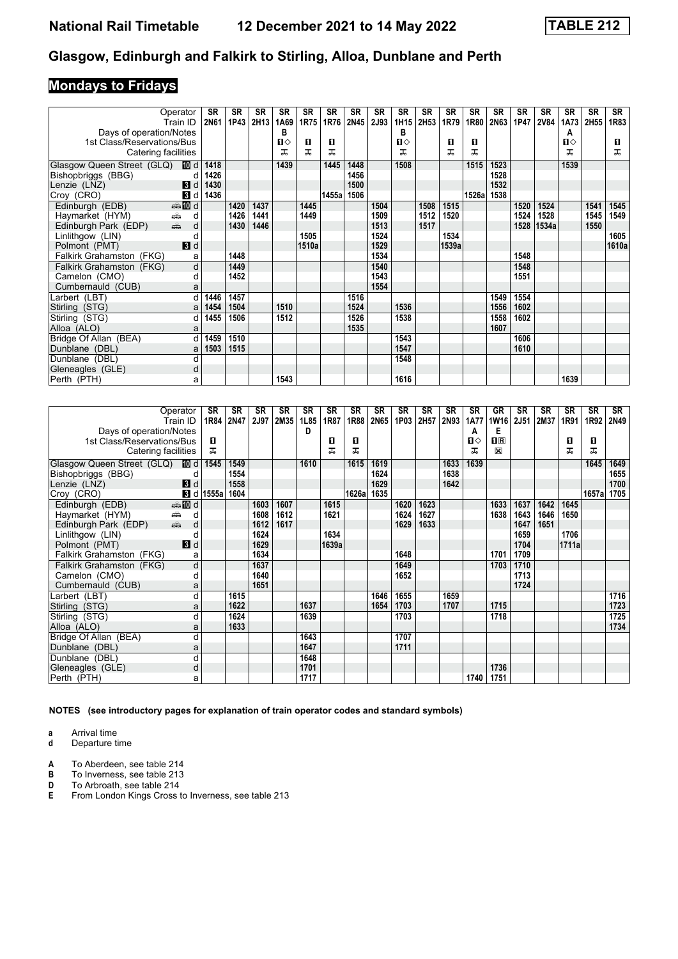# **Mondays to Fridays**

| Operator<br>Train ID            |                | <b>SR</b><br>2N61 | SR<br>1P43 | SR<br>2H13 | <b>SR</b><br>1A69 | SR<br>1R75 | <b>SR</b><br>1R76 | SR<br>2N45 | <b>SR</b><br>2J93 | <b>SR</b><br>1H15 | <b>SR</b><br>2H53 | <b>SR</b><br>1R79 | <b>SR</b><br>1R80 | <b>SR</b><br>2N63 | <b>SR</b><br>1P47 | <b>SR</b><br><b>2V84</b> | <b>SR</b><br>1A73 | <b>SR</b><br>2H55 | SR<br>1R83 |
|---------------------------------|----------------|-------------------|------------|------------|-------------------|------------|-------------------|------------|-------------------|-------------------|-------------------|-------------------|-------------------|-------------------|-------------------|--------------------------|-------------------|-------------------|------------|
| Days of operation/Notes         |                |                   |            |            | в                 |            |                   |            |                   | B                 |                   |                   |                   |                   |                   |                          | A                 |                   |            |
| 1st Class/Reservations/Bus      |                |                   |            |            | п⇔                | п          | п                 |            |                   | П⇔                |                   | п                 | п                 |                   |                   |                          | $\mathbf{u}$      |                   | 0          |
| Catering facilities             |                |                   |            |            | ᠼ                 | ᅚ          | ᅚ                 |            |                   |                   |                   | ᅚ                 | ᠼ                 |                   |                   |                          | ᅚ                 |                   | ᅚ          |
| Glasgow Queen Street (GLQ)      | III d          | 1418              |            |            | 1439              |            | 1445              | 1448       |                   | 1508              |                   |                   | 1515              | 1523              |                   |                          | 1539              |                   |            |
| Bishopbriggs (BBG)              | C              | 1426              |            |            |                   |            |                   | 1456       |                   |                   |                   |                   |                   | 1528              |                   |                          |                   |                   |            |
| Lenzie (LNZ)                    | $\mathbf{3}$ d | 1430              |            |            |                   |            |                   | 1500       |                   |                   |                   |                   |                   | 1532              |                   |                          |                   |                   |            |
| Croy (CRO)                      | 3d             | 1436              |            |            |                   |            | 1455a             | 1506       |                   |                   |                   |                   | 1526a             | 1538              |                   |                          |                   |                   |            |
| Edinburgh (EDB)<br><b>▲ID</b> d |                |                   | 1420       | 1437       |                   | 1445       |                   |            | 1504              |                   | 1508              | 1515              |                   |                   | 1520              | 1524                     |                   | 1541              | 1545       |
| Haymarket (HYM)<br>en 1999.     | d              |                   | 1426       | 1441       |                   | 1449       |                   |            | 1509              |                   | 1512              | 1520              |                   |                   | 1524              | 1528                     |                   | 1545              | 1549       |
| an<br>Edinburgh Park (EDP)      | d              |                   | 1430       | 1446       |                   |            |                   |            | 1513              |                   | 1517              |                   |                   |                   | 1528              | 1534a                    |                   | 1550              |            |
| Linlithgow (LIN)                | C              |                   |            |            |                   | 1505       |                   |            | 1524              |                   |                   | 1534              |                   |                   |                   |                          |                   |                   | 1605       |
| Polmont (PMT)                   | $\blacksquare$ |                   |            |            |                   | 1510a      |                   |            | 1529              |                   |                   | 1539a             |                   |                   |                   |                          |                   |                   | 1610a      |
| Falkirk Grahamston (FKG)        | a              |                   | 1448       |            |                   |            |                   |            | 1534              |                   |                   |                   |                   |                   | 1548              |                          |                   |                   |            |
| Falkirk Grahamston (FKG)        | d              |                   | 1449       |            |                   |            |                   |            | 1540              |                   |                   |                   |                   |                   | 1548              |                          |                   |                   |            |
| Camelon (CMO)                   | d              |                   | 1452       |            |                   |            |                   |            | 1543              |                   |                   |                   |                   |                   | 1551              |                          |                   |                   |            |
| Cumbernauld (CUB)               | a              |                   |            |            |                   |            |                   |            | 1554              |                   |                   |                   |                   |                   |                   |                          |                   |                   |            |
| Larbert (LBT)                   | d              | 1446              | 1457       |            |                   |            |                   | 1516       |                   |                   |                   |                   |                   | 1549              | 1554              |                          |                   |                   |            |
| Stirling (STG)                  | a              | 1454              | 1504       |            | 1510              |            |                   | 1524       |                   | 1536              |                   |                   |                   | 1556              | 1602              |                          |                   |                   |            |
| Stirling (STG)                  | d              | 1455              | 1506       |            | 1512              |            |                   | 1526       |                   | 1538              |                   |                   |                   | 1558              | 1602              |                          |                   |                   |            |
| Alloa (ALO)                     | a              |                   |            |            |                   |            |                   | 1535       |                   |                   |                   |                   |                   | 1607              |                   |                          |                   |                   |            |
| Bridge Of Allan (BEA)           | d              | 1459              | 1510       |            |                   |            |                   |            |                   | 1543              |                   |                   |                   |                   | 1606              |                          |                   |                   |            |
| Dunblane (DBL)                  | a              | 1503              | 1515       |            |                   |            |                   |            |                   | 1547              |                   |                   |                   |                   | 1610              |                          |                   |                   |            |
| Dunblane (DBL)                  | d              |                   |            |            |                   |            |                   |            |                   | 1548              |                   |                   |                   |                   |                   |                          |                   |                   |            |
| Gleneagles (GLE)                | d              |                   |            |            |                   |            |                   |            |                   |                   |                   |                   |                   |                   |                   |                          |                   |                   |            |
| Perth (PTH)                     | a              |                   |            |            | 1543              |            |                   |            |                   | 1616              |                   |                   |                   |                   |                   |                          | 1639              |                   |            |

| Operator                                     |    | <b>SR</b>   | <b>SR</b> | <b>SR</b> | <b>SR</b> | <b>SR</b> | <b>SR</b> | <b>SR</b> | <b>SR</b> | <b>SR</b> | <b>SR</b> | <b>SR</b> | <b>SR</b>    | <b>GR</b>               | <b>SR</b>   | <b>SR</b> | <b>SR</b> | <b>SR</b> | <b>SR</b> |
|----------------------------------------------|----|-------------|-----------|-----------|-----------|-----------|-----------|-----------|-----------|-----------|-----------|-----------|--------------|-------------------------|-------------|-----------|-----------|-----------|-----------|
| Train ID                                     |    | 1R84        | 2N47      | 2J97      | 2M35      | 1L85      | 1R87      | 1R88      | 2N65      | 1P03      | 2H57      | 2N93      | <b>1A77</b>  | <b>1W16</b>             | <b>2J51</b> | 2M37      | 1R91      | 1R92      | 2N49      |
| Days of operation/Notes                      |    |             |           |           |           | D         |           |           |           |           |           |           | A            | Е                       |             |           |           |           |           |
| 1st Class/Reservations/Bus                   |    | п           |           |           |           |           | п         | п         |           |           |           |           | $\mathbf{n}$ | $\overline{\mathbf{H}}$ |             |           | п         | O         |           |
| Catering facilities                          |    | ᠼ           |           |           |           |           | ᅚ         | ᠼ         |           |           |           |           | ᅚ            | $\boxtimes$             |             |           | ᅚ         | ᠼ         |           |
| Glasgow Queen Street (GLQ) 10 d              |    | 1545        | 1549      |           |           | 1610      |           | 1615      | 1619      |           |           | 1633      | 1639         |                         |             |           |           | 1645      | 1649      |
| Bishopbriggs (BBG)                           | d  |             | 1554      |           |           |           |           |           | 1624      |           |           | 1638      |              |                         |             |           |           |           | 1655      |
| Lenzie (LNZ)                                 | 3d |             | 1558      |           |           |           |           |           | 1629      |           |           | 1642      |              |                         |             |           |           |           | 1700      |
| Croy (CRO)                                   |    | $d$ d 1555a | 1604      |           |           |           |           | 1626a     | 1635      |           |           |           |              |                         |             |           |           | 1657a     | 1705      |
| <b>et III</b> d<br>Edinburgh (EDB)           |    |             |           | 1603      | 1607      |           | 1615      |           |           | 1620      | 1623      |           |              | 1633                    | 1637        | 1642      | 1645      |           |           |
| Haymarket (HYM)<br>æ                         | d  |             |           | 1608      | 1612      |           | 1621      |           |           | 1624      | 1627      |           |              | 1638                    | 1643        | 1646      | 1650      |           |           |
| $\frac{1}{\sqrt{2}}$<br>Edinburgh Park (EDP) | d  |             |           | 1612      | 1617      |           |           |           |           | 1629      | 1633      |           |              |                         | 1647        | 1651      |           |           |           |
| Linlithgow (LIN)                             | d  |             |           | 1624      |           |           | 1634      |           |           |           |           |           |              |                         | 1659        |           | 1706      |           |           |
| $\blacksquare$<br>Polmont (PMT)              |    |             |           | 1629      |           |           | 1639a     |           |           |           |           |           |              |                         | 1704        |           | 1711a     |           |           |
| Falkirk Grahamston (FKG)                     | a  |             |           | 1634      |           |           |           |           |           | 1648      |           |           |              | 1701                    | 1709        |           |           |           |           |
| Falkirk Grahamston (FKG)                     | d  |             |           | 1637      |           |           |           |           |           | 1649      |           |           |              | 1703                    | 1710        |           |           |           |           |
| Camelon (CMO)                                | d  |             |           | 1640      |           |           |           |           |           | 1652      |           |           |              |                         | 1713        |           |           |           |           |
| Cumbernauld (CUB)                            | a  |             |           | 1651      |           |           |           |           |           |           |           |           |              |                         | 1724        |           |           |           |           |
| Larbert (LBT)                                | d  |             | 1615      |           |           |           |           |           | 1646      | 1655      |           | 1659      |              |                         |             |           |           |           | 1716      |
| Stirling (STG)                               | a  |             | 1622      |           |           | 1637      |           |           | 1654      | 1703      |           | 1707      |              | 1715                    |             |           |           |           | 1723      |
| Stirling (STG)                               | d  |             | 1624      |           |           | 1639      |           |           |           | 1703      |           |           |              | 1718                    |             |           |           |           | 1725      |
| Alloa (ALO)                                  | a  |             | 1633      |           |           |           |           |           |           |           |           |           |              |                         |             |           |           |           | 1734      |
| Bridge Of Allan (BEA)                        | d  |             |           |           |           | 1643      |           |           |           | 1707      |           |           |              |                         |             |           |           |           |           |
| Dunblane (DBL)                               | a  |             |           |           |           | 1647      |           |           |           | 1711      |           |           |              |                         |             |           |           |           |           |
| Dunblane (DBL)                               | d  |             |           |           |           | 1648      |           |           |           |           |           |           |              |                         |             |           |           |           |           |
| Gleneagles (GLE)                             | d  |             |           |           |           | 1701      |           |           |           |           |           |           |              | 1736                    |             |           |           |           |           |
| Perth (PTH)                                  | a  |             |           |           |           | 1717      |           |           |           |           |           |           | 1740         | 1751                    |             |           |           |           |           |

**NOTES (see introductory pages for explanation of train operator codes and standard symbols)**

**a** Arrival time<br>**d** Departure t

**d** Departure time

**A** To Aberdeen, see table 214<br>**B** To Inverness, see table 213

**B** To Inverness, see table 213<br>**D** To Arbroath, see table 214

**D** To Arbroath, see table 214<br>**E** From London Kings Cross to

From London Kings Cross to Inverness, see table 213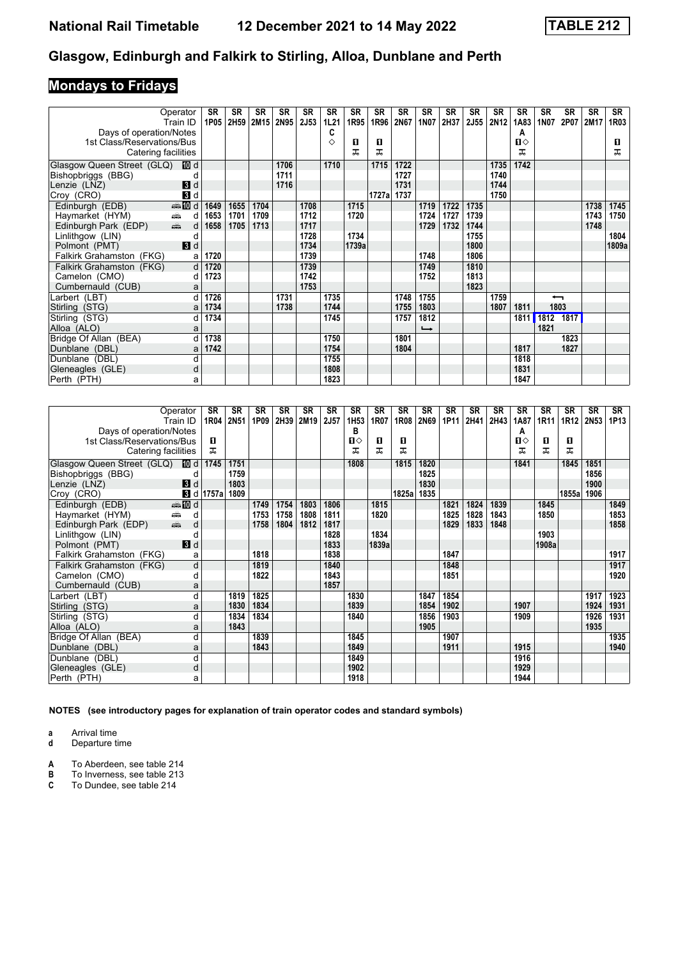# **Mondays to Fridays**

|                            | Operator                  | <b>SR</b> | <b>SR</b> | <b>SR</b> | <b>SR</b> | <b>SR</b> | <b>SR</b> | <b>SR</b> | <b>SR</b> | <b>SR</b> | <b>SR</b>     | <b>SR</b> | <b>SR</b>   | <b>SR</b> | <b>SR</b> | <b>SR</b>                | <b>SR</b> | <b>SR</b> | SR    |
|----------------------------|---------------------------|-----------|-----------|-----------|-----------|-----------|-----------|-----------|-----------|-----------|---------------|-----------|-------------|-----------|-----------|--------------------------|-----------|-----------|-------|
|                            | Train ID                  | 1P05      | 2H59      | 2M15      | 2N95      | 2J53      | 1L21      | 1R95      | 1R96      | 2N67      | 1N07          | 2H37      | <b>2J55</b> | 2N12      | 1A83      | <b>1N07</b>              | 2P07      | 2M17      | 1R03  |
| Days of operation/Notes    |                           |           |           |           |           |           | C         |           |           |           |               |           |             |           | A         |                          |           |           |       |
| 1st Class/Reservations/Bus |                           |           |           |           |           |           | ♦         | п         | O         |           |               |           |             |           | п⇔        |                          |           |           | 0     |
| Catering facilities        |                           |           |           |           |           |           |           | ᅚ         | ᅚ         |           |               |           |             |           | ᅚ         |                          |           |           | ᅚ     |
| Glasgow Queen Street (GLQ) | III d                     |           |           |           | 1706      |           | 1710      |           | 1715      | 1722      |               |           |             | 1735      | 1742      |                          |           |           |       |
| Bishopbriggs (BBG)         |                           |           |           |           | 1711      |           |           |           |           | 1727      |               |           |             | 1740      |           |                          |           |           |       |
| Lenzie (LNZ)               | $\mathbf{B}$ d            |           |           |           | 1716      |           |           |           |           | 1731      |               |           |             | 1744      |           |                          |           |           |       |
| Croy (CRO)                 | $\mathbf{3}$ d            |           |           |           |           |           |           |           | 1727a     | 1737      |               |           |             | 1750      |           |                          |           |           |       |
| Edinburgh (EDB)            | $\bigoplus d$             | 1649      | 1655      | 1704      |           | 1708      |           | 1715      |           |           | 1719          | 1722      | 1735        |           |           |                          |           | 1738      | 1745  |
| Haymarket (HYM)            | ∰<br>d                    | 1653      | 1701      | 1709      |           | 1712      |           | 1720      |           |           | 1724          | 1727      | 1739        |           |           |                          |           | 1743      | 1750  |
| Edinburgh Park (EDP)       | $\frac{1}{\sqrt{2}}$<br>d | 1658      | 1705      | 1713      |           | 1717      |           |           |           |           | 1729          | 1732      | 1744        |           |           |                          |           | 1748      |       |
| Linlithgow (LIN)           | C                         |           |           |           |           | 1728      |           | 1734      |           |           |               |           | 1755        |           |           |                          |           |           | 1804  |
| Polmont (PMT)              | $\blacksquare$            |           |           |           |           | 1734      |           | 1739a     |           |           |               |           | 1800        |           |           |                          |           |           | 1809a |
| Falkirk Grahamston (FKG)   | a                         | 1720      |           |           |           | 1739      |           |           |           |           | 1748          |           | 1806        |           |           |                          |           |           |       |
| Falkirk Grahamston (FKG)   | d                         | 1720      |           |           |           | 1739      |           |           |           |           | 1749          |           | 1810        |           |           |                          |           |           |       |
| Camelon (CMO)              | d                         | 1723      |           |           |           | 1742      |           |           |           |           | 1752          |           | 1813        |           |           |                          |           |           |       |
| Cumbernauld (CUB)          | a                         |           |           |           |           | 1753      |           |           |           |           |               |           | 1823        |           |           |                          |           |           |       |
| Larbert (LBT)              | d                         | 1726      |           |           | 1731      |           | 1735      |           |           | 1748      | 1755          |           |             | 1759      |           | $\overline{\phantom{0}}$ |           |           |       |
| Stirling (STG)             | a                         | 1734      |           |           | 1738      |           | 1744      |           |           | 1755      | 1803          |           |             | 1807      | 1811      |                          | 1803      |           |       |
| Stirling (STG)             | d                         | 1734      |           |           |           |           | 1745      |           |           | 1757      | 1812          |           |             |           | 1811      | 1812 1817                |           |           |       |
| Alloa (ALO)                | a                         |           |           |           |           |           |           |           |           |           | $\rightarrow$ |           |             |           |           | 1821                     |           |           |       |
| Bridge Of Allan (BEA)      | d                         | 1738      |           |           |           |           | 1750      |           |           | 1801      |               |           |             |           |           |                          | 1823      |           |       |
| Dunblane (DBL)             | a                         | 1742      |           |           |           |           | 1754      |           |           | 1804      |               |           |             |           | 1817      |                          | 1827      |           |       |
| Dunblane (DBL)             | d                         |           |           |           |           |           | 1755      |           |           |           |               |           |             |           | 1818      |                          |           |           |       |
| Gleneagles (GLE)           | d                         |           |           |           |           |           | 1808      |           |           |           |               |           |             |           | 1831      |                          |           |           |       |
| Perth (PTH)                | a                         |           |           |           |           |           | 1823      |           |           |           |               |           |             |           | 1847      |                          |           |           |       |

|                                                                    | Operator        | SR                 | SR   | <b>SR</b> | SR   | SR   | <b>SR</b> | <b>SR</b>        | <b>SR</b> | <b>SR</b> | <b>SR</b> | <b>SR</b> | <b>SR</b> | <b>SR</b> | <b>SR</b> | <b>SR</b> | <b>SR</b> | SR   | SR   |
|--------------------------------------------------------------------|-----------------|--------------------|------|-----------|------|------|-----------|------------------|-----------|-----------|-----------|-----------|-----------|-----------|-----------|-----------|-----------|------|------|
|                                                                    | Train ID        | 1R04               | 2N51 | 1P09      | 2H39 | 2M19 | 2J57      | 1H <sub>53</sub> | 1R07      | 1R08      | 2N69      | 1P11      | 2H41      | 2H43      | 1A87      | 1R11      | 1R12      | 2N53 | 1P13 |
| Days of operation/Notes                                            |                 |                    |      |           |      |      |           | в                |           |           |           |           |           |           | А         |           |           |      |      |
| 1st Class/Reservations/Bus                                         |                 | п                  |      |           |      |      |           | п⇔               | п         | п         |           |           |           |           | п⇔        | 0         | п         |      |      |
| Catering facilities                                                |                 | ᅚ                  |      |           |      |      |           | ᠼ                | ᅚ         | ᠼ         |           |           |           |           | ᠼ         | ᅚ         | ᅚ         |      |      |
| Glasgow Queen Street (GLQ) <b>ID</b> d                             |                 | 1745               | 1751 |           |      |      |           | 1808             |           | 1815      | 1820      |           |           |           | 1841      |           | 1845      | 1851 |      |
| Bishopbriggs (BBG)                                                 | d               |                    | 1759 |           |      |      |           |                  |           |           | 1825      |           |           |           |           |           |           | 1856 |      |
| Lenzie (LNZ)                                                       | 3d              |                    | 1803 |           |      |      |           |                  |           |           | 1830      |           |           |           |           |           |           | 1900 |      |
| Croy (CRO)                                                         |                 | $\bf{B}$ d   1757a | 1809 |           |      |      |           |                  |           | 1825al    | 1835      |           |           |           |           |           | 1855a     | 1906 |      |
| Edinburgh (EDB)                                                    | <b>enting</b> d |                    |      | 1749      | 1754 | 1803 | 1806      |                  | 1815      |           |           | 1821      | 1824      | 1839      |           | 1845      |           |      | 1849 |
| Haymarket (HYM)<br>æ                                               | d               |                    |      | 1753      | 1758 | 1808 | 1811      |                  | 1820      |           |           | 1825      | 1828      | 1843      |           | 1850      |           |      | 1853 |
| $\frac{1}{\left( \frac{1}{2}\right) _{1}}$<br>Edinburgh Park (EDP) | d               |                    |      | 1758      | 1804 | 1812 | 1817      |                  |           |           |           | 1829      | 1833      | 1848      |           |           |           |      | 1858 |
| Linlithgow (LIN)                                                   | d               |                    |      |           |      |      | 1828      |                  | 1834      |           |           |           |           |           |           | 1903      |           |      |      |
| Polmont (PMT)                                                      | 3d              |                    |      |           |      |      | 1833      |                  | 1839a     |           |           |           |           |           |           | 1908a     |           |      |      |
| Falkirk Grahamston (FKG)                                           | a               |                    |      | 1818      |      |      | 1838      |                  |           |           |           | 1847      |           |           |           |           |           |      | 1917 |
| Falkirk Grahamston (FKG)                                           | d               |                    |      | 1819      |      |      | 1840      |                  |           |           |           | 1848      |           |           |           |           |           |      | 1917 |
| Camelon (CMO)                                                      | d               |                    |      | 1822      |      |      | 1843      |                  |           |           |           | 1851      |           |           |           |           |           |      | 1920 |
| Cumbernauld (CUB)                                                  | a               |                    |      |           |      |      | 1857      |                  |           |           |           |           |           |           |           |           |           |      |      |
| Larbert (LBT)                                                      | d               |                    | 1819 | 1825      |      |      |           | 1830             |           |           | 1847      | 1854      |           |           |           |           |           | 1917 | 1923 |
| Stirling (STG)                                                     | a               |                    | 1830 | 1834      |      |      |           | 1839             |           |           | 1854      | 1902      |           |           | 1907      |           |           | 1924 | 1931 |
| Stirling (STG)                                                     | d               |                    | 1834 | 1834      |      |      |           | 1840             |           |           | 1856      | 1903      |           |           | 1909      |           |           | 1926 | 1931 |
| Alloa (ALO)                                                        | a               |                    | 1843 |           |      |      |           |                  |           |           | 1905      |           |           |           |           |           |           | 1935 |      |
| Bridge Of Allan (BEA)                                              | d               |                    |      | 1839      |      |      |           | 1845             |           |           |           | 1907      |           |           |           |           |           |      | 1935 |
| Dunblane (DBL)                                                     | a               |                    |      | 1843      |      |      |           | 1849             |           |           |           | 1911      |           |           | 1915      |           |           |      | 1940 |
| Dunblane (DBL)                                                     | d               |                    |      |           |      |      |           | 1849             |           |           |           |           |           |           | 1916      |           |           |      |      |
| Gleneagles (GLE)                                                   | d               |                    |      |           |      |      |           | 1902             |           |           |           |           |           |           | 1929      |           |           |      |      |
| Perth (PTH)                                                        | a               |                    |      |           |      |      |           | 1918             |           |           |           |           |           |           | 1944      |           |           |      |      |

**NOTES (see introductory pages for explanation of train operator codes and standard symbols)**

**a** Arrival time<br>**d** Departure time

Departure time

**A** To Aberdeen, see table 214<br>**B** To Inverness, see table 213<br>**C** To Dundee, see table 214

**B** To Inverness, see table 213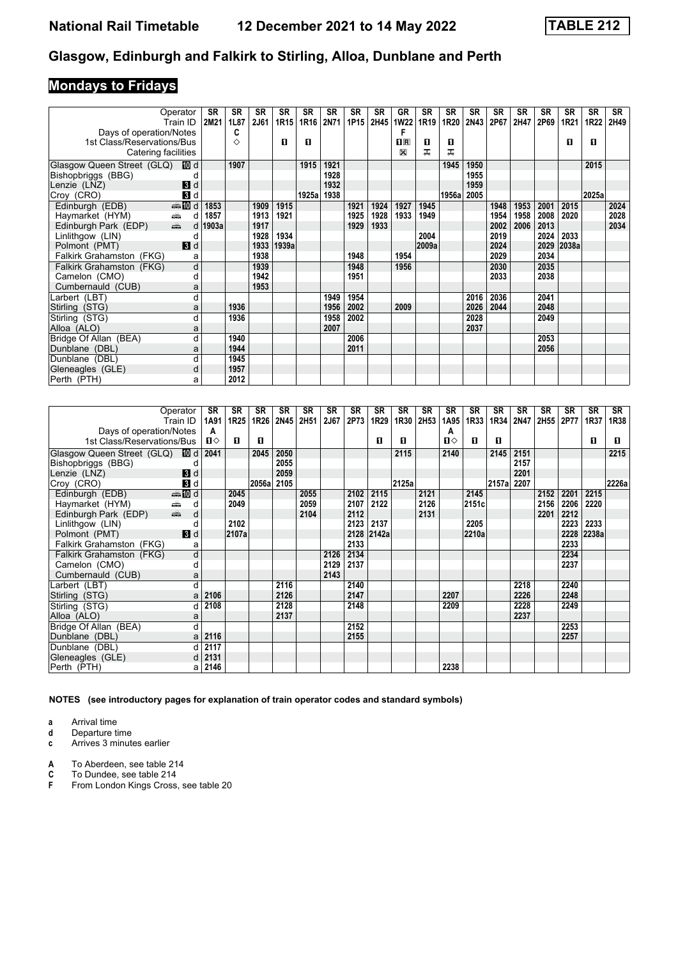# **Mondays to Fridays**

|                            | Operator                                        | SR    | SR   | <b>SR</b>   | <b>SR</b>        | <b>SR</b> | <b>SR</b> | <b>SR</b> | <b>SR</b> | GR          | <b>SR</b> | <b>SR</b> | <b>SR</b> | <b>SR</b> | <b>SR</b> | <b>SR</b> | <b>SR</b> | <b>SR</b> | <b>SR</b> |
|----------------------------|-------------------------------------------------|-------|------|-------------|------------------|-----------|-----------|-----------|-----------|-------------|-----------|-----------|-----------|-----------|-----------|-----------|-----------|-----------|-----------|
|                            | Train ID                                        | 2M21  | 1L87 | <b>2J61</b> | 1R <sub>15</sub> | 1R16      | 2N71      | 1P15      | 2H45      | <b>1W22</b> | 1R19      | 1R20      | 2N43      | 2P67      | 2H47      | 2P69      | 1R21      | 1R22      | 2H49      |
| Days of operation/Notes    |                                                 |       | C    |             |                  |           |           |           |           | F           |           |           |           |           |           |           |           |           |           |
| 1st Class/Reservations/Bus |                                                 |       | ♦    |             | п                | п         |           |           |           | $n_{\rm R}$ | п         | п         |           |           |           |           | п         | 0         |           |
| Catering facilities        |                                                 |       |      |             |                  |           |           |           |           | X           | ᅚ         | ᅚ         |           |           |           |           |           |           |           |
| Glasgow Queen Street (GLQ) | III d                                           |       | 1907 |             |                  | 1915      | 1921      |           |           |             |           | 1945      | 1950      |           |           |           |           | 2015      |           |
| Bishopbriggs (BBG)         |                                                 |       |      |             |                  |           | 1928      |           |           |             |           |           | 1955      |           |           |           |           |           |           |
| Lenzie (LNZ)               | 3d                                              |       |      |             |                  |           | 1932      |           |           |             |           |           | 1959      |           |           |           |           |           |           |
| Croy (CRO)                 | $\mathbf{B}$ d                                  |       |      |             |                  | 1925al    | 1938      |           |           |             |           | 1956al    | 2005      |           |           |           |           | 2025a     |           |
| Edinburgh (EDB)            | m d                                             | 1853  |      | 1909        | 1915             |           |           | 1921      | 1924      | 1927        | 1945      |           |           | 1948      | 1953      | 2001      | 2015      |           | 2024      |
| Haymarket (HYM)            | $\frac{1}{\left( \frac{1}{2}\right) _{0}}$<br>d | 1857  |      | 1913        | 1921             |           |           | 1925      | 1928      | 1933        | 1949      |           |           | 1954      | 1958      | 2008      | 2020      |           | 2028      |
| Edinburgh Park (EDP)       | $\frac{1}{\frac{1}{2}}$<br>d                    | 1903a |      | 1917        |                  |           |           | 1929      | 1933      |             |           |           |           | 2002      | 2006      | 2013      |           |           | 2034      |
| Linlithgow (LIN)           |                                                 |       |      | 1928        | 1934             |           |           |           |           |             | 2004      |           |           | 2019      |           | 2024      | 2033      |           |           |
| Polmont (PMT)              | 3d                                              |       |      |             | 1933 1939a       |           |           |           |           |             | 2009a     |           |           | 2024      |           | 2029      | 2038a     |           |           |
| Falkirk Grahamston (FKG)   | a                                               |       |      | 1938        |                  |           |           | 1948      |           | 1954        |           |           |           | 2029      |           | 2034      |           |           |           |
| Falkirk Grahamston (FKG)   | d                                               |       |      | 1939        |                  |           |           | 1948      |           | 1956        |           |           |           | 2030      |           | 2035      |           |           |           |
| Camelon (CMO)              | d                                               |       |      | 1942        |                  |           |           | 1951      |           |             |           |           |           | 2033      |           | 2038      |           |           |           |
| Cumbernauld (CUB)          | a                                               |       |      | 1953        |                  |           |           |           |           |             |           |           |           |           |           |           |           |           |           |
| Larbert (LBT)              | d                                               |       |      |             |                  |           | 1949      | 1954      |           |             |           |           | 2016      | 2036      |           | 2041      |           |           |           |
| Stirling (STG)             | a                                               |       | 1936 |             |                  |           | 1956      | 2002      |           | 2009        |           |           | 2026      | 2044      |           | 2048      |           |           |           |
| Stirling (STG)             | d                                               |       | 1936 |             |                  |           | 1958      | 2002      |           |             |           |           | 2028      |           |           | 2049      |           |           |           |
| Alloa (ALO)                | a                                               |       |      |             |                  |           | 2007      |           |           |             |           |           | 2037      |           |           |           |           |           |           |
| Bridge Of Allan (BEA)      | d                                               |       | 1940 |             |                  |           |           | 2006      |           |             |           |           |           |           |           | 2053      |           |           |           |
| Dunblane (DBL)             | a                                               |       | 1944 |             |                  |           |           | 2011      |           |             |           |           |           |           |           | 2056      |           |           |           |
| Dunblane (DBL)             | d                                               |       | 1945 |             |                  |           |           |           |           |             |           |           |           |           |           |           |           |           |           |
| Gleneagles (GLE)           | d                                               |       | 1957 |             |                  |           |           |           |           |             |           |           |           |           |           |           |           |           |           |
| Perth (PTH)                | a                                               |       | 2012 |             |                  |           |           |           |           |             |           |           |           |           |           |           |           |           |           |

|                                 | Operator                                        | <b>SR</b> | <b>SR</b>        | <b>SR</b> | SR   | <b>SR</b> | <b>SR</b> | SR   | SR         | <b>SR</b> | SR   | <b>SR</b>    | <b>SR</b> | <b>SR</b>  | <b>SR</b> | SR   | <b>SR</b> | <b>SR</b> | SR    |
|---------------------------------|-------------------------------------------------|-----------|------------------|-----------|------|-----------|-----------|------|------------|-----------|------|--------------|-----------|------------|-----------|------|-----------|-----------|-------|
|                                 | Train ID                                        | 1A91      | 1R <sub>25</sub> | 1R26      | 2N45 | 2H51      | 2J67      | 2P73 | 1R29       | 1R30      | 2H53 | 1A95         | 1R33      | 1R34       | 2N47      | 2H55 | 2P77      | 1R37      | 1R38  |
| Days of operation/Notes         |                                                 | A         |                  |           |      |           |           |      |            |           |      | A            |           |            |           |      |           |           |       |
| 1st Class/Reservations/Bus      |                                                 | П⇔        | п                | л         |      |           |           |      | п          | п         |      | $\mathbf{u}$ | п         | п          |           |      |           | п         | п     |
| Glasgow Queen Street (GLQ) 10 d |                                                 | 2041      |                  | 2045      | 2050 |           |           |      |            | 2115      |      | 2140         |           | 2145       | 2151      |      |           |           | 2215  |
| Bishopbriggs (BBG)              | d                                               |           |                  |           | 2055 |           |           |      |            |           |      |              |           |            | 2157      |      |           |           |       |
| Lenzie (LNZ)                    | 3d                                              |           |                  |           | 2059 |           |           |      |            |           |      |              |           |            | 2201      |      |           |           |       |
| Croy (CRO)                      | $\mathbf{3}$ d                                  |           |                  | 2056al    | 2105 |           |           |      |            | 2125a     |      |              |           | 2157a 2207 |           |      |           |           | 2226a |
| Edinburgh (EDB)                 | <b>enter</b> die di                             |           | 2045             |           |      | 2055      |           | 2102 | 2115       |           | 2121 |              | 2145      |            |           | 2152 | 2201      | 2215      |       |
| Haymarket (HYM)                 | ∰<br>d                                          |           | 2049             |           |      | 2059      |           | 2107 | 2122       |           | 2126 |              | 2151c     |            |           | 2156 | 2206      | 2220      |       |
| Edinburgh Park (EDP)            | $\frac{1}{\left( \frac{1}{2}\right) _{1}}$<br>d |           |                  |           |      | 2104      |           | 2112 |            |           | 2131 |              |           |            |           | 2201 | 2212      |           |       |
| Linlithgow (LIN)                | d                                               |           | 2102             |           |      |           |           | 2123 | 2137       |           |      |              | 2205      |            |           |      | 2223      | 2233      |       |
| Polmont (PMT)                   | 3d                                              |           | 2107a            |           |      |           |           |      | 2128 2142a |           |      |              | 2210a     |            |           |      | 2228      | 2238a     |       |
| Falkirk Grahamston (FKG)        | a                                               |           |                  |           |      |           |           | 2133 |            |           |      |              |           |            |           |      | 2233      |           |       |
| Falkirk Grahamston (FKG)        | d                                               |           |                  |           |      |           | 2126      | 2134 |            |           |      |              |           |            |           |      | 2234      |           |       |
| Camelon (CMO)                   | d                                               |           |                  |           |      |           | 2129      | 2137 |            |           |      |              |           |            |           |      | 2237      |           |       |
| Cumbernauld (CUB)               | a                                               |           |                  |           |      |           | 2143      |      |            |           |      |              |           |            |           |      |           |           |       |
| Larbert (LBT)                   | d                                               |           |                  |           | 2116 |           |           | 2140 |            |           |      |              |           |            | 2218      |      | 2240      |           |       |
| Stirling (STG)                  | a                                               | 2106      |                  |           | 2126 |           |           | 2147 |            |           |      | 2207         |           |            | 2226      |      | 2248      |           |       |
| Stirling (STG)                  | d                                               | 2108      |                  |           | 2128 |           |           | 2148 |            |           |      | 2209         |           |            | 2228      |      | 2249      |           |       |
| Alloa (ALO)                     | a                                               |           |                  |           | 2137 |           |           |      |            |           |      |              |           |            | 2237      |      |           |           |       |
| Bridge Of Allan (BEA)           | d                                               |           |                  |           |      |           |           | 2152 |            |           |      |              |           |            |           |      | 2253      |           |       |
| Dunblane (DBL)                  | a                                               | 2116      |                  |           |      |           |           | 2155 |            |           |      |              |           |            |           |      | 2257      |           |       |
| Dunblane (DBL)                  | d                                               | 2117      |                  |           |      |           |           |      |            |           |      |              |           |            |           |      |           |           |       |
| Gleneagles (GLE)                | d                                               | 2131      |                  |           |      |           |           |      |            |           |      |              |           |            |           |      |           |           |       |
| Perth (PTH)                     | al                                              | 2146      |                  |           |      |           |           |      |            |           |      | 2238         |           |            |           |      |           |           |       |

**NOTES (see introductory pages for explanation of train operator codes and standard symbols)**

**a** Arrival time<br>**d** Departure t

**d** Departure time

**c** Arrives 3 minutes earlier

**A** To Aberdeen, see table 214<br>**C** To Dundee, see table 214<br>**F** From London Kings Cross, s **C** To Dundee, see table 21

From London Kings Cross, see table 20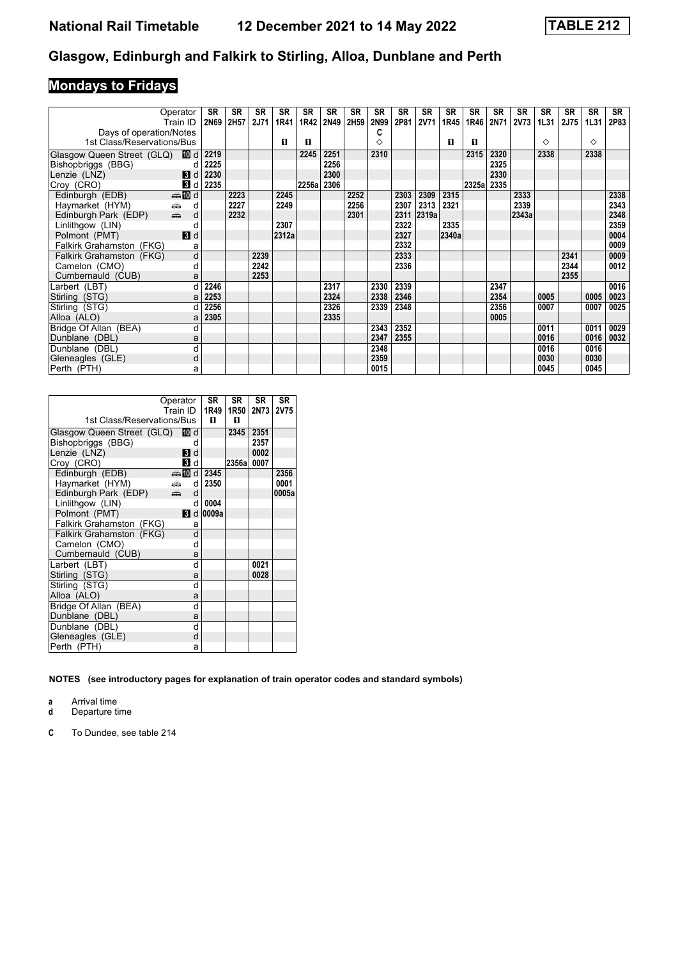# **Mondays to Fridays**

| Operator<br>Train ID                                                    | SR<br>2N69 | <b>SR</b><br>2H57 | <b>SR</b><br><b>2J71</b> | SR<br>1R41 | <b>SR</b><br>1R42 | <b>SR</b><br>2N49 | <b>SR</b><br>2H59 | <b>SR</b><br>2N99 | SR<br>2P81 | <b>SR</b><br><b>2V71</b> | <b>SR</b><br>1R45 | <b>SR</b><br>1R46 | <b>SR</b><br>2N71 | <b>SR</b><br><b>2V73</b> | <b>SR</b><br>1L31 | <b>SR</b><br><b>2J75</b> | <b>SR</b><br>1L31 | <b>SR</b><br>2P83 |
|-------------------------------------------------------------------------|------------|-------------------|--------------------------|------------|-------------------|-------------------|-------------------|-------------------|------------|--------------------------|-------------------|-------------------|-------------------|--------------------------|-------------------|--------------------------|-------------------|-------------------|
| Days of operation/Notes                                                 |            |                   |                          |            |                   |                   |                   | c                 |            |                          |                   |                   |                   |                          |                   |                          |                   |                   |
| 1st Class/Reservations/Bus                                              |            |                   |                          | п          | п                 |                   |                   | ♦                 |            |                          | п                 | п                 |                   |                          | ♦                 |                          | ♦                 |                   |
|                                                                         | 2219       |                   |                          |            | 2245              | 2251              |                   | 2310              |            |                          |                   | 2315              | 2320              |                          | 2338              |                          | 2338              |                   |
| Glasgow Queen Street (GLQ) 10 d<br>Bishopbriggs (BBG)<br>d              | 2225       |                   |                          |            |                   | 2256              |                   |                   |            |                          |                   |                   | 2325              |                          |                   |                          |                   |                   |
| $\blacksquare$<br>Lenzie (LNZ)                                          | 2230       |                   |                          |            |                   | 2300              |                   |                   |            |                          |                   |                   | 2330              |                          |                   |                          |                   |                   |
| 3d<br>Croy (CRO)                                                        | 2235       |                   |                          |            | 2256a             | 2306              |                   |                   |            |                          |                   | 2325a 2335        |                   |                          |                   |                          |                   |                   |
| Edinburgh (EDB)<br><b>ente</b> di                                       |            | 2223              |                          | 2245       |                   |                   | 2252              |                   | 2303       | 2309                     | 2315              |                   |                   | 2333                     |                   |                          |                   | 2338              |
| $\frac{1}{\left( \frac{1}{2}\right) _{0}}$<br>Haymarket (HYM)<br>d      |            | 2227              |                          | 2249       |                   |                   | 2256              |                   | 2307       | 2313                     | 2321              |                   |                   | 2339                     |                   |                          |                   | 2343              |
| $\frac{1}{\left( \frac{1}{2}\right) _{1}}$<br>Edinburgh Park (EDP)<br>d |            | 2232              |                          |            |                   |                   | 2301              |                   | 2311       | 2319a                    |                   |                   |                   | 2343a                    |                   |                          |                   | 2348              |
| Linlithgow (LIN)                                                        |            |                   |                          | 2307       |                   |                   |                   |                   | 2322       |                          | 2335              |                   |                   |                          |                   |                          |                   | 2359              |
| Polmont (PMT)<br>$\blacksquare$                                         |            |                   |                          | 2312a      |                   |                   |                   |                   | 2327       |                          | 2340a             |                   |                   |                          |                   |                          |                   | 0004              |
| Falkirk Grahamston (FKG)<br>а                                           |            |                   |                          |            |                   |                   |                   |                   | 2332       |                          |                   |                   |                   |                          |                   |                          |                   | 0009              |
| $\overline{\mathsf{d}}$<br>Falkirk Grahamston (FKG)                     |            |                   | 2239                     |            |                   |                   |                   |                   | 2333       |                          |                   |                   |                   |                          |                   | 2341                     |                   | 0009              |
| Camelon (CMO)<br>d                                                      |            |                   | 2242                     |            |                   |                   |                   |                   | 2336       |                          |                   |                   |                   |                          |                   | 2344                     |                   | 0012              |
| Cumbernauld (CUB)<br>a                                                  |            |                   | 2253                     |            |                   |                   |                   |                   |            |                          |                   |                   |                   |                          |                   | 2355                     |                   |                   |
| Larbert (LBT)<br>d                                                      | 2246       |                   |                          |            |                   | 2317              |                   | 2330              | 2339       |                          |                   |                   | 2347              |                          |                   |                          |                   | 0016              |
| Stirling (STG)                                                          | 2253       |                   |                          |            |                   | 2324              |                   | 2338              | 2346       |                          |                   |                   | 2354              |                          | 0005              |                          | 0005              | 0023              |
| Stirling (STG)                                                          | 2256       |                   |                          |            |                   | 2326              |                   | 2339              | 2348       |                          |                   |                   | 2356              |                          | 0007              |                          | 0007              | 0025              |
| Alloa (ALO)<br>a                                                        | 2305       |                   |                          |            |                   | 2335              |                   |                   |            |                          |                   |                   | 0005              |                          |                   |                          |                   |                   |
| Bridge Of Allan (BEA)<br>d                                              |            |                   |                          |            |                   |                   |                   | 2343              | 2352       |                          |                   |                   |                   |                          | 0011              |                          | 0011              | 0029              |
| Dunblane (DBL)<br>a                                                     |            |                   |                          |            |                   |                   |                   | 2347              | 2355       |                          |                   |                   |                   |                          | 0016              |                          | 0016              | 0032              |
| Dunblane (DBL)<br>d                                                     |            |                   |                          |            |                   |                   |                   | 2348              |            |                          |                   |                   |                   |                          | 0016              |                          | 0016              |                   |
| Gleneagles (GLE)<br>d                                                   |            |                   |                          |            |                   |                   |                   | 2359              |            |                          |                   |                   |                   |                          | 0030              |                          | 0030              |                   |
| Perth (PTH)<br>a                                                        |            |                   |                          |            |                   |                   |                   | 0015              |            |                          |                   |                   |                   |                          | 0045              |                          | 0045              |                   |

|                                 | Operator    |   | <b>SR</b> | SR     | <b>SR</b> | <b>SR</b>   |
|---------------------------------|-------------|---|-----------|--------|-----------|-------------|
|                                 | Train ID    |   | 1R49      | 1R50   | 2N73      | <b>2V75</b> |
| 1st Class/Reservations/Bus      |             |   | п         | п      |           |             |
| Glasgow Queen Street (GLQ) 10 d |             |   |           | 2345   | 2351      |             |
| Bishopbriggs (BBG)              |             | d |           |        | 2357      |             |
| Lenzie (LNZ)                    | 3           | d |           |        | 0002      |             |
| Croy (CRO)                      | <b>Bi</b> d |   |           | 2356al | 0007      |             |
| Edinburgh (EDB)                 | ding and d  |   | 2345      |        |           | 2356        |
| Haymarket (HYM)                 | añ a        | d | 2350      |        |           | 0001        |
| Edinburgh Park (EDP)            | æ6          | d |           |        |           | 0005a       |
| Linlithgow (LIN)                |             | d | 0004      |        |           |             |
| Polmont (PMT)                   | <b>B</b> Id |   | 0009a     |        |           |             |
| Falkirk Grahamston (FKG)        |             | a |           |        |           |             |
| <b>Falkirk Grahamston (FKG)</b> |             | d |           |        |           |             |
| Camelon (CMO)                   |             | d |           |        |           |             |
| Cumbernauld (CUB)               |             | a |           |        |           |             |
| Larbert (LBT)                   |             | d |           |        | 0021      |             |
| Stirling (STG)                  |             | a |           |        | 0028      |             |
| Stirling (STG)                  |             | d |           |        |           |             |
| Alloa (ALO)                     |             | a |           |        |           |             |
| Bridge Of Allan (BEA)           |             | d |           |        |           |             |
| Dunblane (DBL)                  |             | a |           |        |           |             |
| Dunblane (DBL)                  |             | d |           |        |           |             |
| Gleneagles (GLE)                |             | d |           |        |           |             |
| Perth (PTH)                     |             | a |           |        |           |             |

**NOTES (see introductory pages for explanation of train operator codes and standard symbols)**

**a** Arrival time

**d** Departure time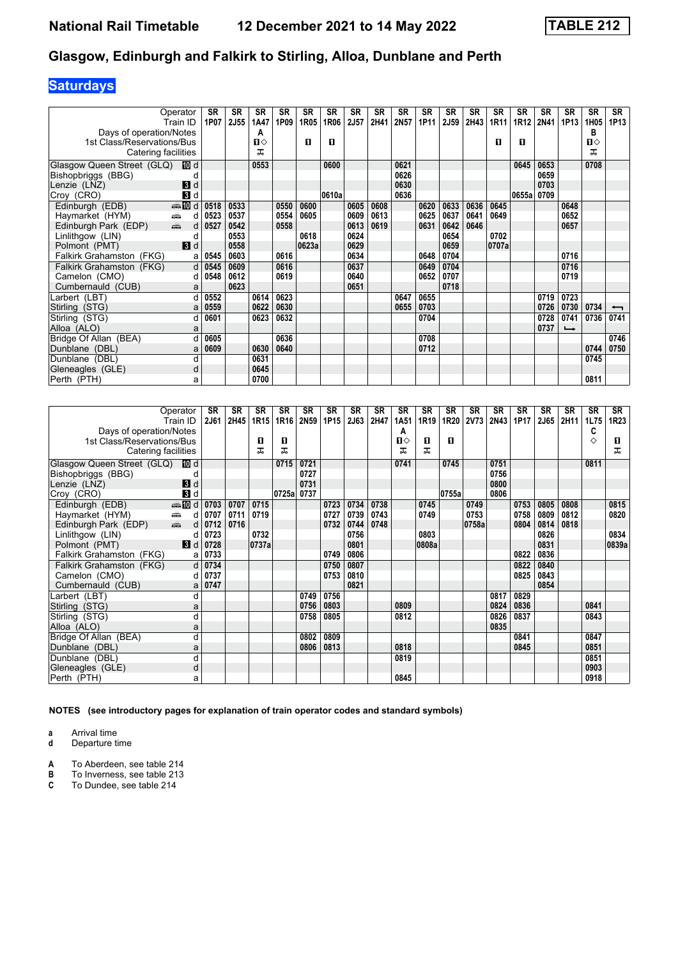## **Saturdays**

| Operator<br>Train ID                                                                                                                                                                                                                                   |                    | <b>SR</b><br>1P07 | <b>SR</b><br>2J55 | SR<br>1A47 | <b>SR</b><br>1P09 | <b>SR</b><br>1R05 | <b>SR</b><br>1R06 | SR<br>2J57 | SR<br>2H41 | <b>SR</b><br>2N57 | <b>SR</b><br>1P11 | <b>SR</b><br>2J59 | <b>SR</b><br>2H43 | <b>SR</b><br>1R11 | <b>SR</b><br>1R12 | <b>SR</b><br>2N41 | <b>SR</b><br>1P13        | <b>SR</b><br>1H05 | <b>SR</b><br>1P13 |
|--------------------------------------------------------------------------------------------------------------------------------------------------------------------------------------------------------------------------------------------------------|--------------------|-------------------|-------------------|------------|-------------------|-------------------|-------------------|------------|------------|-------------------|-------------------|-------------------|-------------------|-------------------|-------------------|-------------------|--------------------------|-------------------|-------------------|
| Days of operation/Notes                                                                                                                                                                                                                                |                    |                   |                   | А          |                   |                   |                   |            |            |                   |                   |                   |                   |                   |                   |                   |                          | в                 |                   |
| 1st Class/Reservations/Bus                                                                                                                                                                                                                             |                    |                   |                   | п⇔         |                   | П                 | О                 |            |            |                   |                   |                   |                   | п                 | п                 |                   |                          | П⇔                |                   |
| Catering facilities                                                                                                                                                                                                                                    |                    |                   |                   | ᠼ          |                   |                   |                   |            |            |                   |                   |                   |                   |                   |                   |                   |                          | ᅚ                 |                   |
| Glasgow Queen Street (GLQ)                                                                                                                                                                                                                             | 100 d              |                   |                   | 0553       |                   |                   | 0600              |            |            | 0621              |                   |                   |                   |                   | 0645              | 0653              |                          | 0708              |                   |
| Bishopbriggs (BBG)                                                                                                                                                                                                                                     |                    |                   |                   |            |                   |                   |                   |            |            | 0626              |                   |                   |                   |                   |                   | 0659              |                          |                   |                   |
| Lenzie (LNZ)                                                                                                                                                                                                                                           | 3d                 |                   |                   |            |                   |                   |                   |            |            | 0630              |                   |                   |                   |                   |                   | 0703              |                          |                   |                   |
| Croy (CRO)                                                                                                                                                                                                                                             | $\mathbf{3}$ d     |                   |                   |            |                   |                   | 0610a             |            |            | 0636              |                   |                   |                   |                   | 0655a             | 0709              |                          |                   |                   |
| Edinburgh (EDB)                                                                                                                                                                                                                                        | $\frac{1}{2}$ 10 d | 0518              | 0533              |            | 0550              | 0600              |                   | 0605       | 0608       |                   | 0620              | 0633              | 0636              | 0645              |                   |                   | 0648                     |                   |                   |
| Haymarket (HYM)<br>é.                                                                                                                                                                                                                                  | d                  | 0523              | 0537              |            | 0554              | 0605              |                   | 0609       | 0613       |                   | 0625              | 0637              | 0641              | 0649              |                   |                   | 0652                     |                   |                   |
| and and the second set of the set of the set of the set of the set of the set of the set of the set of the set of the set of the set of the set of the set of the set of the set of the set of the set of the set of the set o<br>Edinburgh Park (EDP) | d                  | 0527              | 0542              |            | 0558              |                   |                   | 0613       | 0619       |                   | 0631              | 0642              | 0646              |                   |                   |                   | 0657                     |                   |                   |
| Linlithgow (LIN)                                                                                                                                                                                                                                       | d                  |                   | 0553              |            |                   | 0618              |                   | 0624       |            |                   |                   | 0654              |                   | 0702              |                   |                   |                          |                   |                   |
| Polmont (PMT)                                                                                                                                                                                                                                          | 3d                 |                   | 0558              |            |                   | 0623a             |                   | 0629       |            |                   |                   | 0659              |                   | 0707a             |                   |                   |                          |                   |                   |
| Falkirk Grahamston (FKG)                                                                                                                                                                                                                               | a                  | 0545              | 0603              |            | 0616              |                   |                   | 0634       |            |                   | 0648              | 0704              |                   |                   |                   |                   | 0716                     |                   |                   |
| Falkirk Grahamston (FKG)                                                                                                                                                                                                                               | d                  | 0545              | 0609              |            | 0616              |                   |                   | 0637       |            |                   | 0649              | 0704              |                   |                   |                   |                   | 0716                     |                   |                   |
| Camelon (CMO)                                                                                                                                                                                                                                          | d                  | 0548              | 0612              |            | 0619              |                   |                   | 0640       |            |                   | 0652              | 0707              |                   |                   |                   |                   | 0719                     |                   |                   |
| Cumbernauld (CUB)                                                                                                                                                                                                                                      | a                  |                   | 0623              |            |                   |                   |                   | 0651       |            |                   |                   | 0718              |                   |                   |                   |                   |                          |                   |                   |
| Larbert (LBT)                                                                                                                                                                                                                                          | d                  | 0552              |                   | 0614       | 0623              |                   |                   |            |            | 0647              | 0655              |                   |                   |                   |                   | 0719              | 0723                     |                   |                   |
| Stirling (STG)                                                                                                                                                                                                                                         | a                  | 0559              |                   | 0622       | 0630              |                   |                   |            |            | 0655              | 0703              |                   |                   |                   |                   | 0726              | 0730                     | 0734              | ↽                 |
| Stirling (STG)                                                                                                                                                                                                                                         | d                  | 0601              |                   | 0623       | 0632              |                   |                   |            |            |                   | 0704              |                   |                   |                   |                   | 0728              | 0741                     | 0736              | 0741              |
| Alloa (ALO)                                                                                                                                                                                                                                            | a                  |                   |                   |            |                   |                   |                   |            |            |                   |                   |                   |                   |                   |                   | 0737              | $\overline{\phantom{a}}$ |                   |                   |
| Bridge Of Allan (BEA)                                                                                                                                                                                                                                  |                    | 0605              |                   |            | 0636              |                   |                   |            |            |                   | 0708              |                   |                   |                   |                   |                   |                          |                   | 0746              |
| Dunblane (DBL)                                                                                                                                                                                                                                         | a                  | 0609              |                   | 0630       | 0640              |                   |                   |            |            |                   | 0712              |                   |                   |                   |                   |                   |                          | 0744              | 0750              |
| Dunblane (DBL)                                                                                                                                                                                                                                         | d                  |                   |                   | 0631       |                   |                   |                   |            |            |                   |                   |                   |                   |                   |                   |                   |                          | 0745              |                   |
| Gleneagles (GLE)                                                                                                                                                                                                                                       | d                  |                   |                   | 0645       |                   |                   |                   |            |            |                   |                   |                   |                   |                   |                   |                   |                          |                   |                   |
| Perth (PTH)                                                                                                                                                                                                                                            | а                  |                   |                   | 0700       |                   |                   |                   |            |            |                   |                   |                   |                   |                   |                   |                   |                          | 0811              |                   |

| Operator<br>Train ID                            |                | <b>SR</b><br><b>2J61</b> | <b>SR</b><br>2H45 | SR<br>1R15 | <b>SR</b><br>1R16 | <b>SR</b><br>2N59 | <b>SR</b><br>1P15 | <b>SR</b><br>2J63 | <b>SR</b><br>2H47 | <b>SR</b><br>1A51 | <b>SR</b><br>1R19 | <b>SR</b><br>1R20 | <b>SR</b><br><b>2V73</b> | <b>SR</b><br>2N43 | <b>SR</b><br>1P17 | <b>SR</b><br>2J65 | <b>SR</b><br>2H11 | <b>SR</b><br>1L75 | <b>SR</b><br>1R23 |
|-------------------------------------------------|----------------|--------------------------|-------------------|------------|-------------------|-------------------|-------------------|-------------------|-------------------|-------------------|-------------------|-------------------|--------------------------|-------------------|-------------------|-------------------|-------------------|-------------------|-------------------|
| Days of operation/Notes                         |                |                          |                   |            |                   |                   |                   |                   |                   | А                 |                   |                   |                          |                   |                   |                   |                   | C                 |                   |
| 1st Class/Reservations/Bus                      |                |                          |                   | O          | п                 |                   |                   |                   |                   | Ⅱ♦                | O                 | п                 |                          |                   |                   |                   |                   | ♦                 | O                 |
| Catering facilities                             |                |                          |                   | ㅈ          | ᠼ                 |                   |                   |                   |                   | ᇁ                 | ᅚ                 |                   |                          |                   |                   |                   |                   |                   | ᅚ                 |
| Glasgow Queen Street (GLQ)                      | <b>而</b> d     |                          |                   |            | 0715              | 0721              |                   |                   |                   | 0741              |                   | 0745              |                          | 0751              |                   |                   |                   | 0811              |                   |
| Bishopbriggs (BBG)                              | C              |                          |                   |            |                   | 0727              |                   |                   |                   |                   |                   |                   |                          | 0756              |                   |                   |                   |                   |                   |
| Lenzie (LNZ)                                    | $\blacksquare$ |                          |                   |            |                   | 0731              |                   |                   |                   |                   |                   |                   |                          | 0800              |                   |                   |                   |                   |                   |
| Croy (CRO)                                      | $\blacksquare$ |                          |                   |            | 0725a             | 0737              |                   |                   |                   |                   |                   | 0755a             |                          | 0806              |                   |                   |                   |                   |                   |
| Edinburgh (EDB)                                 | <b>end</b> d   | 0703                     | 0707              | 0715       |                   |                   | 0723              | 0734              | 0738              |                   | 0745              |                   | 0749                     |                   | 0753              | 0805              | 0808              |                   | 0815              |
| Haymarket (HYM)<br>æ                            | d              | 0707                     | 0711              | 0719       |                   |                   | 0727              | 0739              | 0743              |                   | 0749              |                   | 0753                     |                   | 0758              | 0809              | 0812              |                   | 0820              |
| $\frac{1}{\frac{1}{2}}$<br>Edinburgh Park (EDP) | d              | 0712                     | 0716              |            |                   |                   | 0732              | 0744              | 0748              |                   |                   |                   | 0758a                    |                   | 0804              | 0814              | 0818              |                   |                   |
| Linlithgow (LIN)                                | d              | 0723                     |                   | 0732       |                   |                   |                   | 0756              |                   |                   | 0803              |                   |                          |                   |                   | 0826              |                   |                   | 0834              |
| Polmont (PMT)                                   | $\blacksquare$ | 0728                     |                   | 0737a      |                   |                   |                   | 0801              |                   |                   | 0808a             |                   |                          |                   |                   | 0831              |                   |                   | 0839a             |
| Falkirk Grahamston (FKG)                        | a              | 0733                     |                   |            |                   |                   | 0749              | 0806              |                   |                   |                   |                   |                          |                   | 0822              | 0836              |                   |                   |                   |
| Falkirk Grahamston (FKG)                        | d              | 0734                     |                   |            |                   |                   | 0750              | 0807              |                   |                   |                   |                   |                          |                   | 0822              | 0840              |                   |                   |                   |
| Camelon (CMO)                                   | d              | 0737                     |                   |            |                   |                   | 0753              | 0810              |                   |                   |                   |                   |                          |                   | 0825              | 0843              |                   |                   |                   |
| Cumbernauld (CUB)                               | a              | 0747                     |                   |            |                   |                   |                   | 0821              |                   |                   |                   |                   |                          |                   |                   | 0854              |                   |                   |                   |
| Larbert (LBT)                                   | d              |                          |                   |            |                   | 0749              | 0756              |                   |                   |                   |                   |                   |                          | 0817              | 0829              |                   |                   |                   |                   |
| Stirling (STG)                                  | a              |                          |                   |            |                   | 0756              | 0803              |                   |                   | 0809              |                   |                   |                          | 0824              | 0836              |                   |                   | 0841              |                   |
| Stirling (STG)                                  | d              |                          |                   |            |                   | 0758              | 0805              |                   |                   | 0812              |                   |                   |                          | 0826              | 0837              |                   |                   | 0843              |                   |
| Alloa (ALO)                                     | a              |                          |                   |            |                   |                   |                   |                   |                   |                   |                   |                   |                          | 0835              |                   |                   |                   |                   |                   |
| Bridge Of Allan (BEA)                           | d              |                          |                   |            |                   | 0802              | 0809              |                   |                   |                   |                   |                   |                          |                   | 0841              |                   |                   | 0847              |                   |
| Dunblane (DBL)                                  | a              |                          |                   |            |                   | 0806              | 0813              |                   |                   | 0818              |                   |                   |                          |                   | 0845              |                   |                   | 0851              |                   |
| Dunblane (DBL)                                  | d              |                          |                   |            |                   |                   |                   |                   |                   | 0819              |                   |                   |                          |                   |                   |                   |                   | 0851              |                   |
| Gleneagles (GLE)                                | d              |                          |                   |            |                   |                   |                   |                   |                   |                   |                   |                   |                          |                   |                   |                   |                   | 0903              |                   |
| Perth (PTH)                                     | a              |                          |                   |            |                   |                   |                   |                   |                   | 0845              |                   |                   |                          |                   |                   |                   |                   | 0918              |                   |

**NOTES (see introductory pages for explanation of train operator codes and standard symbols)**

**a** Arrival time<br>**d** Departure time

**d** Departure time

**A** To Aberdeen, see table 214<br>**B** To Inverness, see table 213<br>**C** To Dundee, see table 214

**B** To Inverness, see table 213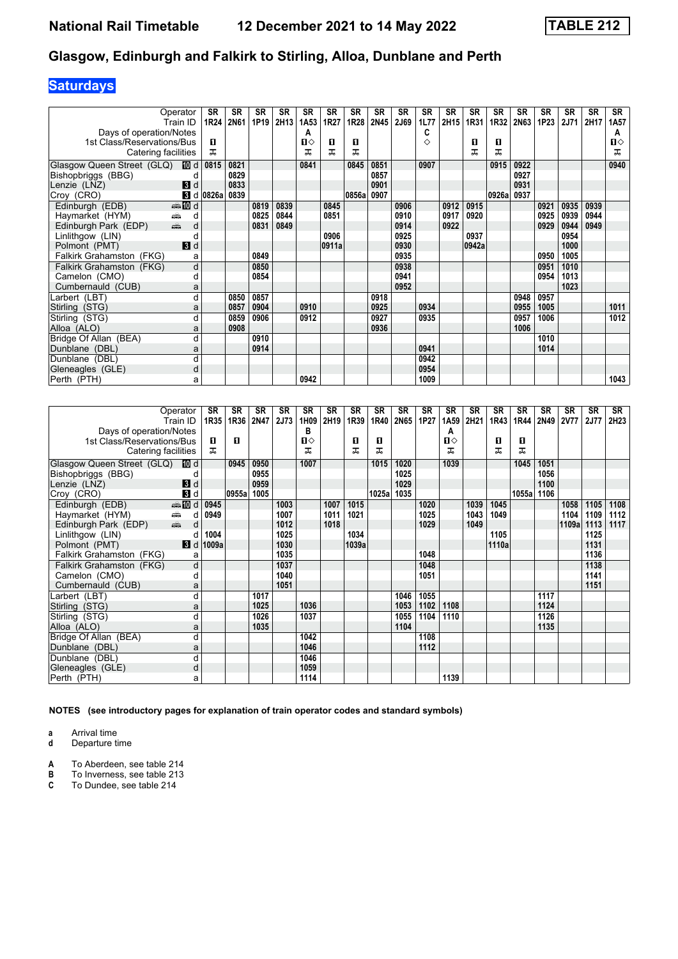# **Saturdays**

| Operator                                                           | SR                              | SR   | <b>SR</b> | <b>SR</b> | <b>SR</b>        | <b>SR</b> | <b>SR</b> | <b>SR</b> | SR   | <b>SR</b> | <b>SR</b> | <b>SR</b> | <b>SR</b> | <b>SR</b>   | <b>SR</b> | <b>SR</b>   | <b>SR</b> | <b>SR</b>      |
|--------------------------------------------------------------------|---------------------------------|------|-----------|-----------|------------------|-----------|-----------|-----------|------|-----------|-----------|-----------|-----------|-------------|-----------|-------------|-----------|----------------|
| Train ID                                                           | 1R24                            | 2N61 | 1P19      | 2H13      | 1A <sub>53</sub> | 1R27      | 1R28      | 2N45      | 2J69 | 1L77      | 2H15      | 1R31      | 1R32      | <b>2N63</b> | 1P23      | <b>2J71</b> | 2H17      | 1A57           |
| Days of operation/Notes                                            |                                 |      |           |           | А                |           |           |           |      | C         |           |           |           |             |           |             |           | A              |
| 1st Class/Reservations/Bus                                         | п                               |      |           |           | п⇔               | O         | п         |           |      | ♦         |           | 0         | O         |             |           |             |           | $\blacksquare$ |
| Catering facilities                                                | ᠼ                               |      |           |           | ᅚ                | ᅚ         | ᅚ         |           |      |           |           | ᅚ         | ᅚ         |             |           |             |           | ᅚ              |
| Glasgow Queen Street (GLQ) III d                                   | 0815                            | 0821 |           |           | 0841             |           | 0845      | 0851      |      | 0907      |           |           | 0915      | 0922        |           |             |           | 0940           |
| Bishopbriggs (BBG)                                                 | d                               | 0829 |           |           |                  |           |           | 0857      |      |           |           |           |           | 0927        |           |             |           |                |
| $\mathbf{3}$ d<br>Lenzie (LNZ)                                     |                                 | 0833 |           |           |                  |           |           | 0901      |      |           |           |           |           | 0931        |           |             |           |                |
| Croy (CRO)                                                         | $\vert$ d $\vert$ 0826a $\vert$ | 0839 |           |           |                  |           | 0856a     | 0907      |      |           |           |           | 0926a     | 0937        |           |             |           |                |
| Edinburgh (EDB)<br>d <b>let</b> and                                |                                 |      | 0819      | 0839      |                  | 0845      |           |           | 0906 |           | 0912      | 0915      |           |             | 0921      | 0935        | 0939      |                |
| Haymarket (HYM)<br>æ                                               | d                               |      | 0825      | 0844      |                  | 0851      |           |           | 0910 |           | 0917      | 0920      |           |             | 0925      | 0939        | 0944      |                |
| $\frac{1}{\left( \frac{1}{2}\right) _{1}}$<br>Edinburgh Park (EDP) | d                               |      | 0831      | 0849      |                  |           |           |           | 0914 |           | 0922      |           |           |             | 0929      | 0944        | 0949      |                |
| Linlithgow (LIN)                                                   | C                               |      |           |           |                  | 0906      |           |           | 0925 |           |           | 0937      |           |             |           | 0954        |           |                |
| $\mathbf{3}$ d<br>Polmont (PMT)                                    |                                 |      |           |           |                  | 0911a     |           |           | 0930 |           |           | 0942a     |           |             |           | 1000        |           |                |
| Falkirk Grahamston (FKG)                                           | a                               |      | 0849      |           |                  |           |           |           | 0935 |           |           |           |           |             | 0950      | 1005        |           |                |
| Falkirk Grahamston (FKG)                                           | d                               |      | 0850      |           |                  |           |           |           | 0938 |           |           |           |           |             | 0951      | 1010        |           |                |
| Camelon (CMO)                                                      | d                               |      | 0854      |           |                  |           |           |           | 0941 |           |           |           |           |             | 0954      | 1013        |           |                |
| Cumbernauld (CUB)                                                  | a                               |      |           |           |                  |           |           |           | 0952 |           |           |           |           |             |           | 1023        |           |                |
| Larbert (LBT)                                                      | d                               | 0850 | 0857      |           |                  |           |           | 0918      |      |           |           |           |           | 0948        | 0957      |             |           |                |
| Stirling (STG)                                                     | a                               | 0857 | 0904      |           | 0910             |           |           | 0925      |      | 0934      |           |           |           | 0955        | 1005      |             |           | 1011           |
| Stirling (STG)                                                     | d                               | 0859 | 0906      |           | 0912             |           |           | 0927      |      | 0935      |           |           |           | 0957        | 1006      |             |           | 1012           |
| Alloa (ALO)                                                        | a                               | 0908 |           |           |                  |           |           | 0936      |      |           |           |           |           | 1006        |           |             |           |                |
| Bridge Of Allan (BEA)                                              | d                               |      | 0910      |           |                  |           |           |           |      |           |           |           |           |             | 1010      |             |           |                |
| Dunblane (DBL)                                                     | a                               |      | 0914      |           |                  |           |           |           |      | 0941      |           |           |           |             | 1014      |             |           |                |
| Dunblane (DBL)                                                     | d                               |      |           |           |                  |           |           |           |      | 0942      |           |           |           |             |           |             |           |                |
| Gleneagles (GLE)                                                   | d                               |      |           |           |                  |           |           |           |      | 0954      |           |           |           |             |           |             |           |                |
| Perth (PTH)                                                        | a                               |      |           |           | 0942             |           |           |           |      | 1009      |           |           |           |             |           |             |           | 1043           |

| Operator                                                                                                                                                                                                                                               |                   | SR    | SR    | SR   | SR   | <b>SR</b>    | <b>SR</b> | <b>SR</b> | <b>SR</b> | <b>SR</b> | <b>SR</b> | <b>SR</b>    | <b>SR</b> | <b>SR</b> | <b>SR</b> | <b>SR</b> | <b>SR</b>   | SR          | SR   |
|--------------------------------------------------------------------------------------------------------------------------------------------------------------------------------------------------------------------------------------------------------|-------------------|-------|-------|------|------|--------------|-----------|-----------|-----------|-----------|-----------|--------------|-----------|-----------|-----------|-----------|-------------|-------------|------|
| Train ID                                                                                                                                                                                                                                               |                   | 1R35  | 1R36  | 2N47 | 2J73 | 1H09         | 2H19      | 1R39      | 1R40      | 2N65      | 1P27      | 1A59         | 2H21      | 1R43      | 1R44      | 2N49      | <b>2V77</b> | <b>2J77</b> | 2H23 |
| Days of operation/Notes                                                                                                                                                                                                                                |                   |       |       |      |      | в            |           |           |           |           |           | А            |           |           |           |           |             |             |      |
| 1st Class/Reservations/Bus                                                                                                                                                                                                                             |                   | п     | п     |      |      | $\mathbf{u}$ |           | п         | п         |           |           | $\mathbf{u}$ |           | п         | п         |           |             |             |      |
| Catering facilities                                                                                                                                                                                                                                    |                   | ㅈ     |       |      |      | ᅚ            |           | ᇁ         | ᅚ         |           |           | ᅚ            |           | ᠼ         | ᅚ         |           |             |             |      |
| Glasgow Queen Street (GLQ) <b>ID</b> d                                                                                                                                                                                                                 |                   |       | 0945  | 0950 |      | 1007         |           |           | 1015      | 1020      |           | 1039         |           |           | 1045      | 1051      |             |             |      |
| Bishopbriggs (BBG)                                                                                                                                                                                                                                     |                   |       |       | 0955 |      |              |           |           |           | 1025      |           |              |           |           |           | 1056      |             |             |      |
| Lenzie (LNZ)                                                                                                                                                                                                                                           | $\mathbf{B}$ d    |       |       | 0959 |      |              |           |           |           | 1029      |           |              |           |           |           | 1100      |             |             |      |
| Croy (CRO)                                                                                                                                                                                                                                             | 3d                |       | 0955a | 1005 |      |              |           |           | 1025a     | 1035      |           |              |           |           | 1055a     | 1106      |             |             |      |
| Edinburgh (EDB)                                                                                                                                                                                                                                        | $\bigoplus$ III d | 0945  |       |      | 1003 |              | 1007      | 1015      |           |           | 1020      |              | 1039      | 1045      |           |           | 1058        | 1105        | 1108 |
| Haymarket (HYM)<br>æ.                                                                                                                                                                                                                                  | d                 | 0949  |       |      | 1007 |              | 1011      | 1021      |           |           | 1025      |              | 1043      | 1049      |           |           | 1104        | 1109        | 1112 |
| and and the second set of the set of the set of the set of the set of the set of the set of the set of the set of the set of the set of the set of the set of the set of the set of the set of the set of the set of the set o<br>Edinburgh Park (EDP) | d                 |       |       |      | 1012 |              | 1018      |           |           |           | 1029      |              | 1049      |           |           |           | 1109a       | 1113        | 1117 |
| Linlithgow (LIN)                                                                                                                                                                                                                                       | d                 | 1004  |       |      | 1025 |              |           | 1034      |           |           |           |              |           | 1105      |           |           |             | 1125        |      |
| Polmont (PMT)                                                                                                                                                                                                                                          | 3d                | 1009a |       |      | 1030 |              |           | 1039a     |           |           |           |              |           | 1110a     |           |           |             | 1131        |      |
| Falkirk Grahamston (FKG)                                                                                                                                                                                                                               | a                 |       |       |      | 1035 |              |           |           |           |           | 1048      |              |           |           |           |           |             | 1136        |      |
| Falkirk Grahamston (FKG)                                                                                                                                                                                                                               | d                 |       |       |      | 1037 |              |           |           |           |           | 1048      |              |           |           |           |           |             | 1138        |      |
| Camelon (CMO)                                                                                                                                                                                                                                          | d                 |       |       |      | 1040 |              |           |           |           |           | 1051      |              |           |           |           |           |             | 1141        |      |
| Cumbernauld (CUB)                                                                                                                                                                                                                                      | a                 |       |       |      | 1051 |              |           |           |           |           |           |              |           |           |           |           |             | 1151        |      |
| Larbert (LBT)                                                                                                                                                                                                                                          | d                 |       |       | 1017 |      |              |           |           |           | 1046      | 1055      |              |           |           |           | 1117      |             |             |      |
| Stirling (STG)                                                                                                                                                                                                                                         | a                 |       |       | 1025 |      | 1036         |           |           |           | 1053      | 1102      | 1108         |           |           |           | 1124      |             |             |      |
| Stirling (STG)                                                                                                                                                                                                                                         | d                 |       |       | 1026 |      | 1037         |           |           |           | 1055      | 1104      | 1110         |           |           |           | 1126      |             |             |      |
| Alloa (ALO)                                                                                                                                                                                                                                            | a                 |       |       | 1035 |      |              |           |           |           | 1104      |           |              |           |           |           | 1135      |             |             |      |
| Bridge Of Allan (BEA)                                                                                                                                                                                                                                  | d                 |       |       |      |      | 1042         |           |           |           |           | 1108      |              |           |           |           |           |             |             |      |
| Dunblane (DBL)                                                                                                                                                                                                                                         | a                 |       |       |      |      | 1046         |           |           |           |           | 1112      |              |           |           |           |           |             |             |      |
| Dunblane (DBL)                                                                                                                                                                                                                                         | d                 |       |       |      |      | 1046         |           |           |           |           |           |              |           |           |           |           |             |             |      |
| Gleneagles (GLE)                                                                                                                                                                                                                                       | d                 |       |       |      |      | 1059         |           |           |           |           |           |              |           |           |           |           |             |             |      |
| Perth (PTH)                                                                                                                                                                                                                                            | a                 |       |       |      |      | 1114         |           |           |           |           |           | 1139         |           |           |           |           |             |             |      |

**NOTES (see introductory pages for explanation of train operator codes and standard symbols)**

**a** Arrival time<br>**d** Departure time

**d** Departure time

**A** To Aberdeen, see table 214<br>**B** To Inverness, see table 213<br>**C** To Dundee, see table 214

**B** To Inverness, see table 213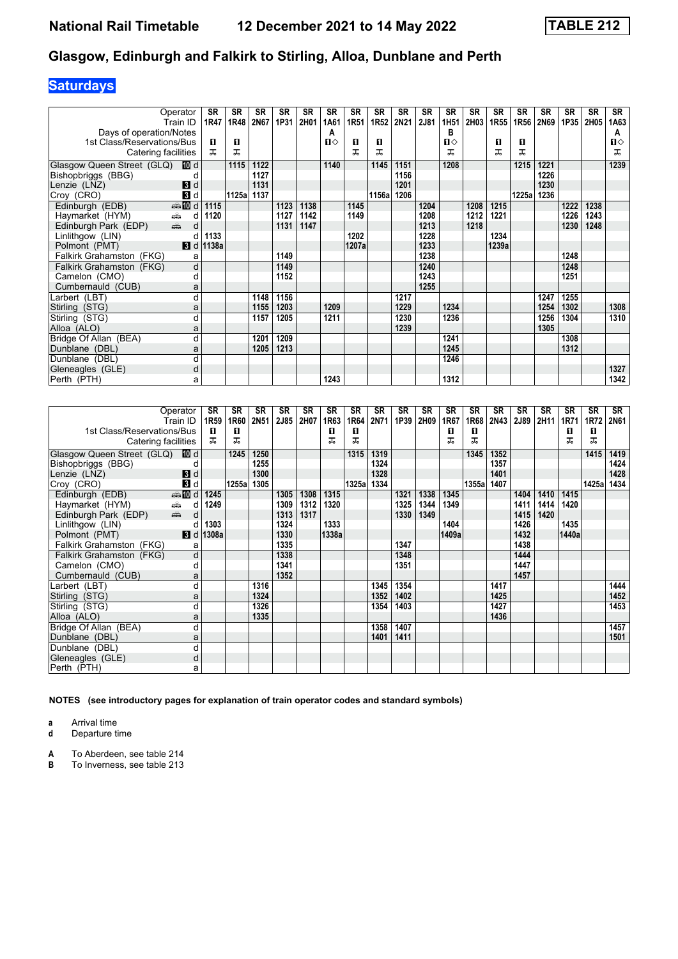## **Saturdays**

|                            | Operator                  | SR                       | SR    | <b>SR</b> | <b>SR</b> | <b>SR</b> | <b>SR</b> | <b>SR</b> | <b>SR</b> | SR        | <b>SR</b> | <b>SR</b>        | <b>SR</b> | <b>SR</b> | <b>SR</b> | <b>SR</b> | <b>SR</b> | <b>SR</b> | <b>SR</b>    |
|----------------------------|---------------------------|--------------------------|-------|-----------|-----------|-----------|-----------|-----------|-----------|-----------|-----------|------------------|-----------|-----------|-----------|-----------|-----------|-----------|--------------|
|                            | Train ID                  | 1R47                     | 1R48  | 2N67      | 1P31      | 2H01      | 1A61      | 1R51      |           | 1R52 2N21 | 2J81      | 1H <sub>51</sub> | 2H03      | 1R55      | 1R56      | 2N69      | 1P35      | 2H05      | 1A63         |
| Days of operation/Notes    |                           |                          |       |           |           |           | A         |           |           |           |           | в                |           |           |           |           |           |           | A            |
| 1st Class/Reservations/Bus |                           | п                        | п     |           |           |           | П⇔        | О         | п         |           |           | П⇔               |           | 0         | O         |           |           |           | $\mathbf{u}$ |
| Catering facilities        |                           | ㅈ                        | ᠼ     |           |           |           |           | ᅚ         | ᅚ         |           |           | ᅚ                |           | ᅚ         | ᅚ         |           |           |           | ᅚ            |
| Glasgow Queen Street (GLQ) | 100 d                     |                          | 1115  | 1122      |           |           | 1140      |           | 1145      | 1151      |           | 1208             |           |           | 1215      | 1221      |           |           | 1239         |
| Bishopbriggs (BBG)         |                           |                          |       | 1127      |           |           |           |           |           | 1156      |           |                  |           |           |           | 1226      |           |           |              |
| Lenzie (LNZ)               | 3d                        |                          |       | 1131      |           |           |           |           |           | 1201      |           |                  |           |           |           | 1230      |           |           |              |
| Croy (CRO)                 | 3d                        |                          | 1125a | 1137      |           |           |           |           | 1156a     | 1206      |           |                  |           |           | 1225a     | 1236      |           |           |              |
| Edinburgh (EDB)            | <b>美国d</b>                | 1115                     |       |           | 1123      | 1138      |           | 1145      |           |           | 1204      |                  | 1208      | 1215      |           |           | 1222      | 1238      |              |
| Haymarket (HYM)            | ∰<br>d                    | 1120                     |       |           | 1127      | 1142      |           | 1149      |           |           | 1208      |                  | 1212      | 1221      |           |           | 1226      | 1243      |              |
| Edinburgh Park (EDP)       | $\frac{1}{\sqrt{2}}$<br>d |                          |       |           | 1131      | 1147      |           |           |           |           | 1213      |                  | 1218      |           |           |           | 1230      | 1248      |              |
| Linlithgow (LIN)           |                           | 1133                     |       |           |           |           |           | 1202      |           |           | 1228      |                  |           | 1234      |           |           |           |           |              |
| Polmont (PMT)              |                           | $\blacksquare$ d   1138a |       |           |           |           |           | 1207a     |           |           | 1233      |                  |           | 1239a     |           |           |           |           |              |
| Falkirk Grahamston (FKG)   | a                         |                          |       |           | 1149      |           |           |           |           |           | 1238      |                  |           |           |           |           | 1248      |           |              |
| Falkirk Grahamston (FKG)   | d                         |                          |       |           | 1149      |           |           |           |           |           | 1240      |                  |           |           |           |           | 1248      |           |              |
| Camelon (CMO)              | d                         |                          |       |           | 1152      |           |           |           |           |           | 1243      |                  |           |           |           |           | 1251      |           |              |
| Cumbernauld (CUB)          | a                         |                          |       |           |           |           |           |           |           |           | 1255      |                  |           |           |           |           |           |           |              |
| Larbert (LBT)              | d                         |                          |       | 1148      | 1156      |           |           |           |           | 1217      |           |                  |           |           |           | 1247      | 1255      |           |              |
| Stirling (STG)             | a                         |                          |       | 1155      | 1203      |           | 1209      |           |           | 1229      |           | 1234             |           |           |           | 1254      | 1302      |           | 1308         |
| Stirling (STG)             | d                         |                          |       | 1157      | 1205      |           | 1211      |           |           | 1230      |           | 1236             |           |           |           | 1256      | 1304      |           | 1310         |
| Alloa (ALO)                | a                         |                          |       |           |           |           |           |           |           | 1239      |           |                  |           |           |           | 1305      |           |           |              |
| Bridge Of Allan (BEA)      | d                         |                          |       | 1201      | 1209      |           |           |           |           |           |           | 1241             |           |           |           |           | 1308      |           |              |
| Dunblane (DBL)             | a                         |                          |       | 1205      | 1213      |           |           |           |           |           |           | 1245             |           |           |           |           | 1312      |           |              |
| Dunblane (DBL)             | d                         |                          |       |           |           |           |           |           |           |           |           | 1246             |           |           |           |           |           |           |              |
| Gleneagles (GLE)           | d                         |                          |       |           |           |           |           |           |           |           |           |                  |           |           |           |           |           |           | 1327         |
| Perth (PTH)                | a                         |                          |       |           |           |           | 1243      |           |           |           |           | 1312             |           |           |           |           |           |           | 1342         |

| Operator                                                                                                                                                                                                                                          |                  | SR    | SR    | SR   | SR          | SR   | SR    | SR    | SR   | SR   | <b>SR</b> | SR    | <b>SR</b> | SR          | SR   | <b>SR</b> | SR          | SR          | SR   |
|---------------------------------------------------------------------------------------------------------------------------------------------------------------------------------------------------------------------------------------------------|------------------|-------|-------|------|-------------|------|-------|-------|------|------|-----------|-------|-----------|-------------|------|-----------|-------------|-------------|------|
|                                                                                                                                                                                                                                                   | Train ID         | 1R59  | 1R60  | 2N51 | <b>2J85</b> | 2H07 | 1R63  | 1R64  | 2N71 | 1P39 | 2H09      | 1R67  | 1R68      | <b>2N43</b> | 2J89 | 2H11      | <b>1R71</b> | <b>1R72</b> | 2N61 |
| 1st Class/Reservations/Bus                                                                                                                                                                                                                        |                  | п     | п     |      |             |      | п     | п     |      |      |           | п     | п         |             |      |           | О           | п           |      |
| Catering facilities                                                                                                                                                                                                                               |                  | ᠼ     | ᠼ     |      |             |      | ᠼ     | ᅚ     |      |      |           | ᅚ     | ᅚ         |             |      |           | ᠼ           | ᠼ           |      |
| Glasgow Queen Street (GLQ) 10 d                                                                                                                                                                                                                   |                  |       | 1245  | 1250 |             |      |       | 1315  | 1319 |      |           |       | 1345      | 1352        |      |           |             | 1415        | 1419 |
| Bishopbriggs (BBG)                                                                                                                                                                                                                                |                  |       |       | 1255 |             |      |       |       | 1324 |      |           |       |           | 1357        |      |           |             |             | 1424 |
| Lenzie (LNZ)                                                                                                                                                                                                                                      | $\mathbf{B}$ d   |       |       | 1300 |             |      |       |       | 1328 |      |           |       |           | 1401        |      |           |             |             | 1428 |
| Croy (CRO)                                                                                                                                                                                                                                        | $\overline{3}$ d |       | 1255a | 1305 |             |      |       | 1325a | 1334 |      |           |       | 1355a     | 1407        |      |           |             | 1425a       | 1434 |
| Edinburgh (EDB)                                                                                                                                                                                                                                   | <b>AD</b> d      | 1245  |       |      | 1305        | 1308 | 1315  |       |      | 1321 | 1338      | 1345  |           |             | 1404 | 1410      | 1415        |             |      |
| Haymarket (HYM)<br>officer of the contract of the contract of the contract of the contract of the contract of the contract of the contract of the contract of the contract of the contract of the contract of the contract of the contract of the | d                | 1249  |       |      | 1309        | 1312 | 1320  |       |      | 1325 | 1344      | 1349  |           |             | 1411 | 1414      | 1420        |             |      |
| $\frac{1}{\sqrt{2}}$<br>Edinburgh Park (EDP)                                                                                                                                                                                                      | d                |       |       |      | 1313        | 1317 |       |       |      | 1330 | 1349      |       |           |             | 1415 | 1420      |             |             |      |
| Linlithgow (LIN)                                                                                                                                                                                                                                  |                  | 1303  |       |      | 1324        |      | 1333  |       |      |      |           | 1404  |           |             | 1426 |           | 1435        |             |      |
| Polmont (PMT)                                                                                                                                                                                                                                     | $\blacksquare$   | 1308a |       |      | 1330        |      | 1338a |       |      |      |           | 1409a |           |             | 1432 |           | 1440a       |             |      |
| Falkirk Grahamston (FKG)                                                                                                                                                                                                                          | a                |       |       |      | 1335        |      |       |       |      | 1347 |           |       |           |             | 1438 |           |             |             |      |
| Falkirk Grahamston (FKG)                                                                                                                                                                                                                          | d                |       |       |      | 1338        |      |       |       |      | 1348 |           |       |           |             | 1444 |           |             |             |      |
| Camelon (CMO)                                                                                                                                                                                                                                     | d                |       |       |      | 1341        |      |       |       |      | 1351 |           |       |           |             | 1447 |           |             |             |      |
| Cumbernauld (CUB)                                                                                                                                                                                                                                 | a                |       |       |      | 1352        |      |       |       |      |      |           |       |           |             | 1457 |           |             |             |      |
| Larbert (LBT)                                                                                                                                                                                                                                     | d                |       |       | 1316 |             |      |       |       | 1345 | 1354 |           |       |           | 1417        |      |           |             |             | 1444 |
| Stirling (STG)                                                                                                                                                                                                                                    | a                |       |       | 1324 |             |      |       |       | 1352 | 1402 |           |       |           | 1425        |      |           |             |             | 1452 |
| Stirling (STG)                                                                                                                                                                                                                                    | d                |       |       | 1326 |             |      |       |       | 1354 | 1403 |           |       |           | 1427        |      |           |             |             | 1453 |
| Alloa (ALO)                                                                                                                                                                                                                                       | a                |       |       | 1335 |             |      |       |       |      |      |           |       |           | 1436        |      |           |             |             |      |
| Bridge Of Allan (BEA)                                                                                                                                                                                                                             | d                |       |       |      |             |      |       |       | 1358 | 1407 |           |       |           |             |      |           |             |             | 1457 |
| Dunblane (DBL)                                                                                                                                                                                                                                    | a                |       |       |      |             |      |       |       | 1401 | 1411 |           |       |           |             |      |           |             |             | 1501 |
| Dunblane (DBL)                                                                                                                                                                                                                                    | d                |       |       |      |             |      |       |       |      |      |           |       |           |             |      |           |             |             |      |
| Gleneagles (GLE)                                                                                                                                                                                                                                  | d                |       |       |      |             |      |       |       |      |      |           |       |           |             |      |           |             |             |      |
| Perth (PTH)                                                                                                                                                                                                                                       | a                |       |       |      |             |      |       |       |      |      |           |       |           |             |      |           |             |             |      |

**NOTES (see introductory pages for explanation of train operator codes and standard symbols)**

**a** Arrival time

**d** Departure time

- **A** To Aberdeen, see table 214<br>**B** To Inverness, see table 213
- **B** To Inverness, see table 213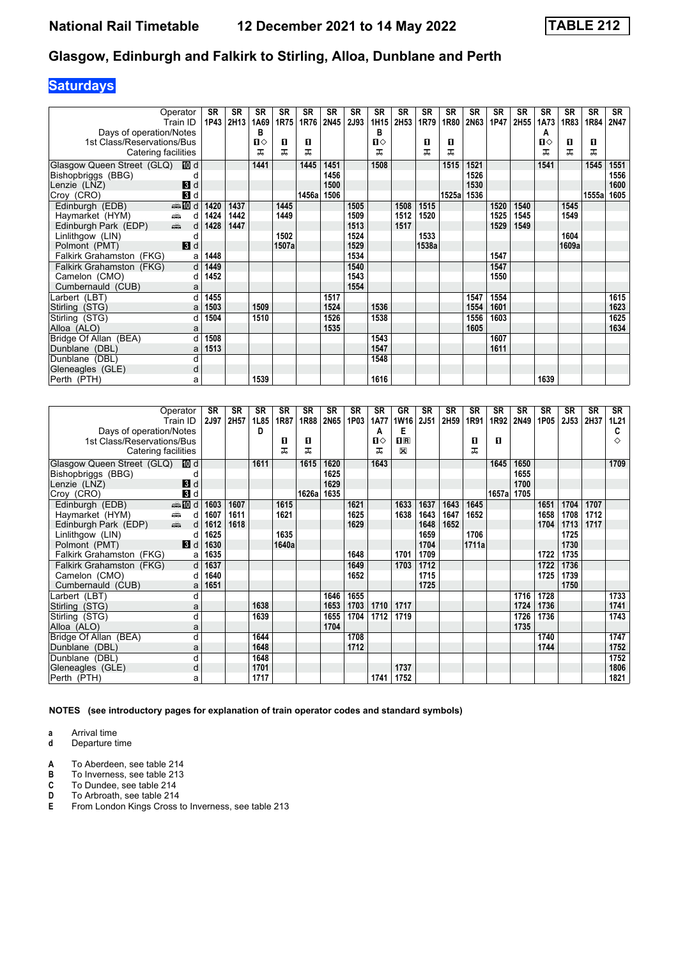## **Saturdays**

|                                                                  | Operator<br>Train ID | <b>SR</b><br>1P43 | <b>SR</b><br>2H13 | SR<br>1A69 | <b>SR</b><br>1R75 | <b>SR</b><br>1R76 | <b>SR</b><br>2N45 | <b>SR</b><br>2J93 | <b>SR</b><br>1H15 | <b>SR</b><br>2H53 | <b>SR</b><br>1R79 | <b>SR</b><br>1R80 | <b>SR</b><br>2N63 | <b>SR</b><br>1P47 | <b>SR</b><br>2H55 | <b>SR</b><br>1A73 | <b>SR</b><br>1R83 | <b>SR</b><br>1R84 | <b>SR</b><br>2N47 |
|------------------------------------------------------------------|----------------------|-------------------|-------------------|------------|-------------------|-------------------|-------------------|-------------------|-------------------|-------------------|-------------------|-------------------|-------------------|-------------------|-------------------|-------------------|-------------------|-------------------|-------------------|
| Days of operation/Notes                                          |                      |                   |                   | в          |                   |                   |                   |                   | в                 |                   |                   |                   |                   |                   |                   | A                 |                   |                   |                   |
| 1st Class/Reservations/Bus                                       |                      |                   |                   | Ⅱ♦         | 0                 | 0                 |                   |                   | Ⅱ◇                |                   | 0                 | O                 |                   |                   |                   | ்ப                | 0                 | 0                 |                   |
| Catering facilities                                              |                      |                   |                   | ᠼ          | ᅚ                 | ᅚ                 |                   |                   | ᠼ                 |                   | ᅚ                 | ᅚ                 |                   |                   |                   | ᠼ                 | ᠼ                 | ᠼ                 |                   |
| Glasgow Queen Street (GLQ) III d                                 |                      |                   |                   | 1441       |                   | 1445              | 1451              |                   | 1508              |                   |                   | 1515              | 1521              |                   |                   | 1541              |                   | 1545              | 1551              |
| Bishopbriggs (BBG)                                               |                      |                   |                   |            |                   |                   | 1456              |                   |                   |                   |                   |                   | 1526              |                   |                   |                   |                   |                   | 1556              |
| Lenzie (LNZ)                                                     | $\mathbf{B}$ d       |                   |                   |            |                   |                   | 1500              |                   |                   |                   |                   |                   | 1530              |                   |                   |                   |                   |                   | 1600              |
| Croy (CRO)                                                       | 3d                   |                   |                   |            |                   | 1456a             | 1506              |                   |                   |                   |                   | 1525a             | 1536              |                   |                   |                   |                   | 1555a             | 1605              |
| Edinburgh (EDB)                                                  | $\frac{1}{2}$ 10 d   | 1420              | 1437              |            | 1445              |                   |                   | 1505              |                   | 1508              | 1515              |                   |                   | 1520              | 1540              |                   | 1545              |                   |                   |
| Haymarket (HYM)<br>$\frac{1}{\left( \frac{1}{2}\right) _{0}}$    | d                    | 1424              | 1442              |            | 1449              |                   |                   | 1509              |                   | 1512              | 1520              |                   |                   | 1525              | 1545              |                   | 1549              |                   |                   |
| $\frac{1}{\left( \frac{1}{2} \right)^2}$<br>Edinburgh Park (EDP) | d                    | 1428              | 1447              |            |                   |                   |                   | 1513              |                   | 1517              |                   |                   |                   | 1529              | 1549              |                   |                   |                   |                   |
| Linlithgow (LIN)                                                 | C                    |                   |                   |            | 1502              |                   |                   | 1524              |                   |                   | 1533              |                   |                   |                   |                   |                   | 1604              |                   |                   |
| Polmont (PMT)                                                    | 3d                   |                   |                   |            | 1507a             |                   |                   | 1529              |                   |                   | 1538a             |                   |                   |                   |                   |                   | 1609a             |                   |                   |
| Falkirk Grahamston (FKG)                                         | a                    | 1448              |                   |            |                   |                   |                   | 1534              |                   |                   |                   |                   |                   | 1547              |                   |                   |                   |                   |                   |
| Falkirk Grahamston (FKG)                                         | d                    | 1449              |                   |            |                   |                   |                   | 1540              |                   |                   |                   |                   |                   | 1547              |                   |                   |                   |                   |                   |
| Camelon (CMO)                                                    | d                    | 1452              |                   |            |                   |                   |                   | 1543              |                   |                   |                   |                   |                   | 1550              |                   |                   |                   |                   |                   |
| Cumbernauld (CUB)                                                | a                    |                   |                   |            |                   |                   |                   | 1554              |                   |                   |                   |                   |                   |                   |                   |                   |                   |                   |                   |
| Larbert (LBT)                                                    |                      | 1455              |                   |            |                   |                   | 1517              |                   |                   |                   |                   |                   | 1547              | 1554              |                   |                   |                   |                   | 1615              |
| Stirling (STG)                                                   | a                    | 1503              |                   | 1509       |                   |                   | 1524              |                   | 1536              |                   |                   |                   | 1554              | 1601              |                   |                   |                   |                   | 1623              |
| Stirling (STG)                                                   | d                    | 1504              |                   | 1510       |                   |                   | 1526              |                   | 1538              |                   |                   |                   | 1556              | 1603              |                   |                   |                   |                   | 1625              |
| Alloa (ALO)                                                      | a                    |                   |                   |            |                   |                   | 1535              |                   |                   |                   |                   |                   | 1605              |                   |                   |                   |                   |                   | 1634              |
| Bridge Of Allan (BEA)                                            |                      | 1508              |                   |            |                   |                   |                   |                   | 1543              |                   |                   |                   |                   | 1607              |                   |                   |                   |                   |                   |
| Dunblane (DBL)                                                   | a                    | 1513              |                   |            |                   |                   |                   |                   | 1547              |                   |                   |                   |                   | 1611              |                   |                   |                   |                   |                   |
| Dunblane (DBL)                                                   | d                    |                   |                   |            |                   |                   |                   |                   | 1548              |                   |                   |                   |                   |                   |                   |                   |                   |                   |                   |
| Gleneagles (GLE)                                                 | d                    |                   |                   |            |                   |                   |                   |                   |                   |                   |                   |                   |                   |                   |                   |                   |                   |                   |                   |
| Perth (PTH)                                                      | a                    |                   |                   | 1539       |                   |                   |                   |                   | 1616              |                   |                   |                   |                   |                   |                   | 1639              |                   |                   |                   |

|                            | Operator       | <b>SR</b> | <b>SR</b> | <b>SR</b> | <b>SR</b> | SR    | <b>SR</b> | <b>SR</b> | SR           | GR          | <b>SR</b> | <b>SR</b> | <b>SR</b> | <b>SR</b> | <b>SR</b> | <b>SR</b> | <b>SR</b>   | SR   | SR   |
|----------------------------|----------------|-----------|-----------|-----------|-----------|-------|-----------|-----------|--------------|-------------|-----------|-----------|-----------|-----------|-----------|-----------|-------------|------|------|
|                            | Train ID       | 2J97      | 2H57      | 1L85      | 1R87      | 1R88  | 2N65      | 1P03      | <b>1A77</b>  | <b>1W16</b> | 2J51      | 2H59      | 1R91      | 1R92      | 2N49      | 1P05      | <b>2J53</b> | 2H37 | 1L21 |
| Days of operation/Notes    |                |           |           | D         |           |       |           |           | A            | Е           |           |           |           |           |           |           |             |      | C    |
| 1st Class/Reservations/Bus |                |           |           |           | 0         | 0     |           |           | $\mathbf{u}$ | $n_{\rm R}$ |           |           | п         | п         |           |           |             |      | ♦    |
| Catering facilities        |                |           |           |           | ᅚ         | ᇁ     |           |           | ㅈ            | $\boxtimes$ |           |           | ᅚ         |           |           |           |             |      |      |
| Glasgow Queen Street (GLQ) | 10 d           |           |           | 1611      |           | 1615  | 1620      |           | 1643         |             |           |           |           | 1645      | 1650      |           |             |      | 1709 |
| Bishopbriggs (BBG)         |                |           |           |           |           |       | 1625      |           |              |             |           |           |           |           | 1655      |           |             |      |      |
| Lenzie (LNZ)               | 3d             |           |           |           |           |       | 1629      |           |              |             |           |           |           |           | 1700      |           |             |      |      |
| Croy (CRO)                 | $\mathbf{B}$ d |           |           |           |           | 1626a | 1635      |           |              |             |           |           |           | 1657a     | 1705      |           |             |      |      |
| Edinburgh (EDB)            | <b>ente</b> di | 1603      | 1607      |           | 1615      |       |           | 1621      |              | 1633        | 1637      | 1643      | 1645      |           |           | 1651      | 1704        | 1707 |      |
| Haymarket (HYM)            | æ.<br>d        | 1607      | 1611      |           | 1621      |       |           | 1625      |              | 1638        | 1643      | 1647      | 1652      |           |           | 1658      | 1708        | 1712 |      |
| Edinburgh Park (EDP)       | پیش<br>d       | 1612      | 1618      |           |           |       |           | 1629      |              |             | 1648      | 1652      |           |           |           | 1704      | 1713        | 1717 |      |
| Linlithgow (LIN)           | d              | 1625      |           |           | 1635      |       |           |           |              |             | 1659      |           | 1706      |           |           |           | 1725        |      |      |
| Polmont (PMT)              | $\blacksquare$ | 1630      |           |           | 1640a     |       |           |           |              |             | 1704      |           | 1711a     |           |           |           | 1730        |      |      |
| Falkirk Grahamston (FKG)   | a              | 1635      |           |           |           |       |           | 1648      |              | 1701        | 1709      |           |           |           |           | 1722      | 1735        |      |      |
| Falkirk Grahamston (FKG)   | $\mathsf{d}$   | 1637      |           |           |           |       |           | 1649      |              | 1703        | 1712      |           |           |           |           | 1722      | 1736        |      |      |
| Camelon (CMO)              | d              | 1640      |           |           |           |       |           | 1652      |              |             | 1715      |           |           |           |           | 1725      | 1739        |      |      |
| Cumbernauld (CUB)          | a              | 1651      |           |           |           |       |           |           |              |             | 1725      |           |           |           |           |           | 1750        |      |      |
| Larbert (LBT)              | d              |           |           |           |           |       | 1646      | 1655      |              |             |           |           |           |           | 1716      | 1728      |             |      | 1733 |
| Stirling (STG)             | a              |           |           | 1638      |           |       | 1653      | 1703      | 1710         | 1717        |           |           |           |           | 1724      | 1736      |             |      | 1741 |
| Stirling (STG)             | d              |           |           | 1639      |           |       | 1655      | 1704      | 1712         | 1719        |           |           |           |           | 1726      | 1736      |             |      | 1743 |
| Alloa (ALO)                | a              |           |           |           |           |       | 1704      |           |              |             |           |           |           |           | 1735      |           |             |      |      |
| Bridge Of Allan (BEA)      | d              |           |           | 1644      |           |       |           | 1708      |              |             |           |           |           |           |           | 1740      |             |      | 1747 |
| Dunblane (DBL)             | a              |           |           | 1648      |           |       |           | 1712      |              |             |           |           |           |           |           | 1744      |             |      | 1752 |
| Dunblane (DBL)             | d              |           |           | 1648      |           |       |           |           |              |             |           |           |           |           |           |           |             |      | 1752 |
| Gleneagles (GLE)           | d              |           |           | 1701      |           |       |           |           |              | 1737        |           |           |           |           |           |           |             |      | 1806 |
| Perth (PTH)                | a              |           |           | 1717      |           |       |           |           | 1741         | 1752        |           |           |           |           |           |           |             |      | 1821 |

**NOTES (see introductory pages for explanation of train operator codes and standard symbols)**

**a** Arrival time<br>**d** Departure time

Departure time

**A** To Aberdeen, see table 214<br>**B** To Inverness, see table 213<br>**C** To Dundee, see table 214

**B** To Inverness, see table 213

**C** To Dundee, see table 21

**D** To Arbroath, see table 214<br>**E** From London Kings Cross t **From London Kings Cross to Inverness, see table 213**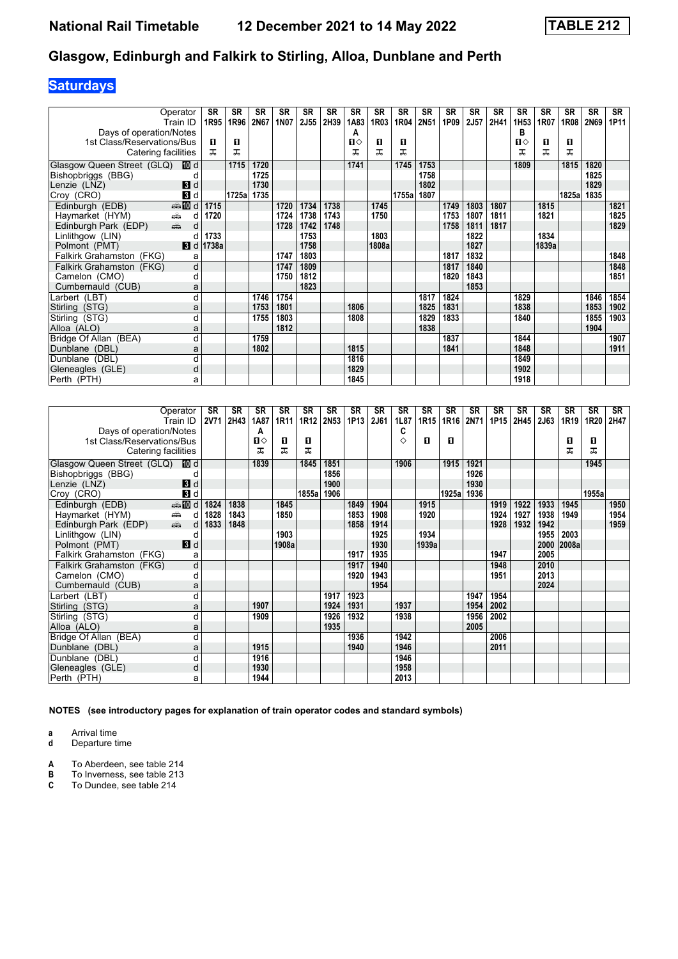## **Saturdays**

| Operator                                                           |                | SR                       | SR    | <b>SR</b> | SR   | SR          | <b>SR</b> | SR           | <b>SR</b> | <b>SR</b> | <b>SR</b> | <b>SR</b> | <b>SR</b>   | <b>SR</b> | <b>SR</b>        | <b>SR</b> | <b>SR</b> | SR          | SR   |
|--------------------------------------------------------------------|----------------|--------------------------|-------|-----------|------|-------------|-----------|--------------|-----------|-----------|-----------|-----------|-------------|-----------|------------------|-----------|-----------|-------------|------|
| Train ID                                                           |                | 1R95                     | 1R96  | 2N67      | 1N07 | <b>2J55</b> | 2H39      | 1A83         | 1R03      | 1R04      | 2N51      | 1P09      | <b>2J57</b> | 2H41      | 1H <sub>53</sub> | 1R07      | 1R08      | <b>2N69</b> | 1P11 |
| Days of operation/Notes                                            |                |                          |       |           |      |             |           | A            |           |           |           |           |             |           | в                |           |           |             |      |
| 1st Class/Reservations/Bus                                         |                | п                        | п     |           |      |             |           | $\mathbf{n}$ | 0         | O         |           |           |             |           | п⇔               | 0         | п         |             |      |
| Catering facilities                                                |                | ㅈ                        | ᠼ     |           |      |             |           | ᅚ            | ᅚ         | ᅚ         |           |           |             |           | ᅚ                | ᅚ         | ㅈ         |             |      |
| Glasgow Queen Street (GLQ)                                         | 100 d          |                          | 1715  | 1720      |      |             |           | 1741         |           | 1745      | 1753      |           |             |           | 1809             |           | 1815      | 1820        |      |
| Bishopbriggs (BBG)                                                 |                |                          |       | 1725      |      |             |           |              |           |           | 1758      |           |             |           |                  |           |           | 1825        |      |
| Lenzie (LNZ)                                                       | 3d             |                          |       | 1730      |      |             |           |              |           |           | 1802      |           |             |           |                  |           |           | 1829        |      |
| Croy (CRO)                                                         | $\mathbf{3}$ d |                          | 1725a | 1735      |      |             |           |              |           | 1755a     | 1807      |           |             |           |                  |           | 1825a     | 1835        |      |
| Edinburgh (EDB)                                                    | <b>美国d</b>     | 1715                     |       |           | 1720 | 1734        | 1738      |              | 1745      |           |           | 1749      | 1803        | 1807      |                  | 1815      |           |             | 1821 |
| Haymarket (HYM)<br>∰                                               | d              | 1720                     |       |           | 1724 | 1738        | 1743      |              | 1750      |           |           | 1753      | 1807        | 1811      |                  | 1821      |           |             | 1825 |
| $\frac{1}{\left( \frac{1}{2}\right) _{1}}$<br>Edinburgh Park (EDP) | d              |                          |       |           | 1728 | 1742        | 1748      |              |           |           |           | 1758      | 1811        | 1817      |                  |           |           |             | 1829 |
| Linlithgow (LIN)                                                   |                | 1733                     |       |           |      | 1753        |           |              | 1803      |           |           |           | 1822        |           |                  | 1834      |           |             |      |
| Polmont (PMT)                                                      |                | $\blacksquare$ d   1738a |       |           |      | 1758        |           |              | 1808a     |           |           |           | 1827        |           |                  | 1839a     |           |             |      |
| Falkirk Grahamston (FKG)                                           | а              |                          |       |           | 1747 | 1803        |           |              |           |           |           | 1817      | 1832        |           |                  |           |           |             | 1848 |
| Falkirk Grahamston (FKG)                                           | d              |                          |       |           | 1747 | 1809        |           |              |           |           |           | 1817      | 1840        |           |                  |           |           |             | 1848 |
| Camelon (CMO)                                                      | d              |                          |       |           | 1750 | 1812        |           |              |           |           |           | 1820      | 1843        |           |                  |           |           |             | 1851 |
| Cumbernauld (CUB)                                                  | a              |                          |       |           |      | 1823        |           |              |           |           |           |           | 1853        |           |                  |           |           |             |      |
| Larbert (LBT)                                                      | d              |                          |       | 1746      | 1754 |             |           |              |           |           | 1817      | 1824      |             |           | 1829             |           |           | 1846        | 1854 |
| Stirling (STG)                                                     | a              |                          |       | 1753      | 1801 |             |           | 1806         |           |           | 1825      | 1831      |             |           | 1838             |           |           | 1853        | 1902 |
| Stirling (STG)                                                     | d              |                          |       | 1755      | 1803 |             |           | 1808         |           |           | 1829      | 1833      |             |           | 1840             |           |           | 1855        | 1903 |
| Alloa (ALO)                                                        | a              |                          |       |           | 1812 |             |           |              |           |           | 1838      |           |             |           |                  |           |           | 1904        |      |
| Bridge Of Allan (BEA)                                              | d              |                          |       | 1759      |      |             |           |              |           |           |           | 1837      |             |           | 1844             |           |           |             | 1907 |
| Dunblane (DBL)                                                     | a              |                          |       | 1802      |      |             |           | 1815         |           |           |           | 1841      |             |           | 1848             |           |           |             | 1911 |
| Dunblane (DBL)                                                     | d              |                          |       |           |      |             |           | 1816         |           |           |           |           |             |           | 1849             |           |           |             |      |
| Gleneagles (GLE)                                                   | d              |                          |       |           |      |             |           | 1829         |           |           |           |           |             |           | 1902             |           |           |             |      |
| Perth (PTH)                                                        | а              |                          |       |           |      |             |           | 1845         |           |           |           |           |             |           | 1918             |           |           |             |      |

|                            | Operator<br>Train ID      | SR<br><b>2V71</b> | <b>SR</b><br>2H43 | <b>SR</b><br>1A87 | <b>SR</b><br>1R <sub>11</sub> | <b>SR</b><br>1R12 | SR<br><b>2N53</b> | <b>SR</b><br>1P13 | <b>SR</b><br>2J61 | <b>SR</b><br>1L87 | <b>SR</b><br>1R <sub>15</sub> | <b>SR</b><br>1R16 | <b>SR</b><br>2N71 | SR<br>1P15 | <b>SR</b><br>2H45 | SR<br>2J63 | SR<br>1R <sub>19</sub> | SR<br>1R20 | SR<br>2H47 |
|----------------------------|---------------------------|-------------------|-------------------|-------------------|-------------------------------|-------------------|-------------------|-------------------|-------------------|-------------------|-------------------------------|-------------------|-------------------|------------|-------------------|------------|------------------------|------------|------------|
| Days of operation/Notes    |                           |                   |                   | А                 |                               |                   |                   |                   |                   | C                 |                               |                   |                   |            |                   |            |                        |            |            |
| 1st Class/Reservations/Bus |                           |                   |                   | п⇔                | 0                             | O                 |                   |                   |                   | ♦                 | п                             | O                 |                   |            |                   |            | 0                      | O          |            |
| Catering facilities        |                           |                   |                   | ᠼ                 | ᅚ                             | ᅚ                 |                   |                   |                   |                   |                               |                   |                   |            |                   |            | ᅚ                      | ᠼ          |            |
| Glasgow Queen Street (GLQ) | <b>ID</b> d               |                   |                   | 1839              |                               | 1845              | 1851              |                   |                   | 1906              |                               | 1915              | 1921              |            |                   |            |                        | 1945       |            |
| Bishopbriggs (BBG)         |                           |                   |                   |                   |                               |                   | 1856              |                   |                   |                   |                               |                   | 1926              |            |                   |            |                        |            |            |
| Lenzie (LNZ)               | 3d                        |                   |                   |                   |                               |                   | 1900              |                   |                   |                   |                               |                   | 1930              |            |                   |            |                        |            |            |
| Croy (CRO)                 | 3d                        |                   |                   |                   |                               | 1855a             | 1906              |                   |                   |                   |                               | 1925al            | 1936              |            |                   |            |                        | 1955a      |            |
| Edinburgh (EDB)            | <b>ette</b> di            | 1824              | 1838              |                   | 1845                          |                   |                   | 1849              | 1904              |                   | 1915                          |                   |                   | 1919       | 1922              | 1933       | 1945                   |            | 1950       |
| Haymarket (HYM)            | æ.<br>d                   | 1828              | 1843              |                   | 1850                          |                   |                   | 1853              | 1908              |                   | 1920                          |                   |                   | 1924       | 1927              | 1938       | 1949                   |            | 1954       |
| Edinburgh Park (EDP)       | $\frac{1}{\sqrt{2}}$<br>d | 1833              | 1848              |                   |                               |                   |                   | 1858              | 1914              |                   |                               |                   |                   | 1928       | 1932              | 1942       |                        |            | 1959       |
| Linlithgow (LIN)           | d                         |                   |                   |                   | 1903                          |                   |                   |                   | 1925              |                   | 1934                          |                   |                   |            |                   | 1955       | 2003                   |            |            |
| Polmont (PMT)              | $\blacksquare$            |                   |                   |                   | 1908a                         |                   |                   |                   | 1930              |                   | 1939a                         |                   |                   |            |                   | 2000       | 2008a                  |            |            |
| Falkirk Grahamston (FKG)   | a                         |                   |                   |                   |                               |                   |                   | 1917              | 1935              |                   |                               |                   |                   | 1947       |                   | 2005       |                        |            |            |
| Falkirk Grahamston (FKG)   | d                         |                   |                   |                   |                               |                   |                   | 1917              | 1940              |                   |                               |                   |                   | 1948       |                   | 2010       |                        |            |            |
| Camelon (CMO)              | d                         |                   |                   |                   |                               |                   |                   | 1920              | 1943              |                   |                               |                   |                   | 1951       |                   | 2013       |                        |            |            |
| Cumbernauld (CUB)          | a                         |                   |                   |                   |                               |                   |                   |                   | 1954              |                   |                               |                   |                   |            |                   | 2024       |                        |            |            |
| Larbert (LBT)              | d                         |                   |                   |                   |                               |                   | 1917              | 1923              |                   |                   |                               |                   | 1947              | 1954       |                   |            |                        |            |            |
| Stirling (STG)             | a                         |                   |                   | 1907              |                               |                   | 1924              | 1931              |                   | 1937              |                               |                   | 1954              | 2002       |                   |            |                        |            |            |
| Stirling (STG)             | d                         |                   |                   | 1909              |                               |                   | 1926              | 1932              |                   | 1938              |                               |                   | 1956              | 2002       |                   |            |                        |            |            |
| Alloa (ALO)                | a                         |                   |                   |                   |                               |                   | 1935              |                   |                   |                   |                               |                   | 2005              |            |                   |            |                        |            |            |
| Bridge Of Allan (BEA)      | d                         |                   |                   |                   |                               |                   |                   | 1936              |                   | 1942              |                               |                   |                   | 2006       |                   |            |                        |            |            |
| Dunblane (DBL)             | a                         |                   |                   | 1915              |                               |                   |                   | 1940              |                   | 1946              |                               |                   |                   | 2011       |                   |            |                        |            |            |
| Dunblane (DBL)             | d                         |                   |                   | 1916              |                               |                   |                   |                   |                   | 1946              |                               |                   |                   |            |                   |            |                        |            |            |
| Gleneagles (GLE)           | d                         |                   |                   | 1930              |                               |                   |                   |                   |                   | 1958              |                               |                   |                   |            |                   |            |                        |            |            |
| Perth (PTH)                | a                         |                   |                   | 1944              |                               |                   |                   |                   |                   | 2013              |                               |                   |                   |            |                   |            |                        |            |            |

**NOTES (see introductory pages for explanation of train operator codes and standard symbols)**

**a** Arrival time<br>**d** Departure time

**d** Departure time

**A** To Aberdeen, see table 214<br>**B** To Inverness, see table 213<br>**C** To Dundee, see table 214

**B** To Inverness, see table 213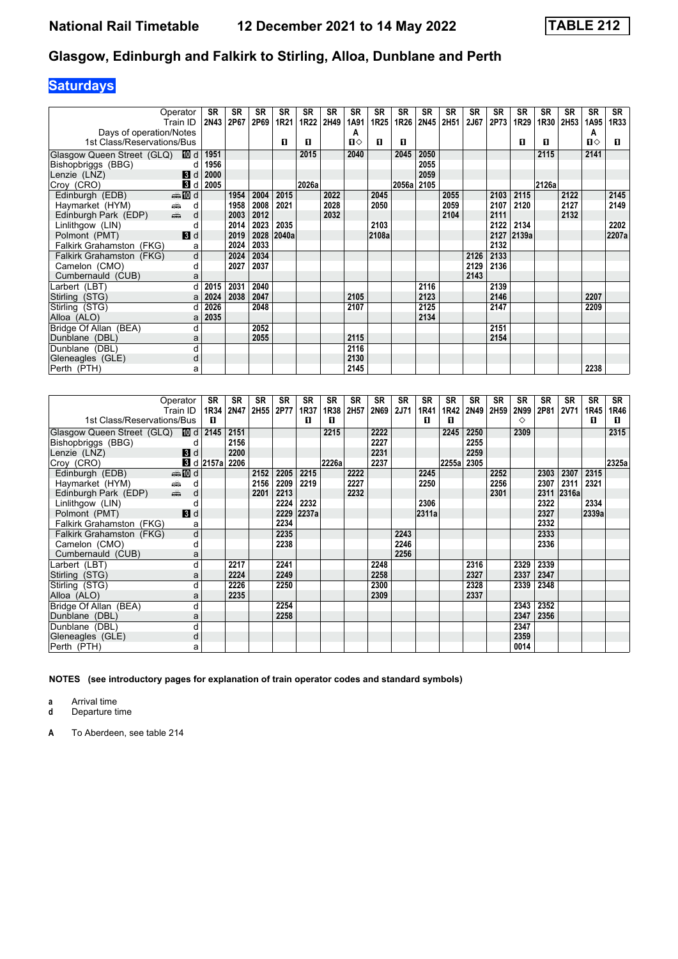# **Saturdays**

|                            | Operator                                        | <b>SR</b> | <b>SR</b> | <b>SR</b> | <b>SR</b> | <b>SR</b> | <b>SR</b> | <b>SR</b> | <b>SR</b>        | <b>SR</b> | <b>SR</b> | <b>SR</b> | <b>SR</b> | <b>SR</b> | <b>SR</b> | <b>SR</b> | <b>SR</b> | <b>SR</b> | <b>SR</b> |
|----------------------------|-------------------------------------------------|-----------|-----------|-----------|-----------|-----------|-----------|-----------|------------------|-----------|-----------|-----------|-----------|-----------|-----------|-----------|-----------|-----------|-----------|
|                            | Train ID                                        | 2N43      | 2P67      | 2P69      | 1R21      | 1R22      | 2H49      | 1A91      | 1R <sub>25</sub> | 1R26      | 2N45      | 2H51      | 2J67      | 2P73      | 1R29      | 1R30      | 2H53      | 1A95      | 1R33      |
| Days of operation/Notes    |                                                 |           |           |           |           |           |           | A         |                  |           |           |           |           |           |           |           |           | A         |           |
| 1st Class/Reservations/Bus |                                                 |           |           |           | п         | п         |           | п⇔        | п                | п         |           |           |           |           | п         | п         |           | Ⅱ♦        | П.        |
| Glasgow Queen Street (GLQ) | l100 d l                                        | 1951      |           |           |           | 2015      |           | 2040      |                  | 2045      | 2050      |           |           |           |           | 2115      |           | 2141      |           |
| Bishopbriggs (BBG)         | d                                               | 1956      |           |           |           |           |           |           |                  |           | 2055      |           |           |           |           |           |           |           |           |
| Lenzie (LNZ)               | $\blacksquare$                                  | 2000      |           |           |           |           |           |           |                  |           | 2059      |           |           |           |           |           |           |           |           |
| Croy (CRO)                 | <b>B</b> Id                                     | 2005      |           |           |           | 2026a     |           |           |                  | 2056a     | 2105      |           |           |           |           | 2126a     |           |           |           |
| Edinburgh (EDB)            | ding and                                        |           | 1954      | 2004      | 2015      |           | 2022      |           | 2045             |           |           | 2055      |           | 2103      | 2115      |           | 2122      |           | 2145      |
| Haymarket (HYM)            | æ<br>d                                          |           | 1958      | 2008      | 2021      |           | 2028      |           | 2050             |           |           | 2059      |           | 2107      | 2120      |           | 2127      |           | 2149      |
| Edinburgh Park (EDP)       | $\frac{1}{\left( \frac{1}{2}\right) _{0}}$<br>d |           | 2003      | 2012      |           |           | 2032      |           |                  |           |           | 2104      |           | 2111      |           |           | 2132      |           |           |
| Linlithgow (LIN)           | C                                               |           | 2014      | 2023      | 2035      |           |           |           | 2103             |           |           |           |           | 2122      | 2134      |           |           |           | 2202      |
| Polmont (PMT)              | 3d                                              |           | 2019      | 2028      | 2040a     |           |           |           | 2108a            |           |           |           |           | 2127      | 2139a     |           |           |           | 2207a     |
| Falkirk Grahamston (FKG)   | a                                               |           | 2024      | 2033      |           |           |           |           |                  |           |           |           |           | 2132      |           |           |           |           |           |
| Falkirk Grahamston (FKG)   | d                                               |           | 2024      | 2034      |           |           |           |           |                  |           |           |           | 2126      | 2133      |           |           |           |           |           |
| Camelon (CMO)              | d                                               |           | 2027      | 2037      |           |           |           |           |                  |           |           |           | 2129      | 2136      |           |           |           |           |           |
| Cumbernauld (CUB)          | a                                               |           |           |           |           |           |           |           |                  |           |           |           | 2143      |           |           |           |           |           |           |
| Larbert (LBT)              | d                                               | 2015      | 2031      | 2040      |           |           |           |           |                  |           | 2116      |           |           | 2139      |           |           |           |           |           |
| Stirling (STG)             | a                                               | 2024      | 2038      | 2047      |           |           |           | 2105      |                  |           | 2123      |           |           | 2146      |           |           |           | 2207      |           |
| Stirling (STG)             |                                                 | 2026      |           | 2048      |           |           |           | 2107      |                  |           | 2125      |           |           | 2147      |           |           |           | 2209      |           |
| Alloa (ALO)                | a                                               | 2035      |           |           |           |           |           |           |                  |           | 2134      |           |           |           |           |           |           |           |           |
| Bridge Of Allan (BEA)      | C                                               |           |           | 2052      |           |           |           |           |                  |           |           |           |           | 2151      |           |           |           |           |           |
| Dunblane (DBL)             | a                                               |           |           | 2055      |           |           |           | 2115      |                  |           |           |           |           | 2154      |           |           |           |           |           |
| Dunblane (DBL)             | d                                               |           |           |           |           |           |           | 2116      |                  |           |           |           |           |           |           |           |           |           |           |
| Gleneagles (GLE)           | d                                               |           |           |           |           |           |           | 2130      |                  |           |           |           |           |           |           |           |           |           |           |
| Perth (PTH)                | a                                               |           |           |           |           |           |           | 2145      |                  |           |           |           |           |           |           |           |           | 2238      |           |

| Operator                           | SR                     | <b>SR</b> | <b>SR</b> | <b>SR</b> | <b>SR</b> | <b>SR</b> | SR   | <b>SR</b> | <b>SR</b>   | SR    | <b>SR</b> | <b>SR</b> | <b>SR</b> | <b>SR</b> | <b>SR</b> | <b>SR</b>   | <b>SR</b> | SR    |
|------------------------------------|------------------------|-----------|-----------|-----------|-----------|-----------|------|-----------|-------------|-------|-----------|-----------|-----------|-----------|-----------|-------------|-----------|-------|
| Train ID                           |                        | 1R34 2N47 | 2H55      | 2P77      | 1R37      | 1R38      | 2H57 | 2N69      | <b>2J71</b> | 1R41  | 1R42      | 2N49      | 2H59      | 2N99      | 2P81      | <b>2V71</b> | 1R45      | 1R46  |
| 1st Class/Reservations/Bus         | п                      |           |           |           | п         | п         |      |           |             | п     | п         |           |           | ◇         |           |             | п         | O     |
| Glasgow Queen Street (GLQ)<br>10 d | 2145                   | 2151      |           |           |           | 2215      |      | 2222      |             |       | 2245      | 2250      |           | 2309      |           |             |           | 2315  |
| Bishopbriggs (BBG)<br>d            |                        | 2156      |           |           |           |           |      | 2227      |             |       |           | 2255      |           |           |           |             |           |       |
| 3d<br>Lenzie (LNZ)                 |                        | 2200      |           |           |           |           |      | 2231      |             |       |           | 2259      |           |           |           |             |           |       |
| Croy (CRO)                         | $\blacksquare$ d 2157a | 2206      |           |           |           | 2226a     |      | 2237      |             |       | 2255a     | 2305      |           |           |           |             |           | 2325a |
| <b>ente</b> di<br>Edinburgh (EDB)  |                        |           | 2152      | 2205      | 2215      |           | 2222 |           |             | 2245  |           |           | 2252      |           | 2303      | 2307        | 2315      |       |
| Haymarket (HYM)<br>æ.<br>d         |                        |           | 2156      | 2209      | 2219      |           | 2227 |           |             | 2250  |           |           | 2256      |           | 2307      | 2311        | 2321      |       |
| dù<br>Edinburgh Park (EDP)<br>d    |                        |           | 2201      | 2213      |           |           | 2232 |           |             |       |           |           | 2301      |           | 2311      | 2316a       |           |       |
| Linlithgow (LIN)<br>d              |                        |           |           | 2224      | 2232      |           |      |           |             | 2306  |           |           |           |           | 2322      |             | 2334      |       |
| Polmont (PMT)<br>3d                |                        |           |           | 2229      | 2237a     |           |      |           |             | 2311a |           |           |           |           | 2327      |             | 2339a     |       |
| Falkirk Grahamston (FKG)<br>a      |                        |           |           | 2234      |           |           |      |           |             |       |           |           |           |           | 2332      |             |           |       |
| Falkirk Grahamston (FKG)<br>d      |                        |           |           | 2235      |           |           |      |           | 2243        |       |           |           |           |           | 2333      |             |           |       |
| Camelon (CMO)<br>d                 |                        |           |           | 2238      |           |           |      |           | 2246        |       |           |           |           |           | 2336      |             |           |       |
| Cumbernauld (CUB)<br>a             |                        |           |           |           |           |           |      |           | 2256        |       |           |           |           |           |           |             |           |       |
| Larbert (LBT)<br>d                 |                        | 2217      |           | 2241      |           |           |      | 2248      |             |       |           | 2316      |           | 2329      | 2339      |             |           |       |
| Stirling (STG)<br>a                |                        | 2224      |           | 2249      |           |           |      | 2258      |             |       |           | 2327      |           | 2337      | 2347      |             |           |       |
| Stirling (STG)<br>d                |                        | 2226      |           | 2250      |           |           |      | 2300      |             |       |           | 2328      |           | 2339      | 2348      |             |           |       |
| Alloa (ALO)<br>a                   |                        | 2235      |           |           |           |           |      | 2309      |             |       |           | 2337      |           |           |           |             |           |       |
| Bridge Of Allan (BEA)<br>d         |                        |           |           | 2254      |           |           |      |           |             |       |           |           |           | 2343      | 2352      |             |           |       |
| Dunblane (DBL)<br>a                |                        |           |           | 2258      |           |           |      |           |             |       |           |           |           | 2347      | 2356      |             |           |       |
| Dunblane (DBL)<br>d                |                        |           |           |           |           |           |      |           |             |       |           |           |           | 2347      |           |             |           |       |
| Gleneagles (GLE)<br>d              |                        |           |           |           |           |           |      |           |             |       |           |           |           | 2359      |           |             |           |       |
| Perth (PTH)<br>а                   |                        |           |           |           |           |           |      |           |             |       |           |           |           | 0014      |           |             |           |       |

**NOTES (see introductory pages for explanation of train operator codes and standard symbols)**

**a** Arrival time

**d** Departure time

**A** To Aberdeen, see table 21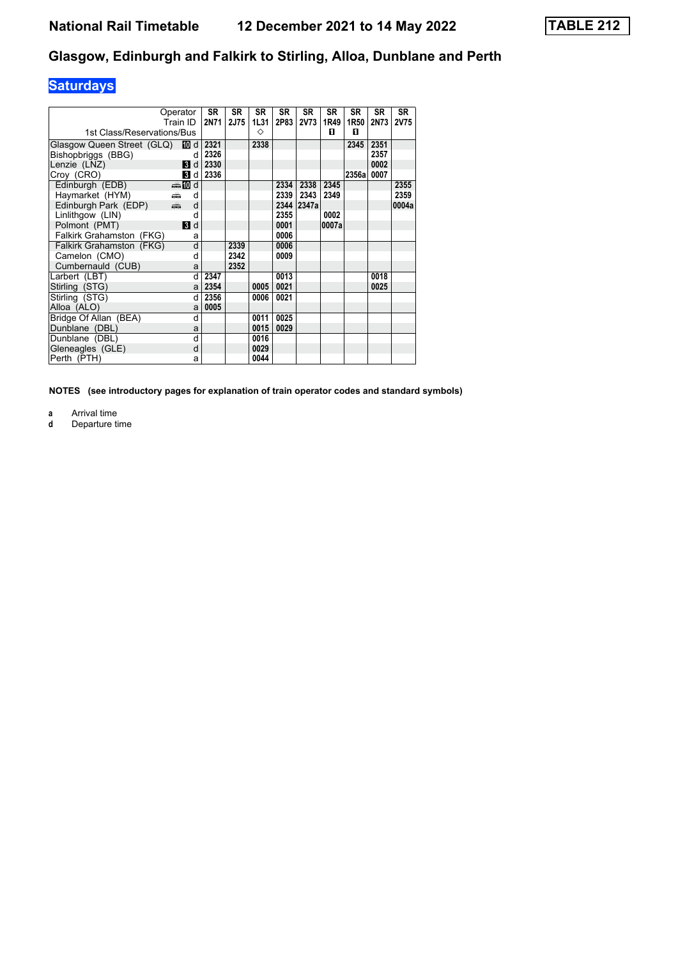## **Saturdays**

| Operator<br>Train ID            |   | <b>SR</b><br>2N71 | <b>SR</b><br><b>2J75</b> | <b>SR</b><br>1L31 | <b>SR</b><br>2P83 | <b>SR</b><br><b>2V73</b> | <b>SR</b><br>1R49 | <b>SR</b><br>1R50 | <b>SR</b><br><b>2N73</b> | <b>SR</b><br><b>2V75</b> |
|---------------------------------|---|-------------------|--------------------------|-------------------|-------------------|--------------------------|-------------------|-------------------|--------------------------|--------------------------|
| 1st Class/Reservations/Bus      |   |                   |                          | ◇                 |                   |                          | п                 | п                 |                          |                          |
| Glasgow Queen Street (GLQ) 10 d |   | 2321              |                          | 2338              |                   |                          |                   | 2345              | 2351                     |                          |
| Bishopbriggs (BBG)              | d | 2326              |                          |                   |                   |                          |                   |                   | 2357                     |                          |
| Lenzie (LNZ)<br><b>B</b> Id     |   | 2330              |                          |                   |                   |                          |                   |                   | 0002                     |                          |
| <b>B</b> d<br>Croy (CRO)        |   | 2336              |                          |                   |                   |                          |                   | 2356a             | 0007                     |                          |
| <b>⊯M</b> d<br>Edinburgh (EDB)  |   |                   |                          |                   | 2334              | 2338                     | 2345              |                   |                          | 2355                     |
| Havmarket (HYM)<br>۳Ê           | d |                   |                          |                   | 2339              | 2343                     | 2349              |                   |                          | 2359                     |
| dia 1<br>Edinburgh Park (EDP)   | d |                   |                          |                   | 2344              | 2347a                    |                   |                   |                          | 0004a                    |
| Linlithgow (LIN)                | d |                   |                          |                   | 2355              |                          | 0002              |                   |                          |                          |
| Polmont (PMT)<br>3d             |   |                   |                          |                   | 0001              |                          | 0007a             |                   |                          |                          |
| Falkirk Grahamston (FKG)        | a |                   |                          |                   | 0006              |                          |                   |                   |                          |                          |
| Falkirk Grahamston (FKG)        | d |                   | 2339                     |                   | 0006              |                          |                   |                   |                          |                          |
| Camelon (CMO)                   | d |                   | 2342                     |                   | 0009              |                          |                   |                   |                          |                          |
| Cumbernauld (CUB)               | a |                   | 2352                     |                   |                   |                          |                   |                   |                          |                          |
| Larbert (LBT)                   | d | 2347              |                          |                   | 0013              |                          |                   |                   | 0018                     |                          |
| Stirling (STG)                  | a | 2354              |                          | 0005              | 0021              |                          |                   |                   | 0025                     |                          |
| Stirling (STG)                  | d | 2356              |                          | 0006              | 0021              |                          |                   |                   |                          |                          |
| Alloa (ALO)                     | a | 0005              |                          |                   |                   |                          |                   |                   |                          |                          |
| Bridge Of Allan (BEA)           | d |                   |                          | 0011              | 0025              |                          |                   |                   |                          |                          |
| Dunblane (DBL)                  | a |                   |                          | 0015              | 0029              |                          |                   |                   |                          |                          |
| Dunblane (DBL)                  | d |                   |                          | 0016              |                   |                          |                   |                   |                          |                          |
| Gleneagles (GLE)                | d |                   |                          | 0029              |                   |                          |                   |                   |                          |                          |
| Perth (PTH)                     | a |                   |                          | 0044              |                   |                          |                   |                   |                          |                          |

**NOTES (see introductory pages for explanation of train operator codes and standard symbols)**

**a** Arrival time

**d** Departure time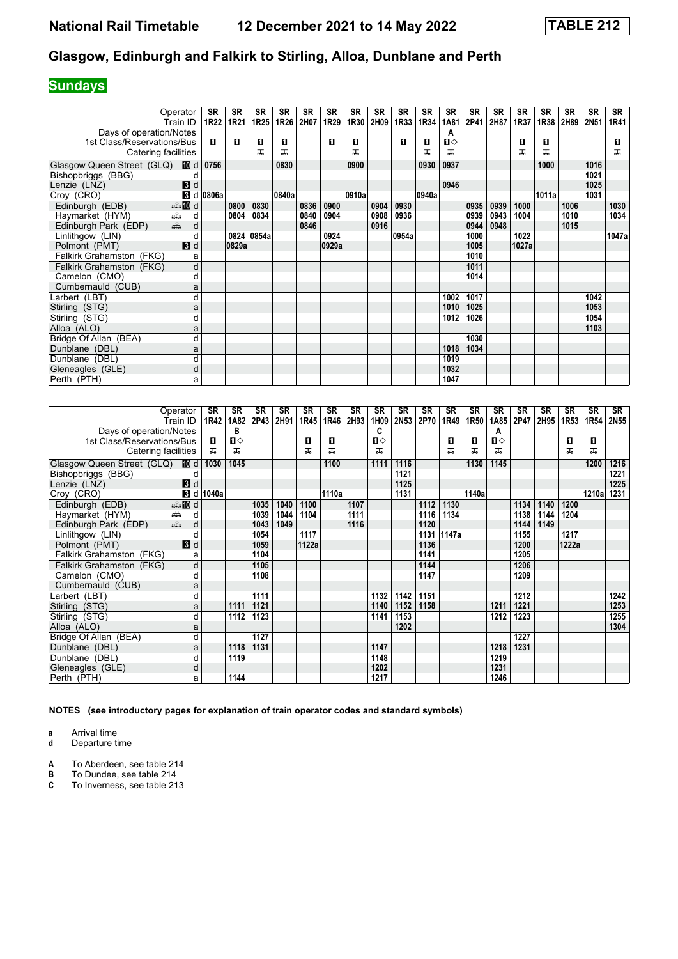## **Sundays**

|                                                                                                                                                                                                                                                        | Operator        | SR               | <b>SR</b> | <b>SR</b>        | <b>SR</b> | <b>SR</b> | SR    | SR    | <b>SR</b> | <b>SR</b> | <b>SR</b> | <b>SR</b>    | <b>SR</b> | <b>SR</b> | <b>SR</b> | <b>SR</b> | <b>SR</b> | <b>SR</b> | <b>SR</b> |
|--------------------------------------------------------------------------------------------------------------------------------------------------------------------------------------------------------------------------------------------------------|-----------------|------------------|-----------|------------------|-----------|-----------|-------|-------|-----------|-----------|-----------|--------------|-----------|-----------|-----------|-----------|-----------|-----------|-----------|
|                                                                                                                                                                                                                                                        | Train ID        | 1R22             | 1R21      | 1R <sub>25</sub> | 1R26      | 2H07      | 1R29  | 1R30  | 2H09      | 1R33      | 1R34      | 1A81         | 2P41      | 2H87      | 1R37      | 1R38      | 2H89      | 2N51      | 1R41      |
| Days of operation/Notes                                                                                                                                                                                                                                |                 |                  |           |                  |           |           |       |       |           |           |           | A            |           |           |           |           |           |           |           |
| 1st Class/Reservations/Bus                                                                                                                                                                                                                             |                 | п                | л         | O                | 0         |           | п     | п     |           | п         | п         | $\mathbf{n}$ |           |           | 0         | 0         |           |           | П.        |
| Catering facilities                                                                                                                                                                                                                                    |                 |                  |           | ᅚ                | ᅚ         |           |       | ᅚ     |           |           | ᅚ         | ᅚ            |           |           | ᅚ         | ᠼ         |           |           | ᅚ         |
| Glasgow Queen Street (GLQ) 10 d                                                                                                                                                                                                                        |                 | 0756             |           |                  | 0830      |           |       | 0900  |           |           | 0930      | 0937         |           |           |           | 1000      |           | 1016      |           |
| Bishopbriggs (BBG)                                                                                                                                                                                                                                     |                 |                  |           |                  |           |           |       |       |           |           |           |              |           |           |           |           |           | 1021      |           |
| Lenzie (LNZ)                                                                                                                                                                                                                                           | $\blacksquare$  |                  |           |                  |           |           |       |       |           |           |           | 0946         |           |           |           |           |           | 1025      |           |
| Croy (CRO)                                                                                                                                                                                                                                             |                 | <b>8</b> d 0806a |           |                  | 0840a     |           |       | 0910a |           |           | 0940a     |              |           |           |           | 1011al    |           | 1031      |           |
| Edinburgh (EDB)                                                                                                                                                                                                                                        | <b>enting</b> d |                  | 0800      | 0830             |           | 0836      | 0900  |       | 0904      | 0930      |           |              | 0935      | 0939      | 1000      |           | 1006      |           | 1030      |
| Haymarket (HYM)<br>æ                                                                                                                                                                                                                                   | d               |                  | 0804      | 0834             |           | 0840      | 0904  |       | 0908      | 0936      |           |              | 0939      | 0943      | 1004      |           | 1010      |           | 1034      |
| and and the second second the second second the second second the second second the second second the second second second second second second second second second second second second second second second second second s<br>Edinburgh Park (EDP) | d               |                  |           |                  |           | 0846      |       |       | 0916      |           |           |              | 0944      | 0948      |           |           | 1015      |           |           |
| Linlithgow (LIN)                                                                                                                                                                                                                                       |                 |                  |           | 0824 0854a       |           |           | 0924  |       |           | 0954a     |           |              | 1000      |           | 1022      |           |           |           | 1047a     |
| Polmont (PMT)                                                                                                                                                                                                                                          | $\mathbf{3}$ d  |                  | 0829a     |                  |           |           | 0929a |       |           |           |           |              | 1005      |           | 1027a     |           |           |           |           |
| Falkirk Grahamston (FKG)                                                                                                                                                                                                                               | a               |                  |           |                  |           |           |       |       |           |           |           |              | 1010      |           |           |           |           |           |           |
| Falkirk Grahamston (FKG)                                                                                                                                                                                                                               | d               |                  |           |                  |           |           |       |       |           |           |           |              | 1011      |           |           |           |           |           |           |
| Camelon (CMO)                                                                                                                                                                                                                                          | d               |                  |           |                  |           |           |       |       |           |           |           |              | 1014      |           |           |           |           |           |           |
| Cumbernauld (CUB)                                                                                                                                                                                                                                      | a               |                  |           |                  |           |           |       |       |           |           |           |              |           |           |           |           |           |           |           |
| Larbert (LBT)                                                                                                                                                                                                                                          | d               |                  |           |                  |           |           |       |       |           |           |           | 1002         | 1017      |           |           |           |           | 1042      |           |
| Stirling (STG)                                                                                                                                                                                                                                         | a               |                  |           |                  |           |           |       |       |           |           |           | 1010         | 1025      |           |           |           |           | 1053      |           |
| Stirling (STG)                                                                                                                                                                                                                                         | d               |                  |           |                  |           |           |       |       |           |           |           | 1012         | 1026      |           |           |           |           | 1054      |           |
| Alloa (ALO)                                                                                                                                                                                                                                            | a               |                  |           |                  |           |           |       |       |           |           |           |              |           |           |           |           |           | 1103      |           |
| Bridge Of Allan (BEA)                                                                                                                                                                                                                                  | d               |                  |           |                  |           |           |       |       |           |           |           |              | 1030      |           |           |           |           |           |           |
| Dunblane (DBL)                                                                                                                                                                                                                                         | a               |                  |           |                  |           |           |       |       |           |           |           | 1018         | 1034      |           |           |           |           |           |           |
| Dunblane (DBL)                                                                                                                                                                                                                                         | d               |                  |           |                  |           |           |       |       |           |           |           | 1019         |           |           |           |           |           |           |           |
| Gleneagles (GLE)                                                                                                                                                                                                                                       | d               |                  |           |                  |           |           |       |       |           |           |           | 1032         |           |           |           |           |           |           |           |
| Perth (PTH)                                                                                                                                                                                                                                            | a               |                  |           |                  |           |           |       |       |           |           |           | 1047         |           |           |           |           |           |           |           |

|                            | Operator<br>Train ID                            | <b>SR</b><br>1R42 | <b>SR</b><br>1A82 | SR<br>2P43 | SR<br>2H91 | SR<br>1R45 | <b>SR</b><br>1R46 | <b>SR</b><br>2H93 | <b>SR</b><br>1H09 | <b>SR</b><br>2N53 | <b>SR</b><br>2P70 | <b>SR</b><br>1R49 | <b>SR</b><br>1R50 | <b>SR</b><br>1A85 | SR<br>2P47 | <b>SR</b><br>2H95 | <b>SR</b><br>1R <sub>53</sub> | SR<br>1R54 | SR<br>2N55 |
|----------------------------|-------------------------------------------------|-------------------|-------------------|------------|------------|------------|-------------------|-------------------|-------------------|-------------------|-------------------|-------------------|-------------------|-------------------|------------|-------------------|-------------------------------|------------|------------|
| Days of operation/Notes    |                                                 |                   | в                 |            |            |            |                   |                   | c                 |                   |                   |                   |                   | А                 |            |                   |                               |            |            |
| 1st Class/Reservations/Bus |                                                 | п                 | $\mathbf{u}$      |            |            | П          | п                 |                   | П⇔                |                   |                   | п                 | п                 | $\mathbf{u}$      |            |                   | п                             | O          |            |
| Catering facilities        |                                                 | ᅚ                 | ᅚ                 |            |            | ᇁ          | ᅚ                 |                   | ᅚ                 |                   |                   | ㅈ                 | ᅚ                 | ᅚ                 |            |                   | ᅚ                             | ᠼ          |            |
| Glasgow Queen Street (GLQ) | [10] d                                          | 1030              | 1045              |            |            |            | 1100              |                   | 1111              | 1116              |                   |                   | 1130              | 1145              |            |                   |                               | 1200       | 1216       |
| Bishopbriggs (BBG)         |                                                 |                   |                   |            |            |            |                   |                   |                   | 1121              |                   |                   |                   |                   |            |                   |                               |            | 1221       |
| Lenzie (LNZ)               | $\blacksquare$                                  |                   |                   |            |            |            |                   |                   |                   | 1125              |                   |                   |                   |                   |            |                   |                               |            | 1225       |
| Croy (CRO)                 | $\mathbf{B}$ d                                  | 1040a             |                   |            |            |            | 1110a             |                   |                   | 1131              |                   |                   | 1140a             |                   |            |                   |                               | 1210al     | 1231       |
| Edinburgh (EDB)            | $\bigoplus$ III d                               |                   |                   | 1035       | 1040       | 1100       |                   | 1107              |                   |                   | 1112              | 1130              |                   |                   | 1134       | 1140              | 1200                          |            |            |
| Haymarket (HYM)            | d<br>♠                                          |                   |                   | 1039       | 1044       | 1104       |                   | 1111              |                   |                   | 1116              | 1134              |                   |                   | 1138       | 1144              | 1204                          |            |            |
| Edinburgh Park (EDP)       | $\frac{1}{\left( \frac{1}{2}\right) _{1}}$<br>d |                   |                   | 1043       | 1049       |            |                   | 1116              |                   |                   | 1120              |                   |                   |                   | 1144       | 1149              |                               |            |            |
| Linlithgow (LIN)           | d                                               |                   |                   | 1054       |            | 1117       |                   |                   |                   |                   | 1131              | 1147a             |                   |                   | 1155       |                   | 1217                          |            |            |
| Polmont (PMT)              | $\blacksquare$                                  |                   |                   | 1059       |            | 1122a      |                   |                   |                   |                   | 1136              |                   |                   |                   | 1200       |                   | 1222a                         |            |            |
| Falkirk Grahamston (FKG)   | a                                               |                   |                   | 1104       |            |            |                   |                   |                   |                   | 1141              |                   |                   |                   | 1205       |                   |                               |            |            |
| Falkirk Grahamston (FKG)   | d                                               |                   |                   | 1105       |            |            |                   |                   |                   |                   | 1144              |                   |                   |                   | 1206       |                   |                               |            |            |
| Camelon (CMO)              | d                                               |                   |                   | 1108       |            |            |                   |                   |                   |                   | 1147              |                   |                   |                   | 1209       |                   |                               |            |            |
| Cumbernauld (CUB)          | a                                               |                   |                   |            |            |            |                   |                   |                   |                   |                   |                   |                   |                   |            |                   |                               |            |            |
| Larbert (LBT)              | d                                               |                   |                   | 1111       |            |            |                   |                   | 1132              | 1142              | 1151              |                   |                   |                   | 1212       |                   |                               |            | 1242       |
| Stirling (STG)             | a                                               |                   | 1111              | 1121       |            |            |                   |                   | 1140              | 1152              | 1158              |                   |                   | 1211              | 1221       |                   |                               |            | 1253       |
| Stirling (STG)             | d                                               |                   | 1112              | 1123       |            |            |                   |                   | 1141              | 1153              |                   |                   |                   | 1212              | 1223       |                   |                               |            | 1255       |
| Alloa (ALO)                | a                                               |                   |                   |            |            |            |                   |                   |                   | 1202              |                   |                   |                   |                   |            |                   |                               |            | 1304       |
| Bridge Of Allan (BEA)      | d                                               |                   |                   | 1127       |            |            |                   |                   |                   |                   |                   |                   |                   |                   | 1227       |                   |                               |            |            |
| Dunblane (DBL)             | a                                               |                   | 1118              | 1131       |            |            |                   |                   | 1147              |                   |                   |                   |                   | 1218              | 1231       |                   |                               |            |            |
| Dunblane (DBL)             | d                                               |                   | 1119              |            |            |            |                   |                   | 1148              |                   |                   |                   |                   | 1219              |            |                   |                               |            |            |
| Gleneagles (GLE)           | d                                               |                   |                   |            |            |            |                   |                   | 1202              |                   |                   |                   |                   | 1231              |            |                   |                               |            |            |
| Perth (PTH)                | a                                               |                   | 1144              |            |            |            |                   |                   | 1217              |                   |                   |                   |                   | 1246              |            |                   |                               |            |            |

**NOTES (see introductory pages for explanation of train operator codes and standard symbols)**

**a** Arrival time<br>**d** Departure time

**d** Departure time

**A** To Aberdeen, see table 214<br>**B** To Dundee, see table 214<br>**C** To Inverness, see table 213 **B** To Dundee, see table 21

**C** To Inverness, see table 213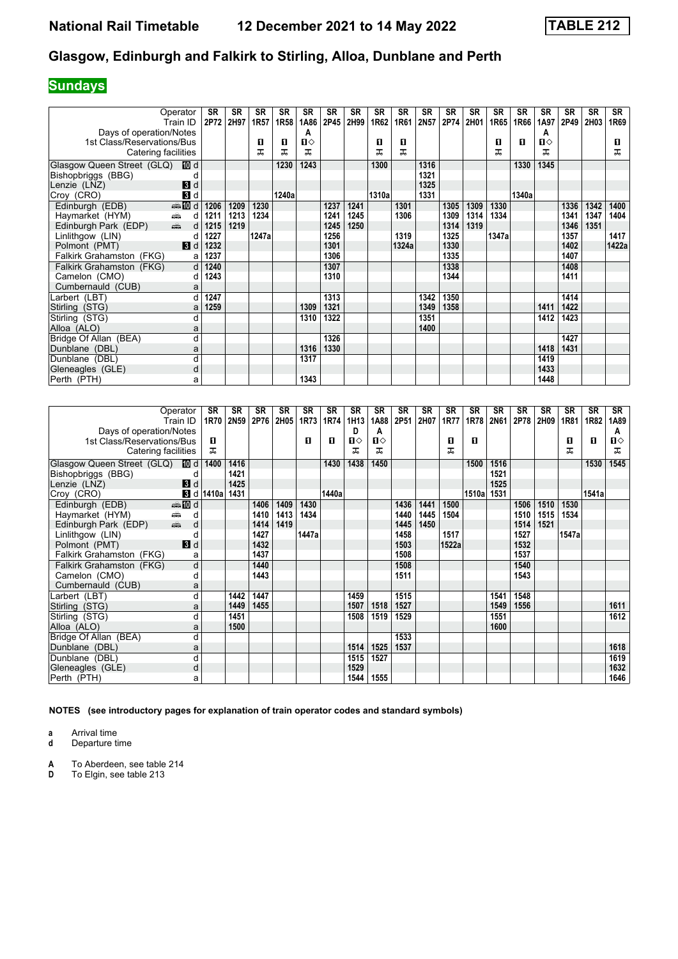## **Sundays**

|                            | Operator                                        | <b>SR</b> | SR   | <b>SR</b> | <b>SR</b>        | SR           | <b>SR</b> | <b>SR</b> | <b>SR</b> | <b>SR</b> | <b>SR</b> | <b>SR</b> | <b>SR</b> | <b>SR</b> | <b>SR</b> | <b>SR</b> | <b>SR</b> | <b>SR</b> | <b>SR</b> |
|----------------------------|-------------------------------------------------|-----------|------|-----------|------------------|--------------|-----------|-----------|-----------|-----------|-----------|-----------|-----------|-----------|-----------|-----------|-----------|-----------|-----------|
|                            | Train ID                                        | 2P72      | 2H97 | 1R57      | 1R <sub>58</sub> | 1A86         | 2P45      | 2H99      | 1R62      | 1R61      | 2N57      | 2P74      | 2H01      | 1R65      | 1R66      | 1A97      | 2P49      | 2H03      | 1R69      |
| Days of operation/Notes    |                                                 |           |      |           |                  | A            |           |           |           |           |           |           |           |           |           | A         |           |           |           |
| 1st Class/Reservations/Bus |                                                 |           |      | п<br>ᅚ    | 0                | $\mathbf{u}$ |           |           | 0<br>ᅚ    | O<br>ᅚ    |           |           |           | 0         | п         | п         |           |           | п         |
| Catering facilities        |                                                 |           |      |           | ᠼ                | ᅚ            |           |           |           |           |           |           |           | ᅚ         |           | ᅚ         |           |           | ᅚ         |
| Glasgow Queen Street (GLQ) | III d                                           |           |      |           | 1230             | 1243         |           |           | 1300      |           | 1316      |           |           |           | 1330      | 1345      |           |           |           |
| Bishopbriggs (BBG)         |                                                 |           |      |           |                  |              |           |           |           |           | 1321      |           |           |           |           |           |           |           |           |
| Lenzie (LNZ)               | $\mathbf{B}$ d                                  |           |      |           |                  |              |           |           |           |           | 1325      |           |           |           |           |           |           |           |           |
| Croy (CRO)                 | $\blacksquare$                                  |           |      |           | 1240a            |              |           |           | 1310a     |           | 1331      |           |           |           | 1340a     |           |           |           |           |
| Edinburgh (EDB)            | $\bigoplus$ III d                               | 1206      | 1209 | 1230      |                  |              | 1237      | 1241      |           | 1301      |           | 1305      | 1309      | 1330      |           |           | 1336      | 1342      | 1400      |
| Haymarket (HYM)            | $\frac{1}{\sqrt{2}}$<br>d                       | 1211      | 1213 | 1234      |                  |              | 1241      | 1245      |           | 1306      |           | 1309      | 1314      | 1334      |           |           | 1341      | 1347      | 1404      |
| Edinburgh Park (EDP)       | $\frac{1}{\left( \frac{1}{2}\right) _{1}}$<br>d | 1215      | 1219 |           |                  |              | 1245      | 1250      |           |           |           | 1314      | 1319      |           |           |           | 1346      | 1351      |           |
| Linlithgow (LIN)           | C                                               | 1227      |      | 1247a     |                  |              | 1256      |           |           | 1319      |           | 1325      |           | 1347a     |           |           | 1357      |           | 1417      |
| Polmont (PMT)              | 3d                                              | 1232      |      |           |                  |              | 1301      |           |           | 1324a     |           | 1330      |           |           |           |           | 1402      |           | 1422a     |
| Falkirk Grahamston (FKG)   | a                                               | 1237      |      |           |                  |              | 1306      |           |           |           |           | 1335      |           |           |           |           | 1407      |           |           |
| Falkirk Grahamston (FKG)   | $\mathsf{d}$                                    | 1240      |      |           |                  |              | 1307      |           |           |           |           | 1338      |           |           |           |           | 1408      |           |           |
| Camelon (CMO)              | d                                               | 1243      |      |           |                  |              | 1310      |           |           |           |           | 1344      |           |           |           |           | 1411      |           |           |
| Cumbernauld (CUB)          | a                                               |           |      |           |                  |              |           |           |           |           |           |           |           |           |           |           |           |           |           |
| Larbert (LBT)              | d                                               | 1247      |      |           |                  |              | 1313      |           |           |           | 1342      | 1350      |           |           |           |           | 1414      |           |           |
| Stirling (STG)             | a                                               | 1259      |      |           |                  | 1309         | 1321      |           |           |           | 1349      | 1358      |           |           |           | 1411      | 1422      |           |           |
| Stirling (STG)             | d                                               |           |      |           |                  | 1310         | 1322      |           |           |           | 1351      |           |           |           |           | 1412      | 1423      |           |           |
| Alloa (ALO)                | a                                               |           |      |           |                  |              |           |           |           |           | 1400      |           |           |           |           |           |           |           |           |
| Bridge Of Allan (BEA)      | d                                               |           |      |           |                  |              | 1326      |           |           |           |           |           |           |           |           |           | 1427      |           |           |
| Dunblane (DBL)             | a                                               |           |      |           |                  | 1316         | 1330      |           |           |           |           |           |           |           |           | 1418      | 1431      |           |           |
| Dunblane (DBL)             | d                                               |           |      |           |                  | 1317         |           |           |           |           |           |           |           |           |           | 1419      |           |           |           |
| Gleneagles (GLE)           | d                                               |           |      |           |                  |              |           |           |           |           |           |           |           |           |           | 1433      |           |           |           |
| Perth (PTH)                | a                                               |           |      |           |                  | 1343         |           |           |           |           |           |           |           |           |           | 1448      |           |           |           |

|                            | Operator<br>Train ID                            | <b>SR</b><br>1R70 | <b>SR</b><br>2N59 | SR<br>2P76 | <b>SR</b><br>2H05 | <b>SR</b><br>1R73 | <b>SR</b><br>1R74 | <b>SR</b><br>1H13 | SR<br>1A88   | <b>SR</b><br>2P51 | <b>SR</b><br>2H07 | <b>SR</b><br><b>1R77</b> | <b>SR</b><br>1R78 | <b>SR</b><br>2N61 | <b>SR</b><br>2P78 | <b>SR</b><br>2H09 | <b>SR</b><br>1R81 | <b>SR</b><br>1R82 | SR<br>1A89 |
|----------------------------|-------------------------------------------------|-------------------|-------------------|------------|-------------------|-------------------|-------------------|-------------------|--------------|-------------------|-------------------|--------------------------|-------------------|-------------------|-------------------|-------------------|-------------------|-------------------|------------|
| Days of operation/Notes    |                                                 |                   |                   |            |                   |                   |                   | D                 | A            |                   |                   |                          |                   |                   |                   |                   |                   |                   | A          |
| 1st Class/Reservations/Bus |                                                 | п                 |                   |            |                   | П                 | п                 | ப⇔                | $\mathbf{u}$ |                   |                   | п                        | п                 |                   |                   |                   | O                 | O                 | п⇔         |
| Catering facilities        |                                                 | ᠼ                 |                   |            |                   |                   |                   | ᅚ                 | ᅚ            |                   |                   | ᠼ                        |                   |                   |                   |                   | ᅚ                 |                   | ᅚ          |
| Glasgow Queen Street (GLQ) | [10] d                                          | 1400              | 1416              |            |                   |                   | 1430              | 1438              | 1450         |                   |                   |                          | 1500              | 1516              |                   |                   |                   | 1530              | 1545       |
| Bishopbriggs (BBG)         | d                                               |                   | 1421              |            |                   |                   |                   |                   |              |                   |                   |                          |                   | 1521              |                   |                   |                   |                   |            |
| Lenzie (LNZ)               | $\blacksquare$                                  |                   | 1425              |            |                   |                   |                   |                   |              |                   |                   |                          |                   | 1525              |                   |                   |                   |                   |            |
| Croy (CRO)                 | $\mathbf{3}$ d                                  | 1410a             | 1431              |            |                   |                   | 1440a             |                   |              |                   |                   |                          | 1510al            | 1531              |                   |                   |                   | 1541a             |            |
| Edinburgh (EDB)            | <b>et III</b> d                                 |                   |                   | 1406       | 1409              | 1430              |                   |                   |              | 1436              | 1441              | 1500                     |                   |                   | 1506              | 1510              | 1530              |                   |            |
| Haymarket (HYM)            | d<br>æ                                          |                   |                   | 1410       | 1413              | 1434              |                   |                   |              | 1440              | 1445              | 1504                     |                   |                   | 1510              | 1515              | 1534              |                   |            |
| Edinburgh Park (EDP)       | $\frac{1}{\left( \frac{1}{2}\right) _{1}}$<br>d |                   |                   | 1414       | 1419              |                   |                   |                   |              | 1445              | 1450              |                          |                   |                   | 1514              | 1521              |                   |                   |            |
| Linlithgow (LIN)           | d                                               |                   |                   | 1427       |                   | 1447a             |                   |                   |              | 1458              |                   | 1517                     |                   |                   | 1527              |                   | 1547a             |                   |            |
| Polmont (PMT)              | $\blacksquare$                                  |                   |                   | 1432       |                   |                   |                   |                   |              | 1503              |                   | 1522a                    |                   |                   | 1532              |                   |                   |                   |            |
| Falkirk Grahamston (FKG)   | a                                               |                   |                   | 1437       |                   |                   |                   |                   |              | 1508              |                   |                          |                   |                   | 1537              |                   |                   |                   |            |
| Falkirk Grahamston (FKG)   | d                                               |                   |                   | 1440       |                   |                   |                   |                   |              | 1508              |                   |                          |                   |                   | 1540              |                   |                   |                   |            |
| Camelon (CMO)              | d                                               |                   |                   | 1443       |                   |                   |                   |                   |              | 1511              |                   |                          |                   |                   | 1543              |                   |                   |                   |            |
| Cumbernauld (CUB)          | a                                               |                   |                   |            |                   |                   |                   |                   |              |                   |                   |                          |                   |                   |                   |                   |                   |                   |            |
| Larbert (LBT)              | d                                               |                   | 1442              | 1447       |                   |                   |                   | 1459              |              | 1515              |                   |                          |                   | 1541              | 1548              |                   |                   |                   |            |
| Stirling (STG)             | a                                               |                   | 1449              | 1455       |                   |                   |                   | 1507              | 1518         | 1527              |                   |                          |                   | 1549              | 1556              |                   |                   |                   | 1611       |
| Stirling (STG)             | d                                               |                   | 1451              |            |                   |                   |                   | 1508              | 1519         | 1529              |                   |                          |                   | 1551              |                   |                   |                   |                   | 1612       |
| Alloa (ALO)                | a                                               |                   | 1500              |            |                   |                   |                   |                   |              |                   |                   |                          |                   | 1600              |                   |                   |                   |                   |            |
| Bridge Of Allan (BEA)      | d                                               |                   |                   |            |                   |                   |                   |                   |              | 1533              |                   |                          |                   |                   |                   |                   |                   |                   |            |
| Dunblane (DBL)             | a                                               |                   |                   |            |                   |                   |                   | 1514              | 1525         | 1537              |                   |                          |                   |                   |                   |                   |                   |                   | 1618       |
| Dunblane (DBL)             | d                                               |                   |                   |            |                   |                   |                   | 1515              | 1527         |                   |                   |                          |                   |                   |                   |                   |                   |                   | 1619       |
| Gleneagles (GLE)           | d                                               |                   |                   |            |                   |                   |                   | 1529              |              |                   |                   |                          |                   |                   |                   |                   |                   |                   | 1632       |
| Perth (PTH)                | a                                               |                   |                   |            |                   |                   |                   | 1544              | 1555         |                   |                   |                          |                   |                   |                   |                   |                   |                   | 1646       |

**NOTES (see introductory pages for explanation of train operator codes and standard symbols)**

**a** Arrival time<br>**d** Departure time

**d** Departure time

**A** To Aberdeen, see table 214<br>**D** To Elgin, see table 213

**'** To Elgin, see table 213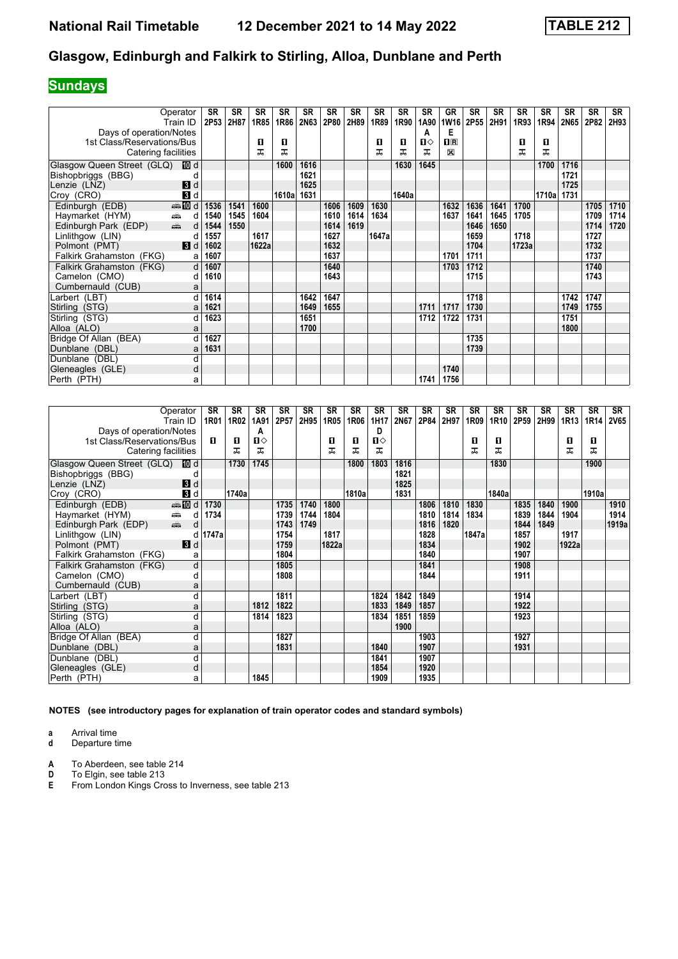## **Sundays**

|                            | Operator<br>Train ID      | <b>SR</b><br>2P53 | <b>SR</b><br>2H87 | <b>SR</b><br>1R85 | <b>SR</b><br>1R86 | <b>SR</b><br>2N63 | <b>SR</b><br>2P80 | SR<br>2H89 | SR<br>1R89 | <b>SR</b><br>1R90 | <b>SR</b><br>1A90 | GR<br><b>1W16</b>  | <b>SR</b><br>2P55 | <b>SR</b><br>2H91 | <b>SR</b><br>1R93 | <b>SR</b><br>1R94 | <b>SR</b><br>2N65 | <b>SR</b><br>2P82 | <b>SR</b><br>2H93 |
|----------------------------|---------------------------|-------------------|-------------------|-------------------|-------------------|-------------------|-------------------|------------|------------|-------------------|-------------------|--------------------|-------------------|-------------------|-------------------|-------------------|-------------------|-------------------|-------------------|
| Days of operation/Notes    |                           |                   |                   |                   |                   |                   |                   |            |            |                   | A                 | Е                  |                   |                   |                   |                   |                   |                   |                   |
| 1st Class/Reservations/Bus |                           |                   |                   | п                 | п                 |                   |                   |            | п          | O                 | п⇔                | $\Pi$ <sub>R</sub> |                   |                   | п                 | O                 |                   |                   |                   |
| Catering facilities        |                           |                   |                   | ᠼ                 | ᠼ                 |                   |                   |            | ᠼ          | ᇁ                 | ᅚ                 | X                  |                   |                   | ᅚ                 | ᠼ                 |                   |                   |                   |
| Glasgow Queen Street (GLQ) | [10] d                    |                   |                   |                   | 1600              | 1616              |                   |            |            | 1630              | 1645              |                    |                   |                   |                   | 1700              | 1716              |                   |                   |
| Bishopbriggs (BBG)         |                           |                   |                   |                   |                   | 1621              |                   |            |            |                   |                   |                    |                   |                   |                   |                   | 1721              |                   |                   |
| Lenzie (LNZ)               | $\blacksquare$            |                   |                   |                   |                   | 1625              |                   |            |            |                   |                   |                    |                   |                   |                   |                   | 1725              |                   |                   |
| Croy (CRO)                 | $\blacksquare$            |                   |                   |                   | 1610al            | 1631              |                   |            |            | 1640a             |                   |                    |                   |                   |                   | 1710al            | 1731              |                   |                   |
| Edinburgh (EDB)            | $\bigoplus$ III d         | 1536              | 1541              | 1600              |                   |                   | 1606              | 1609       | 1630       |                   |                   | 1632               | 1636              | 1641              | 1700              |                   |                   | 1705              | 1710              |
| Haymarket (HYM)            | ein<br>d                  | 1540              | 1545              | 1604              |                   |                   | 1610              | 1614       | 1634       |                   |                   | 1637               | 1641              | 1645              | 1705              |                   |                   | 1709              | 1714              |
| Edinburgh Park (EDP)       | $\frac{1}{\sqrt{2}}$<br>d | 1544              | 1550              |                   |                   |                   | 1614              | 1619       |            |                   |                   |                    | 1646              | 1650              |                   |                   |                   | 1714              | 1720              |
| Linlithgow (LIN)           | d                         | 1557              |                   | 1617              |                   |                   | 1627              |            | 1647a      |                   |                   |                    | 1659              |                   | 1718              |                   |                   | 1727              |                   |
| Polmont (PMT)              | 3d                        | 1602              |                   | 1622a             |                   |                   | 1632              |            |            |                   |                   |                    | 1704              |                   | 1723a             |                   |                   | 1732              |                   |
| Falkirk Grahamston (FKG)   | a                         | 1607              |                   |                   |                   |                   | 1637              |            |            |                   |                   | 1701               | 1711              |                   |                   |                   |                   | 1737              |                   |
| Falkirk Grahamston (FKG)   | $\mathsf{d}$              | 1607              |                   |                   |                   |                   | 1640              |            |            |                   |                   | 1703               | 1712              |                   |                   |                   |                   | 1740              |                   |
| Camelon (CMO)              | d                         | 1610              |                   |                   |                   |                   | 1643              |            |            |                   |                   |                    | 1715              |                   |                   |                   |                   | 1743              |                   |
| Cumbernauld (CUB)          | a                         |                   |                   |                   |                   |                   |                   |            |            |                   |                   |                    |                   |                   |                   |                   |                   |                   |                   |
| Larbert (LBT)              | d                         | 1614              |                   |                   |                   | 1642              | 1647              |            |            |                   |                   |                    | 1718              |                   |                   |                   | 1742              | 1747              |                   |
| Stirling (STG)             | a                         | 1621              |                   |                   |                   | 1649              | 1655              |            |            |                   | 1711              | 1717               | 1730              |                   |                   |                   | 1749              | 1755              |                   |
| Stirling (STG)             | d                         | 1623              |                   |                   |                   | 1651              |                   |            |            |                   | 1712              | 1722               | 1731              |                   |                   |                   | 1751              |                   |                   |
| Alloa (ALO)                | a                         |                   |                   |                   |                   | 1700              |                   |            |            |                   |                   |                    |                   |                   |                   |                   | 1800              |                   |                   |
| Bridge Of Allan (BEA)      |                           | 1627              |                   |                   |                   |                   |                   |            |            |                   |                   |                    | 1735              |                   |                   |                   |                   |                   |                   |
| Dunblane (DBL)             | a                         | 1631              |                   |                   |                   |                   |                   |            |            |                   |                   |                    | 1739              |                   |                   |                   |                   |                   |                   |
| Dunblane (DBL)             | d                         |                   |                   |                   |                   |                   |                   |            |            |                   |                   |                    |                   |                   |                   |                   |                   |                   |                   |
| Gleneagles (GLE)           | d                         |                   |                   |                   |                   |                   |                   |            |            |                   |                   | 1740               |                   |                   |                   |                   |                   |                   |                   |
| Perth (PTH)                | а                         |                   |                   |                   |                   |                   |                   |            |            |                   | 1741              | 1756               |                   |                   |                   |                   |                   |                   |                   |

|                                        | Operator<br>Train ID      | SR<br>1R01 | <b>SR</b><br>1R02 | <b>SR</b><br>1A91 | SR<br>2P57 | <b>SR</b><br>2H95 | <b>SR</b><br>1R05 | SR<br>1R06 | <b>SR</b><br>1H17 | <b>SR</b><br>2N67 | <b>SR</b><br>2P84 | <b>SR</b><br>2H97 | <b>SR</b><br>1R09 | SR<br>1R10 | SR<br>2P59 | SR<br>2H99 | SR<br>1R13 | SR<br>1R14 | SR<br><b>2V65</b> |
|----------------------------------------|---------------------------|------------|-------------------|-------------------|------------|-------------------|-------------------|------------|-------------------|-------------------|-------------------|-------------------|-------------------|------------|------------|------------|------------|------------|-------------------|
| Days of operation/Notes                |                           |            |                   | Α                 |            |                   |                   |            | D                 |                   |                   |                   |                   |            |            |            |            |            |                   |
| 1st Class/Reservations/Bus             |                           | п          | п                 | п⇔                |            |                   | п                 | п          | П⇔                |                   |                   |                   | п                 | О          |            |            | 0          | O          |                   |
| Catering facilities                    |                           |            | ᠼ                 | ᠼ                 |            |                   | ᠼ                 | ᅚ          | ᠼ                 |                   |                   |                   | ᅚ                 | ᅚ          |            |            | ᅚ          | ᠼ          |                   |
| Glasgow Queen Street (GLQ) <b>ID</b> d |                           |            | 1730              | 1745              |            |                   |                   | 1800       | 1803              | 1816              |                   |                   |                   | 1830       |            |            |            | 1900       |                   |
| Bishopbriggs (BBG)                     |                           |            |                   |                   |            |                   |                   |            |                   | 1821              |                   |                   |                   |            |            |            |            |            |                   |
| Lenzie (LNZ)                           | 3d                        |            |                   |                   |            |                   |                   |            |                   | 1825              |                   |                   |                   |            |            |            |            |            |                   |
| Croy (CRO)                             | 3d                        |            | 1740a             |                   |            |                   |                   | 1810a      |                   | 1831              |                   |                   |                   | 1840a      |            |            |            | 1910al     |                   |
| Edinburgh (EDB)                        | <b>第五日</b>                | 1730       |                   |                   | 1735       | 1740              | 1800              |            |                   |                   | 1806              | 1810              | 1830              |            | 1835       | 1840       | 1900       |            | 1910              |
| Haymarket (HYM)                        | æ<br>d                    | 1734       |                   |                   | 1739       | 1744              | 1804              |            |                   |                   | 1810              | 1814              | 1834              |            | 1839       | 1844       | 1904       |            | 1914              |
| Edinburgh Park (EDP)                   | $\frac{1}{\sqrt{2}}$<br>d |            |                   |                   | 1743       | 1749              |                   |            |                   |                   | 1816              | 1820              |                   |            | 1844       | 1849       |            |            | 1919a             |
| Linlithgow (LIN)                       | d                         | 1747a      |                   |                   | 1754       |                   | 1817              |            |                   |                   | 1828              |                   | 1847a             |            | 1857       |            | 1917       |            |                   |
| Polmont (PMT)                          | 3d                        |            |                   |                   | 1759       |                   | 1822a             |            |                   |                   | 1834              |                   |                   |            | 1902       |            | 1922a      |            |                   |
| Falkirk Grahamston (FKG)               | a                         |            |                   |                   | 1804       |                   |                   |            |                   |                   | 1840              |                   |                   |            | 1907       |            |            |            |                   |
| Falkirk Grahamston (FKG)               | d                         |            |                   |                   | 1805       |                   |                   |            |                   |                   | 1841              |                   |                   |            | 1908       |            |            |            |                   |
| Camelon (CMO)                          | d                         |            |                   |                   | 1808       |                   |                   |            |                   |                   | 1844              |                   |                   |            | 1911       |            |            |            |                   |
| Cumbernauld (CUB)                      | a                         |            |                   |                   |            |                   |                   |            |                   |                   |                   |                   |                   |            |            |            |            |            |                   |
| Larbert (LBT)                          | d                         |            |                   |                   | 1811       |                   |                   |            | 1824              | 1842              | 1849              |                   |                   |            | 1914       |            |            |            |                   |
| Stirling (STG)                         | a                         |            |                   | 1812              | 1822       |                   |                   |            | 1833              | 1849              | 1857              |                   |                   |            | 1922       |            |            |            |                   |
| Stirling (STG)                         | d                         |            |                   | 1814              | 1823       |                   |                   |            | 1834              | 1851              | 1859              |                   |                   |            | 1923       |            |            |            |                   |
| Alloa (ALO)                            | a                         |            |                   |                   |            |                   |                   |            |                   | 1900              |                   |                   |                   |            |            |            |            |            |                   |
| Bridge Of Allan (BEA)                  | d                         |            |                   |                   | 1827       |                   |                   |            |                   |                   | 1903              |                   |                   |            | 1927       |            |            |            |                   |
| Dunblane (DBL)                         | a                         |            |                   |                   | 1831       |                   |                   |            | 1840              |                   | 1907              |                   |                   |            | 1931       |            |            |            |                   |
| Dunblane (DBL)                         | d                         |            |                   |                   |            |                   |                   |            | 1841              |                   | 1907              |                   |                   |            |            |            |            |            |                   |
| Gleneagles (GLE)                       | d                         |            |                   |                   |            |                   |                   |            | 1854              |                   | 1920              |                   |                   |            |            |            |            |            |                   |
| Perth (PTH)                            | a                         |            |                   | 1845              |            |                   |                   |            | 1909              |                   | 1935              |                   |                   |            |            |            |            |            |                   |

**NOTES (see introductory pages for explanation of train operator codes and standard symbols)**

**a** Arrival time<br>**d** Departure time

**d** Departure time

**A** To Aberdeen, see table 214<br> **D** To Elgin, see table 213<br> **E** From London Kings Cross to

**'** To Elgin, see table 213

**E** From London Kings Cross to Inverness, see table 213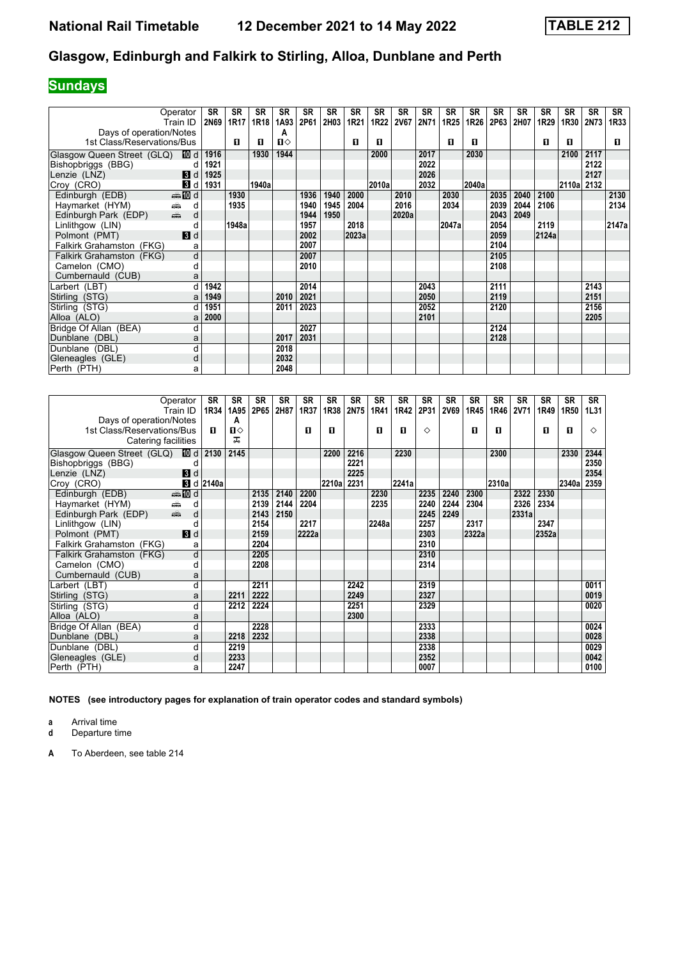# **Sundays**

| Operator                      |                         | <b>SR</b> | <b>SR</b> | <b>SR</b> | <b>SR</b>    | <b>SR</b> | <b>SR</b> | <b>SR</b> | <b>SR</b> | <b>SR</b>   | <b>SR</b> | <b>SR</b>        | <b>SR</b> | <b>SR</b> | <b>SR</b> | <b>SR</b> | <b>SR</b>  | <b>SR</b>   | <b>SR</b> |
|-------------------------------|-------------------------|-----------|-----------|-----------|--------------|-----------|-----------|-----------|-----------|-------------|-----------|------------------|-----------|-----------|-----------|-----------|------------|-------------|-----------|
| Train ID                      |                         | 2N69      | 1R17      | 1R18      | 1A93         | 2P61      | 2H03      | 1R21      | 1R22      | <b>2V67</b> | 2N71      | 1R <sub>25</sub> | 1R26      | 2P63      | 2H07      | 1R29      | 1R30       | <b>2N73</b> | 1R33      |
| Days of operation/Notes       |                         |           |           |           | Α            |           |           |           |           |             |           |                  |           |           |           |           |            |             |           |
| 1st Class/Reservations/Bus    |                         |           | п         | п         | $\mathbf{u}$ |           |           | п         | п         |             |           | п                | п         |           |           | п         | п          |             | п         |
| Glasgow Queen Street (GLQ)    | 100 d∣                  | 1916      |           | 1930      | 1944         |           |           |           | 2000      |             | 2017      |                  | 2030      |           |           |           | 2100       | 2117        |           |
| Bishopbriggs (BBG)            | d                       | 1921      |           |           |              |           |           |           |           |             | 2022      |                  |           |           |           |           |            | 2122        |           |
| Lenzie (LNZ)                  | 3d                      | 1925      |           |           |              |           |           |           |           |             | 2026      |                  |           |           |           |           |            | 2127        |           |
| Croy (CRO)                    | $\mathbf{3}$ d          | 1931      |           | 1940a     |              |           |           |           | 2010a     |             | 2032      |                  | 2040a     |           |           |           | 2110a 2132 |             |           |
| Edinburgh (EDB)               | <b>ente</b> di          |           | 1930      |           |              | 1936      | 1940      | 2000      |           | 2010        |           | 2030             |           | 2035      | 2040      | 2100      |            |             | 2130      |
| Haymarket (HYM)<br>یشت        | d                       |           | 1935      |           |              | 1940      | 1945      | 2004      |           | 2016        |           | 2034             |           | 2039      | 2044      | 2106      |            |             | 2134      |
| dia 1<br>Edinburgh Park (EDP) | d                       |           |           |           |              | 1944      | 1950      |           |           | 2020a       |           |                  |           | 2043      | 2049      |           |            |             |           |
| Linlithgow (LIN)              | d                       |           | 1948a     |           |              | 1957      |           | 2018      |           |             |           | 2047a            |           | 2054      |           | 2119      |            |             | 2147a     |
| Polmont (PMT)                 | 3d                      |           |           |           |              | 2002      |           | 2023a     |           |             |           |                  |           | 2059      |           | 2124a     |            |             |           |
| Falkirk Grahamston (FKG)      | а                       |           |           |           |              | 2007      |           |           |           |             |           |                  |           | 2104      |           |           |            |             |           |
| Falkirk Grahamston (FKG)      | $\overline{\mathsf{d}}$ |           |           |           |              | 2007      |           |           |           |             |           |                  |           | 2105      |           |           |            |             |           |
| Camelon (CMO)                 | d                       |           |           |           |              | 2010      |           |           |           |             |           |                  |           | 2108      |           |           |            |             |           |
| Cumbernauld (CUB)             | a                       |           |           |           |              |           |           |           |           |             |           |                  |           |           |           |           |            |             |           |
| Larbert (LBT)                 | d                       | 1942      |           |           |              | 2014      |           |           |           |             | 2043      |                  |           | 2111      |           |           |            | 2143        |           |
| Stirling (STG)                | a                       | 1949      |           |           | 2010         | 2021      |           |           |           |             | 2050      |                  |           | 2119      |           |           |            | 2151        |           |
| Stirling (STG)                | d                       | 1951      |           |           | 2011         | 2023      |           |           |           |             | 2052      |                  |           | 2120      |           |           |            | 2156        |           |
| Alloa (ALO)                   | a                       | 2000      |           |           |              |           |           |           |           |             | 2101      |                  |           |           |           |           |            | 2205        |           |
| Bridge Of Allan (BEA)         | d                       |           |           |           |              | 2027      |           |           |           |             |           |                  |           | 2124      |           |           |            |             |           |
| Dunblane (DBL)                | a                       |           |           |           | 2017         | 2031      |           |           |           |             |           |                  |           | 2128      |           |           |            |             |           |
| Dunblane (DBL)                | d                       |           |           |           | 2018         |           |           |           |           |             |           |                  |           |           |           |           |            |             |           |
| Gleneagles (GLE)              | d                       |           |           |           | 2032         |           |           |           |           |             |           |                  |           |           |           |           |            |             |           |
| Perth (PTH)                   | a                       |           |           |           | 2048         |           |           |           |           |             |           |                  |           |           |           |           |            |             |           |

|                            | Operator<br>Train ID      | <b>SR</b><br>1R34 | <b>SR</b><br>1A95 | <b>SR</b><br>2P65 | <b>SR</b><br>2H87 | <b>SR</b><br>1R37 | <b>SR</b><br>1R38 | <b>SR</b><br>2N75 | <b>SR</b><br>1R41 | <b>SR</b><br>1R42 | <b>SR</b><br>2P31 | <b>SR</b><br><b>2V69</b> | <b>SR</b><br>1R45 | <b>SR</b><br>1R46 | <b>SR</b><br><b>2V71</b> | <b>SR</b><br>1R49 | <b>SR</b><br>1R50 | <b>SR</b><br>1L31 |
|----------------------------|---------------------------|-------------------|-------------------|-------------------|-------------------|-------------------|-------------------|-------------------|-------------------|-------------------|-------------------|--------------------------|-------------------|-------------------|--------------------------|-------------------|-------------------|-------------------|
| Days of operation/Notes    |                           |                   | A                 |                   |                   |                   |                   |                   |                   |                   |                   |                          |                   |                   |                          |                   |                   |                   |
| 1st Class/Reservations/Bus |                           | п                 | Ⅱ♦                |                   |                   | п                 | п                 |                   | п                 | п                 | ♦                 |                          | 0                 | П                 |                          | 0                 | п                 | ♦                 |
| Catering facilities        |                           |                   | ᅚ                 |                   |                   |                   |                   |                   |                   |                   |                   |                          |                   |                   |                          |                   |                   |                   |
| Glasgow Queen Street (GLQ) | <b>ID</b> d               | 2130              | 2145              |                   |                   |                   | 2200              | 2216              |                   | 2230              |                   |                          |                   | 2300              |                          |                   | 2330              | 2344              |
| Bishopbriggs (BBG)         | d                         |                   |                   |                   |                   |                   |                   | 2221              |                   |                   |                   |                          |                   |                   |                          |                   |                   | 2350              |
| Lenzie (LNZ)               | $\blacksquare$            |                   |                   |                   |                   |                   |                   | 2225              |                   |                   |                   |                          |                   |                   |                          |                   |                   | 2354              |
| Croy (CRO)                 | <b>3</b> d                | 2140a             |                   |                   |                   |                   | 2210al            | 2231              |                   | 2241a             |                   |                          |                   | 2310a             |                          |                   | 2340a             | 2359              |
| Edinburgh (EDB)            | d <b>n</b> and            |                   |                   | 2135              | 2140              | 2200              |                   |                   | 2230              |                   | 2235              | 2240                     | 2300              |                   | 2322                     | 2330              |                   |                   |
| Haymarket (HYM)            | d<br>پیش                  |                   |                   | 2139              | 2144              | 2204              |                   |                   | 2235              |                   | 2240              | 2244                     | 2304              |                   | 2326                     | 2334              |                   |                   |
| Edinburgh Park (EDP)       | $\frac{1}{\sqrt{2}}$<br>d |                   |                   | 2143              | 2150              |                   |                   |                   |                   |                   | 2245              | 2249                     |                   |                   | 2331a                    |                   |                   |                   |
| Linlithgow (LIN)           | d                         |                   |                   | 2154              |                   | 2217              |                   |                   | 2248a             |                   | 2257              |                          | 2317              |                   |                          | 2347              |                   |                   |
| Polmont (PMT)              | 3d                        |                   |                   | 2159              |                   | 2222a             |                   |                   |                   |                   | 2303              |                          | 2322a             |                   |                          | 2352a             |                   |                   |
| Falkirk Grahamston (FKG)   | a                         |                   |                   | 2204              |                   |                   |                   |                   |                   |                   | 2310              |                          |                   |                   |                          |                   |                   |                   |
| Falkirk Grahamston (FKG)   | d                         |                   |                   | 2205              |                   |                   |                   |                   |                   |                   | 2310              |                          |                   |                   |                          |                   |                   |                   |
| Camelon (CMO)              | d                         |                   |                   | 2208              |                   |                   |                   |                   |                   |                   | 2314              |                          |                   |                   |                          |                   |                   |                   |
| Cumbernauld (CUB)          | a                         |                   |                   |                   |                   |                   |                   |                   |                   |                   |                   |                          |                   |                   |                          |                   |                   |                   |
| Larbert (LBT)              | d                         |                   |                   | 2211              |                   |                   |                   | 2242              |                   |                   | 2319              |                          |                   |                   |                          |                   |                   | 0011              |
| Stirling (STG)             | a                         |                   | 2211              | 2222              |                   |                   |                   | 2249              |                   |                   | 2327              |                          |                   |                   |                          |                   |                   | 0019              |
| Stirling (STG)             | d                         |                   | 2212              | 2224              |                   |                   |                   | 2251              |                   |                   | 2329              |                          |                   |                   |                          |                   |                   | 0020              |
| Alloa (ALO)                | a                         |                   |                   |                   |                   |                   |                   | 2300              |                   |                   |                   |                          |                   |                   |                          |                   |                   |                   |
| Bridge Of Allan (BEA)      | d                         |                   |                   | 2228              |                   |                   |                   |                   |                   |                   | 2333              |                          |                   |                   |                          |                   |                   | 0024              |
| Dunblane (DBL)             | a                         |                   | 2218              | 2232              |                   |                   |                   |                   |                   |                   | 2338              |                          |                   |                   |                          |                   |                   | 0028              |
| Dunblane (DBL)             | d                         |                   | 2219              |                   |                   |                   |                   |                   |                   |                   | 2338              |                          |                   |                   |                          |                   |                   | 0029              |
| Gleneagles (GLE)           | d                         |                   | 2233              |                   |                   |                   |                   |                   |                   |                   | 2352              |                          |                   |                   |                          |                   |                   | 0042              |
| Perth (PTH)                | a                         |                   | 2247              |                   |                   |                   |                   |                   |                   |                   | 0007              |                          |                   |                   |                          |                   |                   | 0100              |

**NOTES (see introductory pages for explanation of train operator codes and standard symbols)**

**a** Arrival time<br>**d** Departure t

**d** Departure time

**A** To Aberdeen, see table 21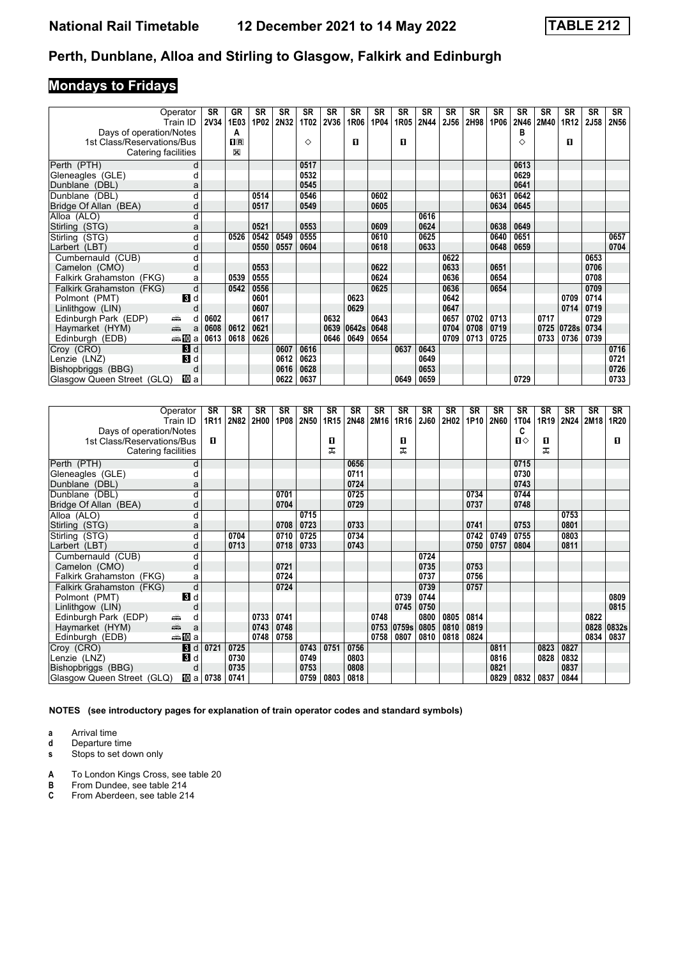# **Mondays to Fridays**

| Operator                                                                                                                                                                                                                                          |                | <b>SR</b>   | GR           | SR   | SR   | <b>SR</b>   | <b>SR</b>   | SR    | <b>SR</b> | <b>SR</b> | <b>SR</b> | <b>SR</b> | <b>SR</b> | SR   | <b>SR</b> | <b>SR</b> | <b>SR</b> | SR          | <b>SR</b> |
|---------------------------------------------------------------------------------------------------------------------------------------------------------------------------------------------------------------------------------------------------|----------------|-------------|--------------|------|------|-------------|-------------|-------|-----------|-----------|-----------|-----------|-----------|------|-----------|-----------|-----------|-------------|-----------|
| Train ID                                                                                                                                                                                                                                          |                | <b>2V34</b> | 1E03         | 1P02 | 2N32 | <b>1T02</b> | <b>2V36</b> | 1R06  | 1P04      | 1R05      | 2N44      | 2J56      | 2H98      | 1P06 | 2N46      | 2M40      | 1R12      | <b>2J58</b> | 2N56      |
| Days of operation/Notes                                                                                                                                                                                                                           |                |             | Α            |      |      |             |             |       |           |           |           |           |           |      | в         |           |           |             |           |
| 1st Class/Reservations/Bus                                                                                                                                                                                                                        |                |             | $\mathbf{H}$ |      |      | ♦           |             | п     |           | п         |           |           |           |      | ♦         |           | п         |             |           |
| Catering facilities                                                                                                                                                                                                                               |                |             | X            |      |      |             |             |       |           |           |           |           |           |      |           |           |           |             |           |
| Perth (PTH)                                                                                                                                                                                                                                       | d              |             |              |      |      | 0517        |             |       |           |           |           |           |           |      | 0613      |           |           |             |           |
| Gleneagles (GLE)                                                                                                                                                                                                                                  |                |             |              |      |      | 0532        |             |       |           |           |           |           |           |      | 0629      |           |           |             |           |
| Dunblane (DBL)                                                                                                                                                                                                                                    | a              |             |              |      |      | 0545        |             |       |           |           |           |           |           |      | 0641      |           |           |             |           |
| Dunblane (DBL)                                                                                                                                                                                                                                    |                |             |              | 0514 |      | 0546        |             |       | 0602      |           |           |           |           | 0631 | 0642      |           |           |             |           |
| Bridge Of Allan (BEA)                                                                                                                                                                                                                             | d              |             |              | 0517 |      | 0549        |             |       | 0605      |           |           |           |           | 0634 | 0645      |           |           |             |           |
| Alloa (ALO)                                                                                                                                                                                                                                       | d              |             |              |      |      |             |             |       |           |           | 0616      |           |           |      |           |           |           |             |           |
| Stirling (STG)                                                                                                                                                                                                                                    | a              |             |              | 0521 |      | 0553        |             |       | 0609      |           | 0624      |           |           | 0638 | 0649      |           |           |             |           |
| Stirling (STG)                                                                                                                                                                                                                                    | d              |             | 0526         | 0542 | 0549 | 0555        |             |       | 0610      |           | 0625      |           |           | 0640 | 0651      |           |           |             | 0657      |
| Larbert (LBT)                                                                                                                                                                                                                                     | d              |             |              | 0550 | 0557 | 0604        |             |       | 0618      |           | 0633      |           |           | 0648 | 0659      |           |           |             | 0704      |
| Cumbernauld (CUB)                                                                                                                                                                                                                                 |                |             |              |      |      |             |             |       |           |           |           | 0622      |           |      |           |           |           | 0653        |           |
| Camelon (CMO)                                                                                                                                                                                                                                     | d              |             |              | 0553 |      |             |             |       | 0622      |           |           | 0633      |           | 0651 |           |           |           | 0706        |           |
| Falkirk Grahamston (FKG)                                                                                                                                                                                                                          | a              |             | 0539         | 0555 |      |             |             |       | 0624      |           |           | 0636      |           | 0654 |           |           |           | 0708        |           |
| Falkirk Grahamston (FKG)                                                                                                                                                                                                                          | d              |             | 0542         | 0556 |      |             |             |       | 0625      |           |           | 0636      |           | 0654 |           |           |           | 0709        |           |
| Polmont (PMT)                                                                                                                                                                                                                                     | $\mathbf{3}$ d |             |              | 0601 |      |             |             | 0623  |           |           |           | 0642      |           |      |           |           | 0709      | 0714        |           |
| Linlithgow (LIN)                                                                                                                                                                                                                                  |                |             |              | 0607 |      |             |             | 0629  |           |           |           | 0647      |           |      |           |           | 0714      | 0719        |           |
| Edinburgh Park (EDP)<br>پیش                                                                                                                                                                                                                       | d              | 0602        |              | 0617 |      |             | 0632        |       | 0643      |           |           | 0657      | 0702      | 0713 |           | 0717      |           | 0729        |           |
| and and the second set of the set of the set of the set of the set of the set of the set of the set of the set of the set of the set of the set of the set of the set of the set of the set of the set of the set of the set o<br>Haymarket (HYM) | a              | 0608        | 0612         | 0621 |      |             | 0639        | 0642s | 0648      |           |           | 0704      | 0708      | 0719 |           | 0725      | 0728s     | 0734        |           |
| Edinburgh (EDB)                                                                                                                                                                                                                                   | ⇔≞MDa          | 0613        | 0618         | 0626 |      |             | 0646        | 0649  | 0654      |           |           | 0709      | 0713      | 0725 |           | 0733      | 0736      | 0739        |           |
| Croy (CRO)                                                                                                                                                                                                                                        | 3d             |             |              |      | 0607 | 0616        |             |       |           | 0637      | 0643      |           |           |      |           |           |           |             | 0716      |
| Lenzie (LNZ)                                                                                                                                                                                                                                      | $\blacksquare$ |             |              |      | 0612 | 0623        |             |       |           |           | 0649      |           |           |      |           |           |           |             | 0721      |
| Bishopbriggs (BBG)                                                                                                                                                                                                                                | d              |             |              |      | 0616 | 0628        |             |       |           |           | 0653      |           |           |      |           |           |           |             | 0726      |
| Glasgow Queen Street (GLQ)                                                                                                                                                                                                                        | 吅 a            |             |              |      | 0622 | 0637        |             |       |           | 0649      | 0659      |           |           |      | 0729      |           |           |             | 0733      |

| Operator                                   |              | <b>SR</b>   | <b>SR</b> | <b>SR</b> | <b>SR</b> | <b>SR</b> | <b>SR</b>        | <b>SR</b> | <b>SR</b> | <b>SR</b> | <b>SR</b> | <b>SR</b><br>2H02 | <b>SR</b> | <b>SR</b> | <b>SR</b> | <b>SR</b> | <b>SR</b> | <b>SR</b> | <b>SR</b> |
|--------------------------------------------|--------------|-------------|-----------|-----------|-----------|-----------|------------------|-----------|-----------|-----------|-----------|-------------------|-----------|-----------|-----------|-----------|-----------|-----------|-----------|
| Train ID<br>Days of operation/Notes        |              | <b>1R11</b> | 2N82      | 2H00      | 1P08      | 2N50      | 1R <sub>15</sub> | 2N48      | 2M16      | 1R16      | 2J60      |                   | 1P10      | 2N60      | 1T04<br>C | 1R19      | 2N24      | 2M18      | 1R20      |
| 1st Class/Reservations/Bus                 |              | п           |           |           |           |           | п                |           |           | п         |           |                   |           |           | $\Pi$     | п         |           |           | п         |
| Catering facilities                        |              |             |           |           |           |           | ᅚ                |           |           | ᠼ         |           |                   |           |           |           | ᅚ         |           |           |           |
|                                            |              |             |           |           |           |           |                  |           |           |           |           |                   |           |           |           |           |           |           |           |
| Perth (PTH)                                | d            |             |           |           |           |           |                  | 0656      |           |           |           |                   |           |           | 0715      |           |           |           |           |
| Gleneagles (GLE)                           | d            |             |           |           |           |           |                  | 0711      |           |           |           |                   |           |           | 0730      |           |           |           |           |
| Dunblane (DBL)                             | a            |             |           |           |           |           |                  | 0724      |           |           |           |                   |           |           | 0743      |           |           |           |           |
| Dunblane (DBL)                             | d            |             |           |           | 0701      |           |                  | 0725      |           |           |           |                   | 0734      |           | 0744      |           |           |           |           |
| Bridge Of Allan (BEA)                      | d            |             |           |           | 0704      |           |                  | 0729      |           |           |           |                   | 0737      |           | 0748      |           |           |           |           |
| Alloa (ALO)                                | d            |             |           |           |           | 0715      |                  |           |           |           |           |                   |           |           |           |           | 0753      |           |           |
| Stirling (STG)                             | a            |             |           |           | 0708      | 0723      |                  | 0733      |           |           |           |                   | 0741      |           | 0753      |           | 0801      |           |           |
| Stirling (STG)                             | d            |             | 0704      |           | 0710      | 0725      |                  | 0734      |           |           |           |                   | 0742      | 0749      | 0755      |           | 0803      |           |           |
| Larbert (LBT)                              | d            |             | 0713      |           | 0718      | 0733      |                  | 0743      |           |           |           |                   | 0750      | 0757      | 0804      |           | 0811      |           |           |
| Cumbernauld (CUB)                          | d            |             |           |           |           |           |                  |           |           |           | 0724      |                   |           |           |           |           |           |           |           |
| Camelon (CMO)                              | d            |             |           |           | 0721      |           |                  |           |           |           | 0735      |                   | 0753      |           |           |           |           |           |           |
| Falkirk Grahamston (FKG)                   | a            |             |           |           | 0724      |           |                  |           |           |           | 0737      |                   | 0756      |           |           |           |           |           |           |
| Falkirk Grahamston (FKG)                   | d            |             |           |           | 0724      |           |                  |           |           |           | 0739      |                   | 0757      |           |           |           |           |           |           |
| Polmont (PMT)<br>В                         | d            |             |           |           |           |           |                  |           |           | 0739      | 0744      |                   |           |           |           |           |           |           | 0809      |
| Linlithgow (LIN)                           | d            |             |           |           |           |           |                  |           |           | 0745      | 0750      |                   |           |           |           |           |           |           | 0815      |
| Edinburgh Park (EDP)<br>یشته               | d            |             |           | 0733      | 0741      |           |                  |           | 0748      |           | 0800      | 0805              | 0814      |           |           |           |           | 0822      |           |
| $\frac{1}{\frac{1}{2}}$<br>Haymarket (HYM) | a            |             |           | 0743      | 0748      |           |                  |           | 0753      | 0759s     | 0805      | 0810              | 0819      |           |           |           |           | 0828      | 0832s     |
| ⇔≞llDia<br>Edinburgh (EDB)                 |              |             |           | 0748      | 0758      |           |                  |           | 0758      | 0807      | 0810      | 0818              | 0824      |           |           |           |           | 0834      | 0837      |
| Croy (CRO)<br>$\bf{B}$                     | d            | 0721        | 0725      |           |           | 0743      | 0751             | 0756      |           |           |           |                   |           | 0811      |           | 0823      | 0827      |           |           |
| Lenzie (LNZ)                               | <b>B</b> d   |             | 0730      |           |           | 0749      |                  | 0803      |           |           |           |                   |           | 0816      |           | 0828      | 0832      |           |           |
| Bishopbriggs (BBG)                         | d            |             | 0735      |           |           | 0753      |                  | 0808      |           |           |           |                   |           | 0821      |           |           | 0837      |           |           |
| Glasgow Queen Street (GLQ)                 | <b>ID</b> al | 0738        | 0741      |           |           | 0759      | 0803             | 0818      |           |           |           |                   |           | 0829      | 0832      | 0837      | 0844      |           |           |

**NOTES (see introductory pages for explanation of train operator codes and standard symbols)**

- **a** Arrival time<br>**d** Departure time
- **d** Departure time<br>**s** Stops to set dow
- **s** Stops to set down only
- **A** To London Kings Cross, see table 20<br>**B** From Dundee, see table 214
- **B** From Dundee, see table 214<br>**C** From Aberdeen, see table 21
- From Aberdeen, see table 214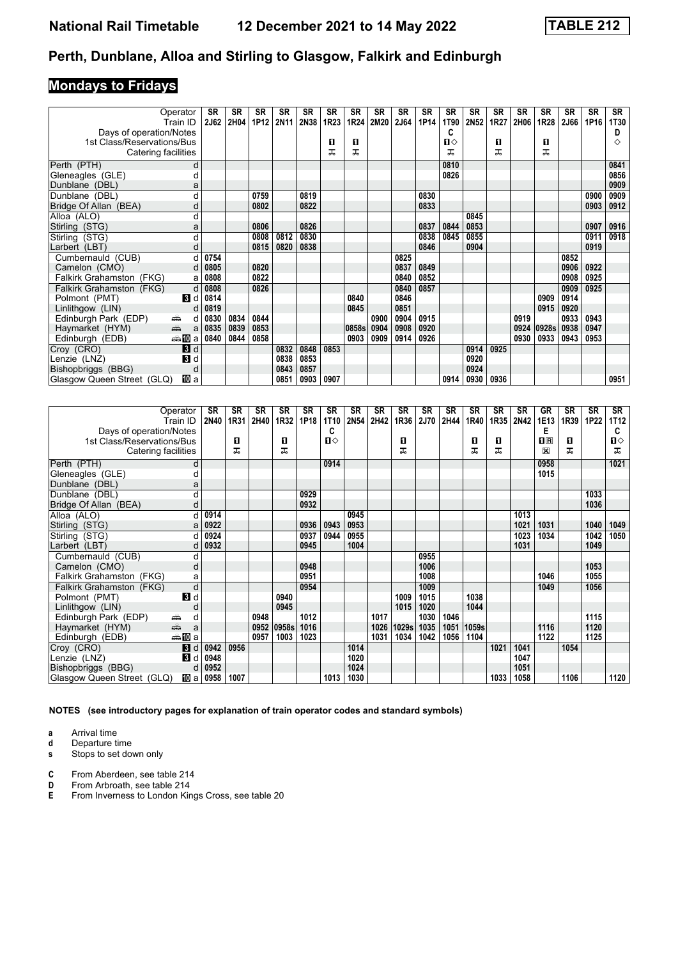# **Mondays to Fridays**

|                                                               | <b>SR</b> | SR   | SR   | <b>SR</b>   | <b>SR</b> | <b>SR</b> | SR    | <b>SR</b> | <b>SR</b> | <b>SR</b> | <b>SR</b> | <b>SR</b> | <b>SR</b> | <b>SR</b> | <b>SR</b> | <b>SR</b> | SR   | <b>SR</b> |
|---------------------------------------------------------------|-----------|------|------|-------------|-----------|-----------|-------|-----------|-----------|-----------|-----------|-----------|-----------|-----------|-----------|-----------|------|-----------|
| Operator<br>Train ID                                          | 2J62      | 2H04 | 1P12 | <b>2N11</b> | 2N38      | 1R23      | 1R24  | 2M20      | 2J64      | 1P14      | 1T90      | 2N52      | 1R27      | 2H06      | 1R28      | 2J66      | 1P16 | 1T30      |
|                                                               |           |      |      |             |           |           |       |           |           |           | C         |           |           |           |           |           |      | D         |
| Days of operation/Notes<br>1st Class/Reservations/Bus         |           |      |      |             |           | 0         | O     |           |           |           | П⇔        |           | 0         |           | 0         |           |      | ◇         |
| Catering facilities                                           |           |      |      |             |           | ᠼ         | ᠼ     |           |           |           | ᅚ         |           | ᅚ         |           | ᠼ         |           |      |           |
|                                                               |           |      |      |             |           |           |       |           |           |           |           |           |           |           |           |           |      |           |
| Perth (PTH)                                                   | d         |      |      |             |           |           |       |           |           |           | 0810      |           |           |           |           |           |      | 0841      |
| Gleneagles (GLE)                                              |           |      |      |             |           |           |       |           |           |           | 0826      |           |           |           |           |           |      | 0856      |
| Dunblane (DBL)                                                | a         |      |      |             |           |           |       |           |           |           |           |           |           |           |           |           |      | 0909      |
| Dunblane (DBL)                                                | d         |      | 0759 |             | 0819      |           |       |           |           | 0830      |           |           |           |           |           |           | 0900 | 0909      |
| Bridge Of Allan (BEA)                                         | d         |      | 0802 |             | 0822      |           |       |           |           | 0833      |           |           |           |           |           |           | 0903 | 0912      |
| Alloa (ALO)                                                   | d         |      |      |             |           |           |       |           |           |           |           | 0845      |           |           |           |           |      |           |
| Stirling (STG)                                                | a         |      | 0806 |             | 0826      |           |       |           |           | 0837      | 0844      | 0853      |           |           |           |           | 0907 | 0916      |
| Stirling (STG)                                                |           |      | 0808 | 0812        | 0830      |           |       |           |           | 0838      | 0845      | 0855      |           |           |           |           | 0911 | 0918      |
| Larbert (LBT)                                                 | d         |      | 0815 | 0820        | 0838      |           |       |           |           | 0846      |           | 0904      |           |           |           |           | 0919 |           |
| Cumbernauld (CUB)                                             | d<br>0754 |      |      |             |           |           |       |           | 0825      |           |           |           |           |           |           | 0852      |      |           |
| Camelon (CMO)                                                 | 0805<br>d |      | 0820 |             |           |           |       |           | 0837      | 0849      |           |           |           |           |           | 0906      | 0922 |           |
| Falkirk Grahamston (FKG)                                      | 0808<br>а |      | 0822 |             |           |           |       |           | 0840      | 0852      |           |           |           |           |           | 0908      | 0925 |           |
| Falkirk Grahamston (FKG)                                      | 0808<br>d |      | 0826 |             |           |           |       |           | 0840      | 0857      |           |           |           |           |           | 0909      | 0925 |           |
| <b>B</b> Id<br>Polmont (PMT)                                  | 0814      |      |      |             |           |           | 0840  |           | 0846      |           |           |           |           |           | 0909      | 0914      |      |           |
| Linlithgow (LIN)                                              | 0819<br>d |      |      |             |           |           | 0845  |           | 0851      |           |           |           |           |           | 0915      | 0920      |      |           |
| Edinburgh Park (EDP)<br>æ.                                    | 0830<br>d | 0834 | 0844 |             |           |           |       | 0900      | 0904      | 0915      |           |           |           | 0919      |           | 0933      | 0943 |           |
| Haymarket (HYM)<br>$\frac{1}{\left( \frac{1}{2}\right) _{0}}$ | 0835<br>a | 0839 | 0853 |             |           |           | 0858s | 0904      | 0908      | 0920      |           |           |           | 0924      | 0928s     | 0938      | 0947 |           |
| ——第100 a<br>Edinburgh (EDB)                                   | 0840      | 0844 | 0858 |             |           |           | 0903  | 0909      | 0914      | 0926      |           |           |           | 0930      | 0933      | 0943      | 0953 |           |
| $\mathbf{B}$ d<br>Croy (CRO)                                  |           |      |      | 0832        | 0848      | 0853      |       |           |           |           |           | 0914      | 0925      |           |           |           |      |           |
| $\mathbf{B}$ d<br>Lenzie (LNZ)                                |           |      |      | 0838        | 0853      |           |       |           |           |           |           | 0920      |           |           |           |           |      |           |
| Bishopbriggs (BBG)                                            | d         |      |      | 0843        | 0857      |           |       |           |           |           |           | 0924      |           |           |           |           |      |           |
| Glasgow Queen Street (GLQ)<br>IIII a                          |           |      |      | 0851        | 0903      | 0907      |       |           |           |           | 0914      | 0930      | 0936      |           |           |           |      | 0951      |

|                            | Operator<br>Train ID   | <b>SR</b><br><b>2N40</b> | <b>SR</b><br>1R31 | <b>SR</b><br>2H40 | SR<br>1R32 | SR<br>1P18 | <b>SR</b><br>1T10 | <b>SR</b><br>2N54 | <b>SR</b><br>2H42 | SR<br>1R36 | <b>SR</b><br>2J70 | <b>SR</b><br>2H44 | <b>SR</b><br>1R40 | <b>SR</b><br>1R35 | <b>SR</b><br>2N42 | GR<br>1E13 | <b>SR</b><br>1R39 | <b>SR</b><br>1P22 | SR<br>1T12 |
|----------------------------|------------------------|--------------------------|-------------------|-------------------|------------|------------|-------------------|-------------------|-------------------|------------|-------------------|-------------------|-------------------|-------------------|-------------------|------------|-------------------|-------------------|------------|
| Days of operation/Notes    |                        |                          |                   |                   |            |            | C                 |                   |                   |            |                   |                   |                   |                   |                   | Е          |                   |                   | C          |
| 1st Class/Reservations/Bus |                        |                          | O                 |                   | 0          |            | Ⅱ♦                |                   |                   | п          |                   |                   | п                 | 0                 |                   | $n_{R}$    | п                 |                   | П⇔         |
| Catering facilities        |                        |                          | ᅚ                 |                   | ᠼ          |            |                   |                   |                   | ᇁ          |                   |                   | ᠼ                 | ᅚ                 |                   | X          | ᅚ                 |                   | ᅚ          |
| Perth (PTH)                | d                      |                          |                   |                   |            |            | 0914              |                   |                   |            |                   |                   |                   |                   |                   | 0958       |                   |                   | 1021       |
| Gleneagles (GLE)           | d                      |                          |                   |                   |            |            |                   |                   |                   |            |                   |                   |                   |                   |                   | 1015       |                   |                   |            |
| Dunblane (DBL)             | a                      |                          |                   |                   |            |            |                   |                   |                   |            |                   |                   |                   |                   |                   |            |                   |                   |            |
| Dunblane (DBL)             | d                      |                          |                   |                   |            | 0929       |                   |                   |                   |            |                   |                   |                   |                   |                   |            |                   | 1033              |            |
| Bridge Of Allan (BEA)      | d                      |                          |                   |                   |            | 0932       |                   |                   |                   |            |                   |                   |                   |                   |                   |            |                   | 1036              |            |
| Alloa (ALO)                | d                      | 0914                     |                   |                   |            |            |                   | 0945              |                   |            |                   |                   |                   |                   | 1013              |            |                   |                   |            |
| Stirling (STG)             | a                      | 0922                     |                   |                   |            | 0936       | 0943              | 0953              |                   |            |                   |                   |                   |                   | 1021              | 1031       |                   | 1040              | 1049       |
| Stirling (STG)             | d                      | 0924                     |                   |                   |            | 0937       | 0944              | 0955              |                   |            |                   |                   |                   |                   | 1023              | 1034       |                   | 1042              | 1050       |
| Larbert (LBT)              | d                      | 0932                     |                   |                   |            | 0945       |                   | 1004              |                   |            |                   |                   |                   |                   | 1031              |            |                   | 1049              |            |
| Cumbernauld (CUB)          | d                      |                          |                   |                   |            |            |                   |                   |                   |            | 0955              |                   |                   |                   |                   |            |                   |                   |            |
| Camelon (CMO)              | d                      |                          |                   |                   |            | 0948       |                   |                   |                   |            | 1006              |                   |                   |                   |                   |            |                   | 1053              |            |
| Falkirk Grahamston (FKG)   | a                      |                          |                   |                   |            | 0951       |                   |                   |                   |            | 1008              |                   |                   |                   |                   | 1046       |                   | 1055              |            |
| Falkirk Grahamston (FKG)   | d                      |                          |                   |                   |            | 0954       |                   |                   |                   |            | 1009              |                   |                   |                   |                   | 1049       |                   | 1056              |            |
| Polmont (PMT)              | 3d                     |                          |                   |                   | 0940       |            |                   |                   |                   | 1009       | 1015              |                   | 1038              |                   |                   |            |                   |                   |            |
| Linlithgow (LIN)           | O                      |                          |                   |                   | 0945       |            |                   |                   |                   | 1015       | 1020              |                   | 1044              |                   |                   |            |                   |                   |            |
| Edinburgh Park (EDP)       | یشته<br>d              |                          |                   | 0948              |            | 1012       |                   |                   | 1017              |            | 1030              | 1046              |                   |                   |                   |            |                   | 1115              |            |
| Haymarket (HYM)            | يتنيه<br>a             |                          |                   | 0952              | 0958s      | 1016       |                   |                   | 1026              | 1029s      | 1035              | 1051              | 1059s             |                   |                   | 1116       |                   | 1120              |            |
| Edinburgh (EDB)            | dannan mann ann ann an |                          |                   | 0957              | 1003       | 1023       |                   |                   | 1031              | 1034       | 1042              | 1056              | 1104              |                   |                   | 1122       |                   | 1125              |            |
| Croy (CRO)                 | 3d                     | 0942                     | 0956              |                   |            |            |                   | 1014              |                   |            |                   |                   |                   | 1021              | 1041              |            | 1054              |                   |            |
| Lenzie (LNZ)               | В<br>d                 | 0948                     |                   |                   |            |            |                   | 1020              |                   |            |                   |                   |                   |                   | 1047              |            |                   |                   |            |
| Bishopbriggs (BBG)         | d                      | 0952                     |                   |                   |            |            |                   | 1024              |                   |            |                   |                   |                   |                   | 1051              |            |                   |                   |            |
| Glasgow Queen Street (GLQ) | 10 a                   | 0958                     | 1007              |                   |            |            | 1013              | 1030              |                   |            |                   |                   |                   | 1033              | 1058              |            | 1106              |                   | 1120       |

**NOTES (see introductory pages for explanation of train operator codes and standard symbols)**

- **a** Arrival time<br>**d** Departure time
- **d** Departure time<br>**s** Stops to set dow **s** Stops to set down only
- 
- **C** From Aberdeen, see table 214<br>**D** From Arbroath, see table 214
- **D** From Arbroath, see table 214<br>**E** From Inverness to London Kin
- From Inverness to London Kings Cross, see table 20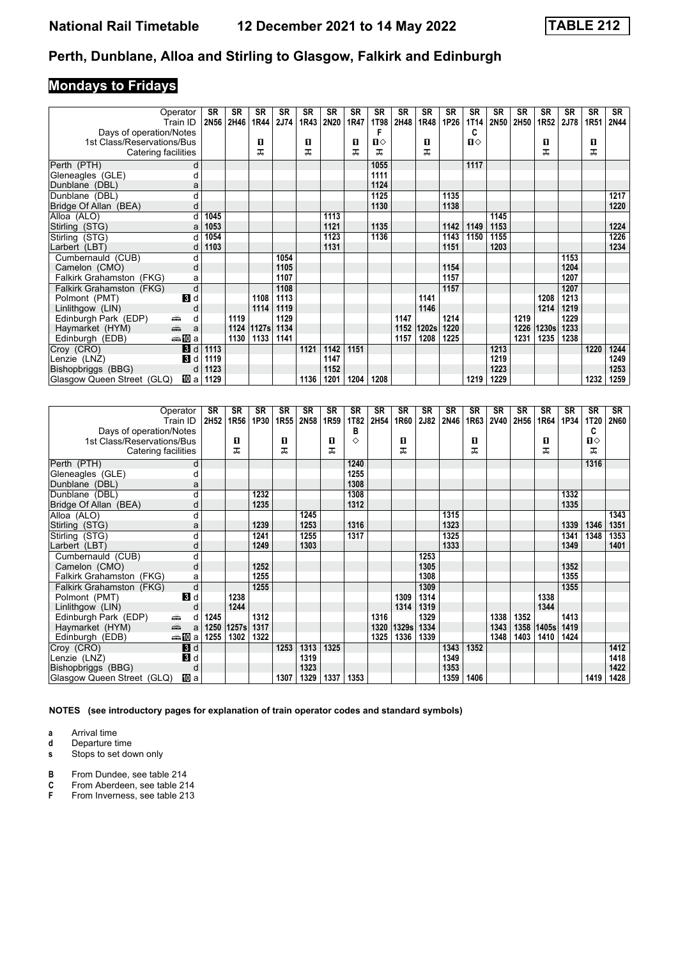# **Mondays to Fridays**

| Operator                                                                                                                                                                                                                                          |                  | <b>SR</b>   | SR   | SR    | SR   | SR   | <b>SR</b> | SR   | <b>SR</b>   | <b>SR</b> | <b>SR</b> | <b>SR</b> | SR           | <b>SR</b> | SR   | <b>SR</b> | <b>SR</b> | SR   | SR          |
|---------------------------------------------------------------------------------------------------------------------------------------------------------------------------------------------------------------------------------------------------|------------------|-------------|------|-------|------|------|-----------|------|-------------|-----------|-----------|-----------|--------------|-----------|------|-----------|-----------|------|-------------|
| Train ID                                                                                                                                                                                                                                          |                  | <b>2N56</b> | 2H46 | 1R44  | 2J74 | 1R43 | 2N20      | 1R47 | <b>1T98</b> | 2H48      | 1R48      | 1P26      | 1T14         | 2N50      | 2H50 | 1R52      | 2J78      | 1R51 | <b>2N44</b> |
| Days of operation/Notes                                                                                                                                                                                                                           |                  |             |      |       |      |      |           |      | F           |           |           |           | C            |           |      |           |           |      |             |
| 1st Class/Reservations/Bus                                                                                                                                                                                                                        |                  |             |      | п     |      | п    |           | O    | П⇔          |           | п         |           | $\mathbf{u}$ |           |      | 0         |           | 0    |             |
| Catering facilities                                                                                                                                                                                                                               |                  |             |      | ᅚ     |      | ᅚ    |           | ᅚ    | ᅚ           |           | ᅚ         |           |              |           |      | ᠼ         |           | ᅚ    |             |
| Perth (PTH)                                                                                                                                                                                                                                       | d                |             |      |       |      |      |           |      | 1055        |           |           |           | 1117         |           |      |           |           |      |             |
| Gleneagles (GLE)                                                                                                                                                                                                                                  |                  |             |      |       |      |      |           |      | 1111        |           |           |           |              |           |      |           |           |      |             |
| Dunblane (DBL)                                                                                                                                                                                                                                    | a                |             |      |       |      |      |           |      | 1124        |           |           |           |              |           |      |           |           |      |             |
| Dunblane (DBL)                                                                                                                                                                                                                                    |                  |             |      |       |      |      |           |      | 1125        |           |           | 1135      |              |           |      |           |           |      | 1217        |
| Bridge Of Allan (BEA)                                                                                                                                                                                                                             | d                |             |      |       |      |      |           |      | 1130        |           |           | 1138      |              |           |      |           |           |      | 1220        |
| Alloa (ALO)                                                                                                                                                                                                                                       |                  | 1045        |      |       |      |      | 1113      |      |             |           |           |           |              | 1145      |      |           |           |      |             |
| Stirling (STG)                                                                                                                                                                                                                                    | a                | 1053        |      |       |      |      | 1121      |      | 1135        |           |           | 1142      | 1149         | 1153      |      |           |           |      | 1224        |
| Stirling (STG)                                                                                                                                                                                                                                    | d                | 1054        |      |       |      |      | 1123      |      | 1136        |           |           | 1143      | 1150         | 1155      |      |           |           |      | 1226        |
| Larbert (LBT)                                                                                                                                                                                                                                     |                  | 1103        |      |       |      |      | 1131      |      |             |           |           | 1151      |              | 1203      |      |           |           |      | 1234        |
| Cumbernauld (CUB)                                                                                                                                                                                                                                 | d                |             |      |       | 1054 |      |           |      |             |           |           |           |              |           |      |           | 1153      |      |             |
| Camelon (CMO)                                                                                                                                                                                                                                     | d                |             |      |       | 1105 |      |           |      |             |           |           | 1154      |              |           |      |           | 1204      |      |             |
| Falkirk Grahamston (FKG)                                                                                                                                                                                                                          | a                |             |      |       | 1107 |      |           |      |             |           |           | 1157      |              |           |      |           | 1207      |      |             |
| Falkirk Grahamston (FKG)                                                                                                                                                                                                                          | d                |             |      |       | 1108 |      |           |      |             |           |           | 1157      |              |           |      |           | 1207      |      |             |
| Polmont (PMT)                                                                                                                                                                                                                                     | 3d               |             |      | 1108  | 1113 |      |           |      |             |           | 1141      |           |              |           |      | 1208      | 1213      |      |             |
| Linlithgow (LIN)                                                                                                                                                                                                                                  | O                |             |      | 1114  | 1119 |      |           |      |             |           | 1146      |           |              |           |      | 1214      | 1219      |      |             |
| Edinburgh Park (EDP)<br>æ.                                                                                                                                                                                                                        | d                |             | 1119 |       | 1129 |      |           |      |             | 1147      |           | 1214      |              |           | 1219 |           | 1229      |      |             |
| and and the second set of the set of the set of the set of the set of the set of the set of the set of the set of the set of the set of the set of the set of the set of the set of the set of the set of the set of the set o<br>Haymarket (HYM) | a                |             | 1124 | 1127s | 1134 |      |           |      |             | 1152      | 1202s     | 1220      |              |           | 1226 | 1230s     | 1233      |      |             |
| Edinburgh (EDB)                                                                                                                                                                                                                                   | <del>⊯</del> ∎Da |             | 1130 | 1133  | 1141 |      |           |      |             | 1157      | 1208      | 1225      |              |           | 1231 | 1235      | 1238      |      |             |
| Croy (CRO)                                                                                                                                                                                                                                        | 3d               | 1113        |      |       |      | 1121 | 1142      | 1151 |             |           |           |           |              | 1213      |      |           |           | 1220 | 1244        |
| Lenzie (LNZ)                                                                                                                                                                                                                                      | 3d               | 1119        |      |       |      |      | 1147      |      |             |           |           |           |              | 1219      |      |           |           |      | 1249        |
| Bishopbriggs (BBG)                                                                                                                                                                                                                                | d                | 1123        |      |       |      |      | 1152      |      |             |           |           |           |              | 1223      |      |           |           |      | 1253        |
| Glasgow Queen Street (GLQ)                                                                                                                                                                                                                        | 100al            | 1129        |      |       |      | 1136 | 1201      | 1204 | 1208        |           |           |           | 1219         | 1229      |      |           |           | 1232 | 1259        |

|                            | Operator<br>Train ID                                                                                                                                                                                                               | <b>SR</b><br>2H52 | <b>SR</b><br>1R56 | <b>SR</b><br>1P30 | <b>SR</b><br>1R55 | <b>SR</b><br>2N58 | <b>SR</b><br>1R59 | SR<br>1T82 | <b>SR</b><br>2H54 | <b>SR</b><br>1R60 | <b>SR</b><br>2J82 | <b>SR</b><br>2N46 | <b>SR</b><br>1R63 | <b>SR</b><br><b>2V40</b> | <b>SR</b><br>2H56 | <b>SR</b><br>1R64 | <b>SR</b><br>1P34 | <b>SR</b><br><b>1T20</b> | <b>SR</b><br>2N60 |
|----------------------------|------------------------------------------------------------------------------------------------------------------------------------------------------------------------------------------------------------------------------------|-------------------|-------------------|-------------------|-------------------|-------------------|-------------------|------------|-------------------|-------------------|-------------------|-------------------|-------------------|--------------------------|-------------------|-------------------|-------------------|--------------------------|-------------------|
| Days of operation/Notes    |                                                                                                                                                                                                                                    |                   |                   |                   |                   |                   |                   | в          |                   |                   |                   |                   |                   |                          |                   |                   |                   | C                        |                   |
| 1st Class/Reservations/Bus |                                                                                                                                                                                                                                    |                   | О                 |                   | п                 |                   | п                 | ♦          |                   | п                 |                   |                   | п                 |                          |                   | п                 |                   | П⇔                       |                   |
| Catering facilities        |                                                                                                                                                                                                                                    |                   | ᅚ                 |                   | ᠼ                 |                   | ᠼ                 |            |                   | ᇁ                 |                   |                   | ᅚ                 |                          |                   | ᅚ                 |                   | ᅚ                        |                   |
| Perth (PTH)                | d                                                                                                                                                                                                                                  |                   |                   |                   |                   |                   |                   | 1240       |                   |                   |                   |                   |                   |                          |                   |                   |                   | 1316                     |                   |
| Gleneagles (GLE)           |                                                                                                                                                                                                                                    |                   |                   |                   |                   |                   |                   | 1255       |                   |                   |                   |                   |                   |                          |                   |                   |                   |                          |                   |
| Dunblane (DBL)             | a                                                                                                                                                                                                                                  |                   |                   |                   |                   |                   |                   | 1308       |                   |                   |                   |                   |                   |                          |                   |                   |                   |                          |                   |
| Dunblane (DBL)             | d                                                                                                                                                                                                                                  |                   |                   | 1232              |                   |                   |                   | 1308       |                   |                   |                   |                   |                   |                          |                   |                   | 1332              |                          |                   |
| Bridge Of Allan (BEA)      | O                                                                                                                                                                                                                                  |                   |                   | 1235              |                   |                   |                   | 1312       |                   |                   |                   |                   |                   |                          |                   |                   | 1335              |                          |                   |
| Alloa (ALO)                | d                                                                                                                                                                                                                                  |                   |                   |                   |                   | 1245              |                   |            |                   |                   |                   | 1315              |                   |                          |                   |                   |                   |                          | 1343              |
| Stirling (STG)             | a                                                                                                                                                                                                                                  |                   |                   | 1239              |                   | 1253              |                   | 1316       |                   |                   |                   | 1323              |                   |                          |                   |                   | 1339              | 1346                     | 1351              |
| Stirling (STG)             | d                                                                                                                                                                                                                                  |                   |                   | 1241              |                   | 1255              |                   | 1317       |                   |                   |                   | 1325              |                   |                          |                   |                   | 1341              | 1348                     | 1353              |
| Larbert (LBT)              | d                                                                                                                                                                                                                                  |                   |                   | 1249              |                   | 1303              |                   |            |                   |                   |                   | 1333              |                   |                          |                   |                   | 1349              |                          | 1401              |
| Cumbernauld (CUB)          | d                                                                                                                                                                                                                                  |                   |                   |                   |                   |                   |                   |            |                   |                   | 1253              |                   |                   |                          |                   |                   |                   |                          |                   |
| Camelon (CMO)              | d                                                                                                                                                                                                                                  |                   |                   | 1252              |                   |                   |                   |            |                   |                   | 1305              |                   |                   |                          |                   |                   | 1352              |                          |                   |
| Falkirk Grahamston (FKG)   | a                                                                                                                                                                                                                                  |                   |                   | 1255              |                   |                   |                   |            |                   |                   | 1308              |                   |                   |                          |                   |                   | 1355              |                          |                   |
| Falkirk Grahamston (FKG)   | d                                                                                                                                                                                                                                  |                   |                   | 1255              |                   |                   |                   |            |                   |                   | 1309              |                   |                   |                          |                   |                   | 1355              |                          |                   |
| Polmont (PMT)              | $\mathbf{3}$ d                                                                                                                                                                                                                     |                   | 1238              |                   |                   |                   |                   |            |                   | 1309              | 1314              |                   |                   |                          |                   | 1338              |                   |                          |                   |
| Linlithgow (LIN)           | C                                                                                                                                                                                                                                  |                   | 1244              |                   |                   |                   |                   |            |                   | 1314              | 1319              |                   |                   |                          |                   | 1344              |                   |                          |                   |
| Edinburgh Park (EDP)       | æ.<br>d                                                                                                                                                                                                                            | 1245              |                   | 1312              |                   |                   |                   |            | 1316              |                   | 1329              |                   |                   | 1338                     | 1352              |                   | 1413              |                          |                   |
| Haymarket (HYM)            | and and some of the set of the set of the set of the set of the set of the set of the set of the set of the set of the set of the set of the set of the set of the set of the set of the set of the set of the set of the set<br>a | 1250              | 1257s             | 1317              |                   |                   |                   |            | 1320              | 1329s             | 1334              |                   |                   | 1343                     | 1358              | 1405s             | 1419              |                          |                   |
| Edinburgh (EDB)            | <del>⊯</del> ∎Da                                                                                                                                                                                                                   | 1255              | 1302              | 1322              |                   |                   |                   |            | 1325              | 1336              | 1339              |                   |                   | 1348                     | 1403              | 1410              | 1424              |                          |                   |
| Croy (CRO)                 | $\mathbf{B}$ d                                                                                                                                                                                                                     |                   |                   |                   | 1253              | 1313              | 1325              |            |                   |                   |                   | 1343              | 1352              |                          |                   |                   |                   |                          | 1412              |
| Lenzie (LNZ)               | В<br>d                                                                                                                                                                                                                             |                   |                   |                   |                   | 1319              |                   |            |                   |                   |                   | 1349              |                   |                          |                   |                   |                   |                          | 1418              |
| Bishopbriggs (BBG)         | d                                                                                                                                                                                                                                  |                   |                   |                   |                   | 1323              |                   |            |                   |                   |                   | 1353              |                   |                          |                   |                   |                   |                          | 1422              |
| Glasgow Queen Street (GLQ) | 100 a                                                                                                                                                                                                                              |                   |                   |                   | 1307              | 1329              | 1337              | 1353       |                   |                   |                   | 1359              | 1406              |                          |                   |                   |                   | 1419                     | 1428              |

**NOTES (see introductory pages for explanation of train operator codes and standard symbols)**

**a** Arrival time<br>**d** Departure time

**d** Departure time<br>**s** Stops to set dow

**s** Stops to set down only

**B** From Dundee, see table 214<br>**C** From Aberdeen, see table 21

**C** From Aberdeen, see table 214<br>**F** From Inverness, see table 213

From Inverness, see table 213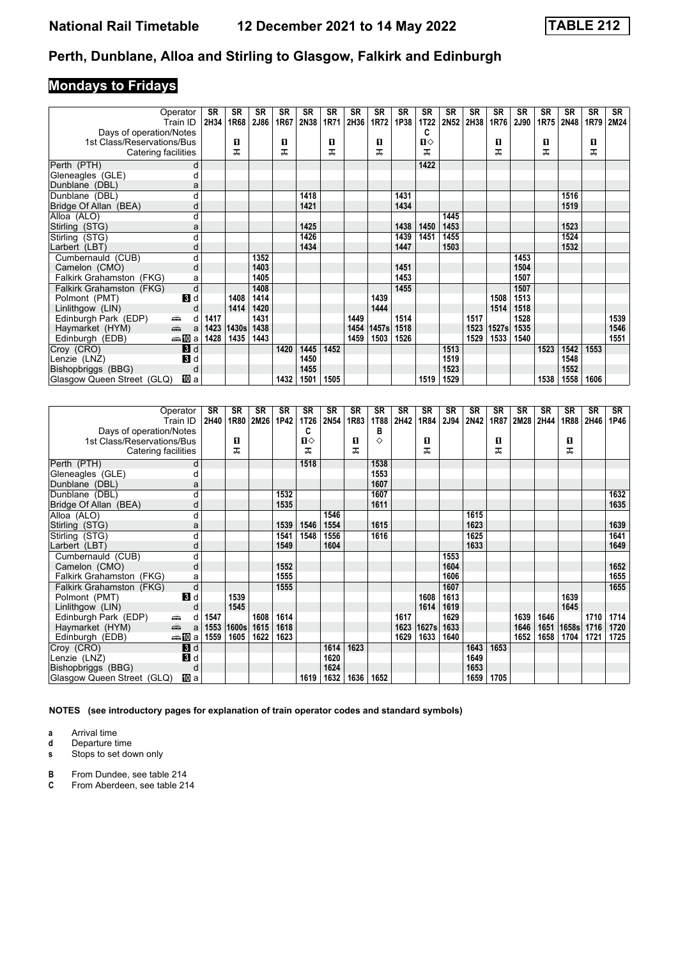# **Mondays to Fridays**

|                                         | Operator         | <b>SR</b> | SR    | <b>SR</b> | <b>SR</b> | SR   | SR   | SR   | <b>SR</b> | <b>SR</b> | <b>SR</b>   | <b>SR</b> | <b>SR</b> | SR    | <b>SR</b>   | <b>SR</b> | <b>SR</b> | SR   | SR   |
|-----------------------------------------|------------------|-----------|-------|-----------|-----------|------|------|------|-----------|-----------|-------------|-----------|-----------|-------|-------------|-----------|-----------|------|------|
|                                         | Train ID         | 2H34      | 1R68  | 2J86      | 1R67      | 2N38 | 1R71 | 2H36 | 1R72      | 1P38      | <b>1T22</b> | 2N52      | 2H38      | 1R76  | <b>2J90</b> | 1R75      | 2N48      | 1R79 | 2M24 |
| Days of operation/Notes                 |                  |           |       |           |           |      |      |      |           |           | C           |           |           |       |             |           |           |      |      |
| 1st Class/Reservations/Bus              |                  |           | п     |           | п         |      | О    |      | 0         |           | П⇔          |           |           | O     |             | 0         |           | 0    |      |
| Catering facilities                     |                  |           | ᠼ     |           | ᠼ         |      | ᠼ    |      | ᠼ         |           | 굾           |           |           | ᅚ     |             | ᠼ         |           | ᅚ    |      |
| Perth (PTH)                             | d                |           |       |           |           |      |      |      |           |           | 1422        |           |           |       |             |           |           |      |      |
| Gleneagles (GLE)                        |                  |           |       |           |           |      |      |      |           |           |             |           |           |       |             |           |           |      |      |
| Dunblane (DBL)                          | a                |           |       |           |           |      |      |      |           |           |             |           |           |       |             |           |           |      |      |
| Dunblane (DBL)                          |                  |           |       |           |           | 1418 |      |      |           | 1431      |             |           |           |       |             |           | 1516      |      |      |
| Bridge Of Allan (BEA)                   | d                |           |       |           |           | 1421 |      |      |           | 1434      |             |           |           |       |             |           | 1519      |      |      |
| Alloa (ALO)                             | d                |           |       |           |           |      |      |      |           |           |             | 1445      |           |       |             |           |           |      |      |
| Stirling (STG)                          | a                |           |       |           |           | 1425 |      |      |           | 1438      | 1450        | 1453      |           |       |             |           | 1523      |      |      |
| Stirling (STG)                          | d                |           |       |           |           | 1426 |      |      |           | 1439      | 1451        | 1455      |           |       |             |           | 1524      |      |      |
| Larbert (LBT)                           | d                |           |       |           |           | 1434 |      |      |           | 1447      |             | 1503      |           |       |             |           | 1532      |      |      |
| Cumbernauld (CUB)                       | d                |           |       | 1352      |           |      |      |      |           |           |             |           |           |       | 1453        |           |           |      |      |
| Camelon (CMO)                           | d                |           |       | 1403      |           |      |      |      |           | 1451      |             |           |           |       | 1504        |           |           |      |      |
| Falkirk Grahamston (FKG)                | a                |           |       | 1405      |           |      |      |      |           | 1453      |             |           |           |       | 1507        |           |           |      |      |
| Falkirk Grahamston (FKG)                | d                |           |       | 1408      |           |      |      |      |           | 1455      |             |           |           |       | 1507        |           |           |      |      |
| Polmont (PMT)                           | 3d               |           | 1408  | 1414      |           |      |      |      | 1439      |           |             |           |           | 1508  | 1513        |           |           |      |      |
| Linlithgow (LIN)                        | C                |           | 1414  | 1420      |           |      |      |      | 1444      |           |             |           |           | 1514  | 1518        |           |           |      |      |
| Edinburgh Park (EDP)<br>۳               | d                | 1417      |       | 1431      |           |      |      | 1449 |           | 1514      |             |           | 1517      |       | 1528        |           |           |      | 1539 |
| $\frac{1}{\sqrt{2}}$<br>Haymarket (HYM) | a                | 1423      | 1430s | 1438      |           |      |      | 1454 | 1457s     | 1518      |             |           | 1523      | 1527s | 1535        |           |           |      | 1546 |
| Edinburgh (EDB)                         | <del>⊯</del> ∎Da | 1428      | 1435  | 1443      |           |      |      | 1459 | 1503      | 1526      |             |           | 1529      | 1533  | 1540        |           |           |      | 1551 |
| Croy (CRO)                              | 3d               |           |       |           | 1420      | 1445 | 1452 |      |           |           |             | 1513      |           |       |             | 1523      | 1542      | 1553 |      |
| Lenzie (LNZ)                            | 3d               |           |       |           |           | 1450 |      |      |           |           |             | 1519      |           |       |             |           | 1548      |      |      |
| Bishopbriggs (BBG)                      | d                |           |       |           |           | 1455 |      |      |           |           |             | 1523      |           |       |             |           | 1552      |      |      |
| Glasgow Queen Street (GLQ)              | 吅 a              |           |       |           | 1432      | 1501 | 1505 |      |           |           | 1519        | 1529      |           |       |             | 1538      | 1558      | 1606 |      |

| Operator<br>Train ID                                                                                                                                                                                                                                  | <b>SR</b><br>2H40 | <b>SR</b><br>1R80 | <b>SR</b><br>2M26 | SR<br>1P42 | SR<br>1T26        | SR<br>2N54   | SR<br>1R83 | <b>SR</b><br>1T88 | SR<br>2H42 | <b>SR</b><br>1R84 | <b>SR</b><br>2J94 | <b>SR</b><br>2N42 | <b>SR</b><br>1R87 | <b>SR</b><br>2M28 | <b>SR</b><br>2H44 | <b>SR</b><br>1R88 | <b>SR</b><br>2H46 | SR<br>1P46 |
|-------------------------------------------------------------------------------------------------------------------------------------------------------------------------------------------------------------------------------------------------------|-------------------|-------------------|-------------------|------------|-------------------|--------------|------------|-------------------|------------|-------------------|-------------------|-------------------|-------------------|-------------------|-------------------|-------------------|-------------------|------------|
| Days of operation/Notes<br>1st Class/Reservations/Bus                                                                                                                                                                                                 |                   | О                 |                   |            | C<br>$\mathbf{u}$ |              | п          | в<br>◇            |            | п                 |                   |                   | O                 |                   |                   | п                 |                   |            |
| Catering facilities                                                                                                                                                                                                                                   |                   | ᅚ                 |                   |            | ᅚ                 |              | ᅚ          |                   |            | ᠼ                 |                   |                   | ᅚ                 |                   |                   | ᅚ                 |                   |            |
| Perth (PTH)<br>d                                                                                                                                                                                                                                      |                   |                   |                   |            | 1518              |              |            | 1538              |            |                   |                   |                   |                   |                   |                   |                   |                   |            |
| Gleneagles (GLE)<br>d                                                                                                                                                                                                                                 |                   |                   |                   |            |                   |              |            | 1553              |            |                   |                   |                   |                   |                   |                   |                   |                   |            |
| Dunblane (DBL)<br>a                                                                                                                                                                                                                                   |                   |                   |                   |            |                   |              |            | 1607              |            |                   |                   |                   |                   |                   |                   |                   |                   |            |
| Dunblane (DBL)<br>d                                                                                                                                                                                                                                   |                   |                   |                   | 1532       |                   |              |            | 1607              |            |                   |                   |                   |                   |                   |                   |                   |                   | 1632       |
| Bridge Of Allan (BEA)<br>d                                                                                                                                                                                                                            |                   |                   |                   | 1535       |                   |              |            | 1611              |            |                   |                   |                   |                   |                   |                   |                   |                   | 1635       |
| d<br>Alloa (ALO)                                                                                                                                                                                                                                      |                   |                   |                   |            |                   | 1546         |            |                   |            |                   |                   | 1615              |                   |                   |                   |                   |                   |            |
| Stirling (STG)<br>a                                                                                                                                                                                                                                   |                   |                   |                   | 1539       | 1546              | 1554         |            | 1615              |            |                   |                   | 1623              |                   |                   |                   |                   |                   | 1639       |
| Stirling (STG)<br>d                                                                                                                                                                                                                                   |                   |                   |                   | 1541       | 1548              | 1556         |            | 1616              |            |                   |                   | 1625              |                   |                   |                   |                   |                   | 1641       |
| Larbert (LBT)<br>d                                                                                                                                                                                                                                    |                   |                   |                   | 1549       |                   | 1604         |            |                   |            |                   |                   | 1633              |                   |                   |                   |                   |                   | 1649       |
| Cumbernauld (CUB)<br>d                                                                                                                                                                                                                                |                   |                   |                   |            |                   |              |            |                   |            |                   | 1553              |                   |                   |                   |                   |                   |                   |            |
| Camelon (CMO)<br>d                                                                                                                                                                                                                                    |                   |                   |                   | 1552       |                   |              |            |                   |            |                   | 1604              |                   |                   |                   |                   |                   |                   | 1652       |
| Falkirk Grahamston (FKG)<br>a                                                                                                                                                                                                                         |                   |                   |                   | 1555       |                   |              |            |                   |            |                   | 1606              |                   |                   |                   |                   |                   |                   | 1655       |
| d<br>Falkirk Grahamston (FKG)                                                                                                                                                                                                                         |                   |                   |                   | 1555       |                   |              |            |                   |            |                   | 1607              |                   |                   |                   |                   |                   |                   | 1655       |
| Polmont (PMT)<br>$\mathbf{3}$ d                                                                                                                                                                                                                       |                   | 1539              |                   |            |                   |              |            |                   |            | 1608              | 1613              |                   |                   |                   |                   | 1639              |                   |            |
| Linlithgow (LIN)<br>d                                                                                                                                                                                                                                 |                   | 1545              |                   |            |                   |              |            |                   |            | 1614              | 1619              |                   |                   |                   |                   | 1645              |                   |            |
| Edinburgh Park (EDP)<br>پیش<br>d                                                                                                                                                                                                                      | 1547              |                   | 1608              | 1614       |                   |              |            |                   | 1617       |                   | 1629              |                   |                   | 1639              | 1646              |                   | 1710              | 1714       |
| and and some of the set of the set of the set of the set of the set of the set of the set of the set of the set of the set of the set of the set of the set of the set of the set of the set of the set of the set of the set<br>Haymarket (HYM)<br>a | 1553              | 1600s             | 1615              | 1618       |                   |              |            |                   | 1623       | 1627s             | 1633              |                   |                   | 1646              | 1651              | 1658s             | 1716              | 1720       |
| ⇔≞MDa<br>Edinburgh (EDB)                                                                                                                                                                                                                              | 1559              | 1605              | 1622              | 1623       |                   |              |            |                   | 1629       | 1633              | 1640              |                   |                   | 1652              | 1658              | 1704              | 1721              | 1725       |
| Croy (CRO)<br>3d                                                                                                                                                                                                                                      |                   |                   |                   |            |                   | 1614         | 1623       |                   |            |                   |                   | 1643<br>1649      | 1653              |                   |                   |                   |                   |            |
| Lenzie (LNZ)<br><b>B</b> d<br>Bishopbriggs (BBG)<br>d                                                                                                                                                                                                 |                   |                   |                   |            |                   | 1620<br>1624 |            |                   |            |                   |                   | 1653              |                   |                   |                   |                   |                   |            |
| Glasgow Queen Street (GLQ)<br>吅 a                                                                                                                                                                                                                     |                   |                   |                   |            | 1619              | 1632         | 1636       | 1652              |            |                   |                   | 1659              | 1705              |                   |                   |                   |                   |            |

**NOTES (see introductory pages for explanation of train operator codes and standard symbols)**

**a** Arrival time<br>**d** Departure time

**d** Departure time<br>**s** Stops to set dow

**s** Stops to set down only

**B** From Dundee, see table 214<br>**C** From Aberdeen, see table 21

From Aberdeen, see table 214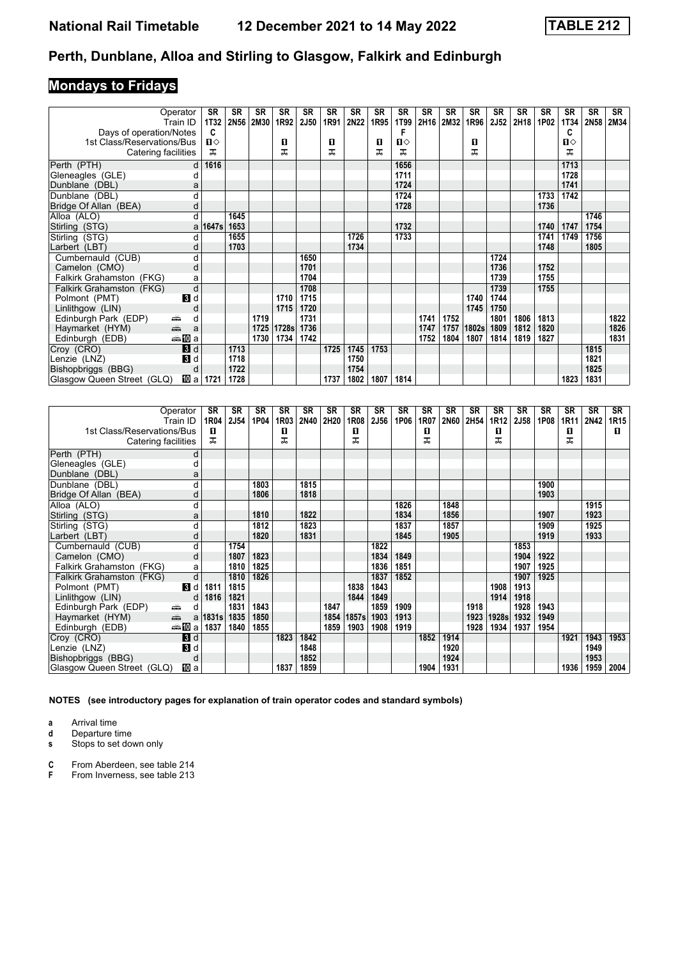# **Mondays to Fridays**

| Operator                                                                                                                                                                                                                                               | <b>SR</b>    | <b>SR</b>   | <b>SR</b> | <b>SR</b> | <b>SR</b>   | <b>SR</b> | <b>SR</b> | SR   | <b>SR</b>    | <b>SR</b> | <b>SR</b> | <b>SR</b> | <b>SR</b>   | <b>SR</b> | <b>SR</b> | <b>SR</b>   | <b>SR</b> | SR   |
|--------------------------------------------------------------------------------------------------------------------------------------------------------------------------------------------------------------------------------------------------------|--------------|-------------|-----------|-----------|-------------|-----------|-----------|------|--------------|-----------|-----------|-----------|-------------|-----------|-----------|-------------|-----------|------|
| Train ID                                                                                                                                                                                                                                               | <b>1T32</b>  | <b>2N56</b> | 2M30      | 1R92      | <b>2J50</b> | 1R91      | 2N22      | 1R95 | 1T99         | 2H16      | 2M32      | 1R96      | <b>2J52</b> | 2H18      | 1P02      | <b>1T34</b> | 2N58      | 2M34 |
| Days of operation/Notes                                                                                                                                                                                                                                | C            |             |           |           |             |           |           |      | F            |           |           |           |             |           |           | C           |           |      |
| 1st Class/Reservations/Bus                                                                                                                                                                                                                             | $\mathbf{u}$ |             |           | O         |             | 0         |           | O    | $\mathbf{u}$ |           |           | 0         |             |           |           | п⇔          |           |      |
| Catering facilities                                                                                                                                                                                                                                    | ᠼ            |             |           | ᠼ         |             | ᠼ         |           | ᠼ    | ㅈ            |           |           | ᅚ         |             |           |           | ᅚ           |           |      |
| Perth (PTH)                                                                                                                                                                                                                                            | 1616<br>d l  |             |           |           |             |           |           |      | 1656         |           |           |           |             |           |           | 1713        |           |      |
| Gleneagles (GLE)                                                                                                                                                                                                                                       |              |             |           |           |             |           |           |      | 1711         |           |           |           |             |           |           | 1728        |           |      |
| Dunblane (DBL)                                                                                                                                                                                                                                         | a            |             |           |           |             |           |           |      | 1724         |           |           |           |             |           |           | 1741        |           |      |
| Dunblane (DBL)                                                                                                                                                                                                                                         |              |             |           |           |             |           |           |      | 1724         |           |           |           |             |           | 1733      | 1742        |           |      |
| Bridge Of Allan (BEA)                                                                                                                                                                                                                                  |              |             |           |           |             |           |           |      | 1728         |           |           |           |             |           | 1736      |             |           |      |
| Alloa (ALO)                                                                                                                                                                                                                                            | d            | 1645        |           |           |             |           |           |      |              |           |           |           |             |           |           |             | 1746      |      |
| Stirling (STG)                                                                                                                                                                                                                                         | a   1647s    | 1653        |           |           |             |           |           |      | 1732         |           |           |           |             |           | 1740      | 1747        | 1754      |      |
| Stirling (STG)                                                                                                                                                                                                                                         | d            | 1655        |           |           |             |           | 1726      |      | 1733         |           |           |           |             |           | 1741      | 1749        | 1756      |      |
| Larbert (LBT)                                                                                                                                                                                                                                          | d            | 1703        |           |           |             |           | 1734      |      |              |           |           |           |             |           | 1748      |             | 1805      |      |
| Cumbernauld (CUB)                                                                                                                                                                                                                                      | d            |             |           |           | 1650        |           |           |      |              |           |           |           | 1724        |           |           |             |           |      |
| Camelon (CMO)<br>d                                                                                                                                                                                                                                     |              |             |           |           | 1701        |           |           |      |              |           |           |           | 1736        |           | 1752      |             |           |      |
| Falkirk Grahamston (FKG)                                                                                                                                                                                                                               | a            |             |           |           | 1704        |           |           |      |              |           |           |           | 1739        |           | 1755      |             |           |      |
| d<br>Falkirk Grahamston (FKG)                                                                                                                                                                                                                          |              |             |           |           | 1708        |           |           |      |              |           |           |           | 1739        |           | 1755      |             |           |      |
| $\mathbf{B}$ d<br>Polmont (PMT)                                                                                                                                                                                                                        |              |             |           | 1710      | 1715        |           |           |      |              |           |           | 1740      | 1744        |           |           |             |           |      |
| Linlithgow (LIN)                                                                                                                                                                                                                                       |              |             |           | 1715      | 1720        |           |           |      |              |           |           | 1745      | 1750        |           |           |             |           |      |
| Edinburgh Park (EDP)<br>پیشته<br>d                                                                                                                                                                                                                     |              |             | 1719      |           | 1731        |           |           |      |              | 1741      | 1752      |           | 1801        | 1806      | 1813      |             |           | 1822 |
| and and the second set of the set of the set of the set of the set of the set of the set of the set of the set of the set of the set of the set of the set of the set of the set of the set of the set of the set of the set o<br>Haymarket (HYM)<br>a |              |             | 1725      | 1728s     | 1736        |           |           |      |              | 1747      | 1757      | 1802s     | 1809        | 1812      | 1820      |             |           | 1826 |
| ⇔≗MDa<br>Edinburgh (EDB)                                                                                                                                                                                                                               |              |             | 1730      | 1734      | 1742        |           |           |      |              | 1752      | 1804      | 1807      | 1814        | 1819      | 1827      |             |           | 1831 |
| Croy (CRO)<br>$\blacksquare$                                                                                                                                                                                                                           |              | 1713        |           |           |             | 1725      | 1745      | 1753 |              |           |           |           |             |           |           |             | 1815      |      |
| $\blacksquare$<br>Lenzie (LNZ)                                                                                                                                                                                                                         |              | 1718        |           |           |             |           | 1750      |      |              |           |           |           |             |           |           |             | 1821      |      |
| Bishopbriggs (BBG)<br>d                                                                                                                                                                                                                                |              | 1722        |           |           |             |           | 1754      |      |              |           |           |           |             |           |           |             | 1825      |      |
| Glasgow Queen Street (GLQ)<br>凹 al                                                                                                                                                                                                                     | 1721         | 1728        |           |           |             | 1737      | 1802      | 1807 | 1814         |           |           |           |             |           |           | 1823        | 1831      |      |

|                            | Operator                                                                                                                                                                                                                       | <b>SR</b>  | <b>SR</b> | <b>SR</b> | <b>SR</b> | <b>SR</b>   | <b>SR</b> | SR    | SR          | SR   | SR   | SR          | <b>SR</b> | <b>SR</b> | <b>SR</b> | <b>SR</b> | <b>SR</b> | <b>SR</b> | <b>SR</b>   |
|----------------------------|--------------------------------------------------------------------------------------------------------------------------------------------------------------------------------------------------------------------------------|------------|-----------|-----------|-----------|-------------|-----------|-------|-------------|------|------|-------------|-----------|-----------|-----------|-----------|-----------|-----------|-------------|
|                            | Train ID                                                                                                                                                                                                                       | 1R04       | 2J54      | 1P04      | 1R03      | <b>2N40</b> | 2H20      | 1R08  | <b>2J56</b> | 1P06 | 1R07 | <b>2N60</b> | 2H54      | 1R12      | 2J58      | 1P08      | 1R11      | 2N42      | <b>1R15</b> |
| 1st Class/Reservations/Bus |                                                                                                                                                                                                                                | п          |           |           | 0         |             |           | п     |             |      | п    |             |           | П         |           |           | п         |           | п           |
| Catering facilities        |                                                                                                                                                                                                                                | ㅈ          |           |           | ᅚ         |             |           | ᅚ     |             |      | ᅚ    |             |           | ᅚ         |           |           | ᅚ         |           |             |
| Perth (PTH)                | d                                                                                                                                                                                                                              |            |           |           |           |             |           |       |             |      |      |             |           |           |           |           |           |           |             |
| Gleneagles (GLE)           | d                                                                                                                                                                                                                              |            |           |           |           |             |           |       |             |      |      |             |           |           |           |           |           |           |             |
| Dunblane (DBL)             | a                                                                                                                                                                                                                              |            |           |           |           |             |           |       |             |      |      |             |           |           |           |           |           |           |             |
| Dunblane (DBL)             | d                                                                                                                                                                                                                              |            |           | 1803      |           | 1815        |           |       |             |      |      |             |           |           |           | 1900      |           |           |             |
| Bridge Of Allan (BEA)      | d                                                                                                                                                                                                                              |            |           | 1806      |           | 1818        |           |       |             |      |      |             |           |           |           | 1903      |           |           |             |
| Alloa (ALO)                | d                                                                                                                                                                                                                              |            |           |           |           |             |           |       |             | 1826 |      | 1848        |           |           |           |           |           | 1915      |             |
| Stirling (STG)             | a                                                                                                                                                                                                                              |            |           | 1810      |           | 1822        |           |       |             | 1834 |      | 1856        |           |           |           | 1907      |           | 1923      |             |
| Stirling (STG)             | d                                                                                                                                                                                                                              |            |           | 1812      |           | 1823        |           |       |             | 1837 |      | 1857        |           |           |           | 1909      |           | 1925      |             |
| Larbert (LBT)              | d                                                                                                                                                                                                                              |            |           | 1820      |           | 1831        |           |       |             | 1845 |      | 1905        |           |           |           | 1919      |           | 1933      |             |
| Cumbernauld (CUB)          | d                                                                                                                                                                                                                              |            | 1754      |           |           |             |           |       | 1822        |      |      |             |           |           | 1853      |           |           |           |             |
| Camelon (CMO)              | d                                                                                                                                                                                                                              |            | 1807      | 1823      |           |             |           |       | 1834        | 1849 |      |             |           |           | 1904      | 1922      |           |           |             |
| Falkirk Grahamston (FKG)   | a                                                                                                                                                                                                                              |            | 1810      | 1825      |           |             |           |       | 1836        | 1851 |      |             |           |           | 1907      | 1925      |           |           |             |
| Falkirk Grahamston (FKG)   | d                                                                                                                                                                                                                              |            | 1810      | 1826      |           |             |           |       | 1837        | 1852 |      |             |           |           | 1907      | 1925      |           |           |             |
| Polmont (PMT)              | 3d                                                                                                                                                                                                                             | 1811       | 1815      |           |           |             |           | 1838  | 1843        |      |      |             |           | 1908      | 1913      |           |           |           |             |
| Linlithgow (LIN)           | d                                                                                                                                                                                                                              | 1816       | 1821      |           |           |             |           | 1844  | 1849        |      |      |             |           | 1914      | 1918      |           |           |           |             |
| Edinburgh Park (EDP)       | یشته<br>d                                                                                                                                                                                                                      |            | 1831      | 1843      |           |             | 1847      |       | 1859        | 1909 |      |             | 1918      |           | 1928      | 1943      |           |           |             |
| Haymarket (HYM)            | and the second second second second second second second second second second second second second second second second second second second second second second second second second second second second second second seco | a   1831 s | 1835      | 1850      |           |             | 1854      | 1857s | 1903        | 1913 |      |             | 1923      | 1928s     | 1932      | 1949      |           |           |             |
| Edinburgh (EDB)            | da <b>li</b> al                                                                                                                                                                                                                | 1837       | 1840      | 1855      |           |             | 1859      | 1903  | 1908        | 1919 |      |             | 1928      | 1934      | 1937      | 1954      |           |           |             |
| Croy (CRO)                 | 3d                                                                                                                                                                                                                             |            |           |           | 1823      | 1842        |           |       |             |      | 1852 | 1914        |           |           |           |           | 1921      | 1943      | 1953        |
| Lenzie (LNZ)               | $\blacksquare$                                                                                                                                                                                                                 |            |           |           |           | 1848        |           |       |             |      |      | 1920        |           |           |           |           |           | 1949      |             |
| Bishopbriggs (BBG)         | d                                                                                                                                                                                                                              |            |           |           |           | 1852        |           |       |             |      |      | 1924        |           |           |           |           |           | 1953      |             |
| Glasgow Queen Street (GLQ) | 凹 a                                                                                                                                                                                                                            |            |           |           | 1837      | 1859        |           |       |             |      | 1904 | 1931        |           |           |           |           | 1936      | 1959      | 2004        |

**NOTES (see introductory pages for explanation of train operator codes and standard symbols)**

**a** Arrival time

**d** Departure time

**s** Stops to set down only

**C** From Aberdeen, see table 21

**F** From Inverness, see table 213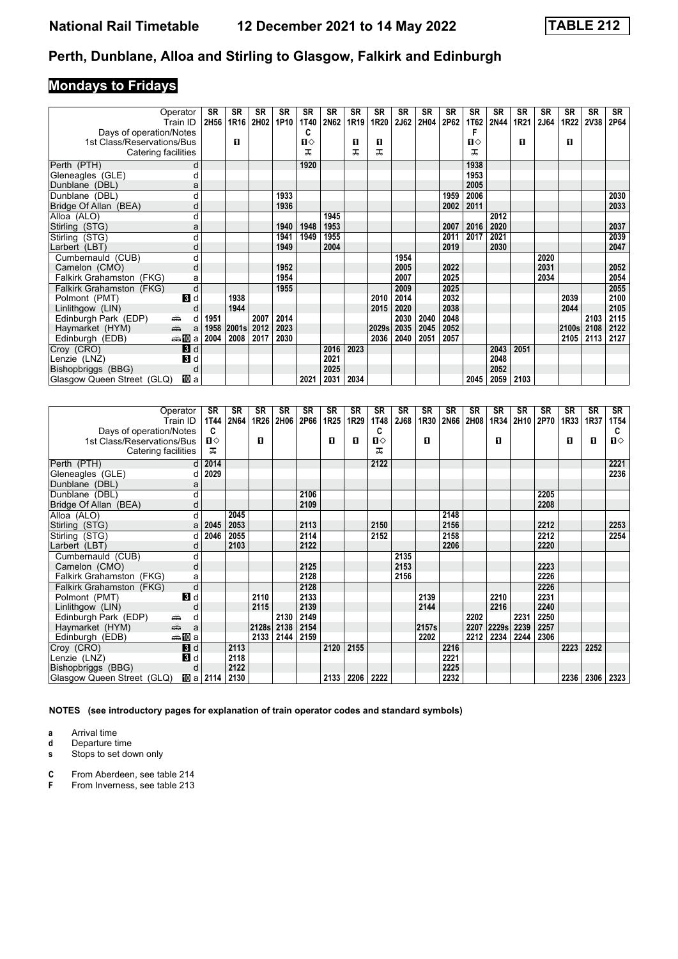# **Mondays to Fridays**

|                                                                                                                                                                                                                                                   | Operator<br>Train ID | SR<br>2H56 | SR<br>1R16 | SR<br>2H02 | SR<br>1P10 | SR<br>1T40   | SR<br>2N62 | SR<br>1R19 | <b>SR</b><br>1R20 | <b>SR</b><br>2J62 | <b>SR</b><br>2H04 | SR<br>2P62 | <b>SR</b><br>1T62 | <b>SR</b><br><b>2N44</b> | <b>SR</b><br>1R <sub>21</sub> | <b>SR</b><br><b>2J64</b> | <b>SR</b><br><b>1R22</b> | SR<br>2V38 | <b>SR</b><br>2P64 |
|---------------------------------------------------------------------------------------------------------------------------------------------------------------------------------------------------------------------------------------------------|----------------------|------------|------------|------------|------------|--------------|------------|------------|-------------------|-------------------|-------------------|------------|-------------------|--------------------------|-------------------------------|--------------------------|--------------------------|------------|-------------------|
| Days of operation/Notes                                                                                                                                                                                                                           |                      |            |            |            |            | C            |            |            |                   |                   |                   |            |                   |                          |                               |                          |                          |            |                   |
| 1st Class/Reservations/Bus                                                                                                                                                                                                                        |                      |            | п          |            |            | $\mathbf{u}$ |            | О          | О                 |                   |                   |            | $\mathbf{n}$      |                          | п                             |                          | п                        |            |                   |
| Catering facilities                                                                                                                                                                                                                               |                      |            |            |            |            | ᅚ            |            | ᇁ          | ᅚ                 |                   |                   |            | ᅚ                 |                          |                               |                          |                          |            |                   |
| Perth (PTH)                                                                                                                                                                                                                                       | d                    |            |            |            |            | 1920         |            |            |                   |                   |                   |            | 1938              |                          |                               |                          |                          |            |                   |
| Gleneagles (GLE)                                                                                                                                                                                                                                  |                      |            |            |            |            |              |            |            |                   |                   |                   |            | 1953              |                          |                               |                          |                          |            |                   |
| Dunblane (DBL)                                                                                                                                                                                                                                    |                      |            |            |            |            |              |            |            |                   |                   |                   |            | 2005              |                          |                               |                          |                          |            |                   |
| Dunblane (DBL)                                                                                                                                                                                                                                    | а                    |            |            |            | 1933       |              |            |            |                   |                   |                   | 1959       | 2006              |                          |                               |                          |                          |            | 2030              |
| Bridge Of Allan (BEA)                                                                                                                                                                                                                             | d                    |            |            |            | 1936       |              |            |            |                   |                   |                   | 2002       | 2011              |                          |                               |                          |                          |            | 2033              |
| Alloa (ALO)                                                                                                                                                                                                                                       | d                    |            |            |            |            |              | 1945       |            |                   |                   |                   |            |                   | 2012                     |                               |                          |                          |            |                   |
| Stirling (STG)                                                                                                                                                                                                                                    | a                    |            |            |            | 1940       | 1948         | 1953       |            |                   |                   |                   | 2007       | 2016              | 2020                     |                               |                          |                          |            | 2037              |
| Stirling (STG)                                                                                                                                                                                                                                    | d                    |            |            |            | 1941       | 1949         | 1955       |            |                   |                   |                   | 2011       | 2017              | 2021                     |                               |                          |                          |            | 2039              |
| Larbert (LBT)                                                                                                                                                                                                                                     | d                    |            |            |            | 1949       |              | 2004       |            |                   |                   |                   | 2019       |                   | 2030                     |                               |                          |                          |            | 2047              |
| Cumbernauld (CUB)                                                                                                                                                                                                                                 | d                    |            |            |            |            |              |            |            |                   | 1954              |                   |            |                   |                          |                               | 2020                     |                          |            |                   |
| Camelon (CMO)                                                                                                                                                                                                                                     | d                    |            |            |            | 1952       |              |            |            |                   | 2005              |                   | 2022       |                   |                          |                               | 2031                     |                          |            | 2052              |
| Falkirk Grahamston (FKG)                                                                                                                                                                                                                          | a                    |            |            |            | 1954       |              |            |            |                   | 2007              |                   | 2025       |                   |                          |                               | 2034                     |                          |            | 2054              |
| Falkirk Grahamston (FKG)                                                                                                                                                                                                                          | d                    |            |            |            | 1955       |              |            |            |                   | 2009              |                   | 2025       |                   |                          |                               |                          |                          |            | 2055              |
| Polmont (PMT)                                                                                                                                                                                                                                     | $\mathbf{B}$ d       |            | 1938       |            |            |              |            |            | 2010              | 2014              |                   | 2032       |                   |                          |                               |                          | 2039                     |            | 2100              |
| Linlithgow (LIN)                                                                                                                                                                                                                                  |                      |            | 1944       |            |            |              |            |            | 2015              | 2020              |                   | 2038       |                   |                          |                               |                          | 2044                     |            | 2105              |
| Edinburgh Park (EDP)<br>æ.                                                                                                                                                                                                                        | d                    | 1951       |            | 2007       | 2014       |              |            |            |                   | 2030              | 2040              | 2048       |                   |                          |                               |                          |                          | 2103       | 2115              |
| and and the second set of the set of the set of the set of the set of the set of the set of the set of the set of the set of the set of the set of the set of the set of the set of the set of the set of the set of the set o<br>Haymarket (HYM) | a                    | 1958       | 2001s      | 2012       | 2023       |              |            |            | 2029s             | 2035              | 2045              | 2052       |                   |                          |                               |                          | 2100s                    | 2108       | 2122              |
| Edinburgh (EDB)                                                                                                                                                                                                                                   | <del>⊯</del> ∎Da     | 2004       | 2008       | 2017       | 2030       |              |            |            | 2036              | 2040              | 2051              | 2057       |                   |                          |                               |                          | 2105                     | 2113       | 2127              |
| Croy (CRO)                                                                                                                                                                                                                                        | 3d                   |            |            |            |            |              | 2016       | 2023       |                   |                   |                   |            |                   | 2043                     | 2051                          |                          |                          |            |                   |
| Lenzie (LNZ)                                                                                                                                                                                                                                      | 3d                   |            |            |            |            |              | 2021       |            |                   |                   |                   |            |                   | 2048                     |                               |                          |                          |            |                   |
| Bishopbriggs (BBG)                                                                                                                                                                                                                                | C                    |            |            |            |            |              | 2025       |            |                   |                   |                   |            |                   | 2052                     |                               |                          |                          |            |                   |
| Glasgow Queen Street (GLQ)                                                                                                                                                                                                                        | 吅 a                  |            |            |            |            | 2021         | 2031       | 2034       |                   |                   |                   |            | 2045              | 2059                     | 2103                          |                          |                          |            |                   |

| Operator<br>Train ID                                                                                                                                                                                                                                                                                                                                                                                                                                                         | <b>SR</b><br>1T44 | <b>SR</b><br>2N64 | <b>SR</b><br>1R26 | SR<br>2H06 | <b>SR</b><br>2P66 | <b>SR</b><br>1R <sub>25</sub> | <b>SR</b><br>1R29 | <b>SR</b><br>1T48 | <b>SR</b><br>2J68 | SR<br>1R30 | SR<br>2N66 | <b>SR</b><br>2H08 | <b>SR</b><br>1R34 | <b>SR</b><br>2H10 | <b>SR</b><br>2P70 | <b>SR</b><br>1R33 | <b>SR</b><br>1R37 | <b>SR</b><br><b>1T54</b> |
|------------------------------------------------------------------------------------------------------------------------------------------------------------------------------------------------------------------------------------------------------------------------------------------------------------------------------------------------------------------------------------------------------------------------------------------------------------------------------|-------------------|-------------------|-------------------|------------|-------------------|-------------------------------|-------------------|-------------------|-------------------|------------|------------|-------------------|-------------------|-------------------|-------------------|-------------------|-------------------|--------------------------|
| Days of operation/Notes                                                                                                                                                                                                                                                                                                                                                                                                                                                      | C<br>п⇔           |                   | п                 |            |                   | п                             | п                 | C<br>п⇔           |                   | п          |            |                   | п                 |                   |                   | п                 | п                 | C<br>$\mathbf{u}$        |
| 1st Class/Reservations/Bus<br>Catering facilities                                                                                                                                                                                                                                                                                                                                                                                                                            | ᅚ                 |                   |                   |            |                   |                               |                   | ᅚ                 |                   |            |            |                   |                   |                   |                   |                   |                   |                          |
|                                                                                                                                                                                                                                                                                                                                                                                                                                                                              |                   |                   |                   |            |                   |                               |                   |                   |                   |            |            |                   |                   |                   |                   |                   |                   |                          |
| Perth (PTH)                                                                                                                                                                                                                                                                                                                                                                                                                                                                  | 2014<br>d l       |                   |                   |            |                   |                               |                   | 2122              |                   |            |            |                   |                   |                   |                   |                   |                   | 2221                     |
| Gleneagles (GLE)                                                                                                                                                                                                                                                                                                                                                                                                                                                             | 2029<br>d         |                   |                   |            |                   |                               |                   |                   |                   |            |            |                   |                   |                   |                   |                   |                   | 2236                     |
| Dunblane (DBL)                                                                                                                                                                                                                                                                                                                                                                                                                                                               | a                 |                   |                   |            |                   |                               |                   |                   |                   |            |            |                   |                   |                   |                   |                   |                   |                          |
| Dunblane (DBL)                                                                                                                                                                                                                                                                                                                                                                                                                                                               |                   |                   |                   |            | 2106<br>2109      |                               |                   |                   |                   |            |            |                   |                   |                   | 2205<br>2208      |                   |                   |                          |
| Bridge Of Allan (BEA)                                                                                                                                                                                                                                                                                                                                                                                                                                                        | d<br>d            | 2045              |                   |            |                   |                               |                   |                   |                   |            | 2148       |                   |                   |                   |                   |                   |                   |                          |
| Alloa (ALO)                                                                                                                                                                                                                                                                                                                                                                                                                                                                  | 2045              | 2053              |                   |            | 2113              |                               |                   | 2150              |                   |            | 2156       |                   |                   |                   | 2212              |                   |                   | 2253                     |
| Stirling (STG)                                                                                                                                                                                                                                                                                                                                                                                                                                                               | a<br>2046         | 2055              |                   |            | 2114              |                               |                   | 2152              |                   |            | 2158       |                   |                   |                   | 2212              |                   |                   | 2254                     |
| Stirling (STG)<br>Larbert (LBT)                                                                                                                                                                                                                                                                                                                                                                                                                                              | d<br>d            | 2103              |                   |            | 2122              |                               |                   |                   |                   |            | 2206       |                   |                   |                   | 2220              |                   |                   |                          |
| Cumbernauld (CUB)                                                                                                                                                                                                                                                                                                                                                                                                                                                            | d                 |                   |                   |            |                   |                               |                   |                   | 2135              |            |            |                   |                   |                   |                   |                   |                   |                          |
| Camelon (CMO)                                                                                                                                                                                                                                                                                                                                                                                                                                                                | d                 |                   |                   |            | 2125              |                               |                   |                   | 2153              |            |            |                   |                   |                   | 2223              |                   |                   |                          |
| Falkirk Grahamston (FKG)                                                                                                                                                                                                                                                                                                                                                                                                                                                     | a                 |                   |                   |            | 2128              |                               |                   |                   | 2156              |            |            |                   |                   |                   | 2226              |                   |                   |                          |
| Falkirk Grahamston (FKG)                                                                                                                                                                                                                                                                                                                                                                                                                                                     | d                 |                   |                   |            | 2128              |                               |                   |                   |                   |            |            |                   |                   |                   | 2226              |                   |                   |                          |
| Polmont (PMT)<br>$\mathbf{3}$ d                                                                                                                                                                                                                                                                                                                                                                                                                                              |                   |                   | 2110              |            | 2133              |                               |                   |                   |                   | 2139       |            |                   | 2210              |                   | 2231              |                   |                   |                          |
| Linlithgow (LIN)                                                                                                                                                                                                                                                                                                                                                                                                                                                             |                   |                   | 2115              |            | 2139              |                               |                   |                   |                   | 2144       |            |                   | 2216              |                   | 2240              |                   |                   |                          |
| Edinburgh Park (EDP)<br>æ                                                                                                                                                                                                                                                                                                                                                                                                                                                    | d                 |                   |                   | 2130       | 2149              |                               |                   |                   |                   |            |            | 2202              |                   | 2231              | 2250              |                   |                   |                          |
| $\frac{1}{\left( \frac{1}{\left( \frac{1}{\left( \frac{1}{\left( \frac{1}{\left( \frac{1}{\left( \frac{1}{\left( \frac{1}{\left( \frac{1}{\left( \frac{1}{\left( \frac{1}{\left( \frac{1}{\left( \frac{1}{\left( \frac{1}{\left( \frac{1}{\left( \frac{1}{\left( \frac{1}{\left( \frac{1}{\left( \frac{1}{\left( \frac{1}{\left( \frac{1}{\left( \frac{1}{\left( \frac{1}{\left( \frac{1}{\left( \frac{1}{\left( \frac{1}{\left( \frac{1}{\left( \frac{1$<br>Haymarket (HYM) | a                 |                   | 2128s             | 2138       | 2154              |                               |                   |                   |                   | 2157s      |            | 2207              | 2229s             | 2239              | 2257              |                   |                   |                          |
| <del>⊯</del> ∎Da<br>Edinburgh (EDB)                                                                                                                                                                                                                                                                                                                                                                                                                                          |                   |                   | 2133              | 2144       | 2159              |                               |                   |                   |                   | 2202       |            | 2212              | 2234              | 2244              | 2306              |                   |                   |                          |
| 3d<br>Croy (CRO)                                                                                                                                                                                                                                                                                                                                                                                                                                                             |                   | 2113              |                   |            |                   | 2120                          | 2155              |                   |                   |            | 2216       |                   |                   |                   |                   | 2223              | 2252              |                          |
| $\blacksquare$<br>Lenzie (LNZ)                                                                                                                                                                                                                                                                                                                                                                                                                                               |                   | 2118              |                   |            |                   |                               |                   |                   |                   |            | 2221       |                   |                   |                   |                   |                   |                   |                          |
| Bishopbriggs (BBG)                                                                                                                                                                                                                                                                                                                                                                                                                                                           | d                 | 2122              |                   |            |                   |                               |                   |                   |                   |            | 2225       |                   |                   |                   |                   |                   |                   |                          |
| 吅 a<br>Glasgow Queen Street (GLQ)                                                                                                                                                                                                                                                                                                                                                                                                                                            | 2114              | 2130              |                   |            |                   | 2133                          | 2206              | 2222              |                   |            | 2232       |                   |                   |                   |                   | 2236              | 2306              | 2323                     |

**NOTES (see introductory pages for explanation of train operator codes and standard symbols)**

**a** Arrival time<br>**d** Departure time

**d** Departure time<br>**s** Stops to set dow

**s** Stops to set down only

**C** From Aberdeen, see table 214<br>**F** From Inverness, see table 213

From Inverness, see table 213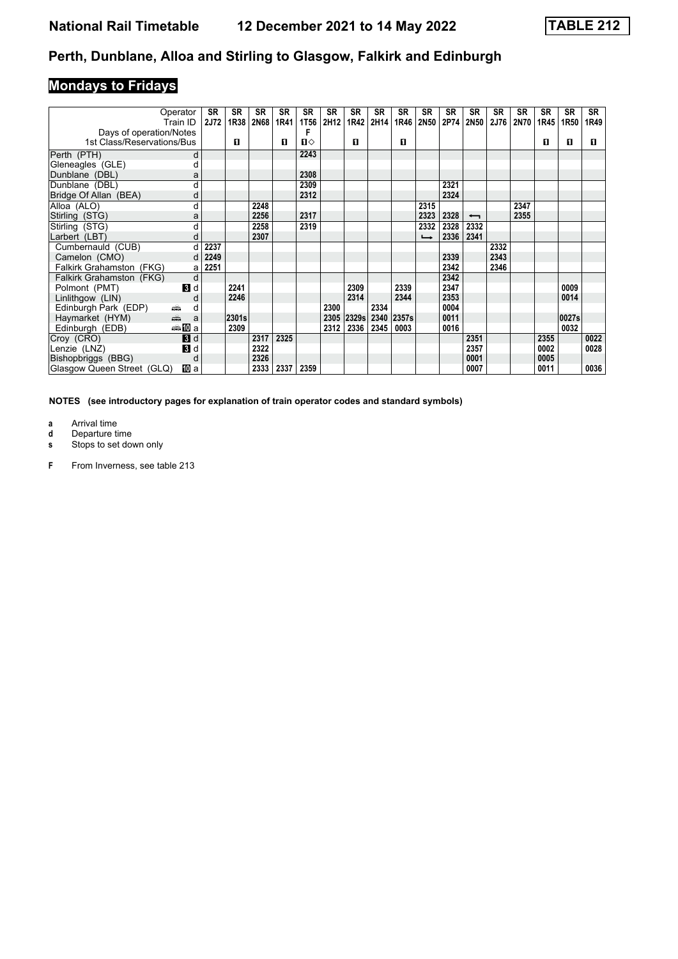# **Mondays to Fridays**

|                            | Operator<br>Train ID | SR<br><b>2J72</b> | <b>SR</b><br>1R38 | <b>SR</b><br>2N68 | <b>SR</b><br>1R41 | <b>SR</b><br>1T56 | <b>SR</b><br>2H12 | <b>SR</b><br>1R42 | SR<br>2H14 | <b>SR</b><br>1R46 | <b>SR</b><br>2N50 | <b>SR</b><br>2P74 | <b>SR</b><br>2N50        | <b>SR</b><br><b>2J76</b> | <b>SR</b><br>2N70 | <b>SR</b><br>1R45 | SR<br>1R50 | SR<br>1R49 |
|----------------------------|----------------------|-------------------|-------------------|-------------------|-------------------|-------------------|-------------------|-------------------|------------|-------------------|-------------------|-------------------|--------------------------|--------------------------|-------------------|-------------------|------------|------------|
| Days of operation/Notes    |                      |                   |                   |                   |                   |                   |                   |                   |            |                   |                   |                   |                          |                          |                   |                   |            |            |
| 1st Class/Reservations/Bus |                      |                   | п                 |                   | п                 | $\mathbf{u}$      |                   | п                 |            | п                 |                   |                   |                          |                          |                   | п                 | O          | п          |
| Perth (PTH)                | d                    |                   |                   |                   |                   | 2243              |                   |                   |            |                   |                   |                   |                          |                          |                   |                   |            |            |
| Gleneagles (GLE)           | d                    |                   |                   |                   |                   |                   |                   |                   |            |                   |                   |                   |                          |                          |                   |                   |            |            |
| Dunblane (DBL)             | a                    |                   |                   |                   |                   | 2308              |                   |                   |            |                   |                   |                   |                          |                          |                   |                   |            |            |
| Dunblane (DBL)             | d                    |                   |                   |                   |                   | 2309              |                   |                   |            |                   |                   | 2321              |                          |                          |                   |                   |            |            |
| Bridge Of Allan (BEA)      | d                    |                   |                   |                   |                   | 2312              |                   |                   |            |                   |                   | 2324              |                          |                          |                   |                   |            |            |
| Alloa (ALO)                | d                    |                   |                   | 2248              |                   |                   |                   |                   |            |                   | 2315              |                   |                          |                          | 2347              |                   |            |            |
| Stirling (STG)             | a                    |                   |                   | 2256              |                   | 2317              |                   |                   |            |                   | 2323              | 2328              | $\overline{\phantom{0}}$ |                          | 2355              |                   |            |            |
| Stirling (STG)             | d                    |                   |                   | 2258              |                   | 2319              |                   |                   |            |                   | 2332              | 2328              | 2332                     |                          |                   |                   |            |            |
| Larbert (LBT)              | d                    |                   |                   | 2307              |                   |                   |                   |                   |            |                   | $\rightarrow$     | 2336              | 2341                     |                          |                   |                   |            |            |
| Cumbernauld (CUB)          | d                    | 2237              |                   |                   |                   |                   |                   |                   |            |                   |                   |                   |                          | 2332                     |                   |                   |            |            |
| Camelon (CMO)              | d                    | 2249              |                   |                   |                   |                   |                   |                   |            |                   |                   | 2339              |                          | 2343                     |                   |                   |            |            |
| Falkirk Grahamston (FKG)   | a                    | 2251              |                   |                   |                   |                   |                   |                   |            |                   |                   | 2342              |                          | 2346                     |                   |                   |            |            |
| Falkirk Grahamston (FKG)   | d                    |                   |                   |                   |                   |                   |                   |                   |            |                   |                   | 2342              |                          |                          |                   |                   |            |            |
| Polmont (PMT)              | $\mathbf{B}$ d       |                   | 2241              |                   |                   |                   |                   | 2309              |            | 2339              |                   | 2347              |                          |                          |                   |                   | 0009       |            |
| Linlithgow (LIN)           | d                    |                   | 2246              |                   |                   |                   |                   | 2314              |            | 2344              |                   | 2353              |                          |                          |                   |                   | 0014       |            |
| Edinburgh Park (EDP)       | ۳<br>d               |                   |                   |                   |                   |                   | 2300              |                   | 2334       |                   |                   | 0004              |                          |                          |                   |                   |            |            |
| Haymarket (HYM)            | aîn.<br>a            |                   | 2301s             |                   |                   |                   | 2305              | 2329s             | 2340       | 2357s             |                   | 0011              |                          |                          |                   |                   | 0027s      |            |
| Edinburgh (EDB)            | ⇔≗MDa                |                   | 2309              |                   |                   |                   | 2312              | 2336              | 2345       | 0003              |                   | 0016              |                          |                          |                   |                   | 0032       |            |
| Croy (CRO)                 | <b>B</b> d           |                   |                   | 2317              | 2325              |                   |                   |                   |            |                   |                   |                   | 2351                     |                          |                   | 2355              |            | 0022       |
| Lenzie (LNZ)               | <b>3</b> d           |                   |                   | 2322              |                   |                   |                   |                   |            |                   |                   |                   | 2357                     |                          |                   | 0002              |            | 0028       |
| Bishopbriggs (BBG)         | d                    |                   |                   | 2326              |                   |                   |                   |                   |            |                   |                   |                   | 0001                     |                          |                   | 0005              |            |            |
| Glasgow Queen Street (GLQ) | <b>ID</b> a          |                   |                   | 2333              | 2337              | 2359              |                   |                   |            |                   |                   |                   | 0007                     |                          |                   | 0011              |            | 0036       |

**NOTES (see introductory pages for explanation of train operator codes and standard symbols)**

**a** Arrival time<br>**d** Departure ti

**d** Departure time<br>**s** Stops to set do

**s** Stops to set down only

**F** From Inverness, see table 213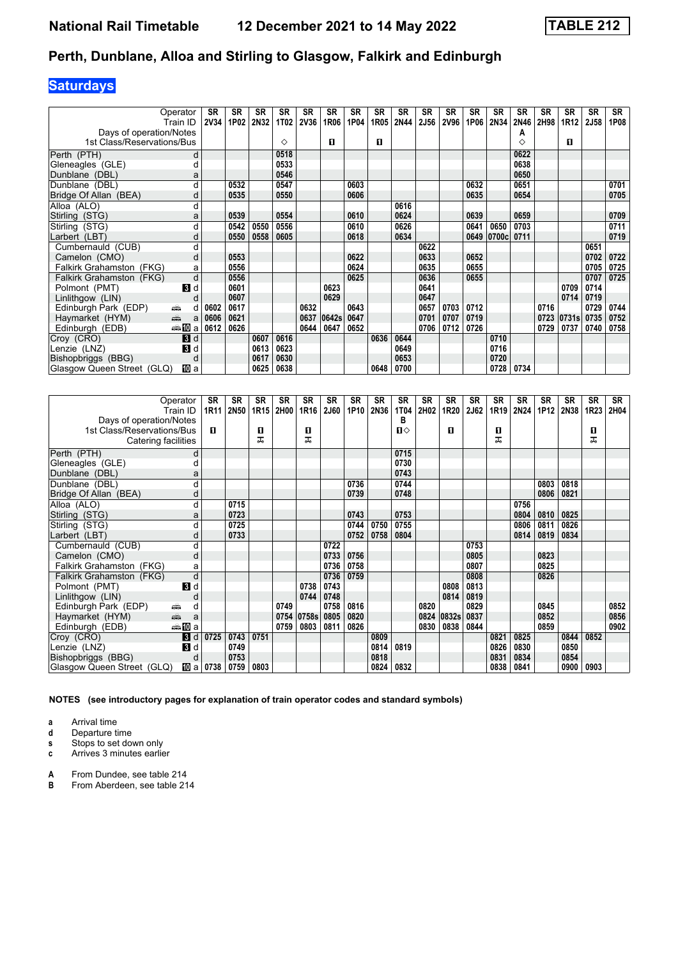## **Saturdays**

|                            | Operator                                                                                                                                                                                                                           | SR   | <b>SR</b> | <b>SR</b> | <b>SR</b> | <b>SR</b>   | <b>SR</b> | <b>SR</b> | SR   | SR   | <b>SR</b>   | <b>SR</b> | <b>SR</b> | SR    | <b>SR</b> | <b>SR</b> | <b>SR</b>        | <b>SR</b>   | <b>SR</b> |
|----------------------------|------------------------------------------------------------------------------------------------------------------------------------------------------------------------------------------------------------------------------------|------|-----------|-----------|-----------|-------------|-----------|-----------|------|------|-------------|-----------|-----------|-------|-----------|-----------|------------------|-------------|-----------|
|                            | Train ID                                                                                                                                                                                                                           | 2V34 | 1P02      | 2N32      | 1T02      | <b>2V36</b> | 1R06      | 1P04      | 1R05 | 2N44 | <b>2J56</b> | 2V96      | 1P06      | 2N34  | 2N46      | 2H98      | 1R <sub>12</sub> | <b>2J58</b> | 1P08      |
| Days of operation/Notes    |                                                                                                                                                                                                                                    |      |           |           |           |             |           |           |      |      |             |           |           |       | Α         |           |                  |             |           |
| 1st Class/Reservations/Bus |                                                                                                                                                                                                                                    |      |           |           | ♦         |             | О         |           | 0    |      |             |           |           |       | ♦         |           | п                |             |           |
| Perth (PTH)                | d                                                                                                                                                                                                                                  |      |           |           | 0518      |             |           |           |      |      |             |           |           |       | 0622      |           |                  |             |           |
| Gleneagles (GLE)           | d                                                                                                                                                                                                                                  |      |           |           | 0533      |             |           |           |      |      |             |           |           |       | 0638      |           |                  |             |           |
| Dunblane (DBL)             | a                                                                                                                                                                                                                                  |      |           |           | 0546      |             |           |           |      |      |             |           |           |       | 0650      |           |                  |             |           |
| Dunblane (DBL)             | d                                                                                                                                                                                                                                  |      | 0532      |           | 0547      |             |           | 0603      |      |      |             |           | 0632      |       | 0651      |           |                  |             | 0701      |
| Bridge Of Allan (BEA)      | d                                                                                                                                                                                                                                  |      | 0535      |           | 0550      |             |           | 0606      |      |      |             |           | 0635      |       | 0654      |           |                  |             | 0705      |
| Alloa (ALO)                | d                                                                                                                                                                                                                                  |      |           |           |           |             |           |           |      | 0616 |             |           |           |       |           |           |                  |             |           |
| Stirling (STG)             | a                                                                                                                                                                                                                                  |      | 0539      |           | 0554      |             |           | 0610      |      | 0624 |             |           | 0639      |       | 0659      |           |                  |             | 0709      |
| Stirling (STG)             | d                                                                                                                                                                                                                                  |      | 0542      | 0550      | 0556      |             |           | 0610      |      | 0626 |             |           | 0641      | 0650  | 0703      |           |                  |             | 0711      |
| Larbert (LBT)              | d                                                                                                                                                                                                                                  |      | 0550      | 0558      | 0605      |             |           | 0618      |      | 0634 |             |           | 0649      | 0700c | 0711      |           |                  |             | 0719      |
| Cumbernauld (CUB)          | d                                                                                                                                                                                                                                  |      |           |           |           |             |           |           |      |      | 0622        |           |           |       |           |           |                  | 0651        |           |
| Camelon (CMO)              | d                                                                                                                                                                                                                                  |      | 0553      |           |           |             |           | 0622      |      |      | 0633        |           | 0652      |       |           |           |                  | 0702        | 0722      |
| Falkirk Grahamston (FKG)   | а                                                                                                                                                                                                                                  |      | 0556      |           |           |             |           | 0624      |      |      | 0635        |           | 0655      |       |           |           |                  | 0705        | 0725      |
| Falkirk Grahamston (FKG)   | d                                                                                                                                                                                                                                  |      | 0556      |           |           |             |           | 0625      |      |      | 0636        |           | 0655      |       |           |           |                  | 0707        | 0725      |
| Polmont (PMT)              | <b>B</b> d                                                                                                                                                                                                                         |      | 0601      |           |           |             | 0623      |           |      |      | 0641        |           |           |       |           |           | 0709             | 0714        |           |
| Linlithgow (LIN)           | d                                                                                                                                                                                                                                  |      | 0607      |           |           |             | 0629      |           |      |      | 0647        |           |           |       |           |           | 0714             | 0719        |           |
| Edinburgh Park (EDP)       | ۳<br>d                                                                                                                                                                                                                             | 0602 | 0617      |           |           | 0632        |           | 0643      |      |      | 0657        | 0703      | 0712      |       |           | 0716      |                  | 0729        | 0744      |
| Haymarket (HYM)            | and the second second second second the second second second second second second second second second second second second second second second second second second second second second second second second second second<br>a | 0606 | 0621      |           |           | 0637        | 0642s     | 0647      |      |      | 0701        | 0707      | 0719      |       |           | 0723      | 0731s            | 0735        | 0752      |
| Edinburgh (EDB)            | ⇔≞MDa                                                                                                                                                                                                                              | 0612 | 0626      |           |           | 0644        | 0647      | 0652      |      |      | 0706        | 0712      | 0726      |       |           | 0729      | 0737             | 0740        | 0758      |
| Croy (CRO)                 | 3d                                                                                                                                                                                                                                 |      |           | 0607      | 0616      |             |           |           | 0636 | 0644 |             |           |           | 0710  |           |           |                  |             |           |
| Lenzie (LNZ)               | <b>B</b> d                                                                                                                                                                                                                         |      |           | 0613      | 0623      |             |           |           |      | 0649 |             |           |           | 0716  |           |           |                  |             |           |
| Bishopbriggs (BBG)         | d                                                                                                                                                                                                                                  |      |           | 0617      | 0630      |             |           |           |      | 0653 |             |           |           | 0720  |           |           |                  |             |           |
| Glasgow Queen Street (GLQ) | <b>III</b> a                                                                                                                                                                                                                       |      |           | 0625      | 0638      |             |           |           | 0648 | 0700 |             |           |           |       | 0728 0734 |           |                  |             |           |

| Operator                                              | <b>SR</b>        | <b>SR</b> | <b>SR</b> | <b>SR</b> | <b>SR</b> | <b>SR</b>    | SR   | <b>SR</b> | SR                | <b>SR</b> | <b>SR</b> | <b>SR</b>    | <b>SR</b> | <b>SR</b> | <b>SR</b> | <b>SR</b>   | <b>SR</b>        | <b>SR</b> |
|-------------------------------------------------------|------------------|-----------|-----------|-----------|-----------|--------------|------|-----------|-------------------|-----------|-----------|--------------|-----------|-----------|-----------|-------------|------------------|-----------|
| Train ID                                              | 1R <sub>11</sub> | 2N50      | 1R15      | 2H00      | 1R16      | 2J60         | 1P10 | 2N36      | <b>1T04</b>       | 2H02      | 1R20      | 2J62         | 1R19      | 2N24      | 1P12      | <b>2N38</b> | 1R <sub>23</sub> | 2H04      |
| Days of operation/Notes<br>1st Class/Reservations/Bus | 0                |           | п         |           | п         |              |      |           | в<br>$\mathbf{n}$ |           | п         |              | 0         |           |           |             | 0                |           |
| Catering facilities                                   |                  |           | ㅈ         |           | ᠼ         |              |      |           |                   |           |           |              | ᅚ         |           |           |             | ᅚ                |           |
|                                                       |                  |           |           |           |           |              |      |           |                   |           |           |              |           |           |           |             |                  |           |
| Perth (PTH)<br>d                                      |                  |           |           |           |           |              |      |           | 0715              |           |           |              |           |           |           |             |                  |           |
| Gleneagles (GLE)<br>d                                 |                  |           |           |           |           |              |      |           | 0730              |           |           |              |           |           |           |             |                  |           |
| Dunblane (DBL)<br>a                                   |                  |           |           |           |           |              |      |           | 0743              |           |           |              |           |           |           |             |                  |           |
| Dunblane (DBL)<br>d                                   |                  |           |           |           |           |              | 0736 |           | 0744              |           |           |              |           |           | 0803      | 0818        |                  |           |
| Bridge Of Allan (BEA)<br>d                            |                  |           |           |           |           |              | 0739 |           | 0748              |           |           |              |           |           | 0806      | 0821        |                  |           |
| Alloa (ALO)<br>d                                      |                  | 0715      |           |           |           |              |      |           |                   |           |           |              |           | 0756      |           |             |                  |           |
| Stirling (STG)<br>a                                   |                  | 0723      |           |           |           |              | 0743 |           | 0753              |           |           |              |           | 0804      | 0810      | 0825        |                  |           |
| Stirling (STG)<br>d                                   |                  | 0725      |           |           |           |              | 0744 | 0750      | 0755              |           |           |              |           | 0806      | 0811      | 0826        |                  |           |
| Larbert (LBT)<br>d                                    |                  | 0733      |           |           |           |              | 0752 | 0758      | 0804              |           |           |              |           | 0814      | 0819      | 0834        |                  |           |
| Cumbernauld (CUB)<br>d                                |                  |           |           |           |           | 0722         |      |           |                   |           |           | 0753         |           |           |           |             |                  |           |
| Camelon (CMO)<br>d                                    |                  |           |           |           |           | 0733         | 0756 |           |                   |           |           | 0805         |           |           | 0823      |             |                  |           |
| Falkirk Grahamston (FKG)<br>а                         |                  |           |           |           |           | 0736         | 0758 |           |                   |           |           | 0807         |           |           | 0825      |             |                  |           |
| d<br>Falkirk Grahamston (FKG)                         |                  |           |           |           | 0738      | 0736<br>0743 | 0759 |           |                   |           | 0808      | 0808<br>0813 |           |           | 0826      |             |                  |           |
| Polmont (PMT)<br><b>B</b> d<br>Linlithgow (LIN)       |                  |           |           |           | 0744      | 0748         |      |           |                   |           | 0814      | 0819         |           |           |           |             |                  |           |
| d<br>Edinburgh Park (EDP)<br>پیش<br>d                 |                  |           |           | 0749      |           | 0758         | 0816 |           |                   | 0820      |           | 0829         |           |           | 0845      |             |                  | 0852      |
| $\frac{1}{\sqrt{2}}$<br>Haymarket (HYM)<br>a          |                  |           |           | 0754      | 0758s     | 0805         | 0820 |           |                   | 0824      | 0832s     | 0837         |           |           | 0852      |             |                  | 0856      |
| ⊯‱ lDia<br>Edinburgh (EDB)                            |                  |           |           | 0759      | 0803      | 0811         | 0826 |           |                   | 0830      | 0838      | 0844         |           |           | 0859      |             |                  | 0902      |
| Croy (CRO)<br>$\blacksquare$                          | 0725             | 0743      | 0751      |           |           |              |      | 0809      |                   |           |           |              | 0821      | 0825      |           | 0844        | 0852             |           |
| $\mathbf{3}$ d<br>Lenzie (LNZ)                        |                  | 0749      |           |           |           |              |      | 0814      | 0819              |           |           |              | 0826      | 0830      |           | 0850        |                  |           |
| Bishopbriggs (BBG)<br>d                               |                  | 0753      |           |           |           |              |      | 0818      |                   |           |           |              | 0831      | 0834      |           | 0854        |                  |           |
| Ⅲ a l<br>Glasgow Queen Street (GLQ)                   | 0738             | 0759      | 0803      |           |           |              |      | 0824      | 0832              |           |           |              | 0838      | 0841      |           | 0900        | 0903             |           |

**NOTES (see introductory pages for explanation of train operator codes and standard symbols)**

**a** Arrival time<br>**d** Departure t

**d** Departure time

**s** Stops to set down only<br>**c** Arrives 3 minutes earlie **c** Arrives 3 minutes earlier

**A** From Dundee, see table 214<br>**B** From Aberdeen, see table 21

From Aberdeen, see table 214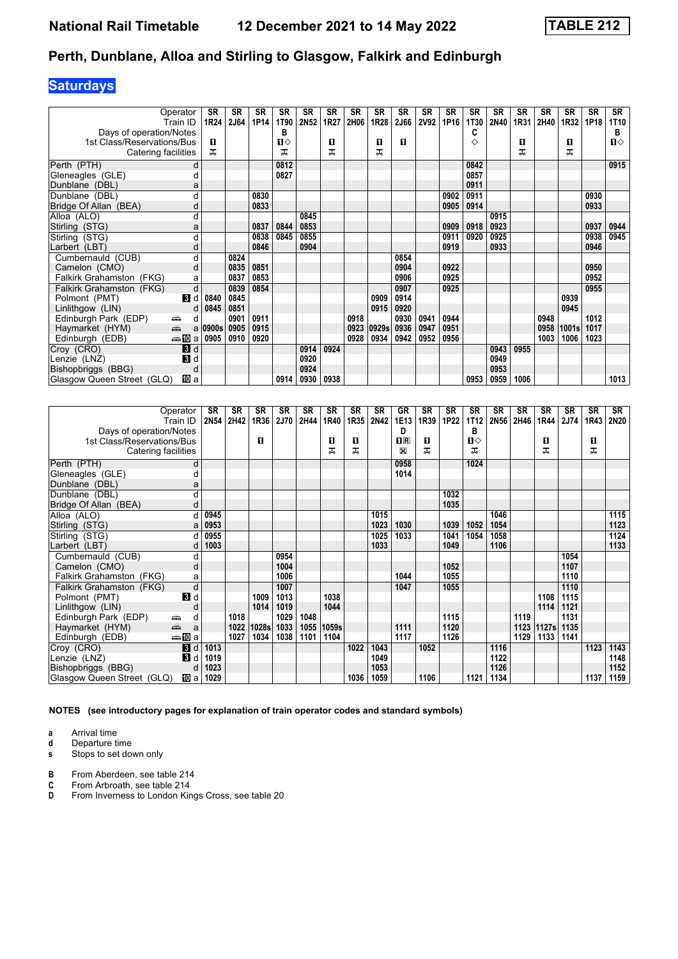## **Saturdays**

|                            | Operator<br>Train ID                                                                                                                                                                                                               | <b>SR</b><br>1R24 | <b>SR</b><br><b>2J64</b> | <b>SR</b><br>1P14 | <b>SR</b><br>1T90 | <b>SR</b><br>2N52 | <b>SR</b><br>1R27 | <b>SR</b><br>2H06 | <b>SR</b><br>1R28 | <b>SR</b><br><b>2J66</b> | <b>SR</b><br><b>2V92</b> | <b>SR</b><br>1P16 | <b>SR</b><br>1T30 | <b>SR</b><br><b>2N40</b> | <b>SR</b><br>1R31 | <b>SR</b><br>2H40 | <b>SR</b><br>1R32 | <b>SR</b><br>1P18 | <b>SR</b><br>1T10 |
|----------------------------|------------------------------------------------------------------------------------------------------------------------------------------------------------------------------------------------------------------------------------|-------------------|--------------------------|-------------------|-------------------|-------------------|-------------------|-------------------|-------------------|--------------------------|--------------------------|-------------------|-------------------|--------------------------|-------------------|-------------------|-------------------|-------------------|-------------------|
| Days of operation/Notes    |                                                                                                                                                                                                                                    |                   |                          |                   | в                 |                   |                   |                   |                   |                          |                          |                   | C                 |                          |                   |                   |                   |                   | в                 |
| 1st Class/Reservations/Bus |                                                                                                                                                                                                                                    | п                 |                          |                   | п⇔                |                   | п                 |                   | п                 | п                        |                          |                   | ◇                 |                          | п                 |                   | п                 |                   | $\Pi$             |
| Catering facilities        |                                                                                                                                                                                                                                    | ᠼ                 |                          |                   | ᠼ                 |                   | ᠼ                 |                   | ᠼ                 |                          |                          |                   |                   |                          | ᅚ                 |                   | ᠼ                 |                   |                   |
| Perth (PTH)                | d                                                                                                                                                                                                                                  |                   |                          |                   | 0812              |                   |                   |                   |                   |                          |                          |                   | 0842              |                          |                   |                   |                   |                   | 0915              |
| Gleneagles (GLE)           |                                                                                                                                                                                                                                    |                   |                          |                   | 0827              |                   |                   |                   |                   |                          |                          |                   | 0857              |                          |                   |                   |                   |                   |                   |
| Dunblane (DBL)             | а                                                                                                                                                                                                                                  |                   |                          |                   |                   |                   |                   |                   |                   |                          |                          |                   | 0911              |                          |                   |                   |                   |                   |                   |
| Dunblane (DBL)             | d                                                                                                                                                                                                                                  |                   |                          | 0830              |                   |                   |                   |                   |                   |                          |                          | 0902              | 0911              |                          |                   |                   |                   | 0930              |                   |
| Bridge Of Allan (BEA)      | O                                                                                                                                                                                                                                  |                   |                          | 0833              |                   |                   |                   |                   |                   |                          |                          | 0905              | 0914              |                          |                   |                   |                   | 0933              |                   |
| Alloa (ALO)                | d                                                                                                                                                                                                                                  |                   |                          |                   |                   | 0845              |                   |                   |                   |                          |                          |                   |                   | 0915                     |                   |                   |                   |                   |                   |
| Stirling (STG)             | а                                                                                                                                                                                                                                  |                   |                          | 0837              | 0844              | 0853              |                   |                   |                   |                          |                          | 0909              | 0918              | 0923                     |                   |                   |                   | 0937              | 0944              |
| Stirling (STG)             |                                                                                                                                                                                                                                    |                   |                          | 0838              | 0845              | 0855              |                   |                   |                   |                          |                          | 0911              | 0920              | 0925                     |                   |                   |                   | 0938              | 0945              |
| Larbert (LBT)              | d                                                                                                                                                                                                                                  |                   |                          | 0846              |                   | 0904              |                   |                   |                   |                          |                          | 0919              |                   | 0933                     |                   |                   |                   | 0946              |                   |
| Cumbernauld (CUB)          | d                                                                                                                                                                                                                                  |                   | 0824                     |                   |                   |                   |                   |                   |                   | 0854                     |                          |                   |                   |                          |                   |                   |                   |                   |                   |
| Camelon (CMO)              | d                                                                                                                                                                                                                                  |                   | 0835                     | 0851              |                   |                   |                   |                   |                   | 0904                     |                          | 0922              |                   |                          |                   |                   |                   | 0950              |                   |
| Falkirk Grahamston (FKG)   | a                                                                                                                                                                                                                                  |                   | 0837                     | 0853              |                   |                   |                   |                   |                   | 0906                     |                          | 0925              |                   |                          |                   |                   |                   | 0952              |                   |
| Falkirk Grahamston (FKG)   | d                                                                                                                                                                                                                                  |                   | 0839                     | 0854              |                   |                   |                   |                   |                   | 0907                     |                          | 0925              |                   |                          |                   |                   |                   | 0955              |                   |
| Polmont (PMT)              | 3d                                                                                                                                                                                                                                 | 0840              | 0845                     |                   |                   |                   |                   |                   | 0909              | 0914                     |                          |                   |                   |                          |                   |                   | 0939              |                   |                   |
| Linlithgow (LIN)           | d                                                                                                                                                                                                                                  | 0845              | 0851                     |                   |                   |                   |                   |                   | 0915              | 0920                     |                          |                   |                   |                          |                   |                   | 0945              |                   |                   |
| Edinburgh Park (EDP)       | پیش<br>d                                                                                                                                                                                                                           |                   | 0901                     | 0911              |                   |                   |                   | 0918              |                   | 0930                     | 0941                     | 0944              |                   |                          |                   | 0948              |                   | 1012              |                   |
| Haymarket (HYM)            | and the second second second second the second second second second second second second second second second second second second second second second second second second second second second second second second second<br>a | 0900s             | 0905                     | 0915              |                   |                   |                   | 0923              | 0929s             | 0936                     | 0947                     | 0951              |                   |                          |                   | 0958              | 1001s             | 1017              |                   |
| Edinburgh (EDB)            | ⊯‱ MD a                                                                                                                                                                                                                            | 0905              | 0910                     | 0920              |                   |                   |                   | 0928              | 0934              | 0942                     | 0952                     | 0956              |                   |                          |                   | 1003              | 1006              | 1023              |                   |
| Croy (CRO)                 | $\blacksquare$                                                                                                                                                                                                                     |                   |                          |                   |                   | 0914              | 0924              |                   |                   |                          |                          |                   |                   | 0943                     | 0955              |                   |                   |                   |                   |
| Lenzie (LNZ)               | $\mathbf{B}$ d                                                                                                                                                                                                                     |                   |                          |                   |                   | 0920              |                   |                   |                   |                          |                          |                   |                   | 0949                     |                   |                   |                   |                   |                   |
| Bishopbriggs (BBG)         | d                                                                                                                                                                                                                                  |                   |                          |                   |                   | 0924              |                   |                   |                   |                          |                          |                   |                   | 0953                     |                   |                   |                   |                   |                   |
| Glasgow Queen Street (GLQ) | 吅 a                                                                                                                                                                                                                                |                   |                          |                   | 0914              | 0930              | 0938              |                   |                   |                          |                          |                   | 0953              | 0959                     | 1006              |                   |                   |                   | 1013              |

|                            | Operator<br>Train ID                                                                                                                                                                                                                                                                                                                                                                                                                                           | SR<br><b>2N54</b> | <b>SR</b><br>2H42 | <b>SR</b><br>1R36 | SR<br>2J70 | SR<br>2H44 | SR<br>1R40 | SR<br>1R35 | <b>SR</b><br><b>2N42</b> | GR<br>1E13  | SR<br>1R39 | <b>SR</b><br>1P22 | <b>SR</b><br>1T12 | <b>SR</b><br>2N56 | <b>SR</b><br>2H46 | SR<br>1R44 | <b>SR</b><br>2J74 | <b>SR</b><br>1R43 | SR<br>2N20 |
|----------------------------|----------------------------------------------------------------------------------------------------------------------------------------------------------------------------------------------------------------------------------------------------------------------------------------------------------------------------------------------------------------------------------------------------------------------------------------------------------------|-------------------|-------------------|-------------------|------------|------------|------------|------------|--------------------------|-------------|------------|-------------------|-------------------|-------------------|-------------------|------------|-------------------|-------------------|------------|
| Days of operation/Notes    |                                                                                                                                                                                                                                                                                                                                                                                                                                                                |                   |                   |                   |            |            |            |            |                          | D           |            |                   | B                 |                   |                   |            |                   |                   |            |
| 1st Class/Reservations/Bus |                                                                                                                                                                                                                                                                                                                                                                                                                                                                |                   |                   | п                 |            |            | 0          | п          |                          | $n_{\rm R}$ | п          |                   | $\mathbf{u}$      |                   |                   | 0          |                   | O                 |            |
| Catering facilities        |                                                                                                                                                                                                                                                                                                                                                                                                                                                                |                   |                   |                   |            |            | ᠼ          | ᅚ          |                          | X           | ᠼ          |                   | ᠼ                 |                   |                   | ᅚ          |                   | ᅚ                 |            |
| Perth (PTH)                | d                                                                                                                                                                                                                                                                                                                                                                                                                                                              |                   |                   |                   |            |            |            |            |                          | 0958        |            |                   | 1024              |                   |                   |            |                   |                   |            |
| Gleneagles (GLE)           | d                                                                                                                                                                                                                                                                                                                                                                                                                                                              |                   |                   |                   |            |            |            |            |                          | 1014        |            |                   |                   |                   |                   |            |                   |                   |            |
| Dunblane (DBL)             | a                                                                                                                                                                                                                                                                                                                                                                                                                                                              |                   |                   |                   |            |            |            |            |                          |             |            |                   |                   |                   |                   |            |                   |                   |            |
| Dunblane (DBL)             | d                                                                                                                                                                                                                                                                                                                                                                                                                                                              |                   |                   |                   |            |            |            |            |                          |             |            | 1032              |                   |                   |                   |            |                   |                   |            |
| Bridge Of Allan (BEA)      | d                                                                                                                                                                                                                                                                                                                                                                                                                                                              |                   |                   |                   |            |            |            |            |                          |             |            | 1035              |                   |                   |                   |            |                   |                   |            |
| Alloa (ALO)                | d                                                                                                                                                                                                                                                                                                                                                                                                                                                              | 0945              |                   |                   |            |            |            |            | 1015                     |             |            |                   |                   | 1046              |                   |            |                   |                   | 1115       |
| Stirling (STG)             | a                                                                                                                                                                                                                                                                                                                                                                                                                                                              | 0953              |                   |                   |            |            |            |            | 1023                     | 1030        |            | 1039              | 1052              | 1054              |                   |            |                   |                   | 1123       |
| Stirling (STG)             | d                                                                                                                                                                                                                                                                                                                                                                                                                                                              | 0955              |                   |                   |            |            |            |            | 1025                     | 1033        |            | 1041              | 1054              | 1058              |                   |            |                   |                   | 1124       |
| Larbert (LBT)              | d                                                                                                                                                                                                                                                                                                                                                                                                                                                              | 1003              |                   |                   |            |            |            |            | 1033                     |             |            | 1049              |                   | 1106              |                   |            |                   |                   | 1133       |
| Cumbernauld (CUB)          | d                                                                                                                                                                                                                                                                                                                                                                                                                                                              |                   |                   |                   | 0954       |            |            |            |                          |             |            |                   |                   |                   |                   |            | 1054              |                   |            |
| Camelon (CMO)              | d                                                                                                                                                                                                                                                                                                                                                                                                                                                              |                   |                   |                   | 1004       |            |            |            |                          |             |            | 1052              |                   |                   |                   |            | 1107              |                   |            |
| Falkirk Grahamston (FKG)   | a                                                                                                                                                                                                                                                                                                                                                                                                                                                              |                   |                   |                   | 1006       |            |            |            |                          | 1044        |            | 1055              |                   |                   |                   |            | 1110              |                   |            |
| Falkirk Grahamston (FKG)   | d                                                                                                                                                                                                                                                                                                                                                                                                                                                              |                   |                   |                   | 1007       |            |            |            |                          | 1047        |            | 1055              |                   |                   |                   |            | 1110              |                   |            |
| Polmont (PMT)              | $\mathbf{3}$ d                                                                                                                                                                                                                                                                                                                                                                                                                                                 |                   |                   | 1009              | 1013       |            | 1038       |            |                          |             |            |                   |                   |                   |                   | 1108       | 1115              |                   |            |
| Linlithgow (LIN)           | d                                                                                                                                                                                                                                                                                                                                                                                                                                                              |                   |                   | 1014              | 1019       |            | 1044       |            |                          |             |            |                   |                   |                   |                   | 1114       | 1121              |                   |            |
| Edinburgh Park (EDP)       | ۳<br>d                                                                                                                                                                                                                                                                                                                                                                                                                                                         |                   | 1018              |                   | 1029       | 1048       |            |            |                          |             |            | 1115              |                   |                   | 1119              |            | 1131              |                   |            |
| Haymarket (HYM)            | $\frac{1}{\left( \frac{1}{\left( \frac{1}{\left( \frac{1}{\left( \frac{1}{\left( \frac{1}{\left( \frac{1}{\left( \frac{1}{\left( \frac{1}{\left( \frac{1}{\left( \frac{1}{\left( \frac{1}{\left( \frac{1}{\left( \frac{1}{\left( \frac{1}{\left( \frac{1}{\left( \frac{1}{\left( \frac{1}{\left( \frac{1}{\left( \frac{1}{\left( \frac{1}{\left( \frac{1}{\left( \frac{1}{\left( \frac{1}{\left( \frac{1}{\left( \frac{1}{\left( \frac{1}{\left( \frac{1$<br>a |                   | 1022              | 1028s             | 1033       |            | 1055 1059s |            |                          | 1111        |            | 1120              |                   |                   | 1123              | 1127s      | 1135              |                   |            |
| Edinburgh (EDB)            | ⊯‱ lDia                                                                                                                                                                                                                                                                                                                                                                                                                                                        |                   | 1027              | 1034              | 1038       | 1101       | 1104       |            |                          | 1117        |            | 1126              |                   |                   | 1129              | 1133       | 1141              |                   |            |
| Croy (CRO)                 | 3d                                                                                                                                                                                                                                                                                                                                                                                                                                                             | 1013              |                   |                   |            |            |            | 1022       | 1043                     |             | 1052       |                   |                   | 1116              |                   |            |                   | 1123              | 1143       |
| Lenzie (LNZ)               | В<br>d                                                                                                                                                                                                                                                                                                                                                                                                                                                         | 1019              |                   |                   |            |            |            |            | 1049                     |             |            |                   |                   | 1122              |                   |            |                   |                   | 1148       |
| Bishopbriggs (BBG)         | d                                                                                                                                                                                                                                                                                                                                                                                                                                                              | 1023              |                   |                   |            |            |            |            | 1053                     |             |            |                   |                   | 1126              |                   |            |                   |                   | 1152       |
| Glasgow Queen Street (GLQ) | <b>ID</b> a                                                                                                                                                                                                                                                                                                                                                                                                                                                    | 1029              |                   |                   |            |            |            | 1036       | 1059                     |             | 1106       |                   | 1121              | 1134              |                   |            |                   | 1137              | 1159       |

**NOTES (see introductory pages for explanation of train operator codes and standard symbols)**

- **a** Arrival time<br>**d** Departure time
- **d** Departure time<br>**s** Stops to set dow **s** Stops to set down only
- 
- **B** From Aberdeen, see table 214<br>**C** From Arbroath, see table 214
- **C** From Arbroath, see table 214<br>**D** From Inverness to London Kin
- From Inverness to London Kings Cross, see table 20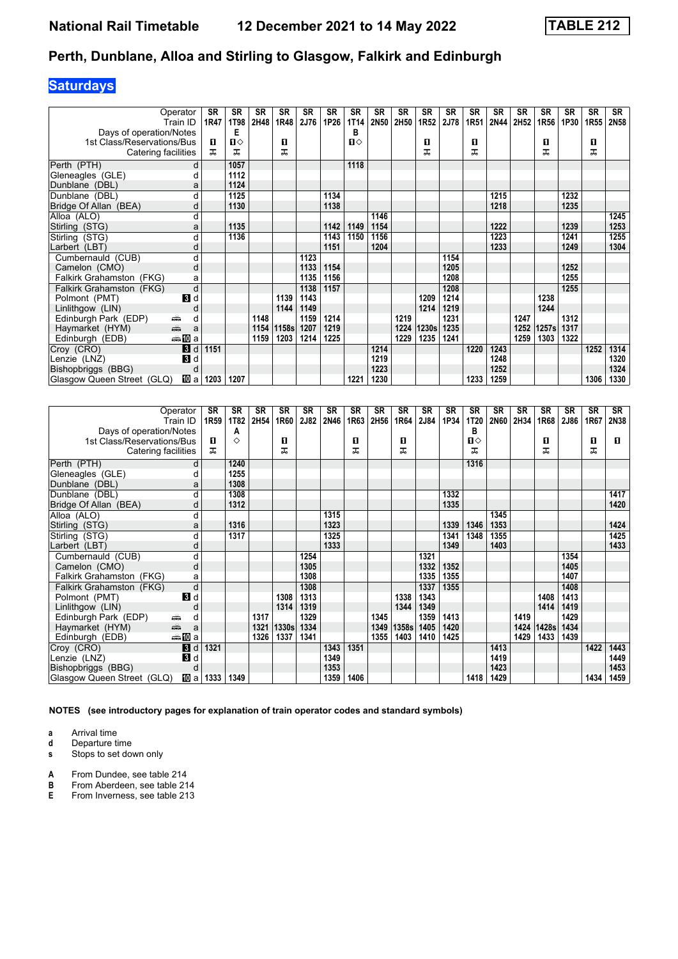## **Saturdays**

| Operator                            | <b>SR</b> | <b>SR</b> | <b>SR</b> | <b>SR</b> | <b>SR</b> | <b>SR</b> | <b>SR</b>    | <b>SR</b> | <b>SR</b> | <b>SR</b> | <b>SR</b> | <b>SR</b> | <b>SR</b> | <b>SR</b> | <b>SR</b> | <b>SR</b> | <b>SR</b> | <b>SR</b>   |
|-------------------------------------|-----------|-----------|-----------|-----------|-----------|-----------|--------------|-----------|-----------|-----------|-----------|-----------|-----------|-----------|-----------|-----------|-----------|-------------|
| Train ID                            | 1R47      | 1T98      | 2H48      | 1R48      | 2J76      | 1P26      | 1T14         | 2N50      | 2H50      | 1R52      | 2J78      | 1R51      | 2N44      | 2H52      | 1R56      | 1P30      | 1R55      | <b>2N58</b> |
| Days of operation/Notes             |           | Е         |           |           |           |           | в            |           |           |           |           |           |           |           |           |           |           |             |
| 1st Class/Reservations/Bus          | п         | п⇔        |           | п         |           |           | $\mathbf{u}$ |           |           | п         |           | п         |           |           | O         |           | O         |             |
| Catering facilities                 | ᠼ         | ᠼ         |           | ᠼ         |           |           |              |           |           | ᅚ         |           | ᅚ         |           |           | ᠼ         |           | ᅚ         |             |
| Perth (PTH)                         | d         | 1057      |           |           |           |           | 1118         |           |           |           |           |           |           |           |           |           |           |             |
| Gleneagles (GLE)                    | d         | 1112      |           |           |           |           |              |           |           |           |           |           |           |           |           |           |           |             |
| Dunblane (DBL)                      | a         | 1124      |           |           |           |           |              |           |           |           |           |           |           |           |           |           |           |             |
| Dunblane (DBL)                      | d         | 1125      |           |           |           | 1134      |              |           |           |           |           |           | 1215      |           |           | 1232      |           |             |
| Bridge Of Allan (BEA)               | d         | 1130      |           |           |           | 1138      |              |           |           |           |           |           | 1218      |           |           | 1235      |           |             |
| Alloa (ALO)                         | d         |           |           |           |           |           |              | 1146      |           |           |           |           |           |           |           |           |           | 1245        |
| Stirling (STG)                      | а         | 1135      |           |           |           | 1142      | 1149         | 1154      |           |           |           |           | 1222      |           |           | 1239      |           | 1253        |
| Stirling (STG)                      | d         | 1136      |           |           |           | 1143      | 1150         | 1156      |           |           |           |           | 1223      |           |           | 1241      |           | 1255        |
| Larbert (LBT)                       | d         |           |           |           |           | 1151      |              | 1204      |           |           |           |           | 1233      |           |           | 1249      |           | 1304        |
| Cumbernauld (CUB)                   | d         |           |           |           | 1123      |           |              |           |           |           | 1154      |           |           |           |           |           |           |             |
| Camelon (CMO)                       | d         |           |           |           | 1133      | 1154      |              |           |           |           | 1205      |           |           |           |           | 1252      |           |             |
| Falkirk Grahamston (FKG)            | a         |           |           |           | 1135      | 1156      |              |           |           |           | 1208      |           |           |           |           | 1255      |           |             |
| Falkirk Grahamston (FKG)            | d         |           |           |           | 1138      | 1157      |              |           |           |           | 1208      |           |           |           |           | 1255      |           |             |
| $\mathbf{3}$ d<br>Polmont (PMT)     |           |           |           | 1139      | 1143      |           |              |           |           | 1209      | 1214      |           |           |           | 1238      |           |           |             |
| Linlithgow (LIN)                    | o         |           |           | 1144      | 1149      |           |              |           |           | 1214      | 1219      |           |           |           | 1244      |           |           |             |
| Edinburgh Park (EDP)<br>۳           | d         |           | 1148      |           | 1159      | 1214      |              |           | 1219      |           | 1231      |           |           | 1247      |           | 1312      |           |             |
| يتكيم<br>Haymarket (HYM)            | a         |           | 1154      | 1158s     | 1207      | 1219      |              |           | 1224      | 1230s     | 1235      |           |           | 1252      | 1257s     | 1317      |           |             |
| ⇔≗MDa<br>Edinburgh (EDB)            |           |           | 1159      | 1203      | 1214      | 1225      |              |           | 1229      | 1235      | 1241      |           |           | 1259      | 1303      | 1322      |           |             |
| Croy (CRO)<br>3d                    | 1151      |           |           |           |           |           |              | 1214      |           |           |           | 1220      | 1243      |           |           |           | 1252      | 1314        |
| $\mathbf{B}$ d<br>Lenzie (LNZ)      |           |           |           |           |           |           |              | 1219      |           |           |           |           | 1248      |           |           |           |           | 1320        |
| Bishopbriggs (BBG)                  | d         |           |           |           |           |           |              | 1223      |           |           |           |           | 1252      |           |           |           |           | 1324        |
| Ⅲ a l<br>Glasgow Queen Street (GLQ) | 1203      | 1207      |           |           |           |           | 1221         | 1230      |           |           |           | 1233      | 1259      |           |           |           | 1306      | 1330        |

|                            | Operator                                                                                                                                                                                                                           | <b>SR</b>        | <b>SR</b> | <b>SR</b> | <b>SR</b> | <b>SR</b> | <b>SR</b> | <b>SR</b> | <b>SR</b> | <b>SR</b> | <b>SR</b> | <b>SR</b> | <b>SR</b>    | <b>SR</b> | <b>SR</b> | <b>SR</b> | <b>SR</b> | <b>SR</b> | <b>SR</b> |
|----------------------------|------------------------------------------------------------------------------------------------------------------------------------------------------------------------------------------------------------------------------------|------------------|-----------|-----------|-----------|-----------|-----------|-----------|-----------|-----------|-----------|-----------|--------------|-----------|-----------|-----------|-----------|-----------|-----------|
| Days of operation/Notes    | Train ID                                                                                                                                                                                                                           | 1R <sub>59</sub> | 1T82<br>А | 2H54      | 1R60      | 2J82      | 2N46      | 1R63      | 2H56      | 1R64      | 2J84      | 1P34      | 1T20<br>B    | 2N60      | 2H34      | 1R68      | 2J86      | 1R67      | 2N38      |
| 1st Class/Reservations/Bus |                                                                                                                                                                                                                                    | п                | ♦         |           | п         |           |           | п         |           | п         |           |           | $\mathbf{u}$ |           |           | 0         |           | 0         | п         |
| Catering facilities        |                                                                                                                                                                                                                                    | ᠼ                |           |           | ᠼ         |           |           | ᅚ         |           | ᠼ         |           |           | ᅚ            |           |           | ᅚ         |           | ᅚ         |           |
| Perth (PTH)                | d                                                                                                                                                                                                                                  |                  | 1240      |           |           |           |           |           |           |           |           |           | 1316         |           |           |           |           |           |           |
| Gleneagles (GLE)           | d                                                                                                                                                                                                                                  |                  | 1255      |           |           |           |           |           |           |           |           |           |              |           |           |           |           |           |           |
| Dunblane (DBL)             | a                                                                                                                                                                                                                                  |                  | 1308      |           |           |           |           |           |           |           |           |           |              |           |           |           |           |           |           |
| Dunblane (DBL)             | d                                                                                                                                                                                                                                  |                  | 1308      |           |           |           |           |           |           |           |           | 1332      |              |           |           |           |           |           | 1417      |
| Bridge Of Allan (BEA)      | d                                                                                                                                                                                                                                  |                  | 1312      |           |           |           |           |           |           |           |           | 1335      |              |           |           |           |           |           | 1420      |
| Alloa (ALO)                | d                                                                                                                                                                                                                                  |                  |           |           |           |           | 1315      |           |           |           |           |           |              | 1345      |           |           |           |           |           |
| Stirling (STG)             | a                                                                                                                                                                                                                                  |                  | 1316      |           |           |           | 1323      |           |           |           |           | 1339      | 1346         | 1353      |           |           |           |           | 1424      |
| Stirling (STG)             | d                                                                                                                                                                                                                                  |                  | 1317      |           |           |           | 1325      |           |           |           |           | 1341      | 1348         | 1355      |           |           |           |           | 1425      |
| Larbert (LBT)              | d                                                                                                                                                                                                                                  |                  |           |           |           |           | 1333      |           |           |           |           | 1349      |              | 1403      |           |           |           |           | 1433      |
| Cumbernauld (CUB)          | d                                                                                                                                                                                                                                  |                  |           |           |           | 1254      |           |           |           |           | 1321      |           |              |           |           |           | 1354      |           |           |
| Camelon (CMO)              | d                                                                                                                                                                                                                                  |                  |           |           |           | 1305      |           |           |           |           | 1332      | 1352      |              |           |           |           | 1405      |           |           |
| Falkirk Grahamston (FKG)   | а                                                                                                                                                                                                                                  |                  |           |           |           | 1308      |           |           |           |           | 1335      | 1355      |              |           |           |           | 1407      |           |           |
| Falkirk Grahamston (FKG)   | d                                                                                                                                                                                                                                  |                  |           |           |           | 1308      |           |           |           |           | 1337      | 1355      |              |           |           |           | 1408      |           |           |
| Polmont (PMT)              | 3d                                                                                                                                                                                                                                 |                  |           |           | 1308      | 1313      |           |           |           | 1338      | 1343      |           |              |           |           | 1408      | 1413      |           |           |
| Linlithgow (LIN)           | d                                                                                                                                                                                                                                  |                  |           |           | 1314      | 1319      |           |           |           | 1344      | 1349      |           |              |           |           | 1414      | 1419      |           |           |
| Edinburgh Park (EDP)       | ۳<br>d                                                                                                                                                                                                                             |                  |           | 1317      |           | 1329      |           |           | 1345      |           | 1359      | 1413      |              |           | 1419      |           | 1429      |           |           |
| Haymarket (HYM)            | and and some of the set of the set of the set of the set of the set of the set of the set of the set of the set of the set of the set of the set of the set of the set of the set of the set of the set of the set of the set<br>a |                  |           | 1321      | 1330s     | 1334      |           |           | 1349      | 1358s     | 1405      | 1420      |              |           | 1424      | 1428s     | 1434      |           |           |
| Edinburgh (EDB)            | ⇔≞llDia                                                                                                                                                                                                                            |                  |           | 1326      | 1337      | 1341      |           |           | 1355      | 1403      | 1410      | 1425      |              |           | 1429      | 1433      | 1439      |           |           |
| Croy (CRO)                 | $\mathbf{B}$<br>d                                                                                                                                                                                                                  | 1321             |           |           |           |           | 1343      | 1351      |           |           |           |           |              | 1413      |           |           |           | 1422      | 1443      |
| Lenzie (LNZ)               | 3d                                                                                                                                                                                                                                 |                  |           |           |           |           | 1349      |           |           |           |           |           |              | 1419      |           |           |           |           | 1449      |
| Bishopbriggs (BBG)         | d                                                                                                                                                                                                                                  |                  |           |           |           |           | 1353      |           |           |           |           |           |              | 1423      |           |           |           |           | 1453      |
| Glasgow Queen Street (GLQ) | <b>ID</b> a                                                                                                                                                                                                                        | 1333             | 1349      |           |           |           | 1359      | 1406      |           |           |           |           | 1418         | 1429      |           |           |           | 1434      | 1459      |

**NOTES (see introductory pages for explanation of train operator codes and standard symbols)**

**a** Arrival time

**d** Departure time

**s** Stops to set down only

**A** From Dundee, see table 214<br>**B** From Aberdeen, see table 21

**B** From Aberdeen, see table 214<br>**E** From Inverness, see table 213

**(** From Inverness, see table 213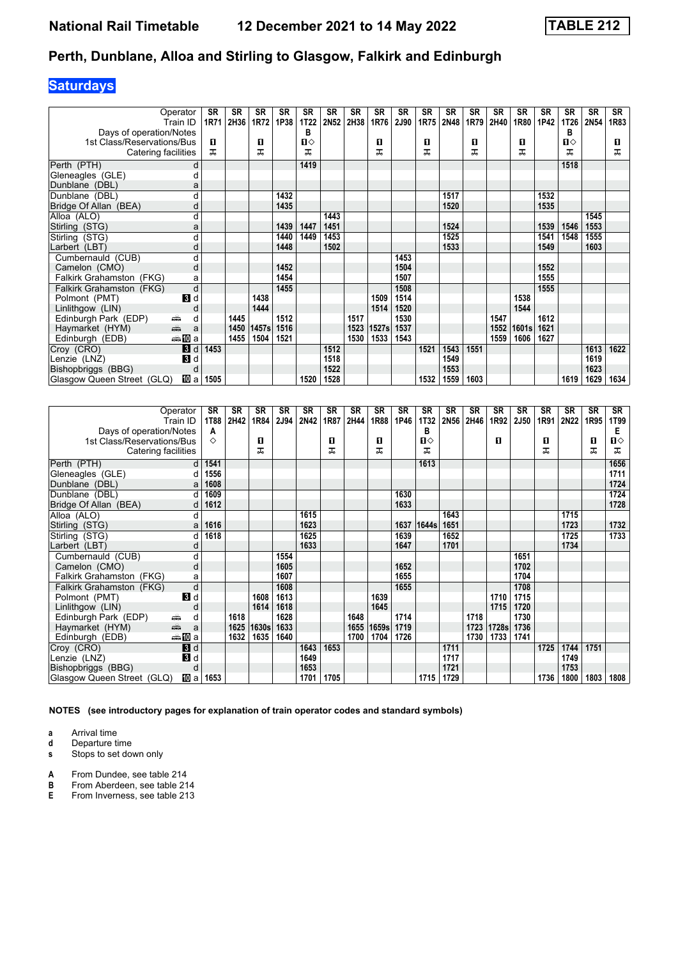## **Saturdays**

| Operator                                                                                                                                                                                                                                          |     | <b>SR</b> | SR   | SR    | <b>SR</b> | SR           | SR   | <b>SR</b> | <b>SR</b> | SR   | <b>SR</b> | <b>SR</b> | <b>SR</b> | <b>SR</b> | <b>SR</b> | <b>SR</b> | <b>SR</b>    | <b>SR</b>   | <b>SR</b> |
|---------------------------------------------------------------------------------------------------------------------------------------------------------------------------------------------------------------------------------------------------|-----|-----------|------|-------|-----------|--------------|------|-----------|-----------|------|-----------|-----------|-----------|-----------|-----------|-----------|--------------|-------------|-----------|
| Train ID                                                                                                                                                                                                                                          |     | 1R71      | 2H36 | 1R72  | 1P38      | 1T22         | 2N52 | 2H38      | 1R76      | 2J90 | 1R75      | 2N48      | 1R79      | 2H40      | 1R80      | 1P42      | 1T26         | <b>2N54</b> | 1R83      |
| Days of operation/Notes                                                                                                                                                                                                                           |     |           |      |       |           | в            |      |           |           |      |           |           |           |           |           |           | в            |             |           |
| 1st Class/Reservations/Bus                                                                                                                                                                                                                        |     | п         |      | п     |           | $\mathbf{u}$ |      |           | п         |      | п         |           | п         |           | п         |           | $\mathbf{u}$ |             | п         |
| Catering facilities                                                                                                                                                                                                                               |     | ㅈ         |      | ᅚ     |           | ᅚ            |      |           | ᠼ         |      | ᅚ         |           | ᅚ         |           | ᅚ         |           | ᅚ            |             | ᅚ         |
| Perth (PTH)                                                                                                                                                                                                                                       |     |           |      |       |           | 1419         |      |           |           |      |           |           |           |           |           |           | 1518         |             |           |
| Gleneagles (GLE)                                                                                                                                                                                                                                  |     |           |      |       |           |              |      |           |           |      |           |           |           |           |           |           |              |             |           |
| Dunblane (DBL)                                                                                                                                                                                                                                    | a   |           |      |       |           |              |      |           |           |      |           |           |           |           |           |           |              |             |           |
| Dunblane (DBL)                                                                                                                                                                                                                                    | d   |           |      |       | 1432      |              |      |           |           |      |           | 1517      |           |           |           | 1532      |              |             |           |
| Bridge Of Allan (BEA)                                                                                                                                                                                                                             | d   |           |      |       | 1435      |              |      |           |           |      |           | 1520      |           |           |           | 1535      |              |             |           |
| Alloa (ALO)                                                                                                                                                                                                                                       | d   |           |      |       |           |              | 1443 |           |           |      |           |           |           |           |           |           |              | 1545        |           |
| Stirling (STG)                                                                                                                                                                                                                                    | a   |           |      |       | 1439      | 1447         | 1451 |           |           |      |           | 1524      |           |           |           | 1539      | 1546         | 1553        |           |
| Stirling (STG)                                                                                                                                                                                                                                    | d   |           |      |       | 1440      | 1449         | 1453 |           |           |      |           | 1525      |           |           |           | 1541      | 1548         | 1555        |           |
| Larbert (LBT)                                                                                                                                                                                                                                     | d   |           |      |       | 1448      |              | 1502 |           |           |      |           | 1533      |           |           |           | 1549      |              | 1603        |           |
| Cumbernauld (CUB)                                                                                                                                                                                                                                 | d   |           |      |       |           |              |      |           |           | 1453 |           |           |           |           |           |           |              |             |           |
| Camelon (CMO)                                                                                                                                                                                                                                     | d   |           |      |       | 1452      |              |      |           |           | 1504 |           |           |           |           |           | 1552      |              |             |           |
| Falkirk Grahamston (FKG)                                                                                                                                                                                                                          | a   |           |      |       | 1454      |              |      |           |           | 1507 |           |           |           |           |           | 1555      |              |             |           |
| Falkirk Grahamston (FKG)                                                                                                                                                                                                                          | d   |           |      |       | 1455      |              |      |           |           | 1508 |           |           |           |           |           | 1555      |              |             |           |
| $\mathbf{B}$ d<br>Polmont (PMT)                                                                                                                                                                                                                   |     |           |      | 1438  |           |              |      |           | 1509      | 1514 |           |           |           |           | 1538      |           |              |             |           |
| Linlithgow (LIN)                                                                                                                                                                                                                                  | O   |           |      | 1444  |           |              |      |           | 1514      | 1520 |           |           |           |           | 1544      |           |              |             |           |
| Edinburgh Park (EDP)<br>æ.                                                                                                                                                                                                                        | d   |           | 1445 |       | 1512      |              |      | 1517      |           | 1530 |           |           |           | 1547      |           | 1612      |              |             |           |
| and and the second set of the set of the set of the set of the set of the set of the set of the set of the set of the set of the set of the set of the set of the set of the set of the set of the set of the set of the set o<br>Haymarket (HYM) | a   |           | 1450 | 1457s | 1516      |              |      | 1523      | 1527s     | 1537 |           |           |           | 1552      | 1601s     | 1621      |              |             |           |
| ⇔≗MDa<br>Edinburgh (EDB)                                                                                                                                                                                                                          |     |           | 1455 | 1504  | 1521      |              |      | 1530      | 1533      | 1543 |           |           |           | 1559      | 1606      | 1627      |              |             |           |
| Croy (CRO)<br>3d                                                                                                                                                                                                                                  |     | 1453      |      |       |           |              | 1512 |           |           |      | 1521      | 1543      | 1551      |           |           |           |              | 1613        | 1622      |
| 3d<br>Lenzie (LNZ)                                                                                                                                                                                                                                |     |           |      |       |           |              | 1518 |           |           |      |           | 1549      |           |           |           |           |              | 1619        |           |
| Bishopbriggs (BBG)                                                                                                                                                                                                                                | d   |           |      |       |           |              | 1522 |           |           |      |           | 1553      |           |           |           |           |              | 1623        |           |
| Glasgow Queen Street (GLQ)                                                                                                                                                                                                                        | 吅 a | 1505      |      |       |           | 1520         | 1528 |           |           |      | 1532      | 1559      | 1603      |           |           |           | 1619         | 1629        | 1634      |

|                            | Operator                                        | SR   | <b>SR</b> | <b>SR</b> | <b>SR</b> | SR   | SR   | <b>SR</b> | <b>SR</b> | <b>SR</b> | <b>SR</b>   | <b>SR</b> | <b>SR</b> | <b>SR</b> | <b>SR</b> | <b>SR</b> | <b>SR</b> | <b>SR</b> | <b>SR</b> |
|----------------------------|-------------------------------------------------|------|-----------|-----------|-----------|------|------|-----------|-----------|-----------|-------------|-----------|-----------|-----------|-----------|-----------|-----------|-----------|-----------|
|                            | Train ID                                        | 1T88 | 2H42      | 1R84      | 2J94      | 2N42 | 1R87 | 2H44      | 1R88      | 1P46      | <b>1T32</b> | 2N56      | 2H46      | 1R92      | 2J50      | 1R91      | 2N22      | 1R95      | 1T99      |
| Days of operation/Notes    |                                                 | A    |           |           |           |      |      |           |           |           | в           |           |           |           |           |           |           |           | Е         |
| 1st Class/Reservations/Bus |                                                 | ◇    |           | п         |           |      | 0    |           | п         |           | П⇔          |           |           | п         |           | п         |           | 0         | п⇔        |
| Catering facilities        |                                                 |      |           | ᠼ         |           |      | ᅚ    |           | ᠼ         |           | ᅚ           |           |           |           |           | ᅚ         |           | ᅚ         | ᅚ         |
| Perth (PTH)                | d l                                             | 1541 |           |           |           |      |      |           |           |           | 1613        |           |           |           |           |           |           |           | 1656      |
| Gleneagles (GLE)           | d                                               | 1556 |           |           |           |      |      |           |           |           |             |           |           |           |           |           |           |           | 1711      |
| Dunblane (DBL)             | a                                               | 1608 |           |           |           |      |      |           |           |           |             |           |           |           |           |           |           |           | 1724      |
| Dunblane (DBL)             | d                                               | 1609 |           |           |           |      |      |           |           | 1630      |             |           |           |           |           |           |           |           | 1724      |
| Bridge Of Allan (BEA)      | d                                               | 1612 |           |           |           |      |      |           |           | 1633      |             |           |           |           |           |           |           |           | 1728      |
| Alloa (ALO)                | d                                               |      |           |           |           | 1615 |      |           |           |           |             | 1643      |           |           |           |           | 1715      |           |           |
| Stirling (STG)             | a                                               | 1616 |           |           |           | 1623 |      |           |           | 1637      | 1644s       | 1651      |           |           |           |           | 1723      |           | 1732      |
| Stirling (STG)             | d                                               | 1618 |           |           |           | 1625 |      |           |           | 1639      |             | 1652      |           |           |           |           | 1725      |           | 1733      |
| Larbert (LBT)              | d                                               |      |           |           |           | 1633 |      |           |           | 1647      |             | 1701      |           |           |           |           | 1734      |           |           |
| Cumbernauld (CUB)          | d                                               |      |           |           | 1554      |      |      |           |           |           |             |           |           |           | 1651      |           |           |           |           |
| Camelon (CMO)              | d                                               |      |           |           | 1605      |      |      |           |           | 1652      |             |           |           |           | 1702      |           |           |           |           |
| Falkirk Grahamston (FKG)   | а                                               |      |           |           | 1607      |      |      |           |           | 1655      |             |           |           |           | 1704      |           |           |           |           |
| Falkirk Grahamston (FKG)   | d                                               |      |           |           | 1608      |      |      |           |           | 1655      |             |           |           |           | 1708      |           |           |           |           |
| Polmont (PMT)              | <b>3</b> d                                      |      |           | 1608      | 1613      |      |      |           | 1639      |           |             |           |           | 1710      | 1715      |           |           |           |           |
| Linlithgow (LIN)           | d                                               |      |           | 1614      | 1618      |      |      |           | 1645      |           |             |           |           | 1715      | 1720      |           |           |           |           |
| Edinburgh Park (EDP)       | æ<br>d                                          |      | 1618      |           | 1628      |      |      | 1648      |           | 1714      |             |           | 1718      |           | 1730      |           |           |           |           |
| Haymarket (HYM)            | $\frac{1}{\left( \frac{1}{2}\right) _{1}}$<br>a |      | 1625      | 1630s     | 1633      |      |      | 1655      | 1659s     | 1719      |             |           | 1723      | 1728s     | 1736      |           |           |           |           |
| Edinburgh (EDB)            | ⇔≞llDia                                         |      | 1632      | 1635      | 1640      |      |      | 1700      | 1704      | 1726      |             |           | 1730      | 1733      | 1741      |           |           |           |           |
| Croy (CRO)                 | $\blacksquare$                                  |      |           |           |           | 1643 | 1653 |           |           |           |             | 1711      |           |           |           | 1725      | 1744      | 1751      |           |
| Lenzie (LNZ)               | В<br>d                                          |      |           |           |           | 1649 |      |           |           |           |             | 1717      |           |           |           |           | 1749      |           |           |
| Bishopbriggs (BBG)         | d                                               |      |           |           |           | 1653 |      |           |           |           |             | 1721      |           |           |           |           | 1753      |           |           |
| Glasgow Queen Street (GLQ) | TO a                                            | 1653 |           |           |           | 1701 | 1705 |           |           |           | 1715        | 1729      |           |           |           | 1736      | 1800      | 1803      | 1808      |

**NOTES (see introductory pages for explanation of train operator codes and standard symbols)**

**a** Arrival time

**d** Departure time

**s** Stops to set down only

**A** From Dundee, see table 214<br>**B** From Aberdeen, see table 21

**B** From Aberdeen, see table 214<br>**E** From Inverness, see table 213

**(** From Inverness, see table 213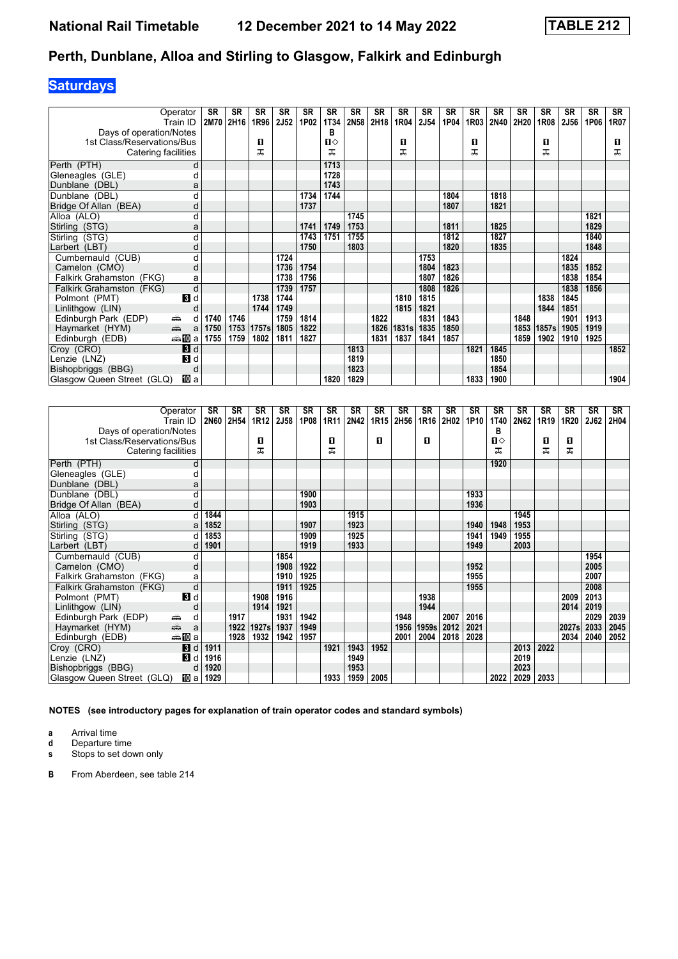# **Saturdays**

|                            | Operator       | <b>SR</b> | <b>SR</b> | <b>SR</b> | <b>SR</b>   | <b>SR</b> | <b>SR</b> | <b>SR</b> | SR   | <b>SR</b> | <b>SR</b> | <b>SR</b> | <b>SR</b> | <b>SR</b> | <b>SR</b> | <b>SR</b> | <b>SR</b>   | <b>SR</b> | <b>SR</b> |
|----------------------------|----------------|-----------|-----------|-----------|-------------|-----------|-----------|-----------|------|-----------|-----------|-----------|-----------|-----------|-----------|-----------|-------------|-----------|-----------|
|                            | Train ID       | 2M70      | 2H16      | 1R96      | <b>2J52</b> | 1P02      | 1T34      | 2N58      | 2H18 | 1R04      | 2J54      | 1P04      | 1R03      | 2N40      | 2H20      | 1R08      | <b>2J56</b> | 1P06      | 1R07      |
| Days of operation/Notes    |                |           |           |           |             |           | в         |           |      |           |           |           |           |           |           |           |             |           |           |
| 1st Class/Reservations/Bus |                |           |           | п         |             |           | Ⅱ♦        |           |      | п         |           |           | п         |           |           | 0         |             |           | 0         |
| Catering facilities        |                |           |           | ᅚ         |             |           | ᅚ         |           |      | ᠼ         |           |           | ᅚ         |           |           | ᠼ         |             |           | ᠼ         |
| Perth (PTH)                | d              |           |           |           |             |           | 1713      |           |      |           |           |           |           |           |           |           |             |           |           |
| Gleneagles (GLE)           |                |           |           |           |             |           | 1728      |           |      |           |           |           |           |           |           |           |             |           |           |
| Dunblane (DBL)             | a              |           |           |           |             |           | 1743      |           |      |           |           |           |           |           |           |           |             |           |           |
| Dunblane (DBL)             | d              |           |           |           |             | 1734      | 1744      |           |      |           |           | 1804      |           | 1818      |           |           |             |           |           |
| Bridge Of Allan (BEA)      | d              |           |           |           |             | 1737      |           |           |      |           |           | 1807      |           | 1821      |           |           |             |           |           |
| Alloa (ALO)                | d              |           |           |           |             |           |           | 1745      |      |           |           |           |           |           |           |           |             | 1821      |           |
| Stirling (STG)             | a              |           |           |           |             | 1741      | 1749      | 1753      |      |           |           | 1811      |           | 1825      |           |           |             | 1829      |           |
| Stirling (STG)             | d              |           |           |           |             | 1743      | 1751      | 1755      |      |           |           | 1812      |           | 1827      |           |           |             | 1840      |           |
| Larbert (LBT)              | d              |           |           |           |             | 1750      |           | 1803      |      |           |           | 1820      |           | 1835      |           |           |             | 1848      |           |
| Cumbernauld (CUB)          | d              |           |           |           | 1724        |           |           |           |      |           | 1753      |           |           |           |           |           | 1824        |           |           |
| Camelon (CMO)              | d              |           |           |           | 1736        | 1754      |           |           |      |           | 1804      | 1823      |           |           |           |           | 1835        | 1852      |           |
| Falkirk Grahamston (FKG)   | a              |           |           |           | 1738        | 1756      |           |           |      |           | 1807      | 1826      |           |           |           |           | 1838        | 1854      |           |
| Falkirk Grahamston (FKG)   | d              |           |           |           | 1739        | 1757      |           |           |      |           | 1808      | 1826      |           |           |           |           | 1838        | 1856      |           |
| Polmont (PMT)              | $\blacksquare$ |           |           | 1738      | 1744        |           |           |           |      | 1810      | 1815      |           |           |           |           | 1838      | 1845        |           |           |
| Linlithgow (LIN)           | O              |           |           | 1744      | 1749        |           |           |           |      | 1815      | 1821      |           |           |           |           | 1844      | 1851        |           |           |
| Edinburgh Park (EDP)       | ۳<br>d         | 1740      | 1746      |           | 1759        | 1814      |           |           | 1822 |           | 1831      | 1843      |           |           | 1848      |           | 1901        | 1913      |           |
| Haymarket (HYM)            | يتنيه<br>a     | 1750      | 1753      | 1757s     | 1805        | 1822      |           |           | 1826 | 1831s     | 1835      | 1850      |           |           | 1853      | 1857s     | 1905        | 1919      |           |
| Edinburgh (EDB)            | ⇔≞MDa          | 1755      | 1759      | 1802      | 1811        | 1827      |           |           | 1831 | 1837      | 1841      | 1857      |           |           | 1859      | 1902      | 1910        | 1925      |           |
| Croy (CRO)                 | $\mathbf{B}$ d |           |           |           |             |           |           | 1813      |      |           |           |           | 1821      | 1845      |           |           |             |           | 1852      |
| Lenzie (LNZ)               | $\blacksquare$ |           |           |           |             |           |           | 1819      |      |           |           |           |           | 1850      |           |           |             |           |           |
| Bishopbriggs (BBG)         | d              |           |           |           |             |           |           | 1823      |      |           |           |           |           | 1854      |           |           |             |           |           |
| Glasgow Queen Street (GLQ) | 吅 a            |           |           |           |             |           | 1820      | 1829      |      |           |           |           | 1833      | 1900      |           |           |             |           | 1904      |

|                            | Operator<br>Train ID                                                                                                                                                                                                                                                                                                                                                                                                                                           | <b>SR</b><br><b>2N60</b> | <b>SR</b><br>2H54 | <b>SR</b><br>1R12 | SR<br>2J58 | SR<br>1P08 | <b>SR</b><br>1R11 | <b>SR</b><br>2N42 | <b>SR</b><br>1R <sub>15</sub> | SR<br>2H56 | <b>SR</b><br>1R16 | <b>SR</b><br>2H02 | <b>SR</b><br>1P10 | <b>SR</b><br><b>1T40</b> | <b>SR</b><br>2N62 | <b>SR</b><br>1R19 | <b>SR</b><br>1R20 | <b>SR</b><br>2J62 | SR<br>2H04 |
|----------------------------|----------------------------------------------------------------------------------------------------------------------------------------------------------------------------------------------------------------------------------------------------------------------------------------------------------------------------------------------------------------------------------------------------------------------------------------------------------------|--------------------------|-------------------|-------------------|------------|------------|-------------------|-------------------|-------------------------------|------------|-------------------|-------------------|-------------------|--------------------------|-------------------|-------------------|-------------------|-------------------|------------|
| Days of operation/Notes    |                                                                                                                                                                                                                                                                                                                                                                                                                                                                |                          |                   |                   |            |            |                   |                   |                               |            |                   |                   |                   | в                        |                   |                   |                   |                   |            |
| 1st Class/Reservations/Bus |                                                                                                                                                                                                                                                                                                                                                                                                                                                                |                          |                   | п                 |            |            | п                 |                   | п                             |            | п                 |                   |                   | п⇔                       |                   | 0                 | п                 |                   |            |
| Catering facilities        |                                                                                                                                                                                                                                                                                                                                                                                                                                                                |                          |                   | ᅚ                 |            |            | ᅚ                 |                   |                               |            |                   |                   |                   | ᅚ                        |                   | ᅚ                 | ᅚ                 |                   |            |
| Perth (PTH)                | d                                                                                                                                                                                                                                                                                                                                                                                                                                                              |                          |                   |                   |            |            |                   |                   |                               |            |                   |                   |                   | 1920                     |                   |                   |                   |                   |            |
| Gleneagles (GLE)           | d                                                                                                                                                                                                                                                                                                                                                                                                                                                              |                          |                   |                   |            |            |                   |                   |                               |            |                   |                   |                   |                          |                   |                   |                   |                   |            |
| Dunblane (DBL)             | a                                                                                                                                                                                                                                                                                                                                                                                                                                                              |                          |                   |                   |            |            |                   |                   |                               |            |                   |                   |                   |                          |                   |                   |                   |                   |            |
| Dunblane (DBL)             | d                                                                                                                                                                                                                                                                                                                                                                                                                                                              |                          |                   |                   |            | 1900       |                   |                   |                               |            |                   |                   | 1933              |                          |                   |                   |                   |                   |            |
| Bridge Of Allan (BEA)      | d                                                                                                                                                                                                                                                                                                                                                                                                                                                              |                          |                   |                   |            | 1903       |                   |                   |                               |            |                   |                   | 1936              |                          |                   |                   |                   |                   |            |
| Alloa (ALO)                | d                                                                                                                                                                                                                                                                                                                                                                                                                                                              | 1844                     |                   |                   |            |            |                   | 1915              |                               |            |                   |                   |                   |                          | 1945              |                   |                   |                   |            |
| Stirling (STG)             | a                                                                                                                                                                                                                                                                                                                                                                                                                                                              | 1852                     |                   |                   |            | 1907       |                   | 1923              |                               |            |                   |                   | 1940              | 1948                     | 1953              |                   |                   |                   |            |
| Stirling (STG)             | d                                                                                                                                                                                                                                                                                                                                                                                                                                                              | 1853                     |                   |                   |            | 1909       |                   | 1925              |                               |            |                   |                   | 1941              | 1949                     | 1955              |                   |                   |                   |            |
| Larbert (LBT)              | d                                                                                                                                                                                                                                                                                                                                                                                                                                                              | 1901                     |                   |                   |            | 1919       |                   | 1933              |                               |            |                   |                   | 1949              |                          | 2003              |                   |                   |                   |            |
| Cumbernauld (CUB)          | d                                                                                                                                                                                                                                                                                                                                                                                                                                                              |                          |                   |                   | 1854       |            |                   |                   |                               |            |                   |                   |                   |                          |                   |                   |                   | 1954              |            |
| Camelon (CMO)              | d                                                                                                                                                                                                                                                                                                                                                                                                                                                              |                          |                   |                   | 1908       | 1922       |                   |                   |                               |            |                   |                   | 1952              |                          |                   |                   |                   | 2005              |            |
| Falkirk Grahamston (FKG)   | a                                                                                                                                                                                                                                                                                                                                                                                                                                                              |                          |                   |                   | 1910       | 1925       |                   |                   |                               |            |                   |                   | 1955              |                          |                   |                   |                   | 2007              |            |
| Falkirk Grahamston (FKG)   | d                                                                                                                                                                                                                                                                                                                                                                                                                                                              |                          |                   |                   | 1911       | 1925       |                   |                   |                               |            |                   |                   | 1955              |                          |                   |                   |                   | 2008              |            |
| Polmont (PMT)              | $\mathbf{3}$ d                                                                                                                                                                                                                                                                                                                                                                                                                                                 |                          |                   | 1908              | 1916       |            |                   |                   |                               |            | 1938              |                   |                   |                          |                   |                   | 2009              | 2013              |            |
| Linlithgow (LIN)           |                                                                                                                                                                                                                                                                                                                                                                                                                                                                |                          |                   | 1914              | 1921       |            |                   |                   |                               |            | 1944              |                   |                   |                          |                   |                   | 2014              | 2019              |            |
| Edinburgh Park (EDP)       | ۳<br>d                                                                                                                                                                                                                                                                                                                                                                                                                                                         |                          | 1917              |                   | 1931       | 1942       |                   |                   |                               | 1948       |                   | 2007              | 2016              |                          |                   |                   |                   | 2029              | 2039       |
| Haymarket (HYM)            | $\frac{1}{\left( \frac{1}{\left( \frac{1}{\left( \frac{1}{\left( \frac{1}{\left( \frac{1}{\left( \frac{1}{\left( \frac{1}{\left( \frac{1}{\left( \frac{1}{\left( \frac{1}{\left( \frac{1}{\left( \frac{1}{\left( \frac{1}{\left( \frac{1}{\left( \frac{1}{\left( \frac{1}{\left( \frac{1}{\left( \frac{1}{\left( \frac{1}{\left( \frac{1}{\left( \frac{1}{\left( \frac{1}{\left( \frac{1}{\left( \frac{1}{\left( \frac{1}{\left( \frac{1}{\left( \frac{1$<br>a |                          | 1922              | 1927s             | 1937       | 1949       |                   |                   |                               | 1956       | 1959s             | 2012              | 2021              |                          |                   |                   | 2027s             | 2033              | 2045       |
| Edinburgh (EDB)            | ⊯‱ lDia                                                                                                                                                                                                                                                                                                                                                                                                                                                        |                          | 1928              | 1932              | 1942       | 1957       |                   |                   |                               | 2001       | 2004              | 2018              | 2028              |                          |                   |                   | 2034              | 2040              | 2052       |
| Croy (CRO)                 | $\overline{3}$<br>d                                                                                                                                                                                                                                                                                                                                                                                                                                            | 1911                     |                   |                   |            |            | 1921              | 1943              | 1952                          |            |                   |                   |                   |                          | 2013              | 2022              |                   |                   |            |
| Lenzie (LNZ)               | В<br>d                                                                                                                                                                                                                                                                                                                                                                                                                                                         | 1916                     |                   |                   |            |            |                   | 1949              |                               |            |                   |                   |                   |                          | 2019              |                   |                   |                   |            |
| Bishopbriggs (BBG)         | d                                                                                                                                                                                                                                                                                                                                                                                                                                                              | 1920                     |                   |                   |            |            |                   | 1953              |                               |            |                   |                   |                   |                          | 2023              |                   |                   |                   |            |
| Glasgow Queen Street (GLQ) | <b>ID</b> a                                                                                                                                                                                                                                                                                                                                                                                                                                                    | 1929                     |                   |                   |            |            | 1933              | 1959              | 2005                          |            |                   |                   |                   | 2022                     | 2029              | 2033              |                   |                   |            |

**NOTES (see introductory pages for explanation of train operator codes and standard symbols)**

**a** Arrival time<br>**d** Departure time

**d** Departure time<br>**s** Stops to set dow

**s** Stops to set down only

**B** From Aberdeen, see table 21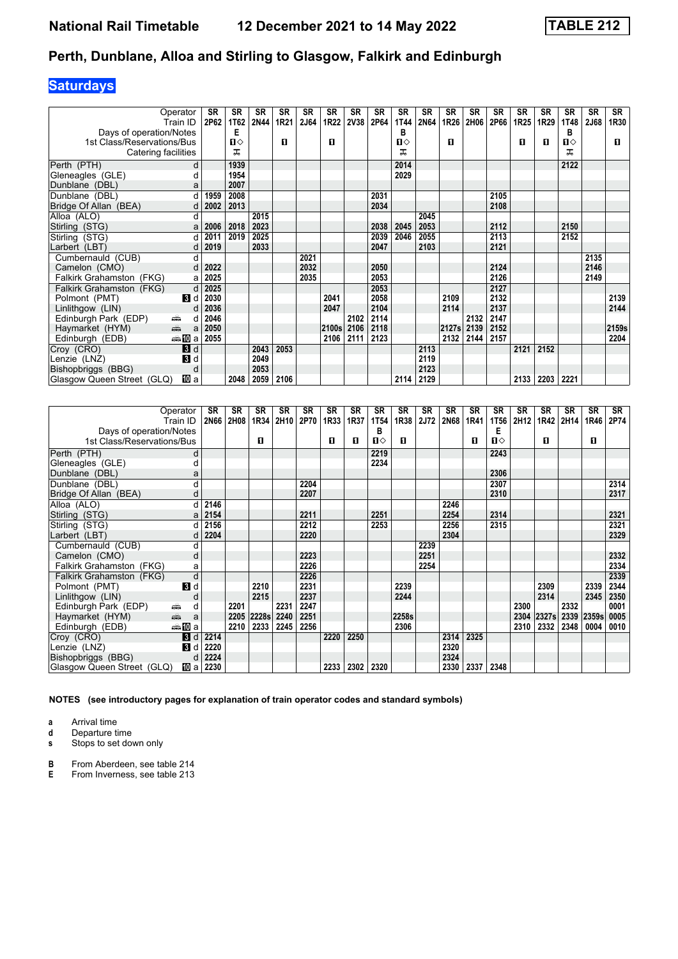## **Saturdays**

| Operator<br>Train ID                    | <b>SR</b><br>2P62 | <b>SR</b><br>1T62 | <b>SR</b><br>2N44 | <b>SR</b><br>1R21 | SR<br>2J64 | SR<br>1R22 | <b>SR</b><br><b>2V38</b> | <b>SR</b><br>2P64 | SR<br>1T44   | <b>SR</b><br>2N64 | <b>SR</b><br>1R26 | <b>SR</b><br>2H06 | <b>SR</b><br>2P66 | <b>SR</b><br><b>1R25</b> | <b>SR</b><br>1R29 | <b>SR</b><br><b>1T48</b> | <b>SR</b><br>2J68 | <b>SR</b><br>1R30 |
|-----------------------------------------|-------------------|-------------------|-------------------|-------------------|------------|------------|--------------------------|-------------------|--------------|-------------------|-------------------|-------------------|-------------------|--------------------------|-------------------|--------------------------|-------------------|-------------------|
| Days of operation/Notes                 |                   | Е                 |                   |                   |            |            |                          |                   | В            |                   |                   |                   |                   |                          |                   | в                        |                   |                   |
| 1st Class/Reservations/Bus              |                   | П⇔                |                   | п                 |            | п          |                          |                   | $\mathbf{n}$ |                   | п                 |                   |                   | п                        | п                 | Ⅱ♦                       |                   | п                 |
| Catering facilities                     |                   | ᅚ                 |                   |                   |            |            |                          |                   | ㅈ            |                   |                   |                   |                   |                          |                   | ᅚ                        |                   |                   |
| Perth (PTH)                             | d                 | 1939              |                   |                   |            |            |                          |                   | 2014         |                   |                   |                   |                   |                          |                   | 2122                     |                   |                   |
| Gleneagles (GLE)                        |                   | 1954              |                   |                   |            |            |                          |                   | 2029         |                   |                   |                   |                   |                          |                   |                          |                   |                   |
| Dunblane (DBL)                          | a                 | 2007              |                   |                   |            |            |                          |                   |              |                   |                   |                   |                   |                          |                   |                          |                   |                   |
| Dunblane (DBL)                          | d<br>1959         | 2008              |                   |                   |            |            |                          | 2031              |              |                   |                   |                   | 2105              |                          |                   |                          |                   |                   |
| Bridge Of Allan (BEA)                   | 2002              | 2013              |                   |                   |            |            |                          | 2034              |              |                   |                   |                   | 2108              |                          |                   |                          |                   |                   |
| Alloa (ALO)                             | d                 |                   | 2015              |                   |            |            |                          |                   |              | 2045              |                   |                   |                   |                          |                   |                          |                   |                   |
| Stirling (STG)                          | 2006<br>a         | 2018              | 2023              |                   |            |            |                          | 2038              | 2045         | 2053              |                   |                   | 2112              |                          |                   | 2150                     |                   |                   |
| Stirling (STG)                          | d<br>2011         | 2019              | 2025              |                   |            |            |                          | 2039              | 2046         | 2055              |                   |                   | 2113              |                          |                   | 2152                     |                   |                   |
| Larbert (LBT)                           | 2019              |                   | 2033              |                   |            |            |                          | 2047              |              | 2103              |                   |                   | 2121              |                          |                   |                          |                   |                   |
| Cumbernauld (CUB)                       | d                 |                   |                   |                   | 2021       |            |                          |                   |              |                   |                   |                   |                   |                          |                   |                          | 2135              |                   |
| Camelon (CMO)                           | 2022<br>d         |                   |                   |                   | 2032       |            |                          | 2050              |              |                   |                   |                   | 2124              |                          |                   |                          | 2146              |                   |
| Falkirk Grahamston (FKG)                | 2025<br>a         |                   |                   |                   | 2035       |            |                          | 2053              |              |                   |                   |                   | 2126              |                          |                   |                          | 2149              |                   |
| Falkirk Grahamston (FKG)                | 2025<br>d         |                   |                   |                   |            |            |                          | 2053              |              |                   |                   |                   | 2127              |                          |                   |                          |                   |                   |
| $\mathbf{B}$ d<br>Polmont (PMT)         | 2030              |                   |                   |                   |            | 2041       |                          | 2058              |              |                   | 2109              |                   | 2132              |                          |                   |                          |                   | 2139              |
| Linlithgow (LIN)                        | 2036<br>d         |                   |                   |                   |            | 2047       |                          | 2104              |              |                   | 2114              |                   | 2137              |                          |                   |                          |                   | 2144              |
| Edinburgh Park (EDP)<br>æÊ,             | 2046<br>d         |                   |                   |                   |            |            | 2102                     | 2114              |              |                   |                   | 2132              | 2147              |                          |                   |                          |                   |                   |
| $\frac{1}{\sqrt{2}}$<br>Haymarket (HYM) | 2050<br>a         |                   |                   |                   |            | 2100s      | 2106                     | 2118              |              |                   | 2127s             | 2139              | 2152              |                          |                   |                          |                   | 2159s             |
| — 100 a<br>Edinburgh (EDB)              | 2055              |                   |                   |                   |            | 2106       | 2111                     | 2123              |              |                   | 2132              | 2144              | 2157              |                          |                   |                          |                   | 2204              |
| Croy (CRO)<br>3d                        |                   |                   | 2043              | 2053              |            |            |                          |                   |              | 2113              |                   |                   |                   | 2121                     | 2152              |                          |                   |                   |
| $\mathbf{3}$ d<br>Lenzie (LNZ)          |                   |                   | 2049              |                   |            |            |                          |                   |              | 2119              |                   |                   |                   |                          |                   |                          |                   |                   |
| Bishopbriggs (BBG)                      | d                 |                   | 2053              |                   |            |            |                          |                   |              | 2123              |                   |                   |                   |                          |                   |                          |                   |                   |
| Glasgow Queen Street (GLQ)<br>凹 a       |                   | 2048              |                   | 2059 2106         |            |            |                          |                   | 2114         | 2129              |                   |                   |                   | 2133                     | 2203              | 2221                     |                   |                   |

|                                                       | Operator                                                                                                                                                                                                                                                                                                                                                                                                                                                       | <b>SR</b>   | <b>SR</b> | <b>SR</b> | <b>SR</b> | <b>SR</b> | <b>SR</b> | <b>SR</b> | <b>SR</b>   | <b>SR</b> | <b>SR</b> | <b>SR</b> | <b>SR</b> | <b>SR</b>         | <b>SR</b> | <b>SR</b> | <b>SR</b> | SR    | SR   |
|-------------------------------------------------------|----------------------------------------------------------------------------------------------------------------------------------------------------------------------------------------------------------------------------------------------------------------------------------------------------------------------------------------------------------------------------------------------------------------------------------------------------------------|-------------|-----------|-----------|-----------|-----------|-----------|-----------|-------------|-----------|-----------|-----------|-----------|-------------------|-----------|-----------|-----------|-------|------|
|                                                       | Train ID                                                                                                                                                                                                                                                                                                                                                                                                                                                       | <b>2N66</b> | 2H08      | 1R34      | 2H10      | 2P70      | 1R33      | 1R37      | <b>1T54</b> | 1R38      | 2J72      | 2N68      | 1R41      | 1T56              | 2H12      | 1R42      | 2H14      | 1R46  | 2P74 |
| Days of operation/Notes<br>1st Class/Reservations/Bus |                                                                                                                                                                                                                                                                                                                                                                                                                                                                |             |           | п         |           |           | п         | п         | В<br>Ⅱ♦     | п         |           |           | п         | Е<br>$\mathbf{u}$ |           | п         |           | п     |      |
|                                                       |                                                                                                                                                                                                                                                                                                                                                                                                                                                                |             |           |           |           |           |           |           |             |           |           |           |           |                   |           |           |           |       |      |
| Perth (PTH)                                           | d                                                                                                                                                                                                                                                                                                                                                                                                                                                              |             |           |           |           |           |           |           | 2219        |           |           |           |           | 2243              |           |           |           |       |      |
| Gleneagles (GLE)                                      |                                                                                                                                                                                                                                                                                                                                                                                                                                                                |             |           |           |           |           |           |           | 2234        |           |           |           |           |                   |           |           |           |       |      |
| Dunblane (DBL)                                        | а                                                                                                                                                                                                                                                                                                                                                                                                                                                              |             |           |           |           |           |           |           |             |           |           |           |           | 2306              |           |           |           |       |      |
| Dunblane (DBL)                                        |                                                                                                                                                                                                                                                                                                                                                                                                                                                                |             |           |           |           | 2204      |           |           |             |           |           |           |           | 2307              |           |           |           |       | 2314 |
| Bridge Of Allan (BEA)                                 |                                                                                                                                                                                                                                                                                                                                                                                                                                                                |             |           |           |           | 2207      |           |           |             |           |           |           |           | 2310              |           |           |           |       | 2317 |
| Alloa (ALO)                                           |                                                                                                                                                                                                                                                                                                                                                                                                                                                                | 2146        |           |           |           |           |           |           |             |           |           | 2246      |           |                   |           |           |           |       |      |
| Stirling (STG)                                        | а                                                                                                                                                                                                                                                                                                                                                                                                                                                              | 2154        |           |           |           | 2211      |           |           | 2251        |           |           | 2254      |           | 2314              |           |           |           |       | 2321 |
| Stirling (STG)                                        |                                                                                                                                                                                                                                                                                                                                                                                                                                                                | 2156        |           |           |           | 2212      |           |           | 2253        |           |           | 2256      |           | 2315              |           |           |           |       | 2321 |
| Larbert (LBT)                                         |                                                                                                                                                                                                                                                                                                                                                                                                                                                                | 2204        |           |           |           | 2220      |           |           |             |           |           | 2304      |           |                   |           |           |           |       | 2329 |
| Cumbernauld (CUB)                                     | d                                                                                                                                                                                                                                                                                                                                                                                                                                                              |             |           |           |           |           |           |           |             |           | 2239      |           |           |                   |           |           |           |       |      |
| Camelon (CMO)                                         | d                                                                                                                                                                                                                                                                                                                                                                                                                                                              |             |           |           |           | 2223      |           |           |             |           | 2251      |           |           |                   |           |           |           |       | 2332 |
| Falkirk Grahamston (FKG)                              | a                                                                                                                                                                                                                                                                                                                                                                                                                                                              |             |           |           |           | 2226      |           |           |             |           | 2254      |           |           |                   |           |           |           |       | 2334 |
| Falkirk Grahamston (FKG)                              | d                                                                                                                                                                                                                                                                                                                                                                                                                                                              |             |           |           |           | 2226      |           |           |             |           |           |           |           |                   |           |           |           |       | 2339 |
| Polmont (PMT)                                         | $\mathbf{3}$ d                                                                                                                                                                                                                                                                                                                                                                                                                                                 |             |           | 2210      |           | 2231      |           |           |             | 2239      |           |           |           |                   |           | 2309      |           | 2339  | 2344 |
| Linlithgow (LIN)                                      |                                                                                                                                                                                                                                                                                                                                                                                                                                                                |             |           | 2215      |           | 2237      |           |           |             | 2244      |           |           |           |                   |           | 2314      |           | 2345  | 2350 |
| Edinburgh Park (EDP)                                  | ۳<br>d                                                                                                                                                                                                                                                                                                                                                                                                                                                         |             | 2201      |           | 2231      | 2247      |           |           |             |           |           |           |           |                   | 2300      |           | 2332      |       | 0001 |
| Haymarket (HYM)                                       | $\frac{1}{\left( \frac{1}{\left( \frac{1}{\left( \frac{1}{\left( \frac{1}{\left( \frac{1}{\left( \frac{1}{\left( \frac{1}{\left( \frac{1}{\left( \frac{1}{\left( \frac{1}{\left( \frac{1}{\left( \frac{1}{\left( \frac{1}{\left( \frac{1}{\left( \frac{1}{\left( \frac{1}{\left( \frac{1}{\left( \frac{1}{\left( \frac{1}{\left( \frac{1}{\left( \frac{1}{\left( \frac{1}{\left( \frac{1}{\left( \frac{1}{\left( \frac{1}{\left( \frac{1}{\left( \frac{1$<br>a |             | 2205      | 2228s     | 2240      | 2251      |           |           |             | 2258s     |           |           |           |                   | 2304      | 2327s     | 2339      | 2359s | 0005 |
| Edinburgh (EDB)                                       | ⊯‱ lDia                                                                                                                                                                                                                                                                                                                                                                                                                                                        |             | 2210      | 2233      | 2245      | 2256      |           |           |             | 2306      |           |           |           |                   | 2310      | 2332      | 2348      | 0004  | 0010 |
| Croy (CRO)                                            | $\mathbf{B}$<br>d                                                                                                                                                                                                                                                                                                                                                                                                                                              | 2214        |           |           |           |           | 2220      | 2250      |             |           |           | 2314      | 2325      |                   |           |           |           |       |      |
| Lenzie (LNZ)                                          | $\blacksquare$                                                                                                                                                                                                                                                                                                                                                                                                                                                 | 2220        |           |           |           |           |           |           |             |           |           | 2320      |           |                   |           |           |           |       |      |
| Bishopbriggs (BBG)                                    | d                                                                                                                                                                                                                                                                                                                                                                                                                                                              | 2224        |           |           |           |           |           |           |             |           |           | 2324      |           |                   |           |           |           |       |      |
| Glasgow Queen Street (GLQ)                            | 吅 a                                                                                                                                                                                                                                                                                                                                                                                                                                                            | 2230        |           |           |           |           | 2233      | 2302      | 2320        |           |           | 2330      | 2337      | 2348              |           |           |           |       |      |

**NOTES (see introductory pages for explanation of train operator codes and standard symbols)**

**a** Arrival time<br>**d** Departure t

**d** Departure time

**s** Stops to set down only

**B** From Aberdeen, see table 214<br>**E** From Inverness, see table 213

**(** From Inverness, see table 213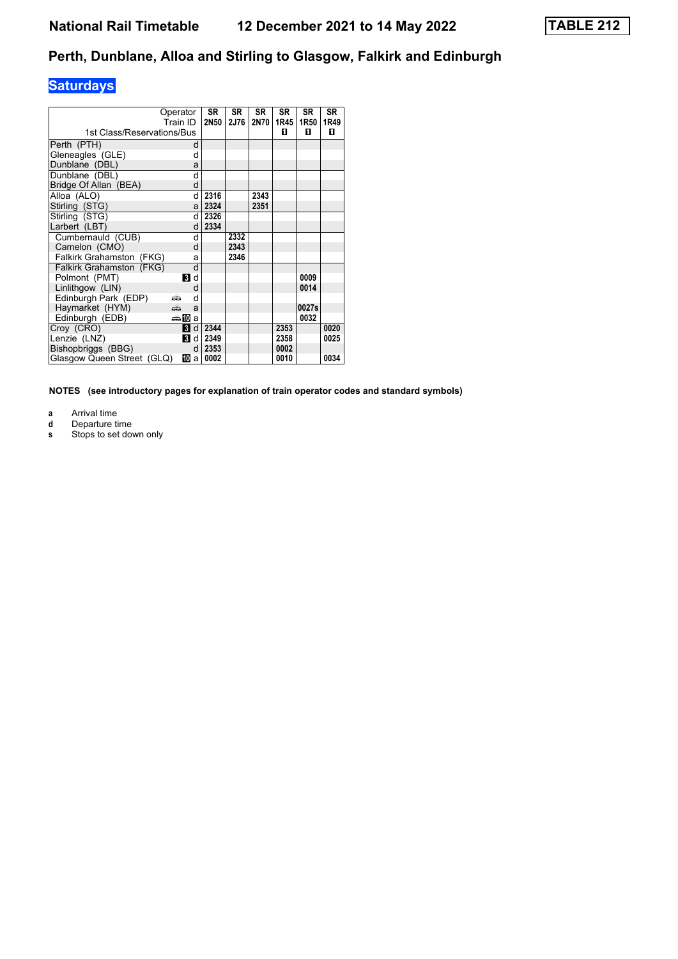# **Saturdays**

| 1st Class/Reservations/Bus      | Operator<br>Train ID |   | <b>SR</b><br>2N50 | <b>SR</b><br>2J76 | <b>SR</b><br>2N70 | SR<br>1R45<br>п | SR<br>1R50<br>п | <b>SR</b><br>1R49<br>п |
|---------------------------------|----------------------|---|-------------------|-------------------|-------------------|-----------------|-----------------|------------------------|
| Perth (PTH)                     |                      | d |                   |                   |                   |                 |                 |                        |
| Gleneagles (GLE)                |                      | d |                   |                   |                   |                 |                 |                        |
| Dunblane (DBL)                  |                      | a |                   |                   |                   |                 |                 |                        |
| Dunblane (DBL)                  |                      | d |                   |                   |                   |                 |                 |                        |
| Bridge Of Allan (BEA)           |                      | d |                   |                   |                   |                 |                 |                        |
| Alloa (ALO)                     |                      | d | 2316              |                   | 2343              |                 |                 |                        |
| Stirling (STG)                  |                      | a | 2324              |                   | 2351              |                 |                 |                        |
| Stirling (STG)                  |                      | d | 2326              |                   |                   |                 |                 |                        |
| Larbert (LBT)                   |                      | d | 2334              |                   |                   |                 |                 |                        |
| Cumbernauld (CUB)               |                      | d |                   | 2332              |                   |                 |                 |                        |
| Camelon (CMO)                   |                      | d |                   | 2343              |                   |                 |                 |                        |
| <b>Falkirk Grahamston (FKG)</b> |                      | a |                   | 2346              |                   |                 |                 |                        |
| Falkirk Grahamston (FKG)        |                      | d |                   |                   |                   |                 |                 |                        |
| Polmont (PMT)                   | <b>Bi</b> d          |   |                   |                   |                   |                 | 0009            |                        |
| Linlithgow (LIN)                |                      | d |                   |                   |                   |                 | 0014            |                        |
| Edinburgh Park (EDP)            | پیش                  | d |                   |                   |                   |                 |                 |                        |
| Haymarket (HYM)                 | añ,                  | a |                   |                   |                   |                 | 0027s           |                        |
| Edinburgh (EDB)                 | $\oplus$ 10          | a |                   |                   |                   |                 | 0032            |                        |
| Croy (CRO)                      | 3                    | d | 2344              |                   |                   | 2353            |                 | 0020                   |
| Lenzie (LNZ)                    | <b>B</b> d           |   | 2349              |                   |                   | 2358            |                 | 0025                   |
| Bishopbriggs (BBG)              |                      | d | 2353              |                   |                   | 0002            |                 |                        |
| Glasgow Queen Street (GLQ)      | Ю                    | a | 0002              |                   |                   | 0010            |                 | 0034                   |

**NOTES (see introductory pages for explanation of train operator codes and standard symbols)**

- **a** Arrival time
- **d** Departure time
- **s** Stops to set down only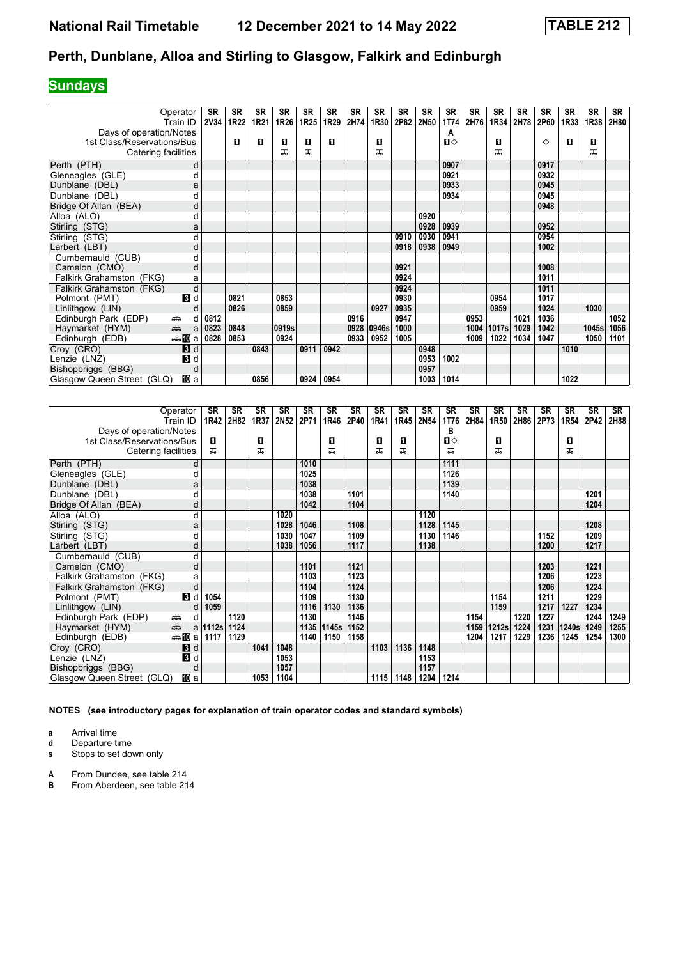## **Sundays**

|                            | Operator                                                                                                                                                                                                                            | SR   | <b>SR</b> | <b>SR</b> | <b>SR</b> | <b>SR</b> | <b>SR</b> | <b>SR</b> | <b>SR</b> | <b>SR</b> | <b>SR</b> | <b>SR</b> | <b>SR</b> | <b>SR</b> | <b>SR</b> | <b>SR</b> | <b>SR</b> | <b>SR</b> | <b>SR</b> |
|----------------------------|-------------------------------------------------------------------------------------------------------------------------------------------------------------------------------------------------------------------------------------|------|-----------|-----------|-----------|-----------|-----------|-----------|-----------|-----------|-----------|-----------|-----------|-----------|-----------|-----------|-----------|-----------|-----------|
|                            | Train ID                                                                                                                                                                                                                            | 2V34 | 1R22      | 1R21      | 1R26      | 1R25      | 1R29      | 2H74      | 1R30      | 2P82      | 2N50      | 1T74      | 2H76      | 1R34      | 2H78      | 2P60      | 1R33      | 1R38      | 2H80      |
| Days of operation/Notes    |                                                                                                                                                                                                                                     |      |           |           |           |           |           |           |           |           |           | A         |           |           |           |           |           |           |           |
| 1st Class/Reservations/Bus |                                                                                                                                                                                                                                     |      | п         | п         | 0         | 0         | п         |           | 0         |           |           | п⇔        |           | O         |           | ♦         | П         | 0         |           |
| Catering facilities        |                                                                                                                                                                                                                                     |      |           |           | ᅚ         | ᠼ         |           |           | ᠼ         |           |           |           |           | ᠼ         |           |           |           | ᅚ         |           |
| Perth (PTH)                | d                                                                                                                                                                                                                                   |      |           |           |           |           |           |           |           |           |           | 0907      |           |           |           | 0917      |           |           |           |
| Gleneagles (GLE)           |                                                                                                                                                                                                                                     |      |           |           |           |           |           |           |           |           |           | 0921      |           |           |           | 0932      |           |           |           |
| Dunblane (DBL)             | а                                                                                                                                                                                                                                   |      |           |           |           |           |           |           |           |           |           | 0933      |           |           |           | 0945      |           |           |           |
| Dunblane (DBL)             |                                                                                                                                                                                                                                     |      |           |           |           |           |           |           |           |           |           | 0934      |           |           |           | 0945      |           |           |           |
| Bridge Of Allan (BEA)      | O                                                                                                                                                                                                                                   |      |           |           |           |           |           |           |           |           |           |           |           |           |           | 0948      |           |           |           |
| Alloa (ALO)                | d                                                                                                                                                                                                                                   |      |           |           |           |           |           |           |           |           | 0920      |           |           |           |           |           |           |           |           |
| Stirling (STG)             | а                                                                                                                                                                                                                                   |      |           |           |           |           |           |           |           |           | 0928      | 0939      |           |           |           | 0952      |           |           |           |
| Stirling (STG)             | d                                                                                                                                                                                                                                   |      |           |           |           |           |           |           |           | 0910      | 0930      | 0941      |           |           |           | 0954      |           |           |           |
| Larbert (LBT)              | d                                                                                                                                                                                                                                   |      |           |           |           |           |           |           |           | 0918      | 0938      | 0949      |           |           |           | 1002      |           |           |           |
| Cumbernauld (CUB)          | d                                                                                                                                                                                                                                   |      |           |           |           |           |           |           |           |           |           |           |           |           |           |           |           |           |           |
| Camelon (CMO)              | d                                                                                                                                                                                                                                   |      |           |           |           |           |           |           |           | 0921      |           |           |           |           |           | 1008      |           |           |           |
| Falkirk Grahamston (FKG)   | a                                                                                                                                                                                                                                   |      |           |           |           |           |           |           |           | 0924      |           |           |           |           |           | 1011      |           |           |           |
| Falkirk Grahamston (FKG)   | d                                                                                                                                                                                                                                   |      |           |           |           |           |           |           |           | 0924      |           |           |           |           |           | 1011      |           |           |           |
| Polmont (PMT)              | $\mathbf{3}$ d                                                                                                                                                                                                                      |      | 0821      |           | 0853      |           |           |           |           | 0930      |           |           |           | 0954      |           | 1017      |           |           |           |
| Linlithgow (LIN)           |                                                                                                                                                                                                                                     |      | 0826      |           | 0859      |           |           |           | 0927      | 0935      |           |           |           | 0959      |           | 1024      |           | 1030      |           |
| Edinburgh Park (EDP)       | ۳<br>d                                                                                                                                                                                                                              | 0812 |           |           |           |           |           | 0916      |           | 0947      |           |           | 0953      |           | 1021      | 1036      |           |           | 1052      |
| Haymarket (HYM)            | and and the contract of the contract of the contract of the contract of the contract of the contract of the contract of the contract of the contract of the contract of the contract of the contract of the contract of the co<br>a | 0823 | 0848      |           | 0919s     |           |           | 0928      | 0946s     | 1000      |           |           | 1004      | 1017s     | 1029      | 1042      |           | 1045s     | 1056      |
| Edinburgh (EDB)            | ⇔≞llDa                                                                                                                                                                                                                              | 0828 | 0853      |           | 0924      |           |           | 0933      | 0952      | 1005      |           |           | 1009      | 1022      | 1034      | 1047      |           | 1050      | 1101      |
| Croy (CRO)                 | 3d                                                                                                                                                                                                                                  |      |           | 0843      |           | 0911      | 0942      |           |           |           | 0948      |           |           |           |           |           | 1010      |           |           |
| Lenzie (LNZ)               | $\mathbf{B}$ d                                                                                                                                                                                                                      |      |           |           |           |           |           |           |           |           | 0953      | 1002      |           |           |           |           |           |           |           |
| Bishopbriggs (BBG)         | d                                                                                                                                                                                                                                   |      |           |           |           |           |           |           |           |           | 0957      |           |           |           |           |           |           |           |           |
| Glasgow Queen Street (GLQ) | 吅 a                                                                                                                                                                                                                                 |      |           | 0856      |           | 0924      | 0954      |           |           |           | 1003      | 1014      |           |           |           |           | 1022      |           |           |

|                            | Operator<br>Train ID | <b>SR</b><br>1R42 | <b>SR</b><br>2H82 | <b>SR</b><br>1R37 | <b>SR</b><br>2N52 | <b>SR</b><br>2P71 | <b>SR</b><br>1R46 | SR<br>2P40 | <b>SR</b><br>1R41 | <b>SR</b><br>1R45 | <b>SR</b><br>2N54 | <b>SR</b><br>1T76 | <b>SR</b><br>2H84 | <b>SR</b><br>1R50 | <b>SR</b><br>2H86 | <b>SR</b><br>2P73 | <b>SR</b><br>1R54 | <b>SR</b><br>2P42 | SR<br>2H88 |
|----------------------------|----------------------|-------------------|-------------------|-------------------|-------------------|-------------------|-------------------|------------|-------------------|-------------------|-------------------|-------------------|-------------------|-------------------|-------------------|-------------------|-------------------|-------------------|------------|
| Days of operation/Notes    |                      |                   |                   |                   |                   |                   |                   |            |                   |                   |                   | в                 |                   |                   |                   |                   |                   |                   |            |
| 1st Class/Reservations/Bus |                      | П                 |                   | п                 |                   |                   | О                 |            | 0                 | п                 |                   | п⇔                |                   | п                 |                   |                   | П                 |                   |            |
| Catering facilities        |                      | ᠼ                 |                   | ᅚ                 |                   |                   | ᅚ                 |            | ᠼ                 | ᅚ                 |                   | ㅈ                 |                   | ᅚ                 |                   |                   | ᅚ                 |                   |            |
| Perth (PTH)                | d                    |                   |                   |                   |                   | 1010              |                   |            |                   |                   |                   | 1111              |                   |                   |                   |                   |                   |                   |            |
| Gleneagles (GLE)           | d                    |                   |                   |                   |                   | 1025              |                   |            |                   |                   |                   | 1126              |                   |                   |                   |                   |                   |                   |            |
| Dunblane (DBL)             | a                    |                   |                   |                   |                   | 1038              |                   |            |                   |                   |                   | 1139              |                   |                   |                   |                   |                   |                   |            |
| Dunblane (DBL)             | d                    |                   |                   |                   |                   | 1038              |                   | 1101       |                   |                   |                   | 1140              |                   |                   |                   |                   |                   | 1201              |            |
| Bridge Of Allan (BEA)      | d                    |                   |                   |                   |                   | 1042              |                   | 1104       |                   |                   |                   |                   |                   |                   |                   |                   |                   | 1204              |            |
| Alloa (ALO)                | d                    |                   |                   |                   | 1020              |                   |                   |            |                   |                   | 1120              |                   |                   |                   |                   |                   |                   |                   |            |
| Stirling (STG)             | a                    |                   |                   |                   | 1028              | 1046              |                   | 1108       |                   |                   | 1128              | 1145              |                   |                   |                   |                   |                   | 1208              |            |
| Stirling (STG)             | d                    |                   |                   |                   | 1030              | 1047              |                   | 1109       |                   |                   | 1130              | 1146              |                   |                   |                   | 1152              |                   | 1209              |            |
| Larbert (LBT)              | d                    |                   |                   |                   | 1038              | 1056              |                   | 1117       |                   |                   | 1138              |                   |                   |                   |                   | 1200              |                   | 1217              |            |
| Cumbernauld (CUB)          | d                    |                   |                   |                   |                   |                   |                   |            |                   |                   |                   |                   |                   |                   |                   |                   |                   |                   |            |
| Camelon (CMO)              | d                    |                   |                   |                   |                   | 1101              |                   | 1121       |                   |                   |                   |                   |                   |                   |                   | 1203              |                   | 1221              |            |
| Falkirk Grahamston (FKG)   | а                    |                   |                   |                   |                   | 1103              |                   | 1123       |                   |                   |                   |                   |                   |                   |                   | 1206              |                   | 1223              |            |
| Falkirk Grahamston (FKG)   | d                    |                   |                   |                   |                   | 1104              |                   | 1124       |                   |                   |                   |                   |                   |                   |                   | 1206              |                   | 1224              |            |
| Polmont (PMT)              | В<br>d               | 1054              |                   |                   |                   | 1109              |                   | 1130       |                   |                   |                   |                   |                   | 1154              |                   | 1211              |                   | 1229              |            |
| Linlithgow (LIN)           | d                    | 1059              |                   |                   |                   | 1116              | 1130              | 1136       |                   |                   |                   |                   |                   | 1159              |                   | 1217              | 1227              | 1234              |            |
| Edinburgh Park (EDP)       | d<br>۳               |                   | 1120              |                   |                   | 1130              |                   | 1146       |                   |                   |                   |                   | 1154              |                   | 1220              | 1227              |                   | 1244              | 1249       |
| Haymarket (HYM)            | añ,                  | a   1112s         | 1124              |                   |                   | 1135              | 1145s             | 1152       |                   |                   |                   |                   | 1159              | 1212s             | 1224              | 1231              | 1240s             | 1249              | 1255       |
| Edinburgh (EDB)            | ⊯nDial               | 1117              | 1129              |                   |                   | 1140              | 1150              | 1158       |                   |                   |                   |                   | 1204              | 1217              | 1229              | 1236              | 1245              | 1254              | 1300       |
| Croy (CRO)                 | 3d                   |                   |                   | 1041              | 1048              |                   |                   |            | 1103              | 1136              | 1148              |                   |                   |                   |                   |                   |                   |                   |            |
| Lenzie (LNZ)               | В<br>d               |                   |                   |                   | 1053              |                   |                   |            |                   |                   | 1153              |                   |                   |                   |                   |                   |                   |                   |            |
| Bishopbriggs (BBG)         | d                    |                   |                   |                   | 1057              |                   |                   |            |                   |                   | 1157              |                   |                   |                   |                   |                   |                   |                   |            |
| Glasgow Queen Street (GLQ) | <b>ID</b> a          |                   |                   | 1053              | 1104              |                   |                   |            | 1115              | 1148              | 1204              | 1214              |                   |                   |                   |                   |                   |                   |            |

**NOTES (see introductory pages for explanation of train operator codes and standard symbols)**

**a** Arrival time

**d** Departure time

**s** Stops to set down only

**A** From Dundee, see table 214<br>**B** From Aberdeen, see table 21

**B** Banacc, see table 214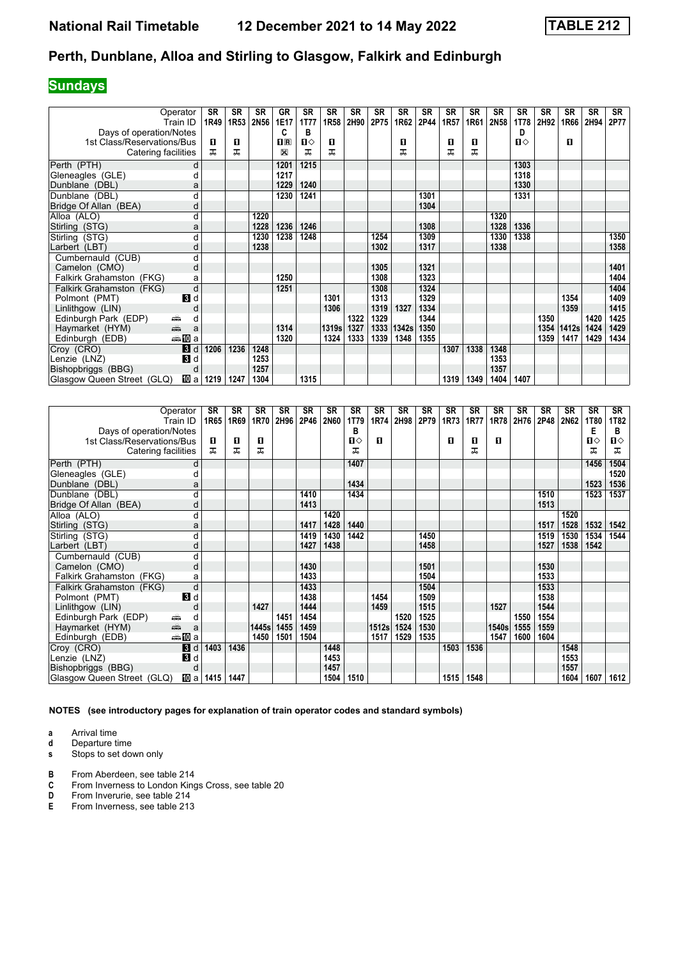## **Sundays**

| Operator                              | <b>SR</b> | <b>SR</b> | <b>SR</b> | <b>GR</b>               | <b>SR</b> | SR    | <b>SR</b> | <b>SR</b> | <b>SR</b> | <b>SR</b> | <b>SR</b> | <b>SR</b> | <b>SR</b> | <b>SR</b>    | <b>SR</b> | <b>SR</b> | <b>SR</b> | <b>SR</b> |
|---------------------------------------|-----------|-----------|-----------|-------------------------|-----------|-------|-----------|-----------|-----------|-----------|-----------|-----------|-----------|--------------|-----------|-----------|-----------|-----------|
| Train ID                              | 1R49      | 1R53      | 2N56      | 1E17                    | 1T77      | 1R58  | 2H90      | 2P75      | 1R62      | 2P44      | 1R57      | 1R61      | 2N58      | 1T78         | 2H92      | 1R66      | 2H94      | 2P77      |
| Days of operation/Notes               |           |           |           | C                       | в         |       |           |           |           |           |           |           |           | D            |           |           |           |           |
| 1st Class/Reservations/Bus            | п         | п         |           | $\overline{\mathbf{R}}$ | п⇔        | п     |           |           | п         |           | 0         | п         |           | $\mathbf{u}$ |           | п         |           |           |
| Catering facilities                   | ᠼ         | ᠼ         |           | X                       | ᇁ         | ᅚ     |           |           | ᅚ         |           | ᠼ         | ᅚ         |           |              |           |           |           |           |
| Perth (PTH)                           | d         |           |           | 1201                    | 1215      |       |           |           |           |           |           |           |           | 1303         |           |           |           |           |
| Gleneagles (GLE)                      | d         |           |           | 1217                    |           |       |           |           |           |           |           |           |           | 1318         |           |           |           |           |
| Dunblane (DBL)                        | a         |           |           | 1229                    | 1240      |       |           |           |           |           |           |           |           | 1330         |           |           |           |           |
| Dunblane (DBL)                        | d         |           |           | 1230                    | 1241      |       |           |           |           | 1301      |           |           |           | 1331         |           |           |           |           |
| Bridge Of Allan (BEA)                 | d         |           |           |                         |           |       |           |           |           | 1304      |           |           |           |              |           |           |           |           |
| Alloa (ALO)                           | d         |           | 1220      |                         |           |       |           |           |           |           |           |           | 1320      |              |           |           |           |           |
| Stirling (STG)                        | а         |           | 1228      | 1236                    | 1246      |       |           |           |           | 1308      |           |           | 1328      | 1336         |           |           |           |           |
| Stirling (STG)                        |           |           | 1230      | 1238                    | 1248      |       |           | 1254      |           | 1309      |           |           | 1330      | 1338         |           |           |           | 1350      |
| Larbert (LBT)                         | d         |           | 1238      |                         |           |       |           | 1302      |           | 1317      |           |           | 1338      |              |           |           |           | 1358      |
| Cumbernauld (CUB)                     | d         |           |           |                         |           |       |           |           |           |           |           |           |           |              |           |           |           |           |
| Camelon (CMO)                         | d         |           |           |                         |           |       |           | 1305      |           | 1321      |           |           |           |              |           |           |           | 1401      |
| Falkirk Grahamston (FKG)              | a         |           |           | 1250                    |           |       |           | 1308      |           | 1323      |           |           |           |              |           |           |           | 1404      |
| Falkirk Grahamston (FKG)              | d         |           |           | 1251                    |           |       |           | 1308      |           | 1324      |           |           |           |              |           |           |           | 1404      |
| $\mathbf{B}$ d<br>Polmont (PMT)       |           |           |           |                         |           | 1301  |           | 1313      |           | 1329      |           |           |           |              |           | 1354      |           | 1409      |
| Linlithgow (LIN)                      | d         |           |           |                         |           | 1306  |           | 1319      | 1327      | 1334      |           |           |           |              |           | 1359      |           | 1415      |
| Edinburgh Park (EDP)<br>۳             | d         |           |           |                         |           |       | 1322      | 1329      |           | 1344      |           |           |           |              | 1350      |           | 1420      | 1425      |
| پيش<br>Haymarket (HYM)                | a         |           |           | 1314                    |           | 1319s | 1327      | 1333      | 1342s     | 1350      |           |           |           |              | 1354      | 1412s     | 1424      | 1429      |
| <del>⊯</del> ∎Da<br>Edinburgh (EDB)   |           |           |           | 1320                    |           | 1324  | 1333      | 1339      | 1348      | 1355      |           |           |           |              | 1359      | 1417      | 1429      | 1434      |
| Croy (CRO)<br>3d                      | 1206      | 1236      | 1248      |                         |           |       |           |           |           |           | 1307      | 1338      | 1348      |              |           |           |           |           |
| $\mathbf{3}$ d<br>Lenzie (LNZ)        |           |           | 1253      |                         |           |       |           |           |           |           |           |           | 1353      |              |           |           |           |           |
| Bishopbriggs (BBG)                    | d         |           | 1257      |                         |           |       |           |           |           |           |           |           | 1357      |              |           |           |           |           |
| [10] al<br>Glasgow Queen Street (GLQ) | 1219      | 1247      | 1304      |                         | 1315      |       |           |           |           |           | 1319      | 1349      | 1404      | 1407         |           |           |           |           |

|                              | Operator<br>Train ID | <b>SR</b><br>1R65 | <b>SR</b><br>1R69 | <b>SR</b><br>1R70 | <b>SR</b><br>2H96 | <b>SR</b><br>2P46 | <b>SR</b><br><b>2N60</b> | SR<br>1T79   | <b>SR</b><br>1R74 | <b>SR</b><br>2H98 | <b>SR</b><br>2P79 | <b>SR</b><br>1R73 | <b>SR</b><br>1R77 | <b>SR</b><br>1R78 | <b>SR</b><br>2H76 | <b>SR</b><br>2P48 | <b>SR</b><br>2N62 | <b>SR</b><br><b>1T80</b> | <b>SR</b><br>1T82 |
|------------------------------|----------------------|-------------------|-------------------|-------------------|-------------------|-------------------|--------------------------|--------------|-------------------|-------------------|-------------------|-------------------|-------------------|-------------------|-------------------|-------------------|-------------------|--------------------------|-------------------|
| Days of operation/Notes      |                      |                   |                   |                   |                   |                   |                          | в            |                   |                   |                   |                   |                   |                   |                   |                   |                   | E                        | в                 |
| 1st Class/Reservations/Bus   |                      | П                 | 0                 | п                 |                   |                   |                          | $\mathbf{u}$ | п                 |                   |                   | п                 | п                 | п                 |                   |                   |                   | ்ப                       | Ⅱ♦                |
| Catering facilities          |                      | ᠼ                 | ᅚ                 | ᠼ                 |                   |                   |                          | ᅚ            |                   |                   |                   |                   | ᅚ                 |                   |                   |                   |                   | ᠼ                        | ᠼ                 |
| Perth (PTH)                  | d                    |                   |                   |                   |                   |                   |                          | 1407         |                   |                   |                   |                   |                   |                   |                   |                   |                   | 1456                     | 1504              |
| Gleneagles (GLE)             | d                    |                   |                   |                   |                   |                   |                          |              |                   |                   |                   |                   |                   |                   |                   |                   |                   |                          | 1520              |
| Dunblane (DBL)               | a                    |                   |                   |                   |                   |                   |                          | 1434         |                   |                   |                   |                   |                   |                   |                   |                   |                   | 1523                     | 1536              |
| Dunblane (DBL)               | d                    |                   |                   |                   |                   | 1410              |                          | 1434         |                   |                   |                   |                   |                   |                   |                   | 1510              |                   | 1523                     | 1537              |
| Bridge Of Allan (BEA)        | d                    |                   |                   |                   |                   | 1413              |                          |              |                   |                   |                   |                   |                   |                   |                   | 1513              |                   |                          |                   |
| Alloa (ALO)                  | d                    |                   |                   |                   |                   |                   | 1420                     |              |                   |                   |                   |                   |                   |                   |                   |                   | 1520              |                          |                   |
| Stirling (STG)               | a                    |                   |                   |                   |                   | 1417              | 1428                     | 1440         |                   |                   |                   |                   |                   |                   |                   | 1517              | 1528              | 1532                     | 1542              |
| Stirling (STG)               | d                    |                   |                   |                   |                   | 1419              | 1430                     | 1442         |                   |                   | 1450              |                   |                   |                   |                   | 1519              | 1530              | 1534                     | 1544              |
| Larbert (LBT)                | d                    |                   |                   |                   |                   | 1427              | 1438                     |              |                   |                   | 1458              |                   |                   |                   |                   | 1527              | 1538              | 1542                     |                   |
| Cumbernauld (CUB)            | d                    |                   |                   |                   |                   |                   |                          |              |                   |                   |                   |                   |                   |                   |                   |                   |                   |                          |                   |
| Camelon (CMO)                | d                    |                   |                   |                   |                   | 1430              |                          |              |                   |                   | 1501              |                   |                   |                   |                   | 1530              |                   |                          |                   |
| Falkirk Grahamston (FKG)     | a                    |                   |                   |                   |                   | 1433              |                          |              |                   |                   | 1504              |                   |                   |                   |                   | 1533              |                   |                          |                   |
| Falkirk Grahamston (FKG)     | d                    |                   |                   |                   |                   | 1433              |                          |              |                   |                   | 1504              |                   |                   |                   |                   | 1533              |                   |                          |                   |
| Polmont (PMT)                | $\blacksquare$       |                   |                   |                   |                   | 1438              |                          |              | 1454              |                   | 1509              |                   |                   |                   |                   | 1538              |                   |                          |                   |
| Linlithgow (LIN)             | d                    |                   |                   | 1427              |                   | 1444              |                          |              | 1459              |                   | 1515              |                   |                   | 1527              |                   | 1544              |                   |                          |                   |
| Edinburgh Park (EDP)<br>یشته | d                    |                   |                   |                   | 1451              | 1454              |                          |              |                   | 1520              | 1525              |                   |                   |                   | 1550              | 1554              |                   |                          |                   |
| gig<br>Haymarket (HYM)       | a                    |                   |                   | 1445s             | 1455              | 1459              |                          |              | 1512s             | 1524              | 1530              |                   |                   | 1540s             | 1555              | 1559              |                   |                          |                   |
| Edinburgh (EDB)              | ⇔≞llDia              |                   |                   | 1450              | 1501              | 1504              |                          |              | 1517              | 1529              | 1535              |                   |                   | 1547              | 1600              | 1604              |                   |                          |                   |
| Croy (CRO)                   | $\bf{B}$<br>d        | 1403              | 1436              |                   |                   |                   | 1448                     |              |                   |                   |                   | 1503              | 1536              |                   |                   |                   | 1548              |                          |                   |
| Lenzie (LNZ)                 | $\bf{3}$<br>d        |                   |                   |                   |                   |                   | 1453                     |              |                   |                   |                   |                   |                   |                   |                   |                   | 1553              |                          |                   |
| Bishopbriggs (BBG)           | d                    |                   |                   |                   |                   |                   | 1457                     |              |                   |                   |                   |                   |                   |                   |                   |                   | 1557              |                          |                   |
| Glasgow Queen Street (GLQ)   | <b>ID</b> a          | 1415              | 1447              |                   |                   |                   | 1504                     | 1510         |                   |                   |                   | 1515              | 1548              |                   |                   |                   | 1604              | 1607                     | 1612              |

**NOTES (see introductory pages for explanation of train operator codes and standard symbols)**

- **a** Arrival time<br>**d** Departure time
- **d** Departure time<br>**s** Stops to set dow **s** Stops to set down only
- 
- **B** From Aberdeen, see table 214<br>**C** From Inverness to London King
- **C** From Inverness to London Kings Cross, see table 20<br> **D** From Inverurie, see table 214
- **D** From Inverurie, see table 214<br>**E** From Inverness, see table 213 **(** From Inverness, see table 213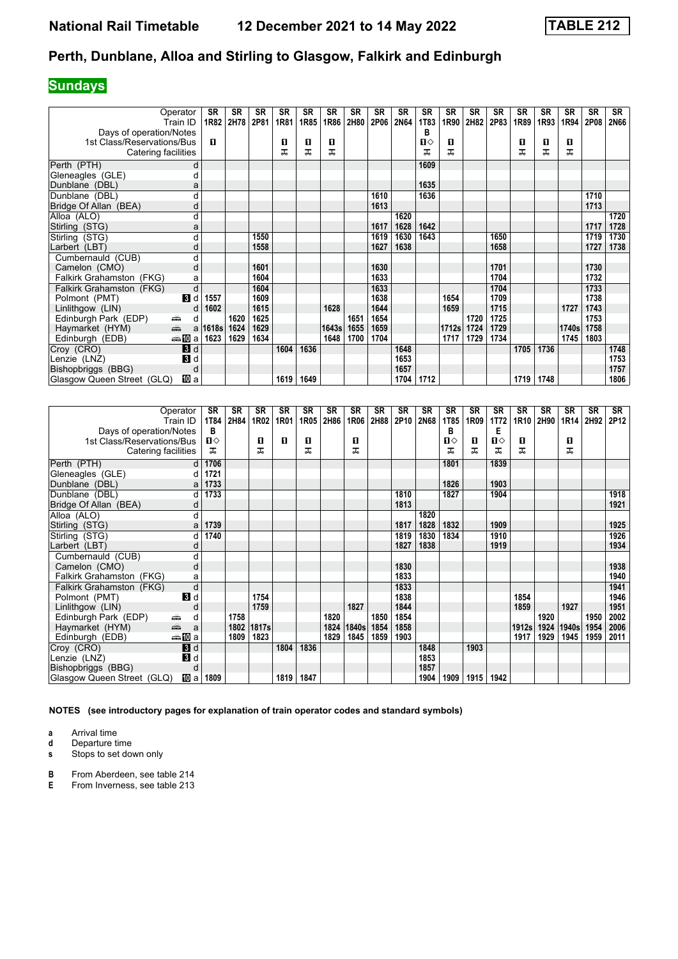## **Sundays**

|                            | Operator<br>Train ID                                                                                                                                                                                                                | SR<br>1R82 | <b>SR</b><br>2H78 | <b>SR</b><br>2P81 | <b>SR</b><br>1R81 | <b>SR</b><br>1R85 | <b>SR</b><br>1R86 | <b>SR</b><br>2H80 | <b>SR</b><br>2P06 | SR<br><b>2N64</b> | <b>SR</b><br><b>1T83</b> | <b>SR</b><br>1R90 | <b>SR</b><br>2H82 | <b>SR</b><br>2P83 | <b>SR</b><br>1R89 | <b>SR</b><br>1R93 | <b>SR</b><br>1R94 | <b>SR</b><br>2P08 | <b>SR</b><br><b>2N66</b> |
|----------------------------|-------------------------------------------------------------------------------------------------------------------------------------------------------------------------------------------------------------------------------------|------------|-------------------|-------------------|-------------------|-------------------|-------------------|-------------------|-------------------|-------------------|--------------------------|-------------------|-------------------|-------------------|-------------------|-------------------|-------------------|-------------------|--------------------------|
| Days of operation/Notes    |                                                                                                                                                                                                                                     |            |                   |                   |                   |                   |                   |                   |                   |                   | в                        |                   |                   |                   |                   |                   |                   |                   |                          |
| 1st Class/Reservations/Bus |                                                                                                                                                                                                                                     | п          |                   |                   | 0                 | 0                 | О                 |                   |                   |                   | п⇔                       | O                 |                   |                   | 0                 | O                 | 0                 |                   |                          |
| Catering facilities        |                                                                                                                                                                                                                                     |            |                   |                   | ᠼ                 | ᠼ                 | ᠼ                 |                   |                   |                   | ᅚ                        | ᅚ                 |                   |                   | ᅚ                 | ᠼ                 | ᅚ                 |                   |                          |
|                            |                                                                                                                                                                                                                                     |            |                   |                   |                   |                   |                   |                   |                   |                   |                          |                   |                   |                   |                   |                   |                   |                   |                          |
| Perth (PTH)                | d                                                                                                                                                                                                                                   |            |                   |                   |                   |                   |                   |                   |                   |                   | 1609                     |                   |                   |                   |                   |                   |                   |                   |                          |
| Gleneagles (GLE)           | d                                                                                                                                                                                                                                   |            |                   |                   |                   |                   |                   |                   |                   |                   |                          |                   |                   |                   |                   |                   |                   |                   |                          |
| Dunblane (DBL)             | a                                                                                                                                                                                                                                   |            |                   |                   |                   |                   |                   |                   |                   |                   | 1635                     |                   |                   |                   |                   |                   |                   |                   |                          |
| Dunblane (DBL)             | d                                                                                                                                                                                                                                   |            |                   |                   |                   |                   |                   |                   | 1610              |                   | 1636                     |                   |                   |                   |                   |                   |                   | 1710              |                          |
| Bridge Of Allan (BEA)      | d                                                                                                                                                                                                                                   |            |                   |                   |                   |                   |                   |                   | 1613              |                   |                          |                   |                   |                   |                   |                   |                   | 1713              |                          |
| Alloa (ALO)                | d                                                                                                                                                                                                                                   |            |                   |                   |                   |                   |                   |                   |                   | 1620              |                          |                   |                   |                   |                   |                   |                   |                   | 1720                     |
| Stirling (STG)             | a                                                                                                                                                                                                                                   |            |                   |                   |                   |                   |                   |                   | 1617              | 1628              | 1642                     |                   |                   |                   |                   |                   |                   | 1717              | 1728                     |
| Stirling (STG)             | d                                                                                                                                                                                                                                   |            |                   | 1550              |                   |                   |                   |                   | 1619              | 1630              | 1643                     |                   |                   | 1650              |                   |                   |                   | 1719              | 1730                     |
| Larbert (LBT)              | d                                                                                                                                                                                                                                   |            |                   | 1558              |                   |                   |                   |                   | 1627              | 1638              |                          |                   |                   | 1658              |                   |                   |                   | 1727              | 1738                     |
| Cumbernauld (CUB)          | d                                                                                                                                                                                                                                   |            |                   |                   |                   |                   |                   |                   |                   |                   |                          |                   |                   |                   |                   |                   |                   |                   |                          |
| Camelon (CMO)              | d                                                                                                                                                                                                                                   |            |                   | 1601              |                   |                   |                   |                   | 1630              |                   |                          |                   |                   | 1701              |                   |                   |                   | 1730              |                          |
| Falkirk Grahamston (FKG)   | а                                                                                                                                                                                                                                   |            |                   | 1604              |                   |                   |                   |                   | 1633              |                   |                          |                   |                   | 1704              |                   |                   |                   | 1732              |                          |
| Falkirk Grahamston (FKG)   | d                                                                                                                                                                                                                                   |            |                   | 1604              |                   |                   |                   |                   | 1633              |                   |                          |                   |                   | 1704              |                   |                   |                   | 1733              |                          |
| Polmont (PMT)              | <b>B</b> Id                                                                                                                                                                                                                         | 1557       |                   | 1609              |                   |                   |                   |                   | 1638              |                   |                          | 1654              |                   | 1709              |                   |                   |                   | 1738              |                          |
| Linlithgow (LIN)           | d                                                                                                                                                                                                                                   | 1602       |                   | 1615              |                   |                   | 1628              |                   | 1644              |                   |                          | 1659              |                   | 1715              |                   |                   | 1727              | 1743              |                          |
| Edinburgh Park (EDP)       | d<br>یشت                                                                                                                                                                                                                            |            | 1620              | 1625              |                   |                   |                   | 1651              | 1654              |                   |                          |                   | 1720              | 1725              |                   |                   |                   | 1753              |                          |
| Haymarket (HYM)            | and and the second set of the set of the set of the set of the set of the set of the set of the set of the set of the set of the set of the set of the set of the set of the set of the set of the set of the set of the set o<br>a | 1618s      | 1624              | 1629              |                   |                   | 1643s             | 1655              | 1659              |                   |                          | 1712s             | 1724              | 1729              |                   |                   | 1740s             | 1758              |                          |
| Edinburgh (EDB)            | da <mark>na</mark> m⊡a                                                                                                                                                                                                              | 1623       | 1629              | 1634              |                   |                   | 1648              | 1700              | 1704              |                   |                          | 1717              | 1729              | 1734              |                   |                   | 1745              | 1803              |                          |
| Croy (CRO)                 | 3d                                                                                                                                                                                                                                  |            |                   |                   | 1604              | 1636              |                   |                   |                   | 1648              |                          |                   |                   |                   | 1705              | 1736              |                   |                   | 1748                     |
| Lenzie (LNZ)               | 3d                                                                                                                                                                                                                                  |            |                   |                   |                   |                   |                   |                   |                   | 1653              |                          |                   |                   |                   |                   |                   |                   |                   | 1753                     |
| Bishopbriggs (BBG)         | d                                                                                                                                                                                                                                   |            |                   |                   |                   |                   |                   |                   |                   | 1657              |                          |                   |                   |                   |                   |                   |                   |                   | 1757                     |
| Glasgow Queen Street (GLQ) | 凹 a                                                                                                                                                                                                                                 |            |                   |                   | 1619              | 1649              |                   |                   |                   | 1704              | 1712                     |                   |                   |                   | 1719              | 1748              |                   |                   | 1806                     |

|                            | Operator                                                                                                                                                                                                                           | <b>SR</b> | <b>SR</b> | <b>SR</b> | <b>SR</b> | <b>SR</b> | <b>SR</b> | <b>SR</b> | <b>SR</b> | <b>SR</b> | <b>SR</b> | <b>SR</b> | <b>SR</b> | <b>SR</b>    | <b>SR</b> | <b>SR</b> | <b>SR</b> | <b>SR</b> | SR   |
|----------------------------|------------------------------------------------------------------------------------------------------------------------------------------------------------------------------------------------------------------------------------|-----------|-----------|-----------|-----------|-----------|-----------|-----------|-----------|-----------|-----------|-----------|-----------|--------------|-----------|-----------|-----------|-----------|------|
|                            | Train ID                                                                                                                                                                                                                           | 1T84      | 2H84      | 1R02      | 1R01      | 1R05      | 2H86      | 1R06      | 2H88      | 2P10      | 2N68      | 1T85      | 1R09      | 1T72         | 1R10      | 2H90      | 1R14      | 2H92      | 2P12 |
| Days of operation/Notes    |                                                                                                                                                                                                                                    | в         |           |           |           |           |           |           |           |           |           | в         |           | Е            |           |           |           |           |      |
| 1st Class/Reservations/Bus |                                                                                                                                                                                                                                    | $\Pi$     |           | п         | п         | п         |           | п         |           |           |           | П⇔        | п         | $\mathbf{u}$ | п         |           | п         |           |      |
| Catering facilities        |                                                                                                                                                                                                                                    | ᅚ         |           | ㅈ         |           | ᇁ         |           | ᅚ         |           |           |           | ᅚ         | ᅚ         | ᅚ            | ᅚ         |           | ᅚ         |           |      |
| Perth (PTH)                | d                                                                                                                                                                                                                                  | 1706      |           |           |           |           |           |           |           |           |           | 1801      |           | 1839         |           |           |           |           |      |
| Gleneagles (GLE)           | d                                                                                                                                                                                                                                  | 1721      |           |           |           |           |           |           |           |           |           |           |           |              |           |           |           |           |      |
| Dunblane (DBL)             |                                                                                                                                                                                                                                    | 1733      |           |           |           |           |           |           |           |           |           | 1826      |           | 1903         |           |           |           |           |      |
| Dunblane (DBL)             |                                                                                                                                                                                                                                    | 1733      |           |           |           |           |           |           |           | 1810      |           | 1827      |           | 1904         |           |           |           |           | 1918 |
| Bridge Of Allan (BEA)      | d                                                                                                                                                                                                                                  |           |           |           |           |           |           |           |           | 1813      |           |           |           |              |           |           |           |           | 1921 |
| Alloa (ALO)                | d                                                                                                                                                                                                                                  |           |           |           |           |           |           |           |           |           | 1820      |           |           |              |           |           |           |           |      |
| Stirling (STG)             | a                                                                                                                                                                                                                                  | 1739      |           |           |           |           |           |           |           | 1817      | 1828      | 1832      |           | 1909         |           |           |           |           | 1925 |
| Stirling (STG)             | d                                                                                                                                                                                                                                  | 1740      |           |           |           |           |           |           |           | 1819      | 1830      | 1834      |           | 1910         |           |           |           |           | 1926 |
| Larbert (LBT)              | d                                                                                                                                                                                                                                  |           |           |           |           |           |           |           |           | 1827      | 1838      |           |           | 1919         |           |           |           |           | 1934 |
| Cumbernauld (CUB)          | d                                                                                                                                                                                                                                  |           |           |           |           |           |           |           |           |           |           |           |           |              |           |           |           |           |      |
| Camelon (CMO)              | d                                                                                                                                                                                                                                  |           |           |           |           |           |           |           |           | 1830      |           |           |           |              |           |           |           |           | 1938 |
| Falkirk Grahamston (FKG)   | a                                                                                                                                                                                                                                  |           |           |           |           |           |           |           |           | 1833      |           |           |           |              |           |           |           |           | 1940 |
| Falkirk Grahamston (FKG)   | d                                                                                                                                                                                                                                  |           |           |           |           |           |           |           |           | 1833      |           |           |           |              |           |           |           |           | 1941 |
| Polmont (PMT)              | $\blacksquare$                                                                                                                                                                                                                     |           |           | 1754      |           |           |           |           |           | 1838      |           |           |           |              | 1854      |           |           |           | 1946 |
| Linlithgow (LIN)           |                                                                                                                                                                                                                                    |           |           | 1759      |           |           |           | 1827      |           | 1844      |           |           |           |              | 1859      |           | 1927      |           | 1951 |
| Edinburgh Park (EDP)       | ۳<br>d                                                                                                                                                                                                                             |           | 1758      |           |           |           | 1820      |           | 1850      | 1854      |           |           |           |              |           | 1920      |           | 1950      | 2002 |
| Haymarket (HYM)            | and and some of the set of the set of the set of the set of the set of the set of the set of the set of the set of the set of the set of the set of the set of the set of the set of the set of the set of the set of the set<br>a |           | 1802      | 1817s     |           |           | 1824      | 1840s     | 1854      | 1858      |           |           |           |              | 1912s     | 1924      | 1940s     | 1954      | 2006 |
| Edinburgh (EDB)            | ⊯⊯ Da                                                                                                                                                                                                                              |           | 1809      | 1823      |           |           | 1829      | 1845      | 1859      | 1903      |           |           |           |              | 1917      | 1929      | 1945      | 1959      | 2011 |
| Croy (CRO)                 | $\blacksquare$                                                                                                                                                                                                                     |           |           |           | 1804      | 1836      |           |           |           |           | 1848      |           | 1903      |              |           |           |           |           |      |
| Lenzie (LNZ)               | В<br>d                                                                                                                                                                                                                             |           |           |           |           |           |           |           |           |           | 1853      |           |           |              |           |           |           |           |      |
| Bishopbriggs (BBG)         | d                                                                                                                                                                                                                                  |           |           |           |           |           |           |           |           |           | 1857      |           |           |              |           |           |           |           |      |
| Glasgow Queen Street (GLQ) | 吅 a                                                                                                                                                                                                                                | 1809      |           |           | 1819      | 1847      |           |           |           |           | 1904      | 1909      | 1915      | 1942         |           |           |           |           |      |

**NOTES (see introductory pages for explanation of train operator codes and standard symbols)**

**a** Arrival time<br>**d** Departure time

**d** Departure time<br>**s** Stops to set dow

**s** Stops to set down only

**B** From Aberdeen, see table 214<br>**E** From Inverness, see table 213

**(** From Inverness, see table 213